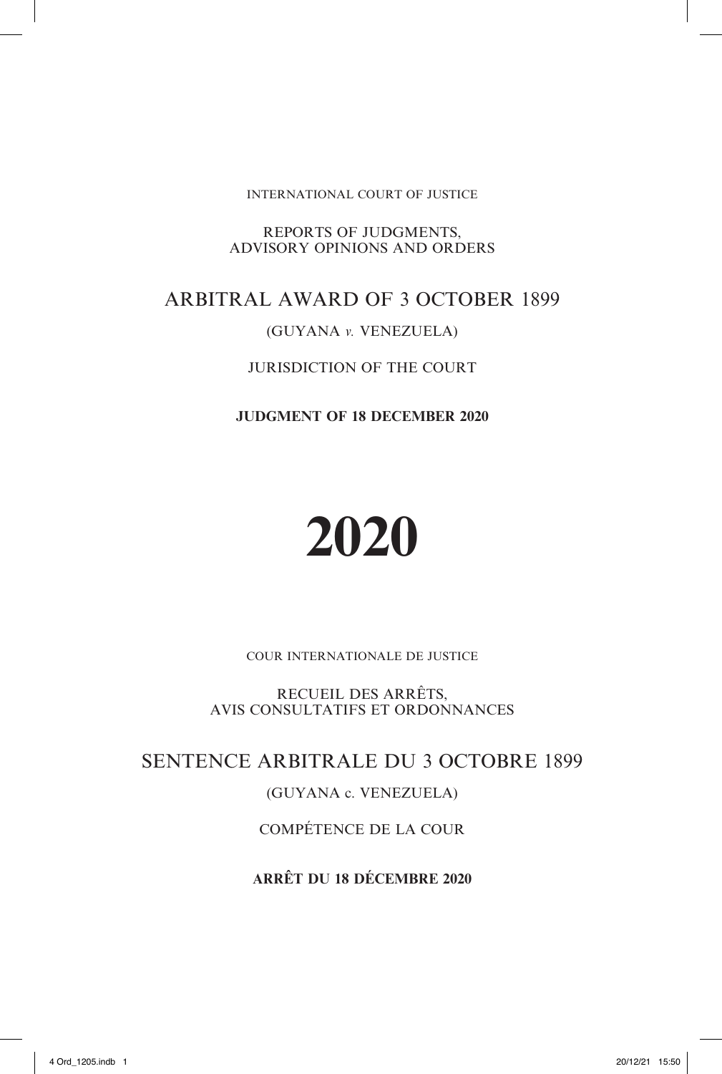INTERNATIONAL COURT OF JUSTICE

REPORTS OF JUDGMENTS, ADVISORY OPINIONS AND ORDERS

# ARBITRAL AWARD OF 3 OCTOBER 1899

# (GUYANA *v.* VENEZUELA)

# JURISDICTION OF THE COURT

**JUDGMENT OF 18 DECEMBER 2020**

# **2020**

COUR INTERNATIONALE DE JUSTICE

RECUEIL DES ARRÊTS, AVIS CONSULTATIFS ET ORDONNANCES

SENTENCE ARBITRALE DU 3 OCTOBRE 1899

# (GUYANA c. VENEZUELA)

COMPÉTENCE DE LA COUR

**ARRÊT DU 18 DÉCEMBRE 2020**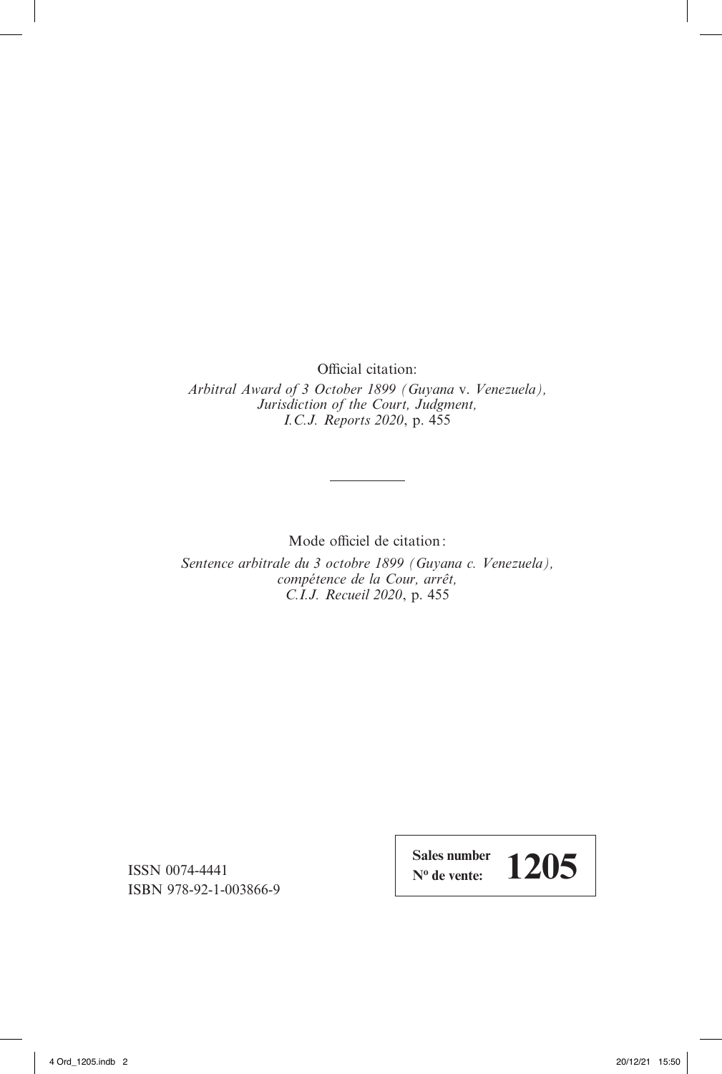Official citation:

*Arbitral Award of 3 October 1899 (Guyana* v. *Venezuela), Jurisdiction of the Court, Judgment, I.C.J. Reports 2020*, p. 455

Mode officiel de citation:

*Sentence arbitrale du 3 octobre 1899 (Guyana c. Venezuela), compétence de la Cour, arrêt, C.I.J. Recueil 2020*, p. 455

ISSN 0074-4441 ISBN 978-92-1-003866-9 **Sales number**   $\frac{\text{Sales number}}{\text{N}^{\text{o}} \text{ de vente:}}$  1205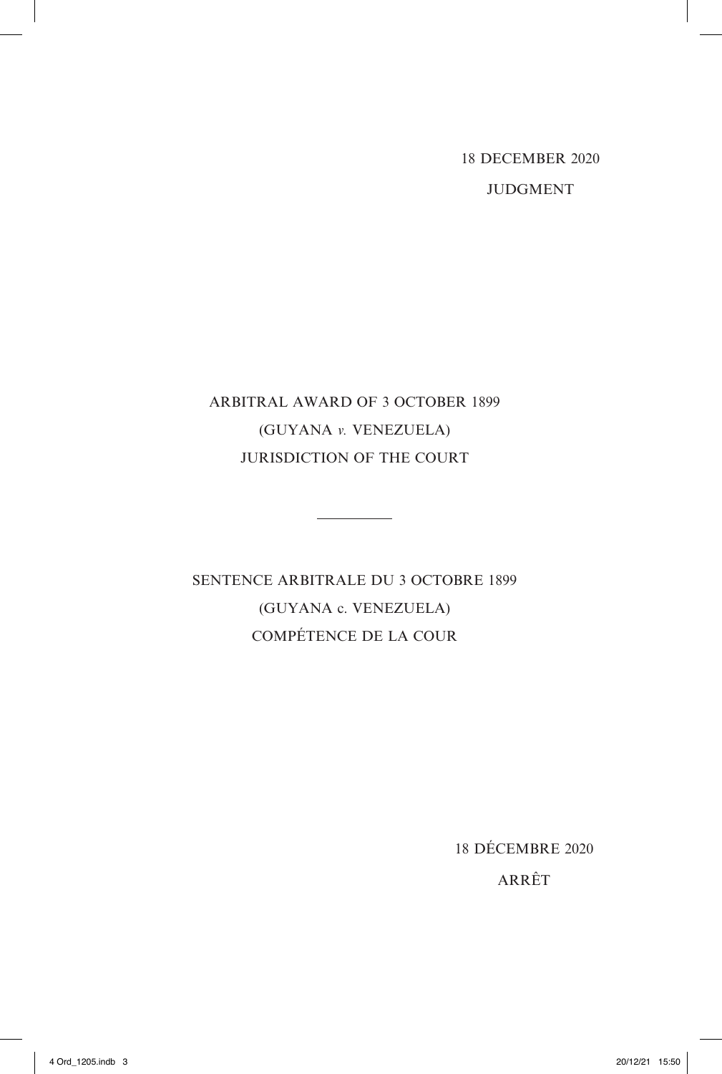18 DECEMBER 2020 JUDGMENT

# ARBITRAL AWARD OF 3 OCTOBER 1899 (GUYANA *v.* VENEZUELA) JURISDICTION OF THE COURT

SENTENCE ARBITRALE DU 3 OCTOBRE 1899 (GUYANA c. VENEZUELA) COMPÉTENCE DE LA COUR

18 DÉCEMBRE 2020

ARRÊT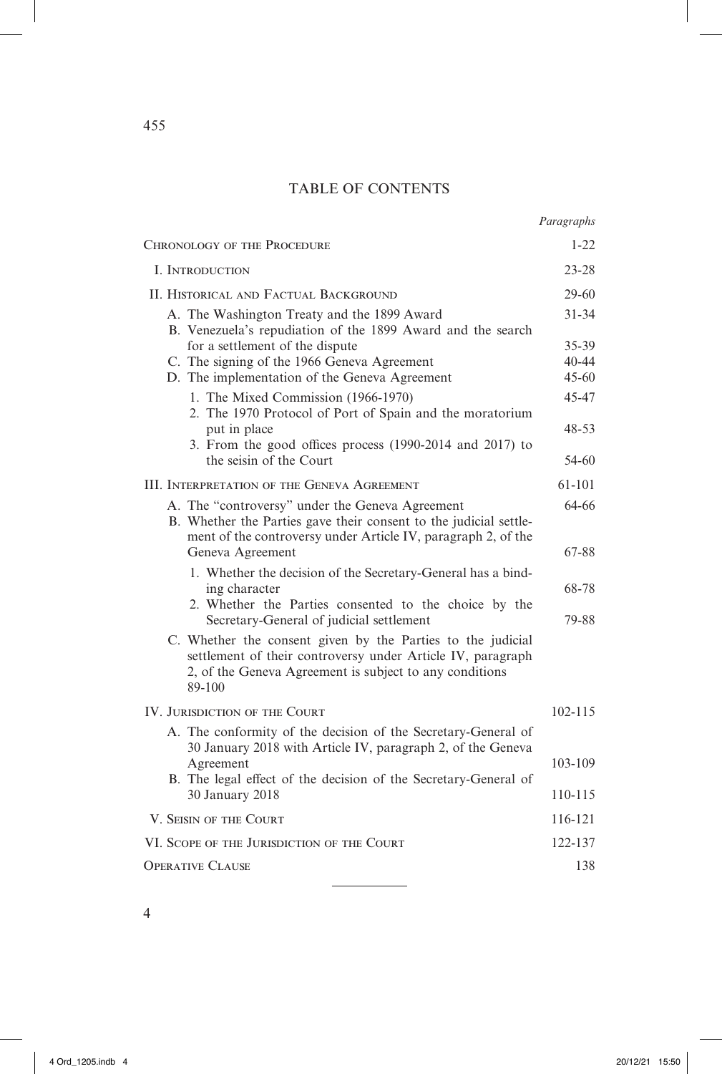# TABLE OF CONTENTS

*Paragraphs*

| <b>CHRONOLOGY OF THE PROCEDURE</b>                                                                                                                                                              | $1 - 22$               |
|-------------------------------------------------------------------------------------------------------------------------------------------------------------------------------------------------|------------------------|
| I. INTRODUCTION                                                                                                                                                                                 | $23 - 28$              |
| II. HISTORICAL AND FACTUAL BACKGROUND                                                                                                                                                           | $29-60$                |
| A. The Washington Treaty and the 1899 Award<br>B. Venezuela's repudiation of the 1899 Award and the search                                                                                      | $31 - 34$              |
| for a settlement of the dispute                                                                                                                                                                 | 35-39                  |
| C. The signing of the 1966 Geneva Agreement<br>D. The implementation of the Geneva Agreement                                                                                                    | $40 - 44$<br>$45 - 60$ |
|                                                                                                                                                                                                 | 45-47                  |
| 1. The Mixed Commission (1966-1970)<br>2. The 1970 Protocol of Port of Spain and the moratorium                                                                                                 |                        |
| put in place                                                                                                                                                                                    | 48-53                  |
| 3. From the good offices process (1990-2014 and 2017) to<br>the seisin of the Court                                                                                                             | $54-60$                |
| III. INTERPRETATION OF THE GENEVA AGREEMENT                                                                                                                                                     | 61-101                 |
| A. The "controversy" under the Geneva Agreement<br>B. Whether the Parties gave their consent to the judicial settle-                                                                            | 64-66                  |
| ment of the controversy under Article IV, paragraph 2, of the<br>Geneva Agreement                                                                                                               | 67-88                  |
| 1. Whether the decision of the Secretary-General has a bind-                                                                                                                                    |                        |
| ing character<br>2. Whether the Parties consented to the choice by the<br>Secretary-General of judicial settlement                                                                              | 68-78<br>79-88         |
| C. Whether the consent given by the Parties to the judicial<br>settlement of their controversy under Article IV, paragraph<br>2, of the Geneva Agreement is subject to any conditions<br>89-100 |                        |
| IV. JURISDICTION OF THE COURT                                                                                                                                                                   | 102-115                |
| A. The conformity of the decision of the Secretary-General of<br>30 January 2018 with Article IV, paragraph 2, of the Geneva                                                                    |                        |
| Agreement                                                                                                                                                                                       | 103-109                |
| B. The legal effect of the decision of the Secretary-General of<br>30 January 2018                                                                                                              | 110-115                |
| V. SEISIN OF THE COURT                                                                                                                                                                          | 116-121                |
| VI. SCOPE OF THE JURISDICTION OF THE COURT                                                                                                                                                      | 122-137                |
| <b>OPERATIVE CLAUSE</b>                                                                                                                                                                         | 138                    |

j,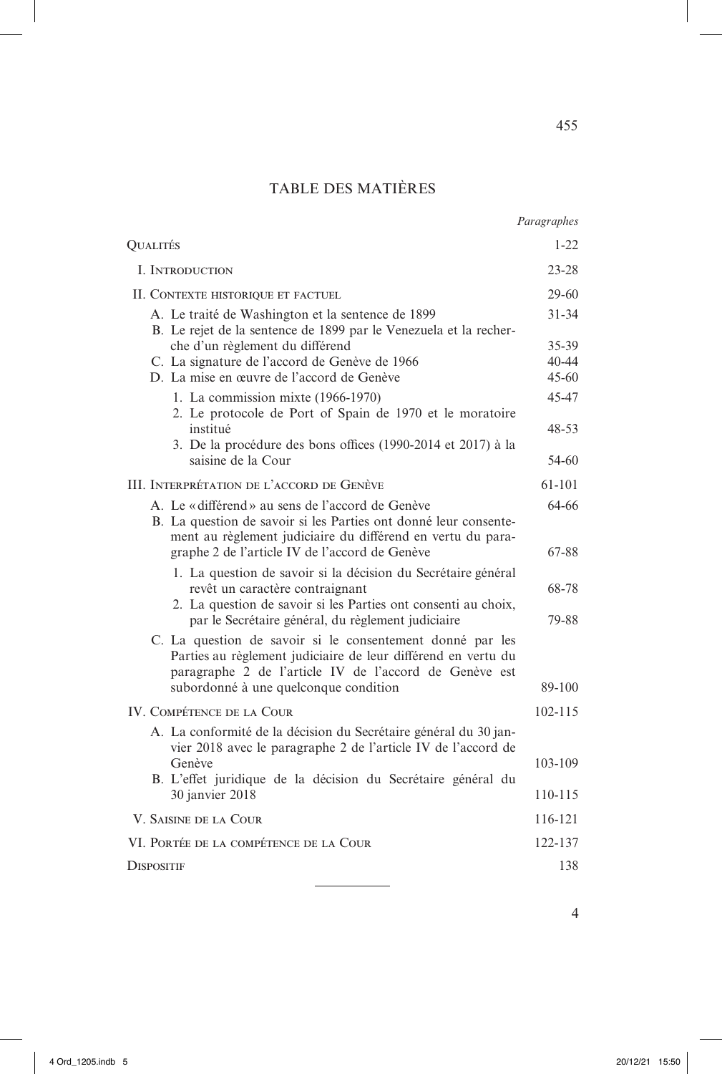# TABLE DES MATIÈRES

| QUALITÉS                                                                                                                                                                             | 1-22           |
|--------------------------------------------------------------------------------------------------------------------------------------------------------------------------------------|----------------|
| I. INTRODUCTION                                                                                                                                                                      | 23-28          |
| II. CONTEXTE HISTORIQUE ET FACTUEL                                                                                                                                                   | $29-60$        |
| A. Le traité de Washington et la sentence de 1899<br>B. Le rejet de la sentence de 1899 par le Venezuela et la recher-                                                               | $31 - 34$      |
| che d'un règlement du différend                                                                                                                                                      | 35-39          |
| C. La signature de l'accord de Genève de 1966                                                                                                                                        | $40 - 44$      |
| D. La mise en œuvre de l'accord de Genève                                                                                                                                            | $45 - 60$      |
| 1. La commission mixte (1966-1970)<br>2. Le protocole de Port of Spain de 1970 et le moratoire<br>institué                                                                           | 45-47<br>48-53 |
| 3. De la procédure des bons offices (1990-2014 et 2017) à la                                                                                                                         |                |
| saisine de la Cour                                                                                                                                                                   | 54-60          |
| III. INTERPRÉTATION DE L'ACCORD DE GENÈVE                                                                                                                                            | $61 - 101$     |
| A. Le «différend» au sens de l'accord de Genève<br>B. La question de savoir si les Parties ont donné leur consente-<br>ment au règlement judiciaire du différend en vertu du para-   | 64-66          |
| graphe 2 de l'article IV de l'accord de Genève                                                                                                                                       | 67-88          |
| 1. La question de savoir si la décision du Secrétaire général<br>revêt un caractère contraignant<br>2. La question de savoir si les Parties ont consenti au choix,                   | 68-78<br>79-88 |
| par le Secrétaire général, du règlement judiciaire                                                                                                                                   |                |
| C. La question de savoir si le consentement donné par les<br>Parties au règlement judiciaire de leur différend en vertu du<br>paragraphe 2 de l'article IV de l'accord de Genève est |                |
| subordonné à une quelconque condition                                                                                                                                                | 89-100         |
| IV. COMPÉTENCE DE LA COUR                                                                                                                                                            | $102 - 115$    |
| A. La conformité de la décision du Secrétaire général du 30 jan-<br>vier 2018 avec le paragraphe 2 de l'article IV de l'accord de                                                    |                |
| Genève                                                                                                                                                                               | 103-109        |
| B. L'effet juridique de la décision du Secrétaire général du<br>30 janvier 2018                                                                                                      | 110-115        |
| V. SAISINE DE LA COUR                                                                                                                                                                | 116-121        |
| VI. PORTÉE DE LA COMPÉTENCE DE LA COUR                                                                                                                                               | 122-137        |
| <b>DISPOSITIF</b>                                                                                                                                                                    | 138            |
|                                                                                                                                                                                      |                |

4

455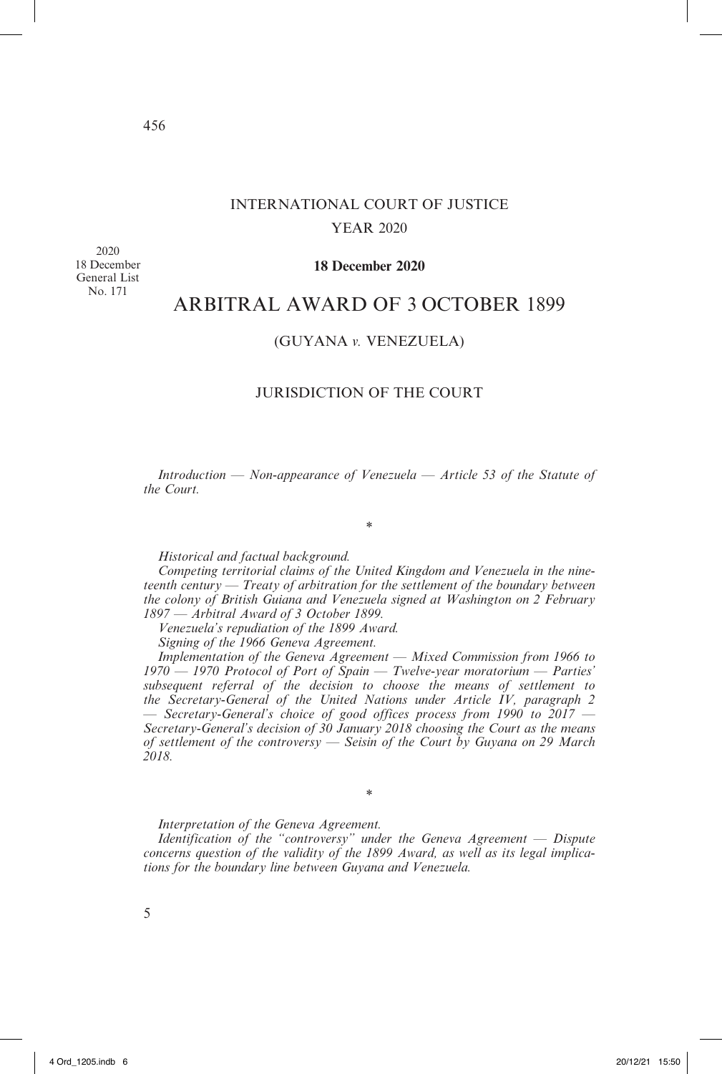# INTERNATIONAL COURT OF JUSTICE YEAR 2020

2020 18 December General List No. 171

# **18 December 2020**

# ARBITRAL AWARD OF 3 OCTOBER 1899

# (GUYANA *v.* VENEZUELA)

# JURISDICTION OF THE COURT

*Introduction — Non-appearance of Venezuela — Article 53 of the Statute of the Court.*

\*

*Historical and factual background.*

*Competing territorial claims of the United Kingdom and Venezuela in the nineteenth century — Treaty of arbitration for the settlement of the boundary between the colony of British Guiana and Venezuela signed at Washington on 2 February 1897 — Arbitral Award of 3 October 1899.*

*Venezuela's repudiation of the 1899 Award.*

*Signing of the 1966 Geneva Agreement.*

*Implementation of the Geneva Agreement — Mixed Commission from 1966 to 1970 — 1970 Protocol of Port of Spain — Twelve-year moratorium — Parties' subsequent referral of the decision to choose the means of settlement to the Secretary-General of the United Nations under Article IV, paragraph 2 — Secretary-General's choice of good offices process from 1990 to 2017 — Secretary-General's decision of 30 January 2018 choosing the Court as the means of settlement of the controversy — Seisin of the Court by Guyana on 29 March 2018.*

*Interpretation of the Geneva Agreement.*

*Identification of the "controversy" under the Geneva Agreement — Dispute concerns question of the validity of the 1899 Award, as well as its legal implications for the boundary line between Guyana and Venezuela.*

\*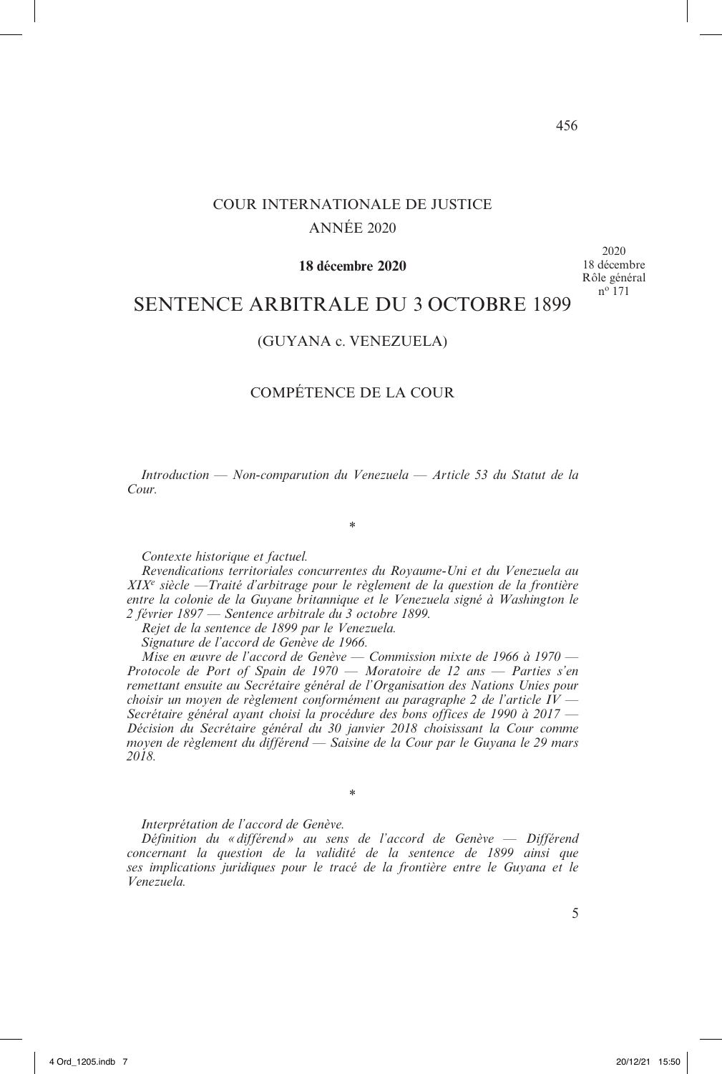# COUR INTERNATIONALE DE JUSTICE ANNÉE 2020

## **18 décembre 2020**

2020 18 décembre Rôle général no 171

# SENTENCE ARBITRALE DU 3 OCTOBRE 1899

# (GUYANA c. VENEZUELA)

# COMPÉTENCE DE LA COUR

*Introduction — Non-comparution du Venezuela — Article 53 du Statut de la Cour.*

\*

*Contexte historique et factuel.*

*Revendications territoriales concurrentes du Royaume-Uni et du Venezuela au XIX<sup>e</sup> siècle —Traité d'arbitrage pour le règlement de la question de la frontière*  entre la colonie de la Guyane britannique et le Venezuela signé à Washington le *2 février 1897 — Sentence arbitrale du 3 octobre 1899.*

*Rejet de la sentence de 1899 par le Venezuela.*

*Signature de l'accord de Genève de 1966.*

*Mise en œuvre de l'accord de Genève — Commission mixte de 1966 à 1970 — Protocole de Port of Spain de 1970 — Moratoire de 12 ans — Parties s'en remettant ensuite au Secrétaire général de l'Organisation des Nations Unies pour choisir un moyen de règlement conformément au paragraphe 2 de l'article IV — Secrétaire général ayant choisi la procédure des bons offices de 1990 à 2017 — Décision du Secrétaire général du 30 janvier 2018 choisissant la Cour comme moyen de règlement du différend — Saisine de la Cour par le Guyana le 29 mars 2018.*

*Interprétation de l'accord de Genève.*

*Définition du «différend » au sens de l'accord de Genève — Différend concernant la question de la validité de la sentence de 1899 ainsi que ses implications juridiques pour le tracé de la frontière entre le Guyana et le Venezuela.*

\*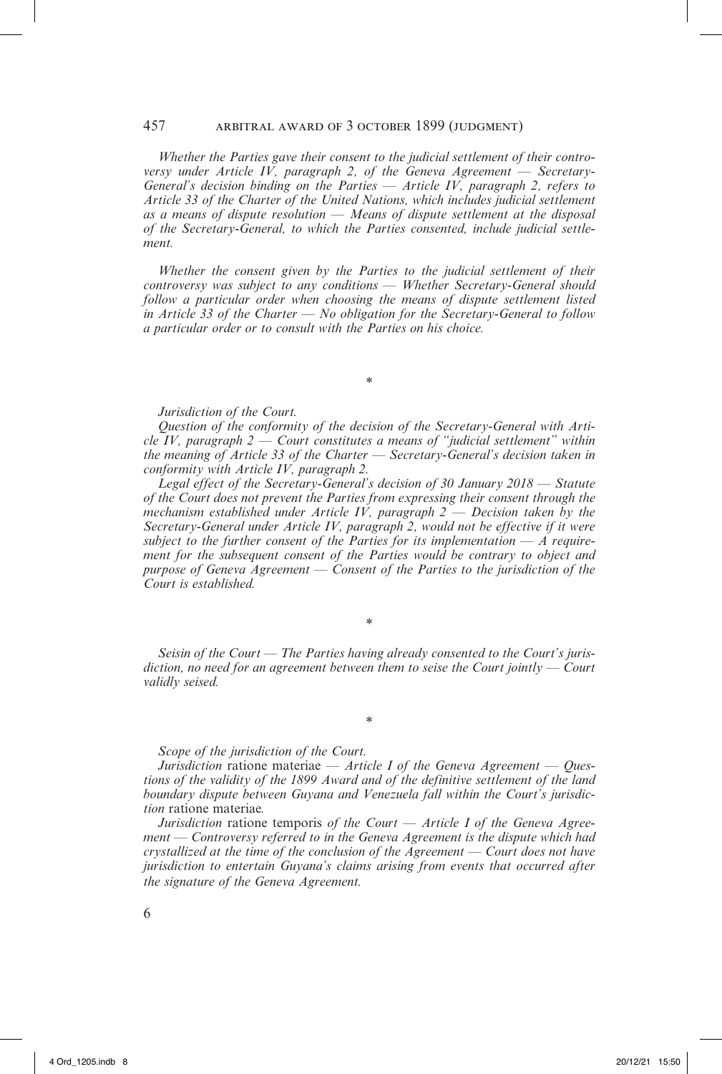## 457 arbitral award of 3 october 1899 (judgment)

*Whether the Parties gave their consent to the judicial settlement of their controversy under Article IV, paragraph 2, of the Geneva Agreement — Secretary-General's decision binding on the Parties — Article IV, paragraph 2, refers to Article 33 of the Charter of the United Nations, which includes judicial settlement as a means of dispute resolution — Means of dispute settlement at the disposal of the Secretary-General, to which the Parties consented, include judicial settlement.*

*Whether the consent given by the Parties to the judicial settlement of their controversy was subject to any conditions — Whether Secretary-General should follow a particular order when choosing the means of dispute settlement listed in Article 33 of the Charter* — *No obligation for the Secretary-General to follow a particular order or to consult with the Parties on his choice.*

\*

#### *Jurisdiction of the Court.*

*Question of the conformity of the decision of the Secretary-General with Article IV, paragraph 2 — Court constitutes a means of "judicial settlement" within the meaning of Article 33 of the Charter — Secretary-General's decision taken in conformity with Article IV, paragraph 2.*

*Legal effect of the Secretary-General's decision of 30 January 2018 — Statute of the Court does not prevent the Parties from expressing their consent through the mechanism established under Article IV, paragraph 2 — Decision taken by the Secretary-General under Article IV, paragraph 2, would not be effective if it were subject to the further consent of the Parties for its implementation — A requirement for the subsequent consent of the Parties would be contrary to object and purpose of Geneva Agreement — Consent of the Parties to the jurisdiction of the Court is established.*

\*

*Seisin of the Court — The Parties having already consented to the Court's jurisdiction, no need for an agreement between them to seise the Court jointly — Court validly seised.*

\*

#### *Scope of the jurisdiction of the Court.*

*Jurisdiction* ratione materiae *— Article I of the Geneva Agreement — Questions of the validity of the 1899 Award and of the definitive settlement of the land boundary dispute between Guyana and Venezuela fall within the Court's jurisdiction* ratione materiae*.*

*Jurisdiction* ratione temporis *of the Court — Article I of the Geneva Agreement — Controversy referred to in the Geneva Agreement is the dispute which had crystallized at the time of the conclusion of the Agreement — Court does not have jurisdiction to entertain Guyana's claims arising from events that occurred after the signature of the Geneva Agreement.*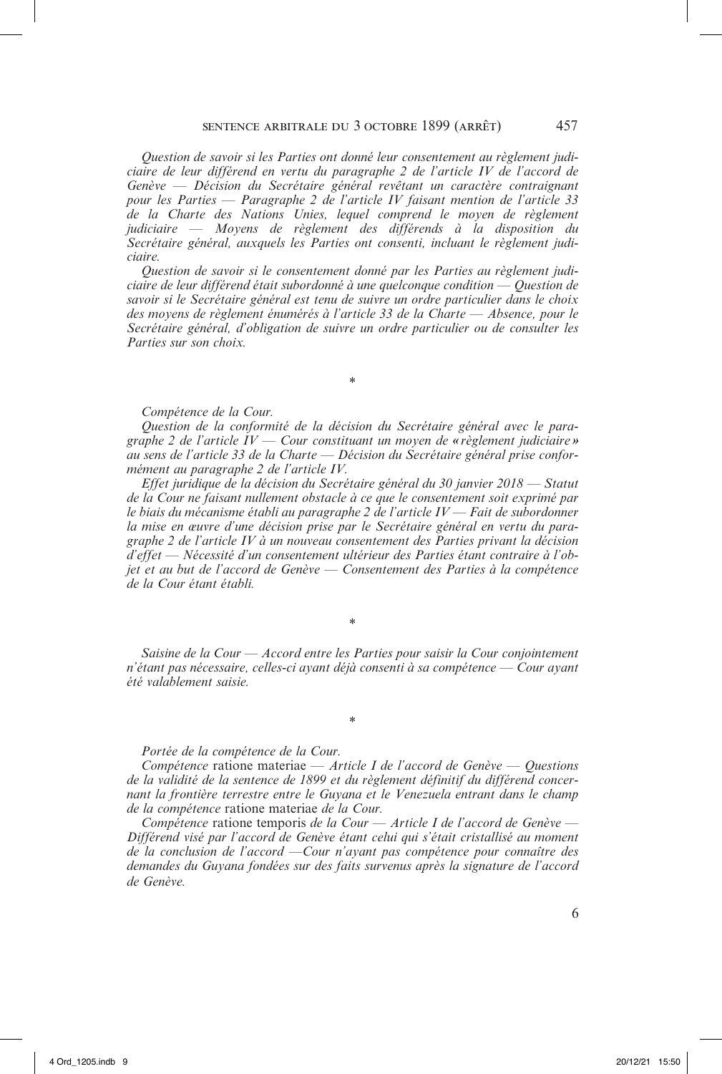*Question de savoir si les Parties ont donné leur consentement au règlement judiciaire de leur différend en vertu du paragraphe 2 de l'article IV de l'accord de Genève — Décision du Secrétaire général revêtant un caractère contraignant pour les Parties — Paragraphe 2 de l'article IV faisant mention de l'article 33 de la Charte des Nations Unies, lequel comprend le moyen de règlement judiciaire — Moyens de règlement des différends à la disposition du Secrétaire général, auxquels les Parties ont consenti, incluant le règlement judiciaire.*

*Question de savoir si le consentement donné par les Parties au règlement judiciaire de leur différend était subordonné à une quelconque condition — Question de savoir si le Secrétaire général est tenu de suivre un ordre particulier dans le choix des moyens de règlement énumérés à l'article 33 de la Charte — Absence, pour le Secrétaire général, d'obligation de suivre un ordre particulier ou de consulter les Parties sur son choix.*

*Compétence de la Cour.*

*Question de la conformité de la décision du Secrétaire général avec le paragraphe 2 de l'article IV — Cour constituant un moyen de «règlement judiciaire » au sens de l'article 33 de la Charte — Décision du Secrétaire général prise conformément au paragraphe 2 de l'article IV.*

\*

*Effet juridique de la décision du Secrétaire général du 30 janvier 2018 — Statut de la Cour ne faisant nullement obstacle à ce que le consentement soit exprimé par le biais du mécanisme établi au paragraphe 2 de l'article IV — Fait de subordonner la mise en œuvre d'une décision prise par le Secrétaire général en vertu du paragraphe 2 de l'article IV à un nouveau consentement des Parties privant la décision d'effet — Nécessité d'un consentement ultérieur des Parties étant contraire à l'objet et au but de l'accord de Genève — Consentement des Parties à la compétence de la Cour étant établi.*

*Saisine de la Cour — Accord entre les Parties pour saisir la Cour conjointement n'étant pas nécessaire, celles-ci ayant déjà consenti à sa compétence — Cour ayant été valablement saisie.*

\*

\*

#### *Portée de la compétence de la Cour.*

*Compétence* ratione materiae *— Article I de l'accord de Genève — Questions de la validité de la sentence de 1899 et du règlement définitif du différend concernant la frontière terrestre entre le Guyana et le Venezuela entrant dans le champ de la compétence* ratione materiae *de la Cour.*

*Compétence* ratione temporis *de la Cour — Article I de l'accord de Genève — Différend visé par l'accord de Genève étant celui qui s'était cristallisé au moment de la conclusion de l'accord —Cour n'ayant pas compétence pour connaître des demandes du Guyana fondées sur des faits survenus après la signature de l'accord de Genève.*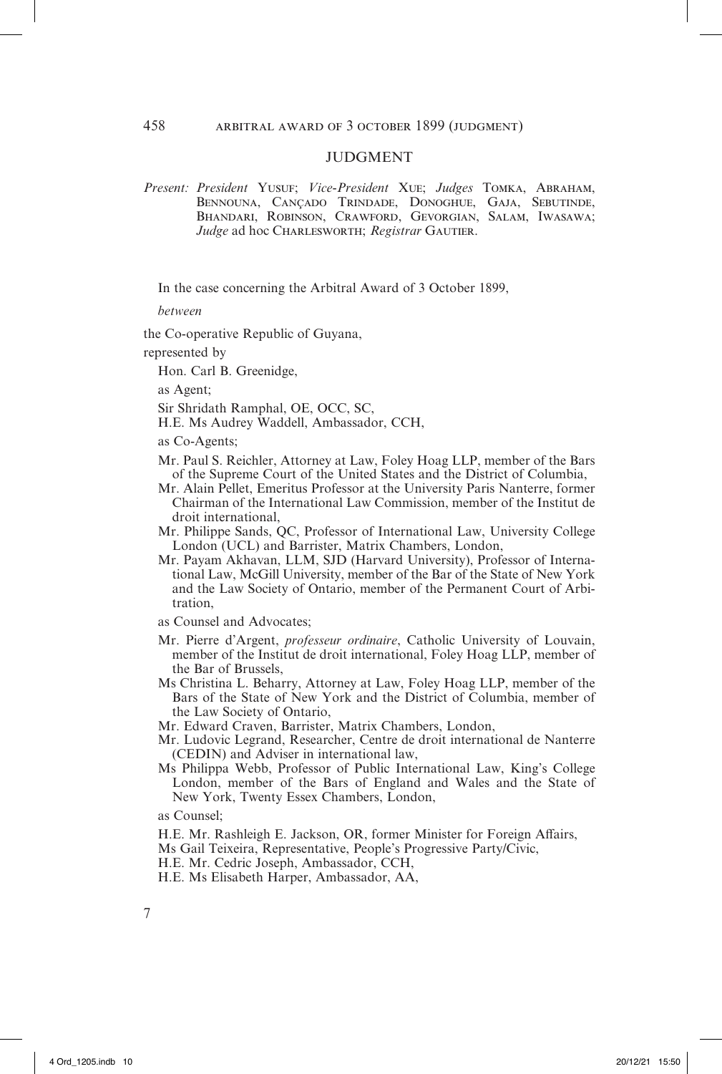## **IUDGMENT**

*Present: President* Yusuf; *Vice-President* Xue; *Judges* Tomka, Abraham, BENNOUNA, CANÇADO TRINDADE, DONOGHUE, GAJA, SEBUTINDE, Bhandari, Robinson, Crawford, Gevorgian, Salam, Iwasawa; *Judge* ad hoc CHARLESWORTH; *Registrar* GAUTIER.

In the case concerning the Arbitral Award of 3 October 1899,

*between*

the Co-operative Republic of Guyana,

represented by

Hon. Carl B. Greenidge,

as Agent;

Sir Shridath Ramphal, OE, OCC, SC,

H.E. Ms Audrey Waddell, Ambassador, CCH,

as Co-Agents;

- Mr. Paul S. Reichler, Attorney at Law, Foley Hoag LLP, member of the Bars of the Supreme Court of the United States and the District of Columbia,
- Mr. Alain Pellet, Emeritus Professor at the University Paris Nanterre, former Chairman of the International Law Commission, member of the Institut de droit international,
- Mr. Philippe Sands, QC, Professor of International Law, University College London (UCL) and Barrister, Matrix Chambers, London,
- Mr. Payam Akhavan, LLM, SJD (Harvard University), Professor of International Law, McGill University, member of the Bar of the State of New York and the Law Society of Ontario, member of the Permanent Court of Arbitration,

as Counsel and Advocates;

- Mr. Pierre d'Argent, *professeur ordinaire*, Catholic University of Louvain, member of the Institut de droit international, Foley Hoag LLP, member of the Bar of Brussels,
- Ms Christina L. Beharry, Attorney at Law, Foley Hoag LLP, member of the Bars of the State of New York and the District of Columbia, member of the Law Society of Ontario,
- Mr. Edward Craven, Barrister, Matrix Chambers, London,
- Mr. Ludovic Legrand, Researcher, Centre de droit international de Nanterre (CEDIN) and Adviser in international law,
- Ms Philippa Webb, Professor of Public International Law, King's College London, member of the Bars of England and Wales and the State of New York, Twenty Essex Chambers, London,

as Counsel;

- H.E. Mr. Rashleigh E. Jackson, OR, former Minister for Foreign Affairs,
- Ms Gail Teixeira, Representative, People's Progressive Party/Civic,
- H.E. Mr. Cedric Joseph, Ambassador, CCH,
- H.E. Ms Elisabeth Harper, Ambassador, AA,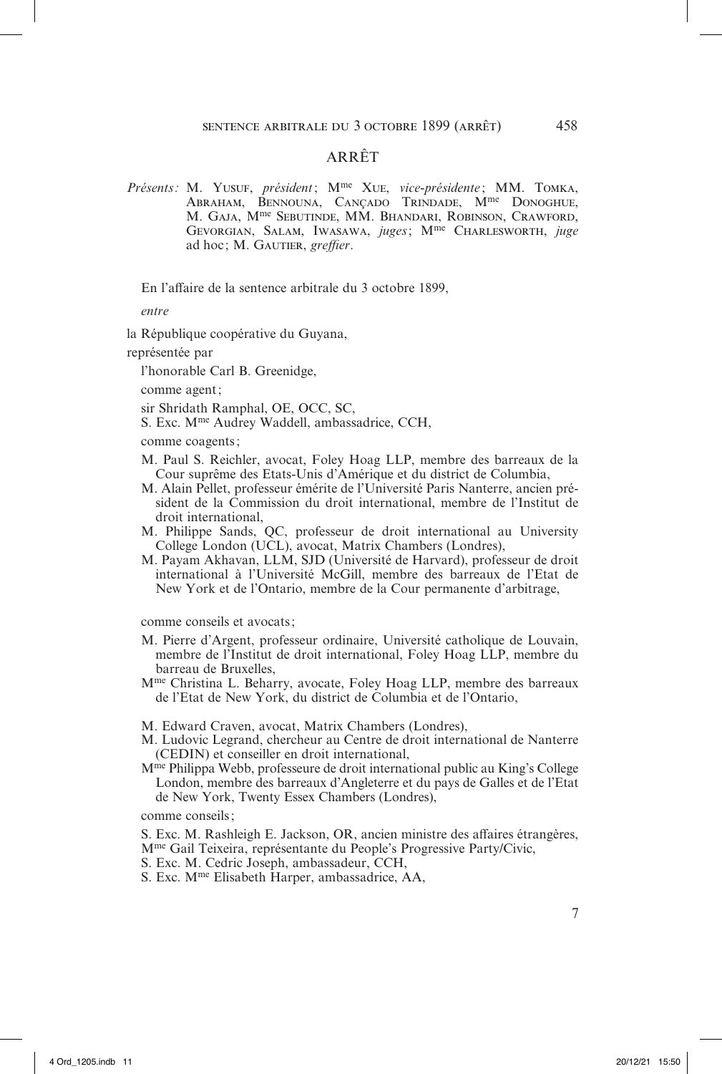# ARRÊT

*Présents:* M. Yusuf, *président*; Mme Xue, *vice-présidente* ; MM. Tomka, Abraham, Bennouna, Cançado Trindade, Mme Donoghue, M. Gaja, Mme Sebutinde, MM. Bhandari, Robinson, Crawford, Gevorgian, Salam, Iwasawa, *juges*; Mme Charlesworth, *juge* ad hoc ; M. Gautier, *greffier*.

En l'affaire de la sentence arbitrale du 3 octobre 1899,

*entre*

la République coopérative du Guyana,

représentée par

l'honorable Carl B. Greenidge,

comme agent;

sir Shridath Ramphal, OE, OCC, SC,

S. Exc. Mme Audrey Waddell, ambassadrice, CCH,

comme coagents;

- M. Paul S. Reichler, avocat, Foley Hoag LLP, membre des barreaux de la Cour suprême des Etats-Unis d'Amérique et du district de Columbia,
- M. Alain Pellet, professeur émérite de l'Université Paris Nanterre, ancien président de la Commission du droit international, membre de l'Institut de droit international,
- M. Philippe Sands, QC, professeur de droit international au University College London (UCL), avocat, Matrix Chambers (Londres),
- M. Payam Akhavan, LLM, SJD (Université de Harvard), professeur de droit international à l'Université McGill, membre des barreaux de l'Etat de New York et de l'Ontario, membre de la Cour permanente d'arbitrage,

comme conseils et avocats;

- M. Pierre d'Argent, professeur ordinaire, Université catholique de Louvain, membre de l'Institut de droit international, Foley Hoag LLP, membre du barreau de Bruxelles,
- Mme Christina L. Beharry, avocate, Foley Hoag LLP, membre des barreaux de l'Etat de New York, du district de Columbia et de l'Ontario,

M. Edward Craven, avocat, Matrix Chambers (Londres),

- M. Ludovic Legrand, chercheur au Centre de droit international de Nanterre (CEDIN) et conseiller en droit international,
- Mme Philippa Webb, professeure de droit international public au King's College London, membre des barreaux d'Angleterre et du pays de Galles et de l'Etat de New York, Twenty Essex Chambers (Londres),

comme conseils;

S. Exc. M. Rashleigh E. Jackson, OR, ancien ministre des affaires étrangères,

Mme Gail Teixeira, représentante du People's Progressive Party/Civic,

- S. Exc. M. Cedric Joseph, ambassadeur, CCH,
- S. Exc. Mme Elisabeth Harper, ambassadrice, AA,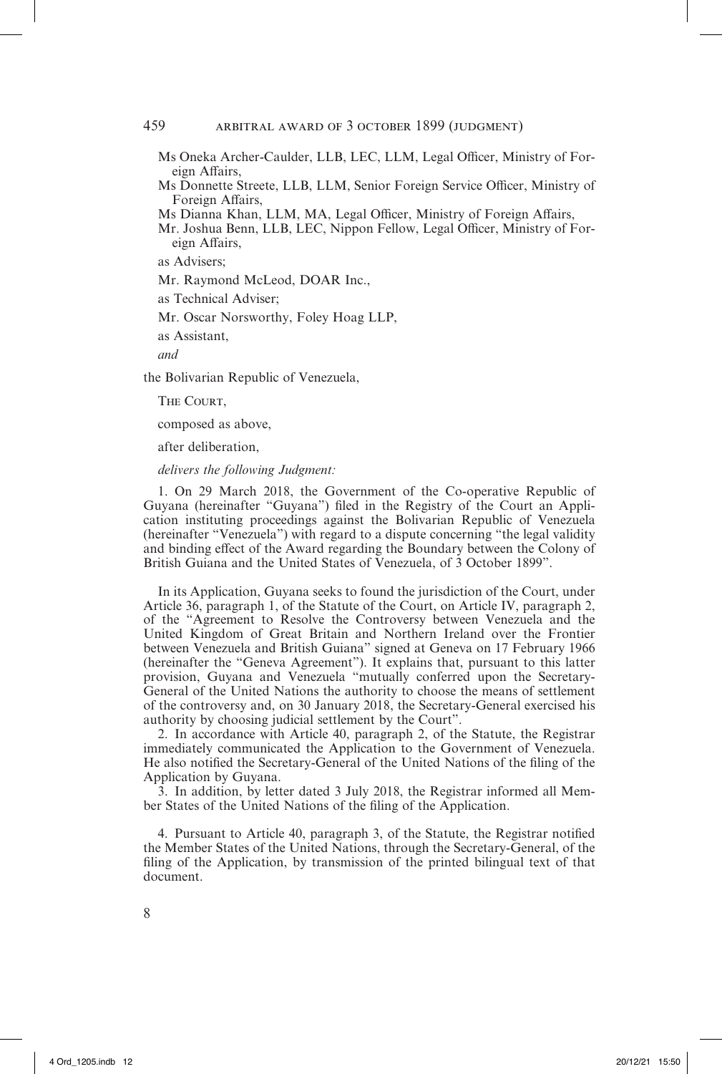Ms Oneka Archer-Caulder, LLB, LEC, LLM, Legal Officer, Ministry of Foreign Affairs,

Ms Donnette Streete, LLB, LLM, Senior Foreign Service Officer, Ministry of Foreign Affairs,

Ms Dianna Khan, LLM, MA, Legal Officer, Ministry of Foreign Affairs,

Mr. Joshua Benn, LLB, LEC, Nippon Fellow, Legal Officer, Ministry of Foreign Affairs,

as Advisers;

Mr. Raymond McLeod, DOAR Inc.,

as Technical Adviser;

Mr. Oscar Norsworthy, Foley Hoag LLP,

as Assistant,

*and*

the Bolivarian Republic of Venezuela,

THE COURT.

composed as above,

after deliberation,

*delivers the following Judgment:*

1. On 29 March 2018, the Government of the Co-operative Republic of Guyana (hereinafter "Guyana") filed in the Registry of the Court an Application instituting proceedings against the Bolivarian Republic of Venezuela (hereinafter "Venezuela") with regard to a dispute concerning "the legal validity and binding effect of the Award regarding the Boundary between the Colony of British Guiana and the United States of Venezuela, of 3 October 1899".

In its Application, Guyana seeks to found the jurisdiction of the Court, under Article 36, paragraph 1, of the Statute of the Court, on Article IV, paragraph 2, of the "Agreement to Resolve the Controversy between Venezuela and the United Kingdom of Great Britain and Northern Ireland over the Frontier between Venezuela and British Guiana" signed at Geneva on 17 February 1966 (hereinafter the "Geneva Agreement"). It explains that, pursuant to this latter provision, Guyana and Venezuela "mutually conferred upon the Secretary-General of the United Nations the authority to choose the means of settlement of the controversy and, on 30 January 2018, the Secretary-General exercised his authority by choosing judicial settlement by the Court".

2. In accordance with Article 40, paragraph 2, of the Statute, the Registrar immediately communicated the Application to the Government of Venezuela. He also notified the Secretary-General of the United Nations of the filing of the Application by Guyana.

3. In addition, by letter dated 3 July 2018, the Registrar informed all Member States of the United Nations of the filing of the Application.

4. Pursuant to Article 40, paragraph 3, of the Statute, the Registrar notified the Member States of the United Nations, through the Secretary-General, of the filing of the Application, by transmission of the printed bilingual text of that document.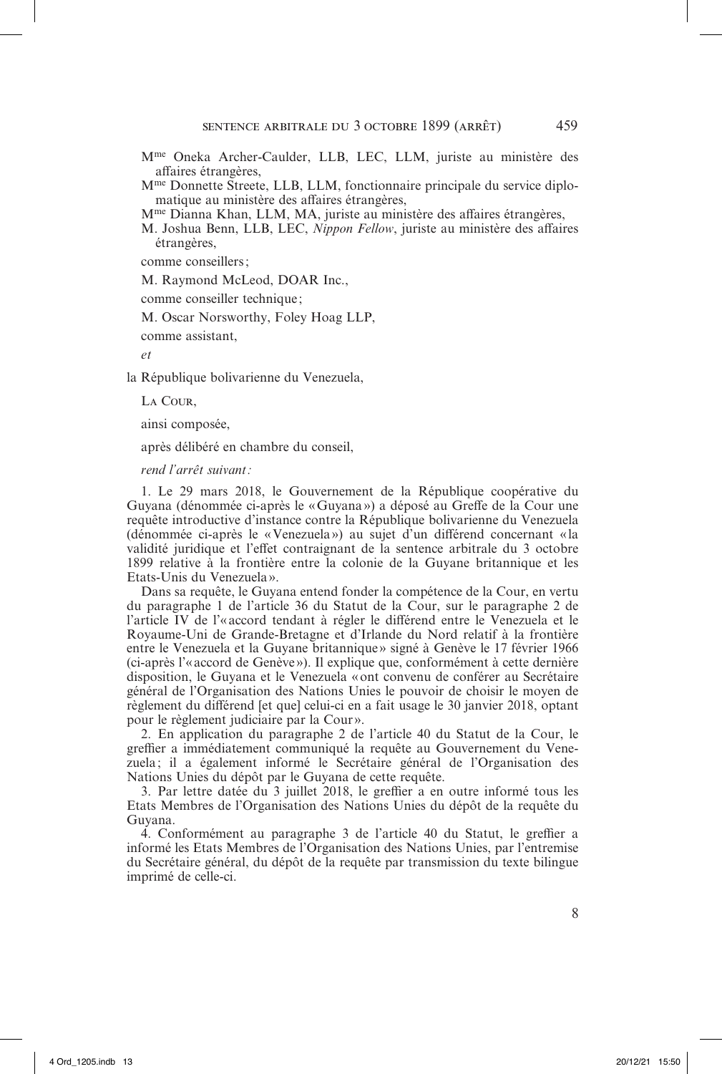- Mme Oneka Archer-Caulder, LLB, LEC, LLM, juriste au ministère des affaires étrangères,
- Mme Donnette Streete, LLB, LLM, fonctionnaire principale du service diplomatique au ministère des affaires étrangères,

Mme Dianna Khan, LLM, MA, juriste au ministère des affaires étrangères,

M. Joshua Benn, LLB, LEC, *Nippon Fellow*, juriste au ministère des affaires étrangères,

comme conseillers;

M. Raymond McLeod, DOAR Inc.,

comme conseiller technique ;

M. Oscar Norsworthy, Foley Hoag LLP,

comme assistant,

*et*

la République bolivarienne du Venezuela,

La Cour,

ainsi composée,

après délibéré en chambre du conseil,

*rend l'arrêt suivant:*

1. Le 29 mars 2018, le Gouvernement de la République coopérative du Guyana (dénommée ci-après le «Guyana») a déposé au Greffe de la Cour une requête introductive d'instance contre la République bolivarienne du Venezuela (dénommée ci-après le «Venezuela») au sujet d'un différend concernant « la validité juridique et l'effet contraignant de la sentence arbitrale du 3 octobre 1899 relative à la frontière entre la colonie de la Guyane britannique et les Etats-Unis du Venezuela».

Dans sa requête, le Guyana entend fonder la compétence de la Cour, en vertu du paragraphe 1 de l'article 36 du Statut de la Cour, sur le paragraphe 2 de l'article IV de l'«accord tendant à régler le différend entre le Venezuela et le Royaume-Uni de Grande-Bretagne et d'Irlande du Nord relatif à la frontière entre le Venezuela et la Guyane britannique» signé à Genève le 17 février 1966 (ci-après l'«accord de Genève»). Il explique que, conformément à cette dernière disposition, le Guyana et le Venezuela «ont convenu de conférer au Secrétaire général de l'Organisation des Nations Unies le pouvoir de choisir le moyen de règlement du différend [et que] celui-ci en a fait usage le 30 janvier 2018, optant pour le règlement judiciaire par la Cour».

2. En application du paragraphe 2 de l'article 40 du Statut de la Cour, le greffier a immédiatement communiqué la requête au Gouvernement du Venezuela ; il a également informé le Secrétaire général de l'Organisation des Nations Unies du dépôt par le Guyana de cette requête.

3. Par lettre datée du 3 juillet 2018, le greffier a en outre informé tous les Etats Membres de l'Organisation des Nations Unies du dépôt de la requête du Guyana.

4. Conformément au paragraphe 3 de l'article 40 du Statut, le greffier a informé les Etats Membres de l'Organisation des Nations Unies, par l'entremise du Secrétaire général, du dépôt de la requête par transmission du texte bilingue imprimé de celle-ci.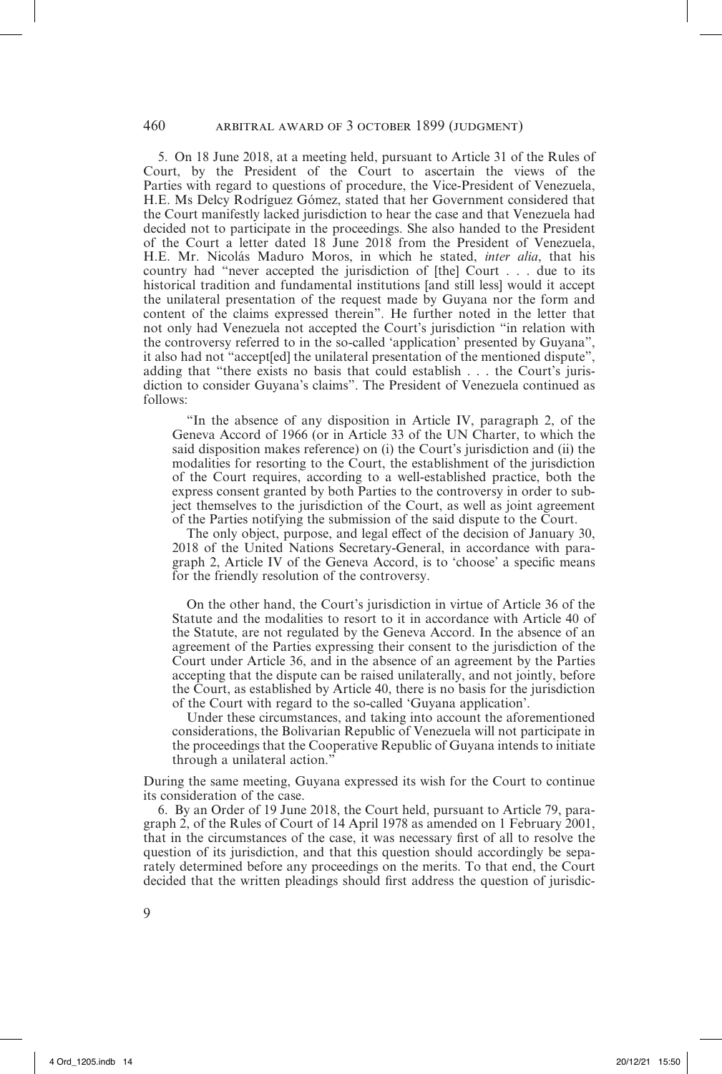5. On 18 June 2018, at a meeting held, pursuant to Article 31 of the Rules of Court, by the President of the Court to ascertain the views of the Parties with regard to questions of procedure, the Vice-President of Venezuela, H.E. Ms Delcy Rodríguez Gómez, stated that her Government considered that the Court manifestly lacked jurisdiction to hear the case and that Venezuela had decided not to participate in the proceedings. She also handed to the President of the Court a letter dated 18 June 2018 from the President of Venezuela, H.E. Mr. Nicolás Maduro Moros, in which he stated, *inter alia*, that his country had "never accepted the jurisdiction of [the] Court . . . due to its historical tradition and fundamental institutions [and still less] would it accept the unilateral presentation of the request made by Guyana nor the form and content of the claims expressed therein". He further noted in the letter that not only had Venezuela not accepted the Court's jurisdiction "in relation with the controversy referred to in the so-called 'application' presented by Guyana", it also had not "accept[ed] the unilateral presentation of the mentioned dispute", adding that "there exists no basis that could establish . . . the Court's jurisdiction to consider Guyana's claims". The President of Venezuela continued as follows:

"In the absence of any disposition in Article IV, paragraph 2, of the Geneva Accord of 1966 (or in Article 33 of the UN Charter, to which the said disposition makes reference) on (i) the Court's jurisdiction and (ii) the modalities for resorting to the Court, the establishment of the jurisdiction of the Court requires, according to a well-established practice, both the express consent granted by both Parties to the controversy in order to subject themselves to the jurisdiction of the Court, as well as joint agreement of the Parties notifying the submission of the said dispute to the Court.

The only object, purpose, and legal effect of the decision of January 30, 2018 of the United Nations Secretary-General, in accordance with paragraph 2, Article IV of the Geneva Accord, is to 'choose' a specific means for the friendly resolution of the controversy.

On the other hand, the Court's jurisdiction in virtue of Article 36 of the Statute and the modalities to resort to it in accordance with Article 40 of the Statute, are not regulated by the Geneva Accord. In the absence of an agreement of the Parties expressing their consent to the jurisdiction of the Court under Article 36, and in the absence of an agreement by the Parties accepting that the dispute can be raised unilaterally, and not jointly, before the Court, as established by Article 40, there is no basis for the jurisdiction of the Court with regard to the so-called 'Guyana application'.

Under these circumstances, and taking into account the aforementioned considerations, the Bolivarian Republic of Venezuela will not participate in the proceedings that the Cooperative Republic of Guyana intends to initiate through a unilateral action.'

During the same meeting, Guyana expressed its wish for the Court to continue its consideration of the case.

6. By an Order of 19 June 2018, the Court held, pursuant to Article 79, paragraph 2, of the Rules of Court of 14 April 1978 as amended on 1 February 2001, that in the circumstances of the case, it was necessary first of all to resolve the question of its jurisdiction, and that this question should accordingly be separately determined before any proceedings on the merits. To that end, the Court decided that the written pleadings should first address the question of jurisdic-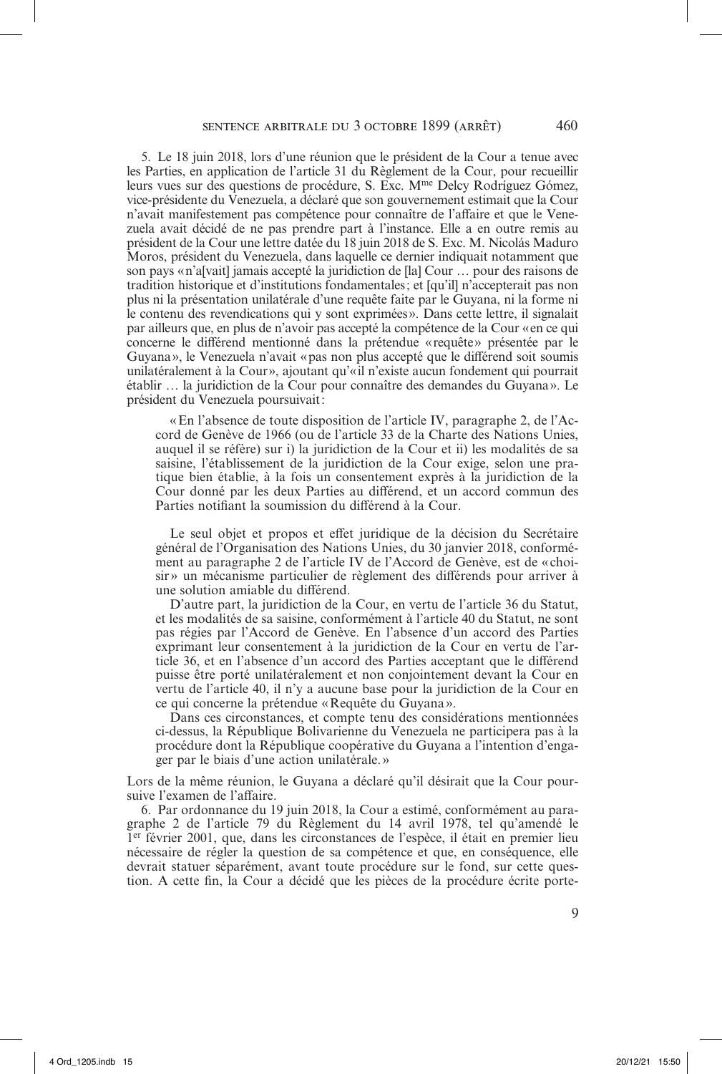5. Le 18 juin 2018, lors d'une réunion que le président de la Cour a tenue avec les Parties, en application de l'article 31 du Règlement de la Cour, pour recueillir leurs vues sur des questions de procédure, S. Exc. Mme Delcy Rodríguez Gómez, vice-présidente du Venezuela, a déclaré que son gouvernement estimait que la Cour n'avait manifestement pas compétence pour connaître de l'affaire et que le Venezuela avait décidé de ne pas prendre part à l'instance. Elle a en outre remis au président de la Cour une lettre datée du 18 juin 2018 de S. Exc. M. Nicolás Maduro Moros, président du Venezuela, dans laquelle ce dernier indiquait notamment que son pays «n'a[vait] jamais accepté la juridiction de [la] Cour … pour des raisons de tradition historique et d'institutions fondamentales; et [qu'il] n'accepterait pas non plus ni la présentation unilatérale d'une requête faite par le Guyana, ni la forme ni le contenu des revendications qui y sont exprimées». Dans cette lettre, il signalait par ailleurs que, en plus de n'avoir pas accepté la compétence de la Cour «en ce qui concerne le différend mentionné dans la prétendue «requête» présentée par le Guyana», le Venezuela n'avait «pas non plus accepté que le différend soit soumis unilatéralement à la Cour», ajoutant qu'«il n'existe aucun fondement qui pourrait établir … la juridiction de la Cour pour connaître des demandes du Guyana». Le président du Venezuela poursuivait:

«En l'absence de toute disposition de l'article IV, paragraphe 2, de l'Accord de Genève de 1966 (ou de l'article 33 de la Charte des Nations Unies, auquel il se réfère) sur i) la juridiction de la Cour et ii) les modalités de sa saisine, l'établissement de la juridiction de la Cour exige, selon une pratique bien établie, à la fois un consentement exprès à la juridiction de la Cour donné par les deux Parties au différend, et un accord commun des Parties notifiant la soumission du différend à la Cour.

Le seul objet et propos et effet juridique de la décision du Secrétaire général de l'Organisation des Nations Unies, du 30 janvier 2018, conformément au paragraphe 2 de l'article IV de l'Accord de Genève, est de « choisir» un mécanisme particulier de règlement des différends pour arriver à une solution amiable du différend.

D'autre part, la juridiction de la Cour, en vertu de l'article 36 du Statut, et les modalités de sa saisine, conformément à l'article 40 du Statut, ne sont pas régies par l'Accord de Genève. En l'absence d'un accord des Parties exprimant leur consentement à la juridiction de la Cour en vertu de l'article 36, et en l'absence d'un accord des Parties acceptant que le différend puisse être porté unilatéralement et non conjointement devant la Cour en vertu de l'article 40, il n'y a aucune base pour la juridiction de la Cour en ce qui concerne la prétendue «Requête du Guyana».

Dans ces circonstances, et compte tenu des considérations mentionnées ci-dessus, la République Bolivarienne du Venezuela ne participera pas à la procédure dont la République coopérative du Guyana a l'intention d'engager par le biais d'une action unilatérale.»

Lors de la même réunion, le Guyana a déclaré qu'il désirait que la Cour poursuive l'examen de l'affaire.

6. Par ordonnance du 19 juin 2018, la Cour a estimé, conformément au paragraphe 2 de l'article 79 du Règlement du 14 avril 1978, tel qu'amendé le 1er février 2001, que, dans les circonstances de l'espèce, il était en premier lieu nécessaire de régler la question de sa compétence et que, en conséquence, elle devrait statuer séparément, avant toute procédure sur le fond, sur cette question. A cette fin, la Cour a décidé que les pièces de la procédure écrite porte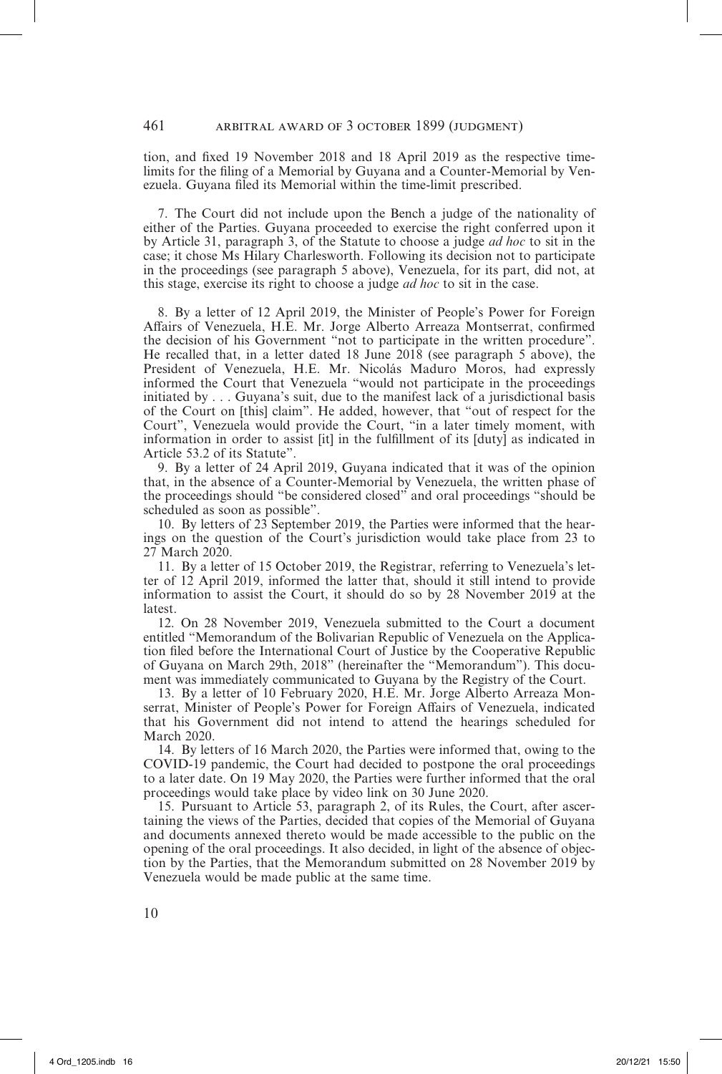tion, and fixed 19 November 2018 and 18 April 2019 as the respective timelimits for the filing of a Memorial by Guyana and a Counter-Memorial by Venezuela. Guyana filed its Memorial within the time-limit prescribed.

7. The Court did not include upon the Bench a judge of the nationality of either of the Parties. Guyana proceeded to exercise the right conferred upon it by Article 31, paragraph 3, of the Statute to choose a judge *ad hoc* to sit in the case; it chose Ms Hilary Charlesworth. Following its decision not to participate in the proceedings (see paragraph 5 above), Venezuela, for its part, did not, at this stage, exercise its right to choose a judge *ad hoc* to sit in the case.

8. By a letter of 12 April 2019, the Minister of People's Power for Foreign Affairs of Venezuela, H.E. Mr. Jorge Alberto Arreaza Montserrat, confirmed the decision of his Government "not to participate in the written procedure". He recalled that, in a letter dated 18 June 2018 (see paragraph 5 above), the President of Venezuela, H.E. Mr. Nicolás Maduro Moros, had expressly informed the Court that Venezuela "would not participate in the proceedings initiated by . . . Guyana's suit, due to the manifest lack of a jurisdictional basis of the Court on [this] claim". He added, however, that "out of respect for the Court", Venezuela would provide the Court, "in a later timely moment, with information in order to assist [it] in the fulfillment of its [duty] as indicated in Article 53.2 of its Statute".

9. By a letter of 24 April 2019, Guyana indicated that it was of the opinion that, in the absence of a Counter-Memorial by Venezuela, the written phase of the proceedings should "be considered closed" and oral proceedings "should be scheduled as soon as possible".

10. By letters of 23 September 2019, the Parties were informed that the hearings on the question of the Court's jurisdiction would take place from 23 to 27 March 2020.

11. By a letter of 15 October 2019, the Registrar, referring to Venezuela's letter of 12 April 2019, informed the latter that, should it still intend to provide information to assist the Court, it should do so by 28 November 2019 at the latest.

12. On 28 November 2019, Venezuela submitted to the Court a document entitled "Memorandum of the Bolivarian Republic of Venezuela on the Application filed before the International Court of Justice by the Cooperative Republic of Guyana on March 29th, 2018" (hereinafter the "Memorandum"). This document was immediately communicated to Guyana by the Registry of the Court.

13. By a letter of 10 February 2020, H.E. Mr. Jorge Alberto Arreaza Monserrat, Minister of People's Power for Foreign Affairs of Venezuela, indicated that his Government did not intend to attend the hearings scheduled for March 2020.

14. By letters of 16 March 2020, the Parties were informed that, owing to the COVID-19 pandemic, the Court had decided to postpone the oral proceedings to a later date. On 19 May 2020, the Parties were further informed that the oral proceedings would take place by video link on 30 June 2020.

15. Pursuant to Article 53, paragraph 2, of its Rules, the Court, after ascertaining the views of the Parties, decided that copies of the Memorial of Guyana and documents annexed thereto would be made accessible to the public on the opening of the oral proceedings. It also decided, in light of the absence of objection by the Parties, that the Memorandum submitted on 28 November 2019 by Venezuela would be made public at the same time.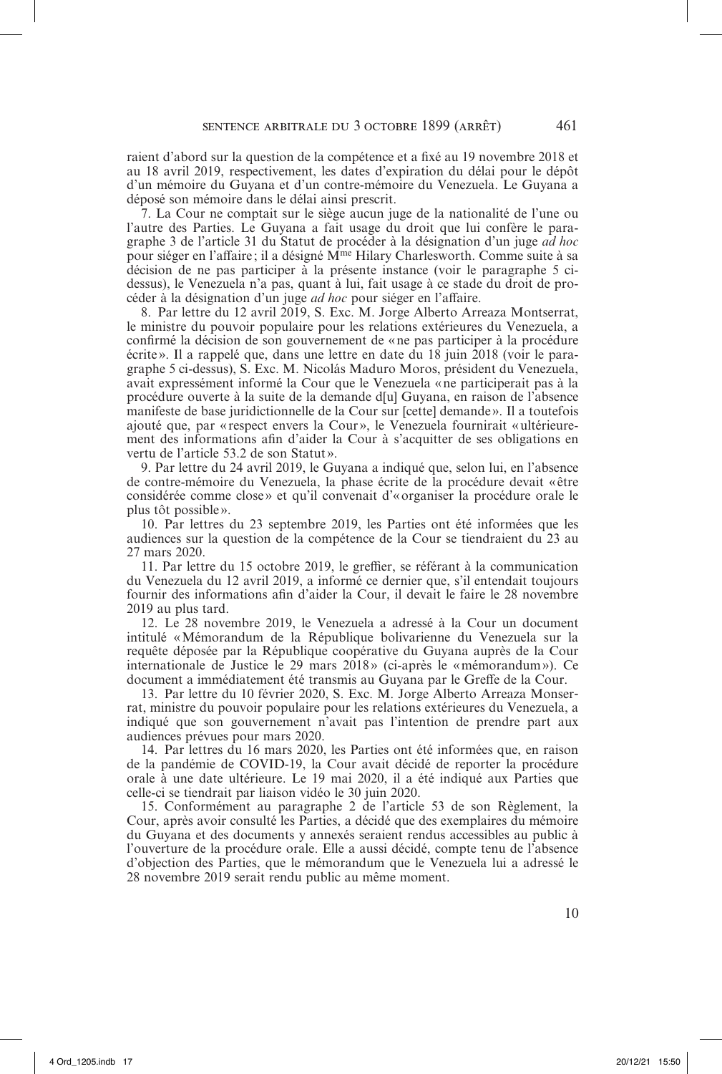raient d'abord sur la question de la compétence et a fixé au 19 novembre 2018 et au 18 avril 2019, respectivement, les dates d'expiration du délai pour le dépôt d'un mémoire du Guyana et d'un contre-mémoire du Venezuela. Le Guyana a déposé son mémoire dans le délai ainsi prescrit.

7. La Cour ne comptait sur le siège aucun juge de la nationalité de l'une ou l'autre des Parties. Le Guyana a fait usage du droit que lui confère le paragraphe 3 de l'article 31 du Statut de procéder à la désignation d'un juge *ad hoc* pour siéger en l'affaire; il a désigné M<sup>me</sup> Hilary Charlesworth. Comme suite à sa décision de ne pas participer à la présente instance (voir le paragraphe 5 cidessus), le Venezuela n'a pas, quant à lui, fait usage à ce stade du droit de procéder à la désignation d'un juge *ad hoc* pour siéger en l'affaire.

8. Par lettre du 12 avril 2019, S. Exc. M. Jorge Alberto Arreaza Montserrat, le ministre du pouvoir populaire pour les relations extérieures du Venezuela, a confirmé la décision de son gouvernement de «ne pas participer à la procédure écrite ». Il a rappelé que, dans une lettre en date du 18 juin 2018 (voir le paragraphe 5 ci-dessus), S. Exc. M. Nicolás Maduro Moros, président du Venezuela, avait expressément informé la Cour que le Venezuela «ne participerait pas à la procédure ouverte à la suite de la demande d[u] Guyana, en raison de l'absence manifeste de base juridictionnelle de la Cour sur [cette] demande». Il a toutefois ajouté que, par «respect envers la Cour», le Venezuela fournirait «ultérieurement des informations afin d'aider la Cour à s'acquitter de ses obligations en vertu de l'article 53.2 de son Statut».

9. Par lettre du 24 avril 2019, le Guyana a indiqué que, selon lui, en l'absence de contre-mémoire du Venezuela, la phase écrite de la procédure devait « être considérée comme close » et qu'il convenait d'«organiser la procédure orale le plus tôt possible ».

10. Par lettres du 23 septembre 2019, les Parties ont été informées que les audiences sur la question de la compétence de la Cour se tiendraient du 23 au 27 mars 2020.

11. Par lettre du 15 octobre 2019, le greffier, se référant à la communication du Venezuela du 12 avril 2019, a informé ce dernier que, s'il entendait toujours fournir des informations afin d'aider la Cour, il devait le faire le 28 novembre 2019 au plus tard.

12. Le 28 novembre 2019, le Venezuela a adressé à la Cour un document intitulé «Mémorandum de la République bolivarienne du Venezuela sur la requête déposée par la République coopérative du Guyana auprès de la Cour internationale de Justice le 29 mars 2018» (ci-après le «mémorandum»). Ce document a immédiatement été transmis au Guyana par le Greffe de la Cour.

13. Par lettre du 10 février 2020, S. Exc. M. Jorge Alberto Arreaza Monserrat, ministre du pouvoir populaire pour les relations extérieures du Venezuela, a indiqué que son gouvernement n'avait pas l'intention de prendre part aux audiences prévues pour mars 2020.

14. Par lettres du 16 mars 2020, les Parties ont été informées que, en raison de la pandémie de COVID-19, la Cour avait décidé de reporter la procédure orale à une date ultérieure. Le 19 mai 2020, il a été indiqué aux Parties que celle-ci se tiendrait par liaison vidéo le 30 juin 2020.

15. Conformément au paragraphe 2 de l'article 53 de son Règlement, la Cour, après avoir consulté les Parties, a décidé que des exemplaires du mémoire du Guyana et des documents y annexés seraient rendus accessibles au public à l'ouverture de la procédure orale. Elle a aussi décidé, compte tenu de l'absence d'objection des Parties, que le mémorandum que le Venezuela lui a adressé le 28 novembre 2019 serait rendu public au même moment.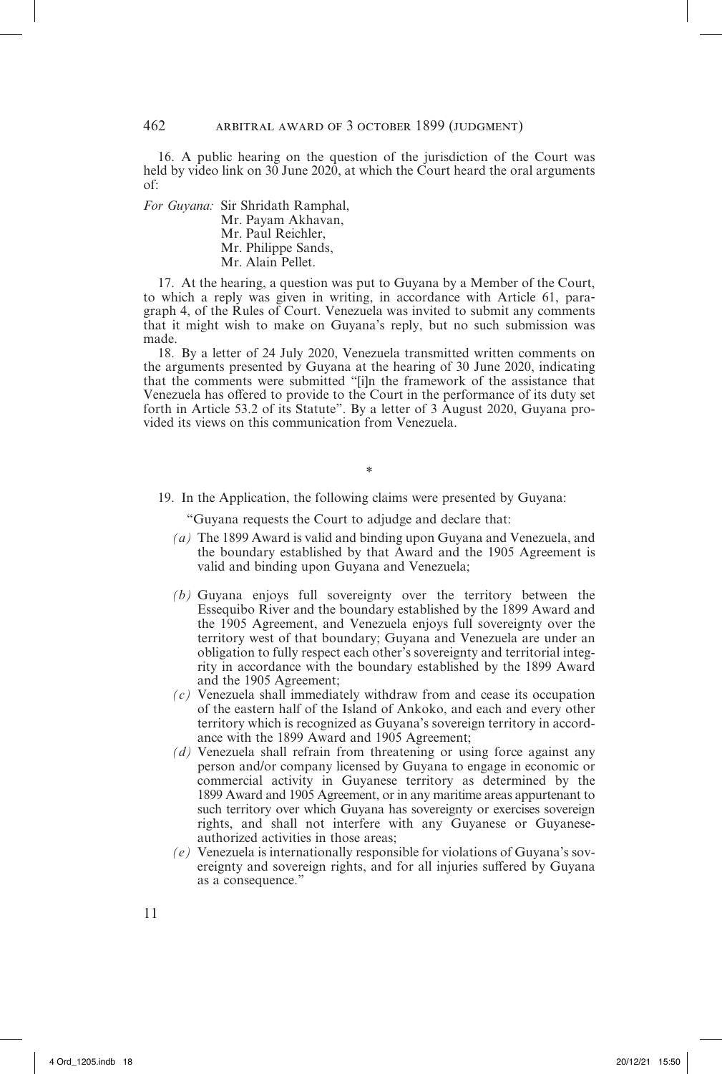16. A public hearing on the question of the jurisdiction of the Court was held by video link on 30 June 2020, at which the Court heard the oral arguments of:

*For Guyana:* Sir Shridath Ramphal, Mr. Payam Akhavan, Mr. Paul Reichler, Mr. Philippe Sands, Mr. Alain Pellet.

17. At the hearing, a question was put to Guyana by a Member of the Court, to which a reply was given in writing, in accordance with Article 61, paragraph 4, of the Rules of Court. Venezuela was invited to submit any comments that it might wish to make on Guyana's reply, but no such submission was made.

18. By a letter of 24 July 2020, Venezuela transmitted written comments on the arguments presented by Guyana at the hearing of 30 June 2020, indicating that the comments were submitted "[i]n the framework of the assistance that Venezuela has offered to provide to the Court in the performance of its duty set forth in Article 53.2 of its Statute". By a letter of 3 August 2020, Guyana provided its views on this communication from Venezuela.

\*

19. In the Application, the following claims were presented by Guyana:

"Guyana requests the Court to adjudge and declare that:

- *(a)* The 1899 Award is valid and binding upon Guyana and Venezuela, and the boundary established by that Award and the 1905 Agreement is valid and binding upon Guyana and Venezuela;
- *(b)* Guyana enjoys full sovereignty over the territory between the Essequibo River and the boundary established by the 1899 Award and the 1905 Agreement, and Venezuela enjoys full sovereignty over the territory west of that boundary; Guyana and Venezuela are under an obligation to fully respect each other's sovereignty and territorial integrity in accordance with the boundary established by the 1899 Award and the 1905 Agreement;
- *(c)* Venezuela shall immediately withdraw from and cease its occupation of the eastern half of the Island of Ankoko, and each and every other territory which is recognized as Guyana's sovereign territory in accordance with the 1899 Award and 1905 Agreement;
- *(d)* Venezuela shall refrain from threatening or using force against any person and/or company licensed by Guyana to engage in economic or commercial activity in Guyanese territory as determined by the 1899 Award and 1905 Agreement, or in any maritime areas appurtenant to such territory over which Guyana has sovereignty or exercises sovereign rights, and shall not interfere with any Guyanese or Guyaneseauthorized activities in those areas;
- *(e)* Venezuela is internationally responsible for violations of Guyana's sovereignty and sovereign rights, and for all injuries suffered by Guyana as a consequence."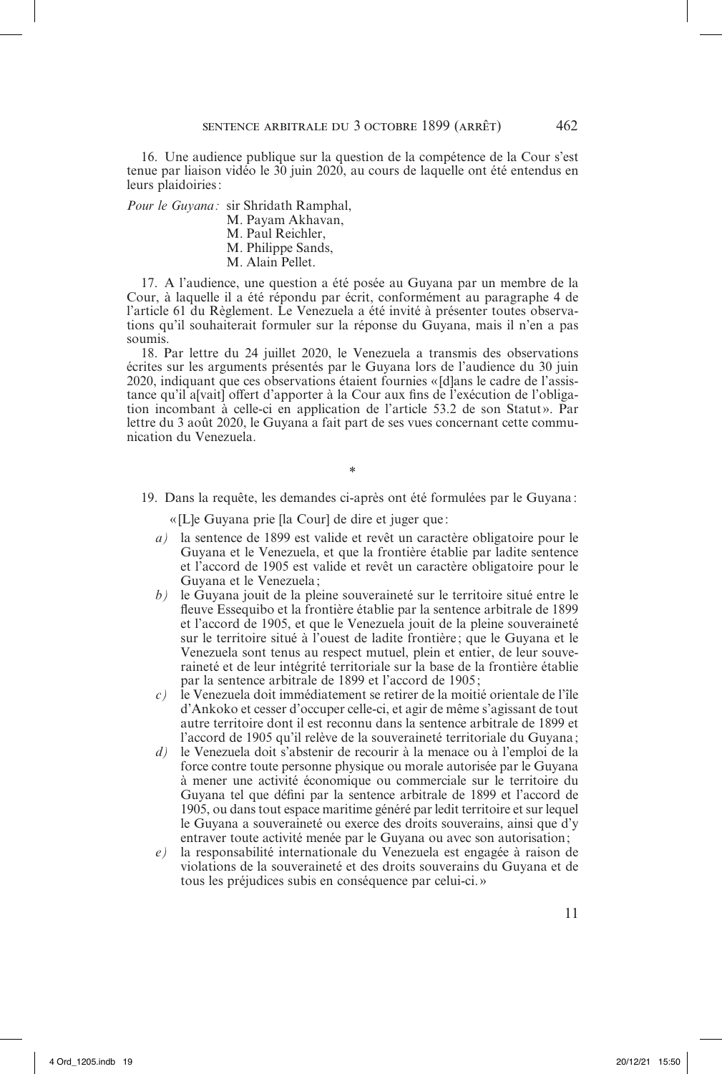16. Une audience publique sur la question de la compétence de la Cour s'est tenue par liaison vidéo le 30 juin 2020, au cours de laquelle ont été entendus en leurs plaidoiries:

*Pour le Guyana:* sir Shridath Ramphal,

- M. Payam Akhavan,
	- M. Paul Reichler,
	- M. Philippe Sands,
	- M. Alain Pellet.

17. A l'audience, une question a été posée au Guyana par un membre de la Cour, à laquelle il a été répondu par écrit, conformément au paragraphe 4 de l'article 61 du Règlement. Le Venezuela a été invité à présenter toutes observations qu'il souhaiterait formuler sur la réponse du Guyana, mais il n'en a pas soumis.

18. Par lettre du 24 juillet 2020, le Venezuela a transmis des observations écrites sur les arguments présentés par le Guyana lors de l'audience du 30 juin 2020, indiquant que ces observations étaient fournies « [d]ans le cadre de l'assistance qu'il a[vait] offert d'apporter à la Cour aux fins de l'exécution de l'obligation incombant à celle-ci en application de l'article 53.2 de son Statut». Par lettre du 3 août 2020, le Guyana a fait part de ses vues concernant cette communication du Venezuela.

19. Dans la requête, les demandes ci-après ont été formulées par le Guyana:

\*

« [L]e Guyana prie [la Cour] de dire et juger que :

- *a)* la sentence de 1899 est valide et revêt un caractère obligatoire pour le Guyana et le Venezuela, et que la frontière établie par ladite sentence et l'accord de 1905 est valide et revêt un caractère obligatoire pour le Guyana et le Venezuela;
- *b)* le Guyana jouit de la pleine souveraineté sur le territoire situé entre le fleuve Essequibo et la frontière établie par la sentence arbitrale de 1899 et l'accord de 1905, et que le Venezuela jouit de la pleine souveraineté sur le territoire situé à l'ouest de ladite frontière ; que le Guyana et le Venezuela sont tenus au respect mutuel, plein et entier, de leur souveraineté et de leur intégrité territoriale sur la base de la frontière établie par la sentence arbitrale de 1899 et l'accord de 1905;
- *c)* le Venezuela doit immédiatement se retirer de la moitié orientale de l'île d'Ankoko et cesser d'occuper celle-ci, et agir de même s'agissant de tout autre territoire dont il est reconnu dans la sentence arbitrale de 1899 et l'accord de 1905 qu'il relève de la souveraineté territoriale du Guyana ;
- *d)* le Venezuela doit s'abstenir de recourir à la menace ou à l'emploi de la force contre toute personne physique ou morale autorisée par le Guyana à mener une activité économique ou commerciale sur le territoire du Guyana tel que défini par la sentence arbitrale de 1899 et l'accord de 1905, ou dans tout espace maritime généré par ledit territoire et sur lequel le Guyana a souveraineté ou exerce des droits souverains, ainsi que d'y entraver toute activité menée par le Guyana ou avec son autorisation;
- *e)* la responsabilité internationale du Venezuela est engagée à raison de violations de la souveraineté et des droits souverains du Guyana et de tous les préjudices subis en conséquence par celui-ci.»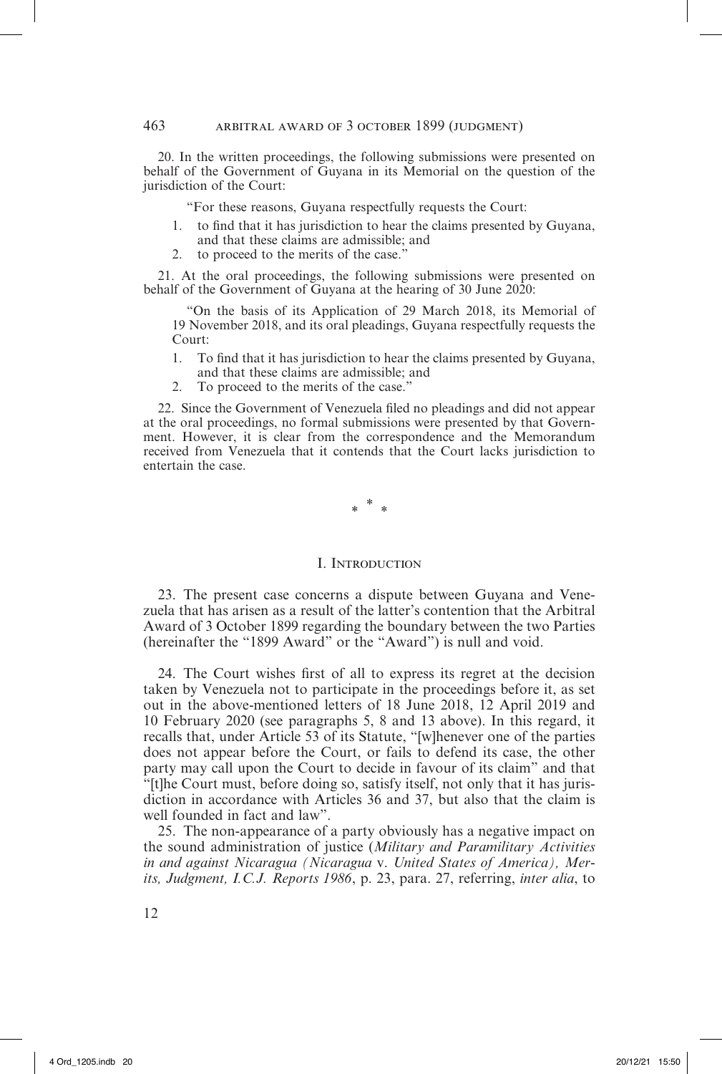20. In the written proceedings, the following submissions were presented on behalf of the Government of Guyana in its Memorial on the question of the jurisdiction of the Court:

"For these reasons, Guyana respectfully requests the Court:

- 1. to find that it has jurisdiction to hear the claims presented by Guyana, and that these claims are admissible; and
- 2. to proceed to the merits of the case.<sup>9</sup>

21. At the oral proceedings, the following submissions were presented on behalf of the Government of Guyana at the hearing of 30 June 2020:

"On the basis of its Application of 29 March 2018, its Memorial of 19 November 2018, and its oral pleadings, Guyana respectfully requests the Court:

- 1. To find that it has jurisdiction to hear the claims presented by Guyana, and that these claims are admissible; and
- 2. To proceed to the merits of the case."

22. Since the Government of Venezuela filed no pleadings and did not appear at the oral proceedings, no formal submissions were presented by that Government. However, it is clear from the correspondence and the Memorandum received from Venezuela that it contends that the Court lacks jurisdiction to entertain the case.

\* *\* \**

#### I. Introduction

23. The present case concerns a dispute between Guyana and Venezuela that has arisen as a result of the latter's contention that the Arbitral Award of 3 October 1899 regarding the boundary between the two Parties (hereinafter the "1899 Award" or the "Award") is null and void.

24. The Court wishes first of all to express its regret at the decision taken by Venezuela not to participate in the proceedings before it, as set out in the above-mentioned letters of 18 June 2018, 12 April 2019 and 10 February 2020 (see paragraphs 5, 8 and 13 above). In this regard, it recalls that, under Article 53 of its Statute, "[w]henever one of the parties does not appear before the Court, or fails to defend its case, the other party may call upon the Court to decide in favour of its claim" and that "[t]he Court must, before doing so, satisfy itself, not only that it has jurisdiction in accordance with Articles 36 and 37, but also that the claim is well founded in fact and law".

25. The non-appearance of a party obviously has a negative impact on the sound administration of justice (*Military and Paramilitary Activities in and against Nicaragua (Nicaragua* v. *United States of America), Merits, Judgment, I.C.J. Reports 1986*, p. 23, para. 27, referring, *inter alia*, to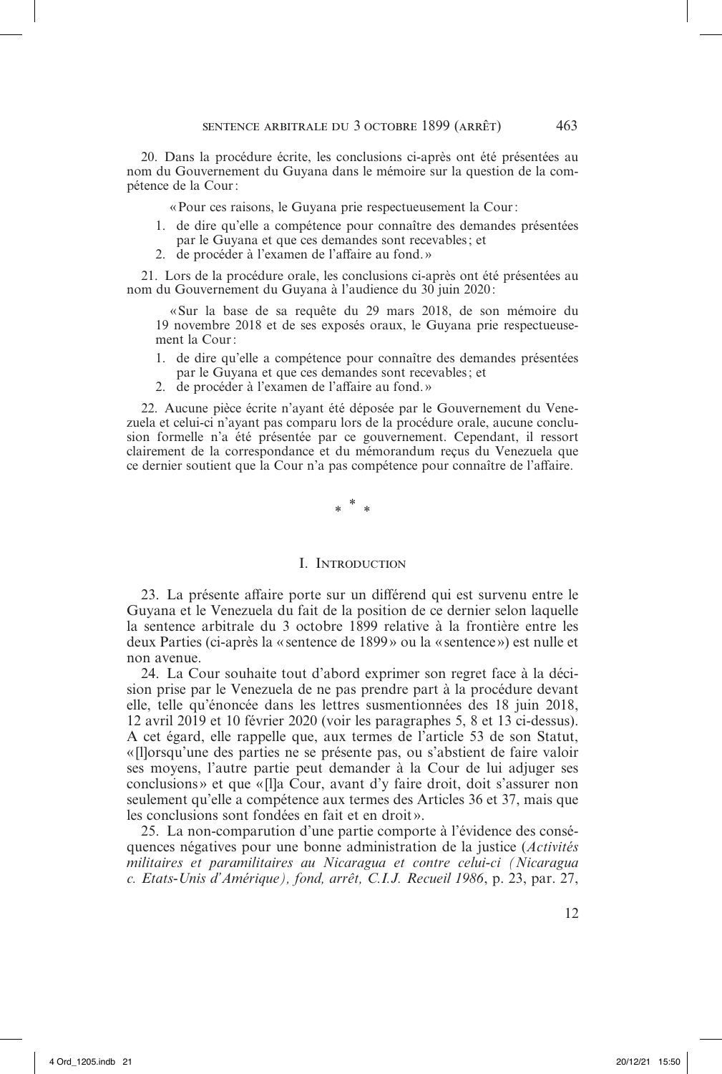20. Dans la procédure écrite, les conclusions ci-après ont été présentées au nom du Gouvernement du Guyana dans le mémoire sur la question de la compétence de la Cour:

«Pour ces raisons, le Guyana prie respectueusement la Cour:

- 1. de dire qu'elle a compétence pour connaître des demandes présentées par le Guyana et que ces demandes sont recevables; et
- 2. de procéder à l'examen de l'affaire au fond. »

21. Lors de la procédure orale, les conclusions ci-après ont été présentées au nom du Gouvernement du Guyana à l'audience du 30 juin 2020 :

«Sur la base de sa requête du 29 mars 2018, de son mémoire du 19 novembre 2018 et de ses exposés oraux, le Guyana prie respectueusement la Cour:

- 1. de dire qu'elle a compétence pour connaître des demandes présentées par le Guyana et que ces demandes sont recevables; et
- 2. de procéder à l'examen de l'affaire au fond. »

22. Aucune pièce écrite n'ayant été déposée par le Gouvernement du Venezuela et celui-ci n'ayant pas comparu lors de la procédure orale, aucune conclusion formelle n'a été présentée par ce gouvernement. Cependant, il ressort clairement de la correspondance et du mémorandum reçus du Venezuela que ce dernier soutient que la Cour n'a pas compétence pour connaître de l'affaire.

\* \* \*

#### I. Introduction

23. La présente affaire porte sur un différend qui est survenu entre le Guyana et le Venezuela du fait de la position de ce dernier selon laquelle la sentence arbitrale du 3 octobre 1899 relative à la frontière entre les deux Parties (ci-après la « sentence de 1899 » ou la « sentence») est nulle et non avenue.

24. La Cour souhaite tout d'abord exprimer son regret face à la décision prise par le Venezuela de ne pas prendre part à la procédure devant elle, telle qu'énoncée dans les lettres susmentionnées des 18 juin 2018, 12 avril 2019 et 10 février 2020 (voir les paragraphes 5, 8 et 13 ci-dessus). A cet égard, elle rappelle que, aux termes de l'article 53 de son Statut, «[l]orsqu'une des parties ne se présente pas, ou s'abstient de faire valoir ses moyens, l'autre partie peut demander à la Cour de lui adjuger ses conclusions» et que «[l]a Cour, avant d'y faire droit, doit s'assurer non seulement qu'elle a compétence aux termes des Articles 36 et 37, mais que les conclusions sont fondées en fait et en droit».

25. La non-comparution d'une partie comporte à l'évidence des conséquences négatives pour une bonne administration de la justice (*Activités militaires et paramilitaires au Nicaragua et contre celui-ci (Nicaragua c. Etats-Unis d'Amérique), fond, arrêt, C.I.J. Recueil 1986*, p. 23, par. 27,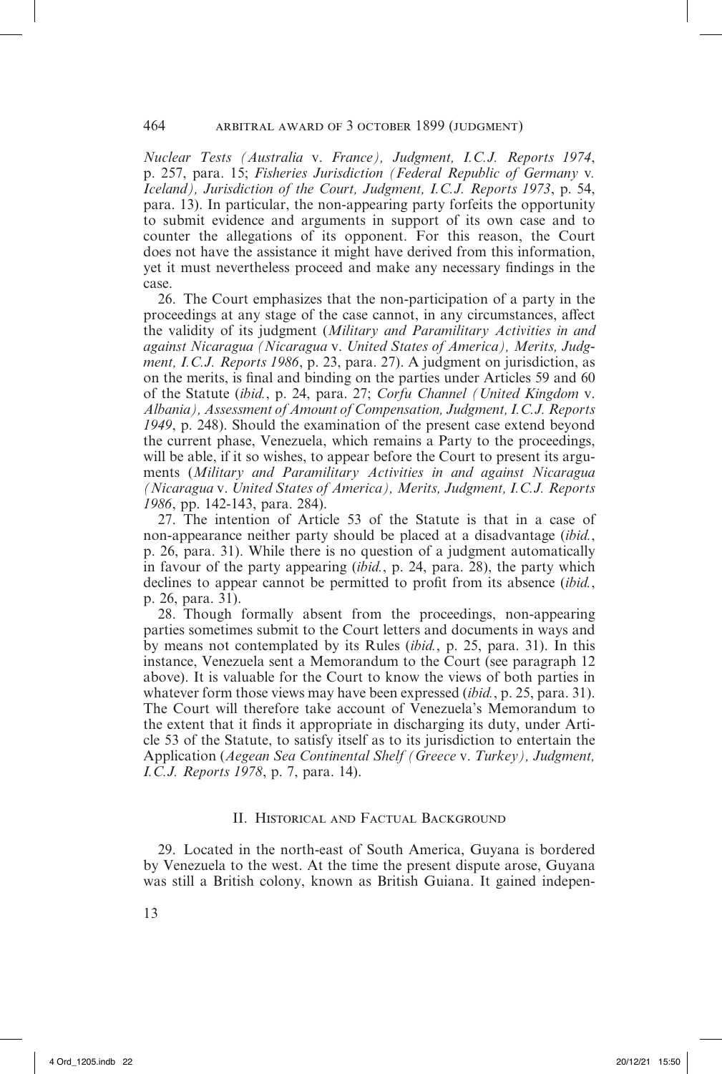*Nuclear Tests (Australia* v. *France), Judgment, I.C.J. Reports 1974*, p. 257, para. 15; *Fisheries Jurisdiction (Federal Republic of Germany* v*. Iceland), Jurisdiction of the Court, Judgment, I.C.J. Reports 1973*, p. 54, para. 13). In particular, the non-appearing party forfeits the opportunity to submit evidence and arguments in support of its own case and to counter the allegations of its opponent. For this reason, the Court does not have the assistance it might have derived from this information, yet it must nevertheless proceed and make any necessary findings in the case.

26. The Court emphasizes that the non-participation of a party in the proceedings at any stage of the case cannot, in any circumstances, affect the validity of its judgment (*Military and Paramilitary Activities in and against Nicaragua (Nicaragua* v. *United States of America), Merits, Judgment, I.C.J. Reports 1986*, p. 23, para. 27). A judgment on jurisdiction, as on the merits, is final and binding on the parties under Articles 59 and 60 of the Statute (*ibid.*, p. 24, para. 27; *Corfu Channel (United Kingdom* v. *Albania), Assessment of Amount of Compensation, Judgment, I.C.J. Reports 1949*, p. 248). Should the examination of the present case extend beyond the current phase, Venezuela, which remains a Party to the proceedings, will be able, if it so wishes, to appear before the Court to present its arguments (*Military and Paramilitary Activities in and against Nicaragua (Nicaragua* v. *United States of America), Merits, Judgment, I.C.J. Reports 1986*, pp. 142-143, para. 284).

27. The intention of Article 53 of the Statute is that in a case of non-appearance neither party should be placed at a disadvantage (*ibid.*, p. 26, para. 31). While there is no question of a judgment automatically in favour of the party appearing (*ibid.*, p. 24, para. 28), the party which declines to appear cannot be permitted to profit from its absence (*ibid.*, p. 26, para. 31).

28. Though formally absent from the proceedings, non-appearing parties sometimes submit to the Court letters and documents in ways and by means not contemplated by its Rules (*ibid.*, p. 25, para. 31). In this instance, Venezuela sent a Memorandum to the Court (see paragraph 12 above). It is valuable for the Court to know the views of both parties in whatever form those views may have been expressed (*ibid.*, p. 25, para. 31). The Court will therefore take account of Venezuela's Memorandum to the extent that it finds it appropriate in discharging its duty, under Article 53 of the Statute, to satisfy itself as to its jurisdiction to entertain the Application (*Aegean Sea Continental Shelf (Greece* v. *Turkey), Judgment, I.C.J. Reports 1978*, p. 7, para. 14).

# II. Historical and Factual Background

29. Located in the north-east of South America, Guyana is bordered by Venezuela to the west. At the time the present dispute arose, Guyana was still a British colony, known as British Guiana. It gained indepen-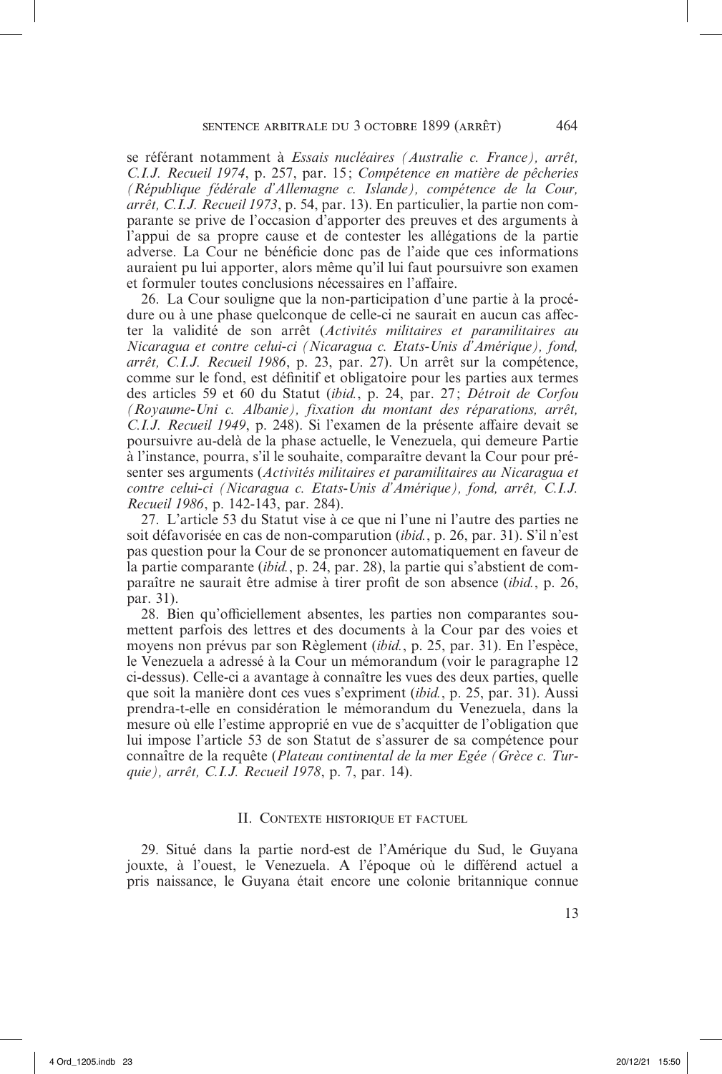se référant notamment à *Essais nucléaires (Australie c. France), arrêt, C.I.J. Recueil 1974*, p. 257, par. 15 ; *Compétence en matière de pêcheries (République fédérale d'Allemagne c. Islande), compétence de la Cour, arrêt, C.I.J. Recueil 1973*, p. 54, par. 13). En particulier, la partie non comparante se prive de l'occasion d'apporter des preuves et des arguments à l'appui de sa propre cause et de contester les allégations de la partie adverse. La Cour ne bénéficie donc pas de l'aide que ces informations auraient pu lui apporter, alors même qu'il lui faut poursuivre son examen et formuler toutes conclusions nécessaires en l'affaire.

26. La Cour souligne que la non-participation d'une partie à la procédure ou à une phase quelconque de celle-ci ne saurait en aucun cas affecter la validité de son arrêt (*Activités militaires et paramilitaires au Nicaragua et contre celui-ci (Nicaragua c. Etats-Unis d'Amérique), fond, arrêt, C.I.J. Recueil 1986*, p. 23, par. 27). Un arrêt sur la compétence, comme sur le fond, est définitif et obligatoire pour les parties aux termes des articles 59 et 60 du Statut (*ibid.*, p. 24, par. 27; *Détroit de Corfou (Royaume-Uni c. Albanie), fixation du montant des réparations, arrêt, C.I.J. Recueil 1949*, p. 248). Si l'examen de la présente affaire devait se poursuivre au-delà de la phase actuelle, le Venezuela, qui demeure Partie à l'instance, pourra, s'il le souhaite, comparaître devant la Cour pour présenter ses arguments (*Activités militaires et paramilitaires au Nicaragua et contre celui-ci (Nicaragua c. Etats-Unis d'Amérique), fond, arrêt, C.I.J. Recueil 1986*, p. 142-143, par. 284).

27. L'article 53 du Statut vise à ce que ni l'une ni l'autre des parties ne soit défavorisée en cas de non-comparution (*ibid.*, p. 26, par. 31). S'il n'est pas question pour la Cour de se prononcer automatiquement en faveur de la partie comparante (*ibid.*, p. 24, par. 28), la partie qui s'abstient de comparaître ne saurait être admise à tirer profit de son absence (*ibid.*, p. 26, par. 31).

28. Bien qu'officiellement absentes, les parties non comparantes soumettent parfois des lettres et des documents à la Cour par des voies et moyens non prévus par son Règlement (*ibid.*, p. 25, par. 31). En l'espèce, le Venezuela a adressé à la Cour un mémorandum (voir le paragraphe 12 ci-dessus). Celle-ci a avantage à connaître les vues des deux parties, quelle que soit la manière dont ces vues s'expriment (*ibid.*, p. 25, par. 31). Aussi prendra-t-elle en considération le mémorandum du Venezuela, dans la mesure où elle l'estime approprié en vue de s'acquitter de l'obligation que lui impose l'article 53 de son Statut de s'assurer de sa compétence pour connaître de la requête (*Plateau continental de la mer Egée (Grèce c. Turquie), arrêt, C.I.J. Recueil 1978*, p. 7, par. 14).

#### II. Contexte historique et factuel

29. Situé dans la partie nord-est de l'Amérique du Sud, le Guyana jouxte, à l'ouest, le Venezuela. A l'époque où le différend actuel a pris naissance, le Guyana était encore une colonie britannique connue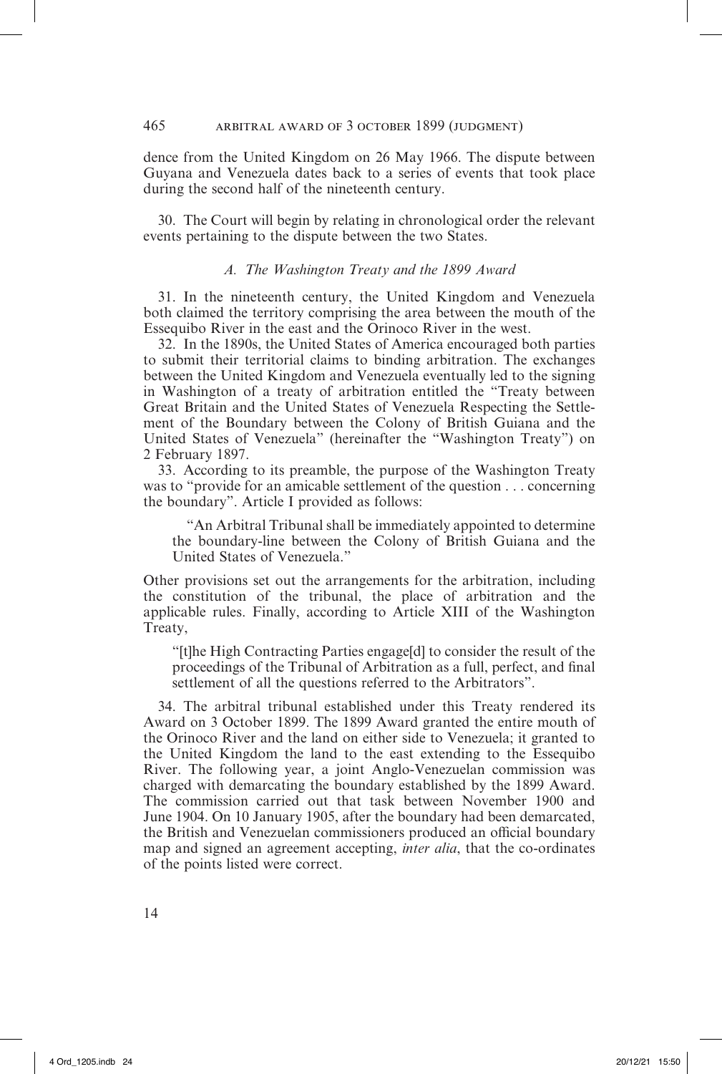dence from the United Kingdom on 26 May 1966. The dispute between Guyana and Venezuela dates back to a series of events that took place during the second half of the nineteenth century.

30. The Court will begin by relating in chronological order the relevant events pertaining to the dispute between the two States.

# *A. The Washington Treaty and the 1899 Award*

31. In the nineteenth century, the United Kingdom and Venezuela both claimed the territory comprising the area between the mouth of the Essequibo River in the east and the Orinoco River in the west.

32. In the 1890s, the United States of America encouraged both parties to submit their territorial claims to binding arbitration. The exchanges between the United Kingdom and Venezuela eventually led to the signing in Washington of a treaty of arbitration entitled the "Treaty between Great Britain and the United States of Venezuela Respecting the Settlement of the Boundary between the Colony of British Guiana and the United States of Venezuela" (hereinafter the "Washington Treaty") on 2 February 1897.

33. According to its preamble, the purpose of the Washington Treaty was to "provide for an amicable settlement of the question . . . concerning the boundary". Article I provided as follows:

"An Arbitral Tribunal shall be immediately appointed to determine the boundary-line between the Colony of British Guiana and the United States of Venezuela."

Other provisions set out the arrangements for the arbitration, including the constitution of the tribunal, the place of arbitration and the applicable rules. Finally, according to Article XIII of the Washington Treaty,

"[t]he High Contracting Parties engage[d] to consider the result of the proceedings of the Tribunal of Arbitration as a full, perfect, and final settlement of all the questions referred to the Arbitrators".

34. The arbitral tribunal established under this Treaty rendered its Award on 3 October 1899. The 1899 Award granted the entire mouth of the Orinoco River and the land on either side to Venezuela; it granted to the United Kingdom the land to the east extending to the Essequibo River. The following year, a joint Anglo-Venezuelan commission was charged with demarcating the boundary established by the 1899 Award. The commission carried out that task between November 1900 and June 1904. On 10 January 1905, after the boundary had been demarcated, the British and Venezuelan commissioners produced an official boundary map and signed an agreement accepting, *inter alia*, that the co-ordinates of the points listed were correct.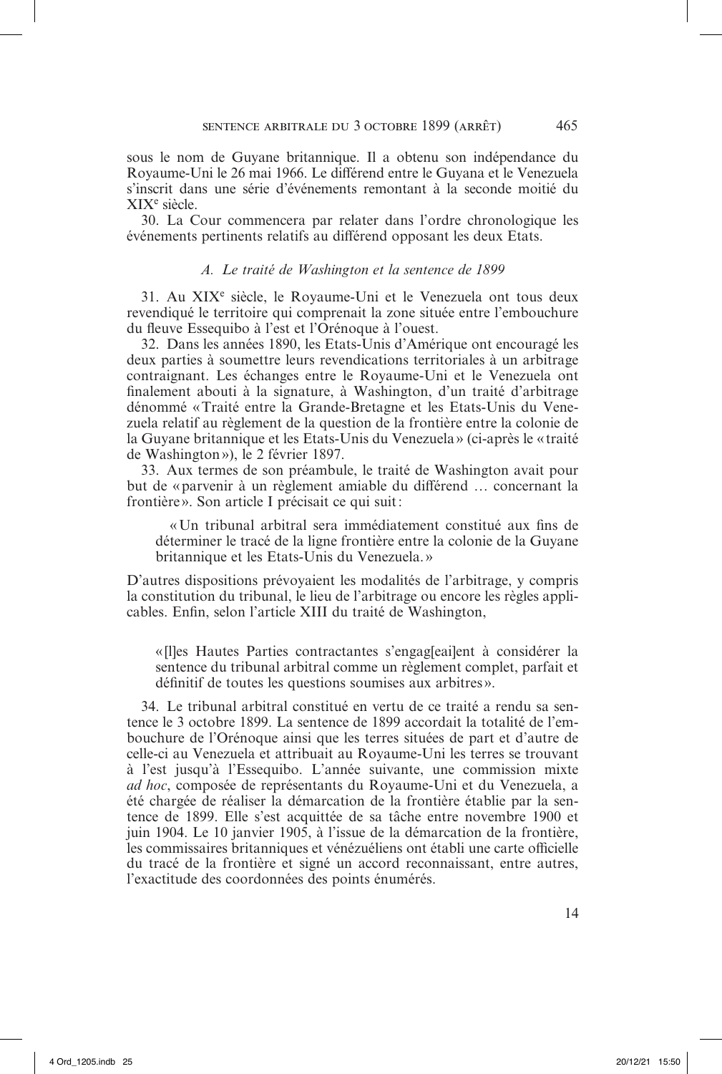sous le nom de Guyane britannique. Il a obtenu son indépendance du Royaume-Uni le 26 mai 1966. Le différend entre le Guyana et le Venezuela s'inscrit dans une série d'événements remontant à la seconde moitié du XIXe siècle.

30. La Cour commencera par relater dans l'ordre chronologique les événements pertinents relatifs au différend opposant les deux Etats.

## *A. Le traité de Washington et la sentence de 1899*

31. Au XIXe siècle, le Royaume-Uni et le Venezuela ont tous deux revendiqué le territoire qui comprenait la zone située entre l'embouchure du fleuve Essequibo à l'est et l'Orénoque à l'ouest.

32. Dans les années 1890, les Etats-Unis d'Amérique ont encouragé les deux parties à soumettre leurs revendications territoriales à un arbitrage contraignant. Les échanges entre le Royaume-Uni et le Venezuela ont finalement abouti à la signature, à Washington, d'un traité d'arbitrage dénommé «Traité entre la Grande-Bretagne et les Etats-Unis du Venezuela relatif au règlement de la question de la frontière entre la colonie de la Guyane britannique et les Etats-Unis du Venezuela » (ci-après le « traité de Washington»), le 2 février 1897.

33. Aux termes de son préambule, le traité de Washington avait pour but de «parvenir à un règlement amiable du différend … concernant la frontière». Son article I précisait ce qui suit:

«Un tribunal arbitral sera immédiatement constitué aux fins de déterminer le tracé de la ligne frontière entre la colonie de la Guyane britannique et les Etats-Unis du Venezuela.»

D'autres dispositions prévoyaient les modalités de l'arbitrage, y compris la constitution du tribunal, le lieu de l'arbitrage ou encore les règles applicables. Enfin, selon l'article XIII du traité de Washington,

«[l]es Hautes Parties contractantes s'engag[eai]ent à considérer la sentence du tribunal arbitral comme un règlement complet, parfait et définitif de toutes les questions soumises aux arbitres».

34. Le tribunal arbitral constitué en vertu de ce traité a rendu sa sentence le 3 octobre 1899. La sentence de 1899 accordait la totalité de l'embouchure de l'Orénoque ainsi que les terres situées de part et d'autre de celle-ci au Venezuela et attribuait au Royaume-Uni les terres se trouvant à l'est jusqu'à l'Essequibo. L'année suivante, une commission mixte *ad hoc*, composée de représentants du Royaume-Uni et du Venezuela, a été chargée de réaliser la démarcation de la frontière établie par la sentence de 1899. Elle s'est acquittée de sa tâche entre novembre 1900 et juin 1904. Le 10 janvier 1905, à l'issue de la démarcation de la frontière, les commissaires britanniques et vénézuéliens ont établi une carte officielle du tracé de la frontière et signé un accord reconnaissant, entre autres, l'exactitude des coordonnées des points énumérés.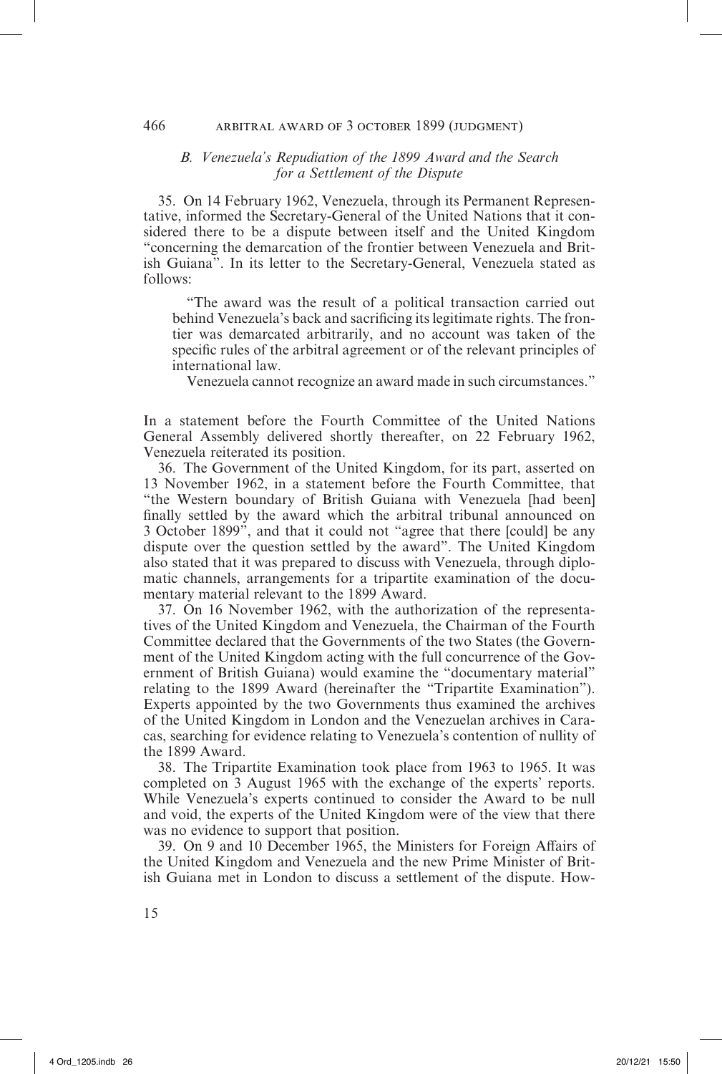# *B. Venezuela's Repudiation of the 1899 Award and the Search for a Settlement of the Dispute*

35. On 14 February 1962, Venezuela, through its Permanent Representative, informed the Secretary-General of the United Nations that it considered there to be a dispute between itself and the United Kingdom "concerning the demarcation of the frontier between Venezuela and British Guiana". In its letter to the Secretary-General, Venezuela stated as follows:

"The award was the result of a political transaction carried out behind Venezuela's back and sacrificing its legitimate rights. The frontier was demarcated arbitrarily, and no account was taken of the specific rules of the arbitral agreement or of the relevant principles of international law.

Venezuela cannot recognize an award made in such circumstances."

In a statement before the Fourth Committee of the United Nations General Assembly delivered shortly thereafter, on 22 February 1962, Venezuela reiterated its position.

36. The Government of the United Kingdom, for its part, asserted on 13 November 1962, in a statement before the Fourth Committee, that "the Western boundary of British Guiana with Venezuela [had been] finally settled by the award which the arbitral tribunal announced on 3 October 1899", and that it could not "agree that there [could] be any dispute over the question settled by the award". The United Kingdom also stated that it was prepared to discuss with Venezuela, through diplomatic channels, arrangements for a tripartite examination of the documentary material relevant to the 1899 Award.

37. On 16 November 1962, with the authorization of the representatives of the United Kingdom and Venezuela, the Chairman of the Fourth Committee declared that the Governments of the two States (the Government of the United Kingdom acting with the full concurrence of the Government of British Guiana) would examine the "documentary material" relating to the 1899 Award (hereinafter the "Tripartite Examination"). Experts appointed by the two Governments thus examined the archives of the United Kingdom in London and the Venezuelan archives in Caracas, searching for evidence relating to Venezuela's contention of nullity of the 1899 Award.

38. The Tripartite Examination took place from 1963 to 1965. It was completed on 3 August 1965 with the exchange of the experts' reports. While Venezuela's experts continued to consider the Award to be null and void, the experts of the United Kingdom were of the view that there was no evidence to support that position.

39. On 9 and 10 December 1965, the Ministers for Foreign Affairs of the United Kingdom and Venezuela and the new Prime Minister of British Guiana met in London to discuss a settlement of the dispute. How-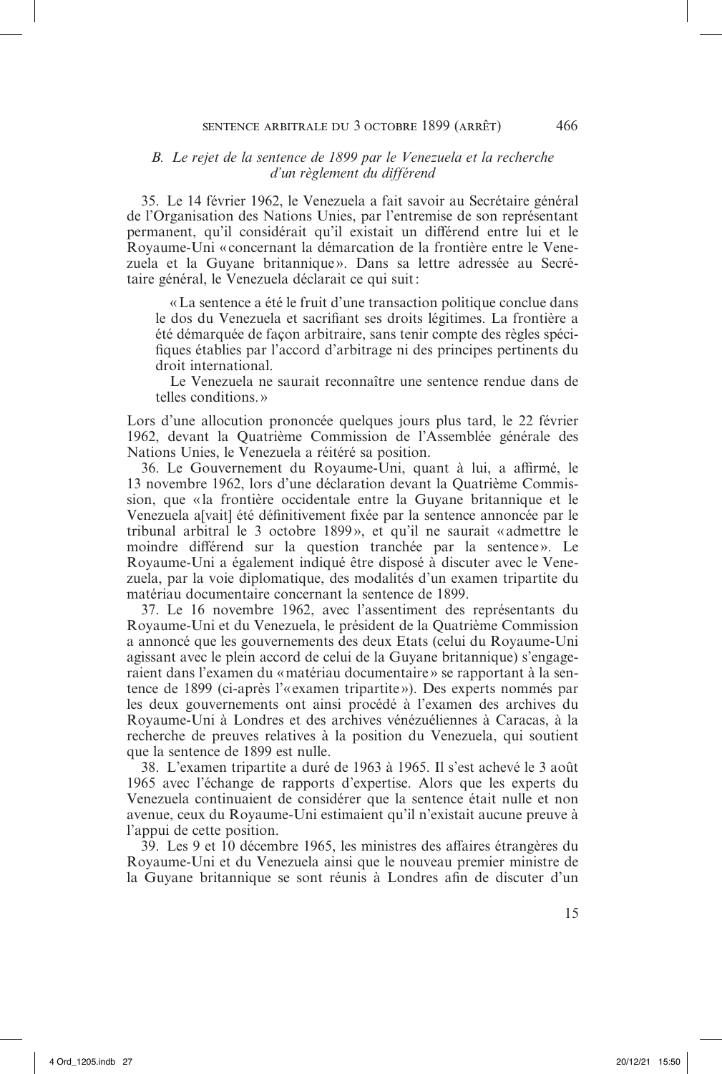# *B. Le rejet de la sentence de 1899 par le Venezuela et la recherche d'un règlement du différend*

35. Le 14 février 1962, le Venezuela a fait savoir au Secrétaire général de l'Organisation des Nations Unies, par l'entremise de son représentant permanent, qu'il considérait qu'il existait un différend entre lui et le Royaume-Uni «concernant la démarcation de la frontière entre le Venezuela et la Guyane britannique». Dans sa lettre adressée au Secrétaire général, le Venezuela déclarait ce qui suit:

«La sentence a été le fruit d'une transaction politique conclue dans le dos du Venezuela et sacrifiant ses droits légitimes. La frontière a été démarquée de façon arbitraire, sans tenir compte des règles spécifiques établies par l'accord d'arbitrage ni des principes pertinents du droit international.

Le Venezuela ne saurait reconnaître une sentence rendue dans de telles conditions.»

Lors d'une allocution prononcée quelques jours plus tard, le 22 février 1962, devant la Quatrième Commission de l'Assemblée générale des Nations Unies, le Venezuela a réitéré sa position.

36. Le Gouvernement du Royaume-Uni, quant à lui, a affirmé, le 13 novembre 1962, lors d'une déclaration devant la Quatrième Commission, que «la frontière occidentale entre la Guyane britannique et le Venezuela a[vait] été définitivement fixée par la sentence annoncée par le tribunal arbitral le 3 octobre 1899», et qu'il ne saurait «admettre le moindre différend sur la question tranchée par la sentence». Le Royaume-Uni a également indiqué être disposé à discuter avec le Venezuela, par la voie diplomatique, des modalités d'un examen tripartite du matériau documentaire concernant la sentence de 1899.

37. Le 16 novembre 1962, avec l'assentiment des représentants du Royaume-Uni et du Venezuela, le président de la Quatrième Commission a annoncé que les gouvernements des deux Etats (celui du Royaume-Uni agissant avec le plein accord de celui de la Guyane britannique) s'engageraient dans l'examen du «matériau documentaire » se rapportant à la sentence de 1899 (ci-après l'« examen tripartite»). Des experts nommés par les deux gouvernements ont ainsi procédé à l'examen des archives du Royaume-Uni à Londres et des archives vénézuéliennes à Caracas, à la recherche de preuves relatives à la position du Venezuela, qui soutient que la sentence de 1899 est nulle.

38. L'examen tripartite a duré de 1963 à 1965. Il s'est achevé le 3 août 1965 avec l'échange de rapports d'expertise. Alors que les experts du Venezuela continuaient de considérer que la sentence était nulle et non avenue, ceux du Royaume-Uni estimaient qu'il n'existait aucune preuve à l'appui de cette position.

39. Les 9 et 10 décembre 1965, les ministres des affaires étrangères du Royaume-Uni et du Venezuela ainsi que le nouveau premier ministre de la Guyane britannique se sont réunis à Londres afin de discuter d'un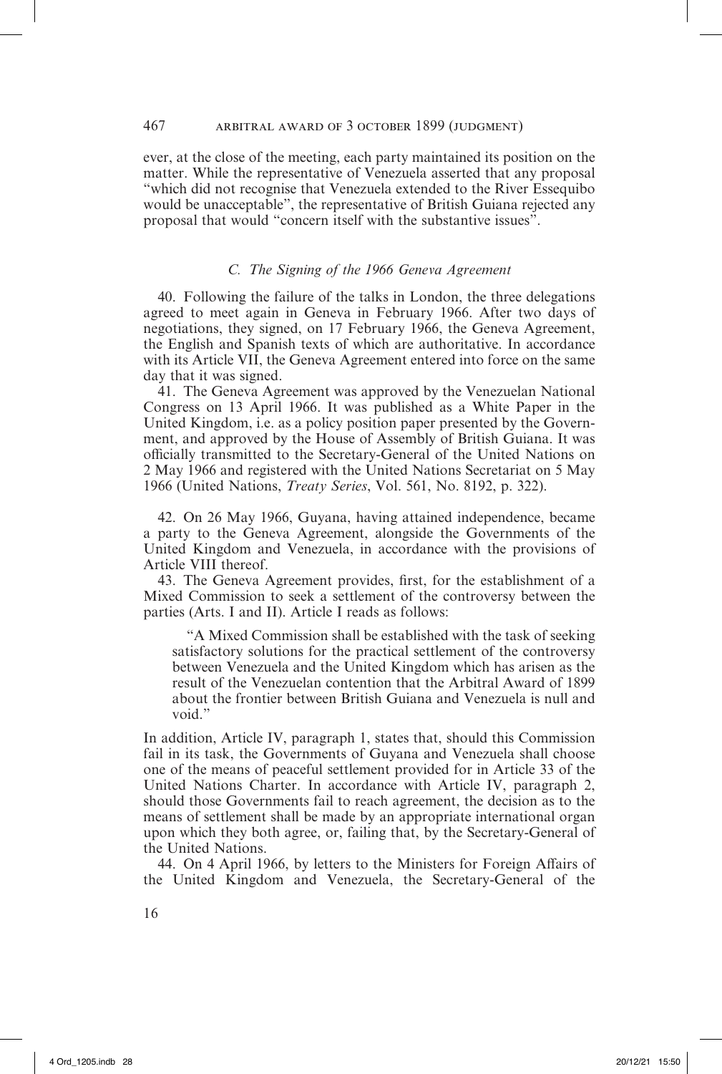ever, at the close of the meeting, each party maintained its position on the matter. While the representative of Venezuela asserted that any proposal "which did not recognise that Venezuela extended to the River Essequibo would be unacceptable", the representative of British Guiana rejected any proposal that would "concern itself with the substantive issues".

# *C. The Signing of the 1966 Geneva Agreement*

40. Following the failure of the talks in London, the three delegations agreed to meet again in Geneva in February 1966. After two days of negotiations, they signed, on 17 February 1966, the Geneva Agreement, the English and Spanish texts of which are authoritative. In accordance with its Article VII, the Geneva Agreement entered into force on the same day that it was signed.

41. The Geneva Agreement was approved by the Venezuelan National Congress on 13 April 1966. It was published as a White Paper in the United Kingdom, i.e. as a policy position paper presented by the Government, and approved by the House of Assembly of British Guiana. It was officially transmitted to the Secretary-General of the United Nations on 2 May 1966 and registered with the United Nations Secretariat on 5 May 1966 (United Nations, *Treaty Series*, Vol. 561, No. 8192, p. 322).

42. On 26 May 1966, Guyana, having attained independence, became a party to the Geneva Agreement, alongside the Governments of the United Kingdom and Venezuela, in accordance with the provisions of Article VIII thereof.

43. The Geneva Agreement provides, first, for the establishment of a Mixed Commission to seek a settlement of the controversy between the parties (Arts. I and II). Article I reads as follows:

"A Mixed Commission shall be established with the task of seeking satisfactory solutions for the practical settlement of the controversy between Venezuela and the United Kingdom which has arisen as the result of the Venezuelan contention that the Arbitral Award of 1899 about the frontier between British Guiana and Venezuela is null and void."

In addition, Article IV, paragraph 1, states that, should this Commission fail in its task, the Governments of Guyana and Venezuela shall choose one of the means of peaceful settlement provided for in Article 33 of the United Nations Charter. In accordance with Article IV, paragraph 2, should those Governments fail to reach agreement, the decision as to the means of settlement shall be made by an appropriate international organ upon which they both agree, or, failing that, by the Secretary-General of the United Nations.

44. On 4 April 1966, by letters to the Ministers for Foreign Affairs of the United Kingdom and Venezuela, the Secretary-General of the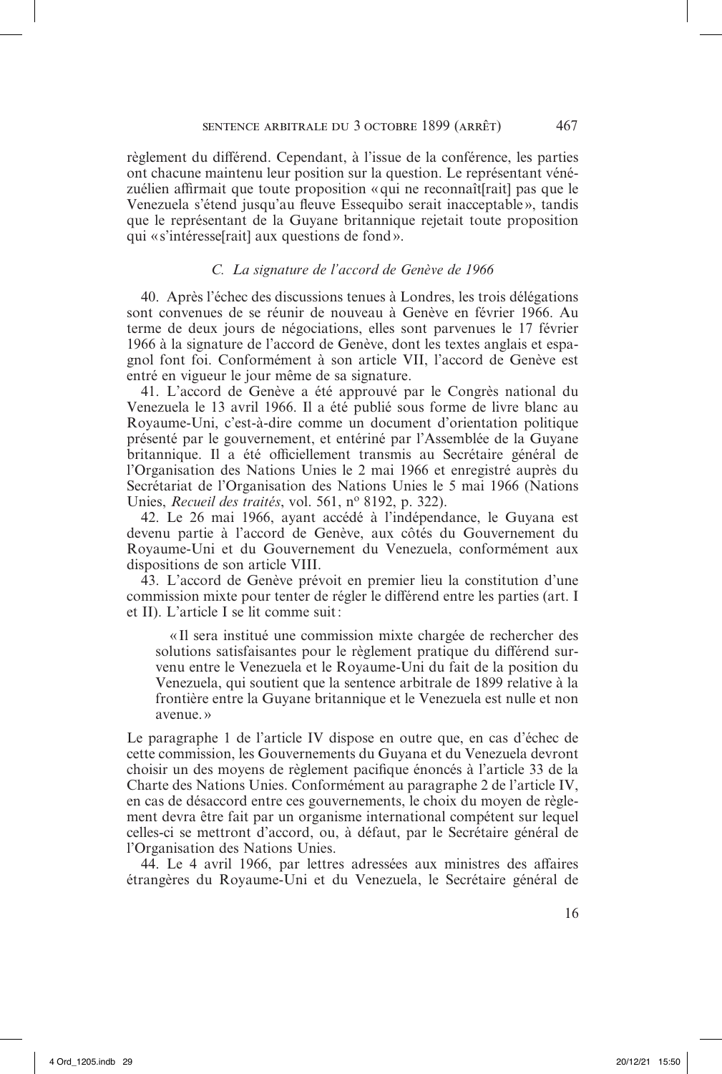règlement du différend. Cependant, à l'issue de la conférence, les parties ont chacune maintenu leur position sur la question. Le représentant vénézuélien affirmait que toute proposition «qui ne reconnaît[rait] pas que le Venezuela s'étend jusqu'au fleuve Essequibo serait inacceptable», tandis que le représentant de la Guyane britannique rejetait toute proposition qui «s'intéresse[rait] aux questions de fond».

# *C. La signature de l'accord de Genève de 1966*

40. Après l'échec des discussions tenues à Londres, les trois délégations sont convenues de se réunir de nouveau à Genève en février 1966. Au terme de deux jours de négociations, elles sont parvenues le 17 février 1966 à la signature de l'accord de Genève, dont les textes anglais et espagnol font foi. Conformément à son article VII, l'accord de Genève est entré en vigueur le jour même de sa signature.

41. L'accord de Genève a été approuvé par le Congrès national du Venezuela le 13 avril 1966. Il a été publié sous forme de livre blanc au Royaume-Uni, c'est-à-dire comme un document d'orientation politique présenté par le gouvernement, et entériné par l'Assemblée de la Guyane britannique. Il a été officiellement transmis au Secrétaire général de l'Organisation des Nations Unies le 2 mai 1966 et enregistré auprès du Secrétariat de l'Organisation des Nations Unies le 5 mai 1966 (Nations Unies, *Recueil des traités*, vol. 561, no 8192, p. 322).

42. Le 26 mai 1966, ayant accédé à l'indépendance, le Guyana est devenu partie à l'accord de Genève, aux côtés du Gouvernement du Royaume-Uni et du Gouvernement du Venezuela, conformément aux dispositions de son article VIII.

43. L'accord de Genève prévoit en premier lieu la constitution d'une commission mixte pour tenter de régler le différend entre les parties (art. I et II). L'article I se lit comme suit:

« Il sera institué une commission mixte chargée de rechercher des solutions satisfaisantes pour le règlement pratique du différend survenu entre le Venezuela et le Royaume-Uni du fait de la position du Venezuela, qui soutient que la sentence arbitrale de 1899 relative à la frontière entre la Guyane britannique et le Venezuela est nulle et non avenue. »

Le paragraphe 1 de l'article IV dispose en outre que, en cas d'échec de cette commission, les Gouvernements du Guyana et du Venezuela devront choisir un des moyens de règlement pacifique énoncés à l'article 33 de la Charte des Nations Unies. Conformément au paragraphe 2 de l'article IV, en cas de désaccord entre ces gouvernements, le choix du moyen de règlement devra être fait par un organisme international compétent sur lequel celles-ci se mettront d'accord, ou, à défaut, par le Secrétaire général de l'Organisation des Nations Unies.

44. Le 4 avril 1966, par lettres adressées aux ministres des affaires étrangères du Royaume-Uni et du Venezuela, le Secrétaire général de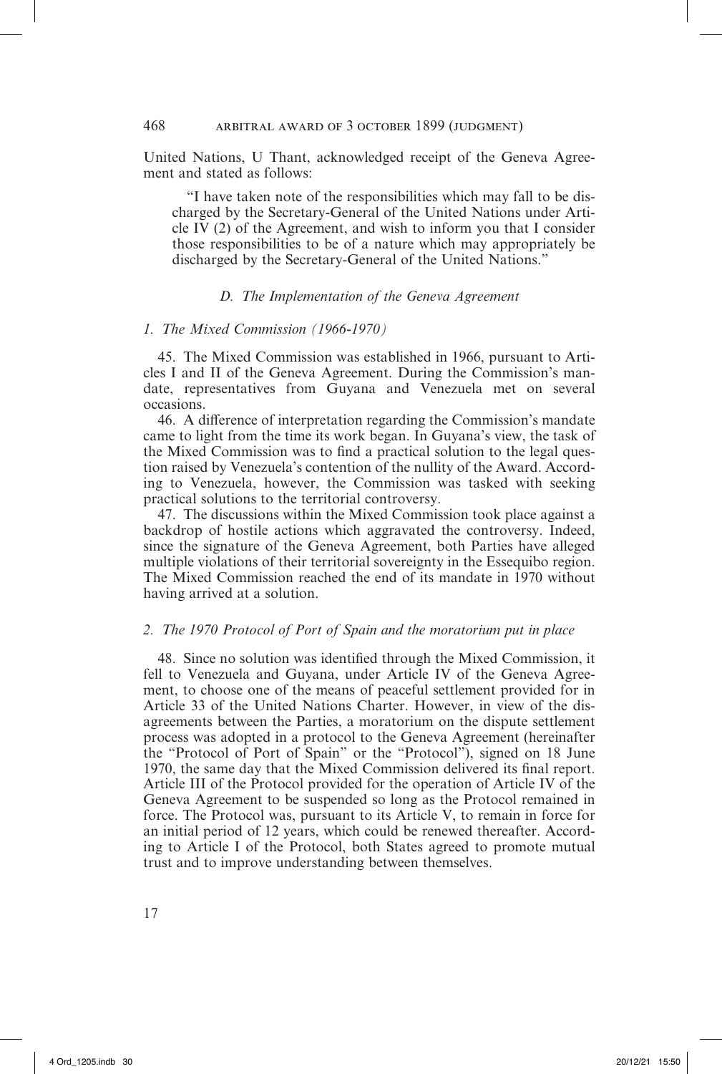United Nations, U Thant, acknowledged receipt of the Geneva Agreement and stated as follows:

"I have taken note of the responsibilities which may fall to be discharged by the Secretary-General of the United Nations under Article IV (2) of the Agreement, and wish to inform you that I consider those responsibilities to be of a nature which may appropriately be discharged by the Secretary-General of the United Nations."

# *D. The Implementation of the Geneva Agreement*

#### *1. The Mixed Commission (1966-1970)*

45. The Mixed Commission was established in 1966, pursuant to Articles I and II of the Geneva Agreement. During the Commission's mandate, representatives from Guyana and Venezuela met on several occasions.

46. A difference of interpretation regarding the Commission's mandate came to light from the time its work began. In Guyana's view, the task of the Mixed Commission was to find a practical solution to the legal question raised by Venezuela's contention of the nullity of the Award. According to Venezuela, however, the Commission was tasked with seeking practical solutions to the territorial controversy.

47. The discussions within the Mixed Commission took place against a backdrop of hostile actions which aggravated the controversy. Indeed, since the signature of the Geneva Agreement, both Parties have alleged multiple violations of their territorial sovereignty in the Essequibo region. The Mixed Commission reached the end of its mandate in 1970 without having arrived at a solution.

## *2. The 1970 Protocol of Port of Spain and the moratorium put in place*

48. Since no solution was identified through the Mixed Commission, it fell to Venezuela and Guyana, under Article IV of the Geneva Agreement, to choose one of the means of peaceful settlement provided for in Article 33 of the United Nations Charter. However, in view of the disagreements between the Parties, a moratorium on the dispute settlement process was adopted in a protocol to the Geneva Agreement (hereinafter the "Protocol of Port of Spain" or the "Protocol"), signed on 18 June 1970, the same day that the Mixed Commission delivered its final report. Article III of the Protocol provided for the operation of Article IV of the Geneva Agreement to be suspended so long as the Protocol remained in force. The Protocol was, pursuant to its Article V, to remain in force for an initial period of 12 years, which could be renewed thereafter. According to Article I of the Protocol, both States agreed to promote mutual trust and to improve understanding between themselves.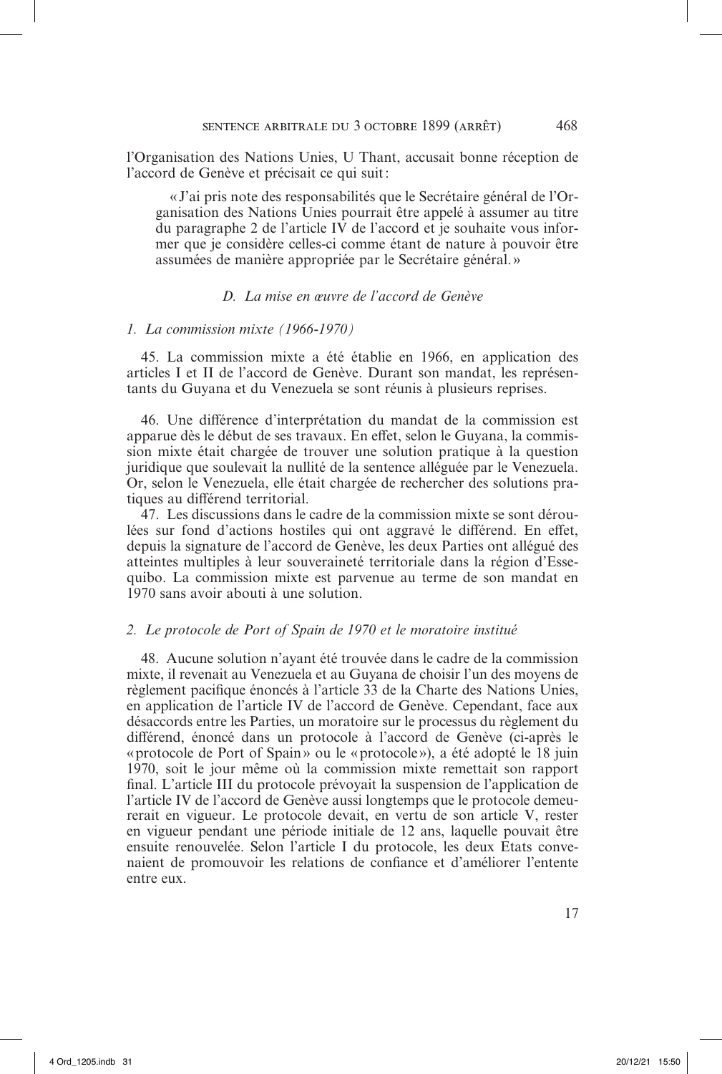l'Organisation des Nations Unies, U Thant, accusait bonne réception de l'accord de Genève et précisait ce qui suit:

«J'ai pris note des responsabilités que le Secrétaire général de l'Organisation des Nations Unies pourrait être appelé à assumer au titre du paragraphe 2 de l'article IV de l'accord et je souhaite vous informer que je considère celles-ci comme étant de nature à pouvoir être assumées de manière appropriée par le Secrétaire général.»

# *D. La mise en œuvre de l'accord de Genève*

#### *1. La commission mixte (1966-1970)*

45. La commission mixte a été établie en 1966, en application des articles I et II de l'accord de Genève. Durant son mandat, les représentants du Guyana et du Venezuela se sont réunis à plusieurs reprises.

46. Une différence d'interprétation du mandat de la commission est apparue dès le début de ses travaux. En effet, selon le Guyana, la commission mixte était chargée de trouver une solution pratique à la question juridique que soulevait la nullité de la sentence alléguée par le Venezuela. Or, selon le Venezuela, elle était chargée de rechercher des solutions pratiques au différend territorial.

47. Les discussions dans le cadre de la commission mixte se sont déroulées sur fond d'actions hostiles qui ont aggravé le différend. En effet, depuis la signature de l'accord de Genève, les deux Parties ont allégué des atteintes multiples à leur souveraineté territoriale dans la région d'Essequibo. La commission mixte est parvenue au terme de son mandat en 1970 sans avoir abouti à une solution.

# *2. Le protocole de Port of Spain de 1970 et le moratoire institué*

48. Aucune solution n'ayant été trouvée dans le cadre de la commission mixte, il revenait au Venezuela et au Guyana de choisir l'un des moyens de règlement pacifique énoncés à l'article 33 de la Charte des Nations Unies, en application de l'article IV de l'accord de Genève. Cependant, face aux désaccords entre les Parties, un moratoire sur le processus du règlement du différend, énoncé dans un protocole à l'accord de Genève (ci-après le «protocole de Port of Spain» ou le «protocole»), a été adopté le 18 juin 1970, soit le jour même où la commission mixte remettait son rapport final. L'article III du protocole prévoyait la suspension de l'application de l'article IV de l'accord de Genève aussi longtemps que le protocole demeurerait en vigueur. Le protocole devait, en vertu de son article V, rester en vigueur pendant une période initiale de 12 ans, laquelle pouvait être ensuite renouvelée. Selon l'article I du protocole, les deux Etats convenaient de promouvoir les relations de confiance et d'améliorer l'entente entre eux.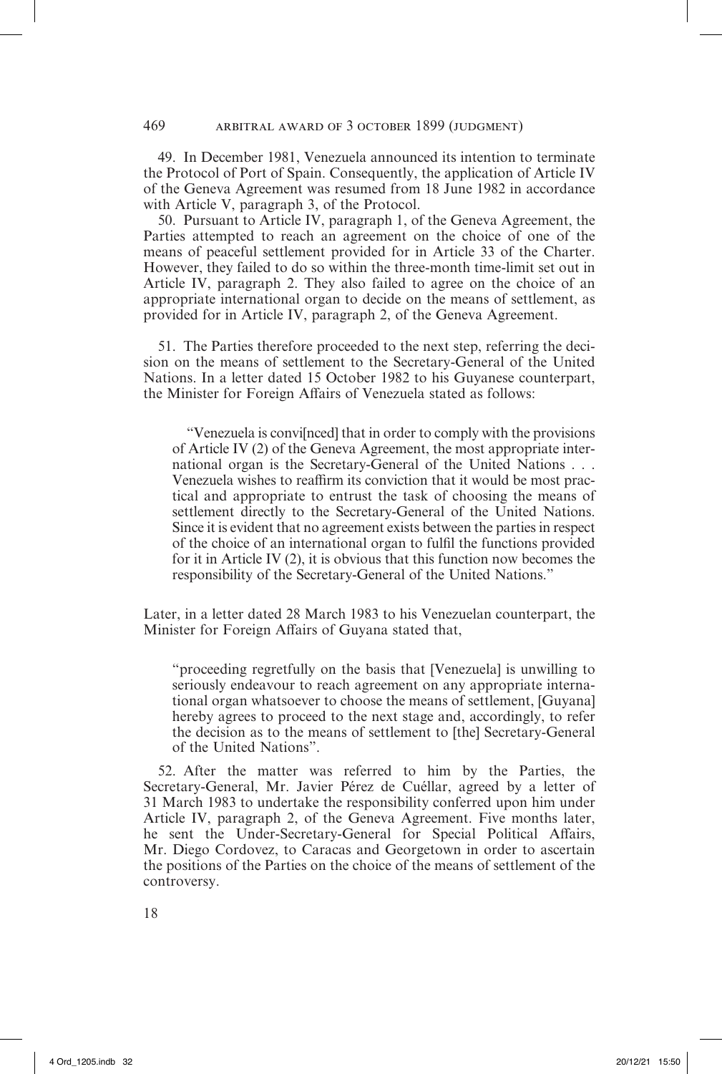49. In December 1981, Venezuela announced its intention to terminate the Protocol of Port of Spain. Consequently, the application of Article IV of the Geneva Agreement was resumed from 18 June 1982 in accordance with Article V, paragraph 3, of the Protocol.

50. Pursuant to Article IV, paragraph 1, of the Geneva Agreement, the Parties attempted to reach an agreement on the choice of one of the means of peaceful settlement provided for in Article 33 of the Charter. However, they failed to do so within the three-month time-limit set out in Article IV, paragraph 2. They also failed to agree on the choice of an appropriate international organ to decide on the means of settlement, as provided for in Article IV, paragraph 2, of the Geneva Agreement.

51. The Parties therefore proceeded to the next step, referring the decision on the means of settlement to the Secretary-General of the United Nations. In a letter dated 15 October 1982 to his Guyanese counterpart, the Minister for Foreign Affairs of Venezuela stated as follows:

"Venezuela is convi[nced] that in order to comply with the provisions of Article IV (2) of the Geneva Agreement, the most appropriate international organ is the Secretary-General of the United Nations . . . Venezuela wishes to reaffirm its conviction that it would be most practical and appropriate to entrust the task of choosing the means of settlement directly to the Secretary-General of the United Nations. Since it is evident that no agreement exists between the parties in respect of the choice of an international organ to fulfil the functions provided for it in Article IV (2), it is obvious that this function now becomes the responsibility of the Secretary-General of the United Nations."

Later, in a letter dated 28 March 1983 to his Venezuelan counterpart, the Minister for Foreign Affairs of Guyana stated that,

"proceeding regretfully on the basis that [Venezuela] is unwilling to seriously endeavour to reach agreement on any appropriate international organ whatsoever to choose the means of settlement, [Guyana] hereby agrees to proceed to the next stage and, accordingly, to refer the decision as to the means of settlement to [the] Secretary-General of the United Nations".

52. After the matter was referred to him by the Parties, the Secretary-General, Mr. Javier Pérez de Cuéllar, agreed by a letter of 31 March 1983 to undertake the responsibility conferred upon him under Article IV, paragraph 2, of the Geneva Agreement. Five months later, he sent the Under-Secretary-General for Special Political Affairs, Mr. Diego Cordovez, to Caracas and Georgetown in order to ascertain the positions of the Parties on the choice of the means of settlement of the controversy.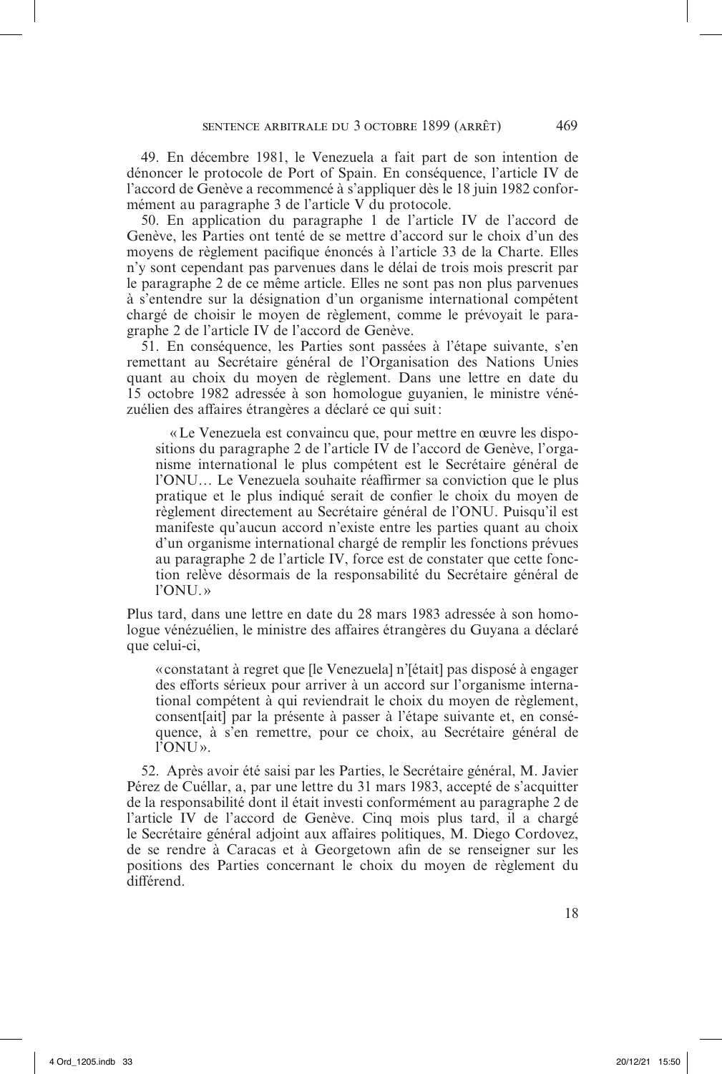49. En décembre 1981, le Venezuela a fait part de son intention de dénoncer le protocole de Port of Spain. En conséquence, l'article IV de l'accord de Genève a recommencé à s'appliquer dès le 18 juin 1982 conformément au paragraphe 3 de l'article V du protocole.

50. En application du paragraphe 1 de l'article IV de l'accord de Genève, les Parties ont tenté de se mettre d'accord sur le choix d'un des moyens de règlement pacifique énoncés à l'article 33 de la Charte. Elles n'y sont cependant pas parvenues dans le délai de trois mois prescrit par le paragraphe 2 de ce même article. Elles ne sont pas non plus parvenues à s'entendre sur la désignation d'un organisme international compétent chargé de choisir le moyen de règlement, comme le prévoyait le paragraphe 2 de l'article IV de l'accord de Genève.

51. En conséquence, les Parties sont passées à l'étape suivante, s'en remettant au Secrétaire général de l'Organisation des Nations Unies quant au choix du moyen de règlement. Dans une lettre en date du 15 octobre 1982 adressée à son homologue guyanien, le ministre vénézuélien des affaires étrangères a déclaré ce qui suit:

«Le Venezuela est convaincu que, pour mettre en œuvre les dispositions du paragraphe 2 de l'article IV de l'accord de Genève, l'organisme international le plus compétent est le Secrétaire général de l'ONU… Le Venezuela souhaite réaffirmer sa conviction que le plus pratique et le plus indiqué serait de confier le choix du moyen de règlement directement au Secrétaire général de l'ONU. Puisqu'il est manifeste qu'aucun accord n'existe entre les parties quant au choix d'un organisme international chargé de remplir les fonctions prévues au paragraphe 2 de l'article IV, force est de constater que cette fonction relève désormais de la responsabilité du Secrétaire général de l'ONU. »

Plus tard, dans une lettre en date du 28 mars 1983 adressée à son homologue vénézuélien, le ministre des affaires étrangères du Guyana a déclaré que celui-ci,

«constatant à regret que [le Venezuela] n'[était] pas disposé à engager des efforts sérieux pour arriver à un accord sur l'organisme international compétent à qui reviendrait le choix du moyen de règlement, consent[ait] par la présente à passer à l'étape suivante et, en conséquence, à s'en remettre, pour ce choix, au Secrétaire général de l'ONU».

52. Après avoir été saisi par les Parties, le Secrétaire général, M. Javier Pérez de Cuéllar, a, par une lettre du 31 mars 1983, accepté de s'acquitter de la responsabilité dont il était investi conformément au paragraphe 2 de l'article IV de l'accord de Genève. Cinq mois plus tard, il a chargé le Secrétaire général adjoint aux affaires politiques, M. Diego Cordovez, de se rendre à Caracas et à Georgetown afin de se renseigner sur les positions des Parties concernant le choix du moyen de règlement du différend.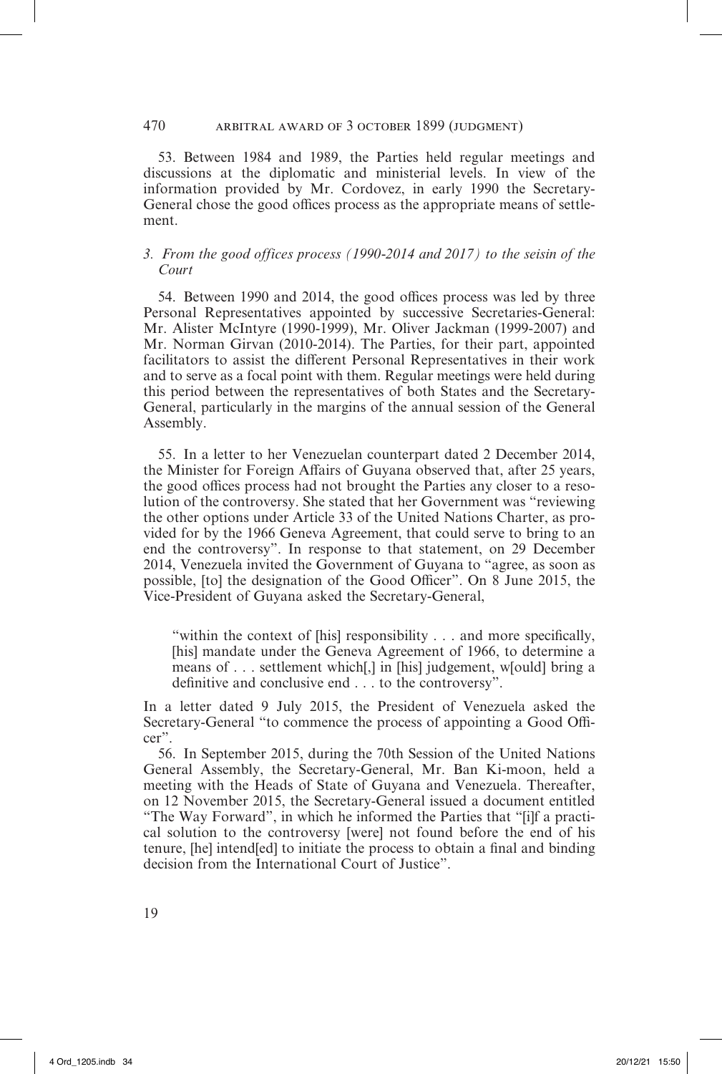# 470 arbitral award of 3 october 1899 (judgment)

53. Between 1984 and 1989, the Parties held regular meetings and discussions at the diplomatic and ministerial levels. In view of the information provided by Mr. Cordovez, in early 1990 the Secretary-General chose the good offices process as the appropriate means of settlement.

# *3. From the good offices process (1990-2014 and 2017) to the seisin of the Court*

54. Between 1990 and 2014, the good offices process was led by three Personal Representatives appointed by successive Secretaries-General: Mr. Alister McIntyre (1990-1999), Mr. Oliver Jackman (1999-2007) and Mr. Norman Girvan (2010-2014). The Parties, for their part, appointed facilitators to assist the different Personal Representatives in their work and to serve as a focal point with them. Regular meetings were held during this period between the representatives of both States and the Secretary-General, particularly in the margins of the annual session of the General Assembly.

55. In a letter to her Venezuelan counterpart dated 2 December 2014, the Minister for Foreign Affairs of Guyana observed that, after 25 years, the good offices process had not brought the Parties any closer to a resolution of the controversy. She stated that her Government was "reviewing the other options under Article 33 of the United Nations Charter, as provided for by the 1966 Geneva Agreement, that could serve to bring to an end the controversy". In response to that statement, on 29 December 2014, Venezuela invited the Government of Guyana to "agree, as soon as possible, [to] the designation of the Good Officer". On 8 June 2015, the Vice-President of Guyana asked the Secretary-General,

"within the context of [his] responsibility . . . and more specifically, [his] mandate under the Geneva Agreement of 1966, to determine a means of . . . settlement which[,] in [his] judgement, w[ould] bring a definitive and conclusive end . . . to the controversy".

In a letter dated 9 July 2015, the President of Venezuela asked the Secretary-General "to commence the process of appointing a Good Officer".

56. In September 2015, during the 70th Session of the United Nations General Assembly, the Secretary-General, Mr. Ban Ki-moon, held a meeting with the Heads of State of Guyana and Venezuela. Thereafter, on 12 November 2015, the Secretary-General issued a document entitled "The Way Forward", in which he informed the Parties that "[i]f a practical solution to the controversy [were] not found before the end of his tenure, [he] intend[ed] to initiate the process to obtain a final and binding decision from the International Court of Justice".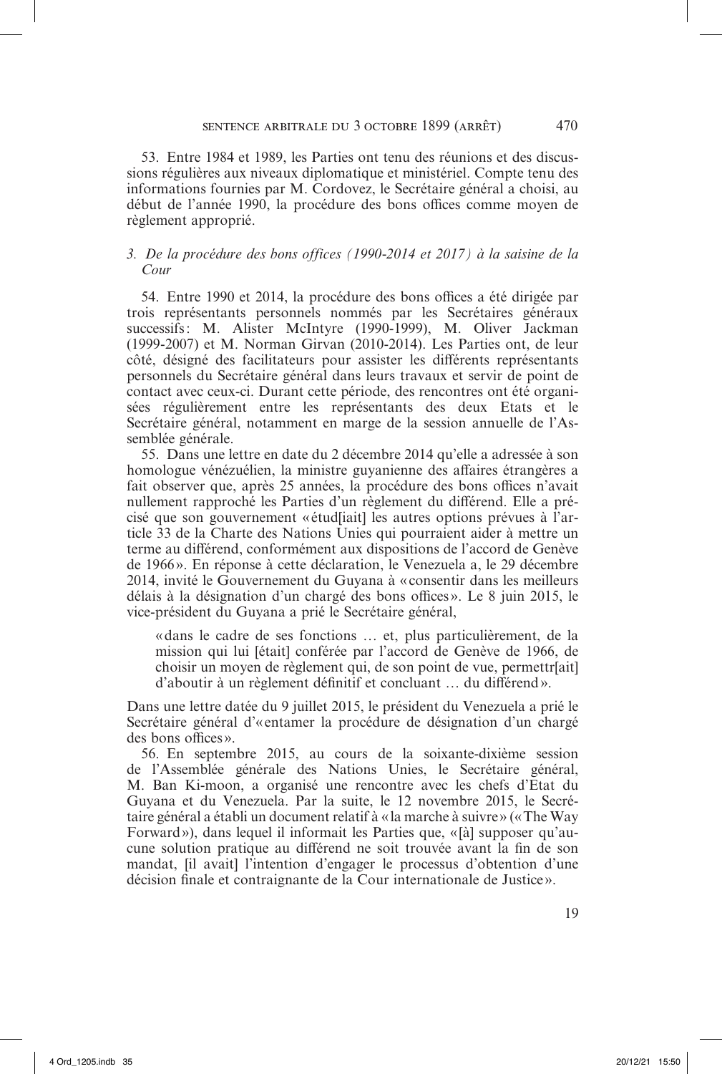53. Entre 1984 et 1989, les Parties ont tenu des réunions et des discussions régulières aux niveaux diplomatique et ministériel. Compte tenu des informations fournies par M. Cordovez, le Secrétaire général a choisi, au début de l'année 1990, la procédure des bons offices comme moyen de règlement approprié.

# *3. De la procédure des bons offices (1990-2014 et 2017) à la saisine de la Cour*

54. Entre 1990 et 2014, la procédure des bons offices a été dirigée par trois représentants personnels nommés par les Secrétaires généraux successifs: M. Alister McIntyre (1990-1999), M. Oliver Jackman (1999-2007) et M. Norman Girvan (2010-2014). Les Parties ont, de leur côté, désigné des facilitateurs pour assister les différents représentants personnels du Secrétaire général dans leurs travaux et servir de point de contact avec ceux-ci. Durant cette période, des rencontres ont été organisées régulièrement entre les représentants des deux Etats et le Secrétaire général, notamment en marge de la session annuelle de l'Assemblée générale.

55. Dans une lettre en date du 2 décembre 2014 qu'elle a adressée à son homologue vénézuélien, la ministre guyanienne des affaires étrangères a fait observer que, après 25 années, la procédure des bons offices n'avait nullement rapproché les Parties d'un règlement du différend. Elle a précisé que son gouvernement « étud[iait] les autres options prévues à l'article 33 de la Charte des Nations Unies qui pourraient aider à mettre un terme au différend, conformément aux dispositions de l'accord de Genève de 1966». En réponse à cette déclaration, le Venezuela a, le 29 décembre 2014, invité le Gouvernement du Guyana à «consentir dans les meilleurs délais à la désignation d'un chargé des bons offices». Le 8 juin 2015, le vice-président du Guyana a prié le Secrétaire général,

«dans le cadre de ses fonctions … et, plus particulièrement, de la mission qui lui [était] conférée par l'accord de Genève de 1966, de choisir un moyen de règlement qui, de son point de vue, permettr[ait] d'aboutir à un règlement définitif et concluant … du différend».

Dans une lettre datée du 9 juillet 2015, le président du Venezuela a prié le Secrétaire général d'« entamer la procédure de désignation d'un chargé des bons offices».

56. En septembre 2015, au cours de la soixante-dixième session de l'Assemblée générale des Nations Unies, le Secrétaire général, M. Ban Ki-moon, a organisé une rencontre avec les chefs d'Etat du Guyana et du Venezuela. Par la suite, le 12 novembre 2015, le Secrétaire général a établi un document relatif à «la marche à suivre» («The Way Forward»), dans lequel il informait les Parties que, «[à] supposer qu'aucune solution pratique au différend ne soit trouvée avant la fin de son mandat, [il avait] l'intention d'engager le processus d'obtention d'une décision finale et contraignante de la Cour internationale de Justice».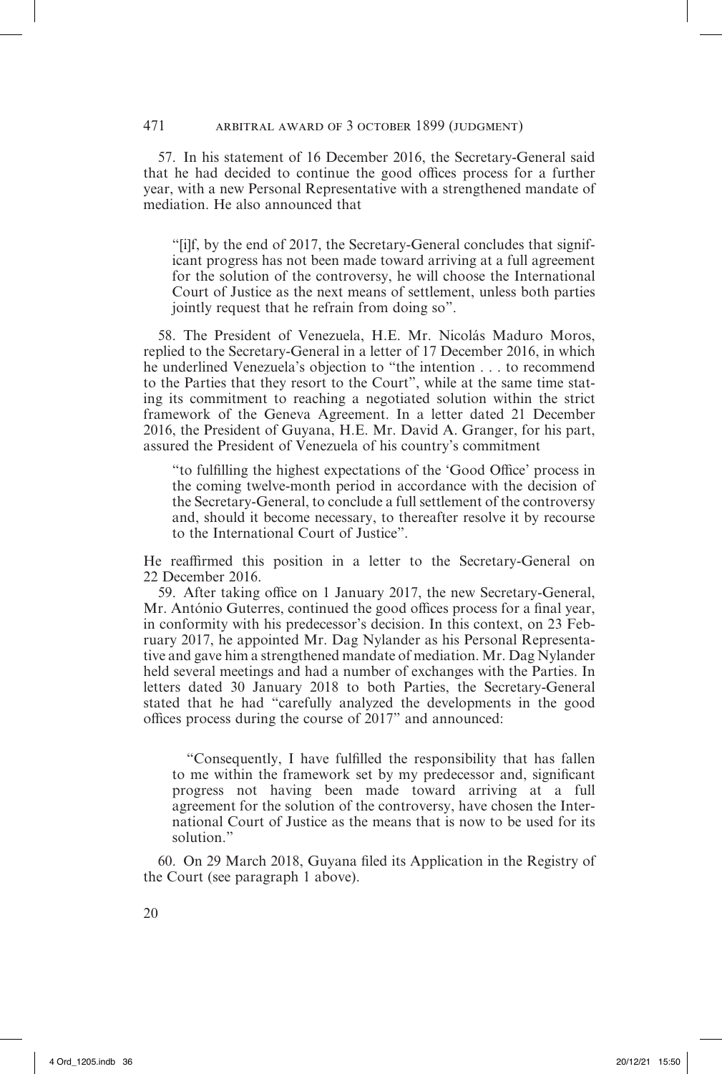57. In his statement of 16 December 2016, the Secretary-General said that he had decided to continue the good offices process for a further year, with a new Personal Representative with a strengthened mandate of mediation. He also announced that

"[i]f, by the end of 2017, the Secretary-General concludes that significant progress has not been made toward arriving at a full agreement for the solution of the controversy, he will choose the International Court of Justice as the next means of settlement, unless both parties jointly request that he refrain from doing so".

58. The President of Venezuela, H.E. Mr. Nicolás Maduro Moros, replied to the Secretary-General in a letter of 17 December 2016, in which he underlined Venezuela's objection to "the intention . . . to recommend to the Parties that they resort to the Court", while at the same time stating its commitment to reaching a negotiated solution within the strict framework of the Geneva Agreement. In a letter dated 21 December 2016, the President of Guyana, H.E. Mr. David A. Granger, for his part, assured the President of Venezuela of his country's commitment

"to fulfilling the highest expectations of the 'Good Office' process in the coming twelve-month period in accordance with the decision of the Secretary-General, to conclude a full settlement of the controversy and, should it become necessary, to thereafter resolve it by recourse to the International Court of Justice".

He reaffirmed this position in a letter to the Secretary-General on 22 December 2016.

59. After taking office on 1 January 2017, the new Secretary-General, Mr. António Guterres, continued the good offices process for a final year, in conformity with his predecessor's decision. In this context, on 23 February 2017, he appointed Mr. Dag Nylander as his Personal Representative and gave him a strengthened mandate of mediation. Mr. Dag Nylander held several meetings and had a number of exchanges with the Parties. In letters dated 30 January 2018 to both Parties, the Secretary-General stated that he had "carefully analyzed the developments in the good offices process during the course of 2017" and announced:

"Consequently, I have fulfilled the responsibility that has fallen to me within the framework set by my predecessor and, significant progress not having been made toward arriving at a full agreement for the solution of the controversy, have chosen the International Court of Justice as the means that is now to be used for its solution."

60. On 29 March 2018, Guyana filed its Application in the Registry of the Court (see paragraph 1 above).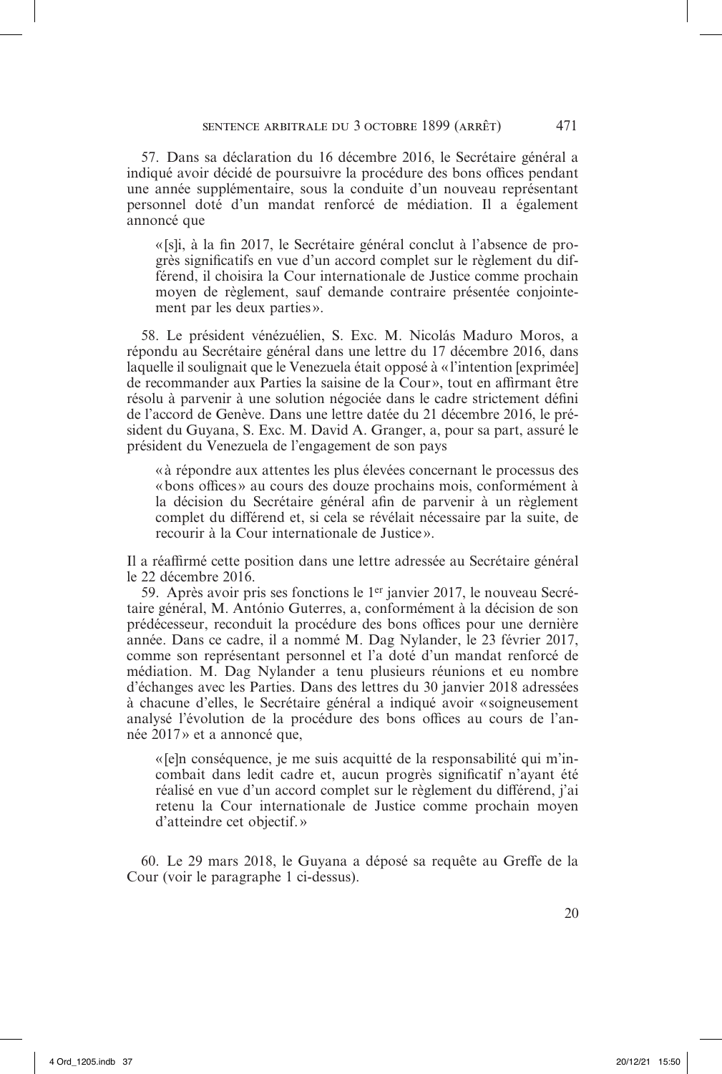57. Dans sa déclaration du 16 décembre 2016, le Secrétaire général a indiqué avoir décidé de poursuivre la procédure des bons offices pendant une année supplémentaire, sous la conduite d'un nouveau représentant personnel doté d'un mandat renforcé de médiation. Il a également annoncé que

« [s]i, à la fin 2017, le Secrétaire général conclut à l'absence de progrès significatifs en vue d'un accord complet sur le règlement du différend, il choisira la Cour internationale de Justice comme prochain moyen de règlement, sauf demande contraire présentée conjointement par les deux parties».

58. Le président vénézuélien, S. Exc. M. Nicolás Maduro Moros, a répondu au Secrétaire général dans une lettre du 17 décembre 2016, dans laquelle il soulignait que le Venezuela était opposé à «l'intention [exprimée] de recommander aux Parties la saisine de la Cour», tout en affirmant être résolu à parvenir à une solution négociée dans le cadre strictement défini de l'accord de Genève. Dans une lettre datée du 21 décembre 2016, le président du Guyana, S. Exc. M. David A. Granger, a, pour sa part, assuré le président du Venezuela de l'engagement de son pays

«à répondre aux attentes les plus élevées concernant le processus des «bons offices» au cours des douze prochains mois, conformément à la décision du Secrétaire général afin de parvenir à un règlement complet du différend et, si cela se révélait nécessaire par la suite, de recourir à la Cour internationale de Justice».

Il a réaffirmé cette position dans une lettre adressée au Secrétaire général le 22 décembre 2016.

59. Après avoir pris ses fonctions le 1er janvier 2017, le nouveau Secrétaire général, M. António Guterres, a, conformément à la décision de son prédécesseur, reconduit la procédure des bons offices pour une dernière année. Dans ce cadre, il a nommé M. Dag Nylander, le 23 février 2017, comme son représentant personnel et l'a doté d'un mandat renforcé de médiation. M. Dag Nylander a tenu plusieurs réunions et eu nombre d'échanges avec les Parties. Dans des lettres du 30 janvier 2018 adressées à chacune d'elles, le Secrétaire général a indiqué avoir «soigneusement analysé l'évolution de la procédure des bons offices au cours de l'année 2017» et a annoncé que,

«[e]n conséquence, je me suis acquitté de la responsabilité qui m'incombait dans ledit cadre et, aucun progrès significatif n'ayant été réalisé en vue d'un accord complet sur le règlement du différend, j'ai retenu la Cour internationale de Justice comme prochain moyen d'atteindre cet objectif.»

60. Le 29 mars 2018, le Guyana a déposé sa requête au Greffe de la Cour (voir le paragraphe 1 ci-dessus).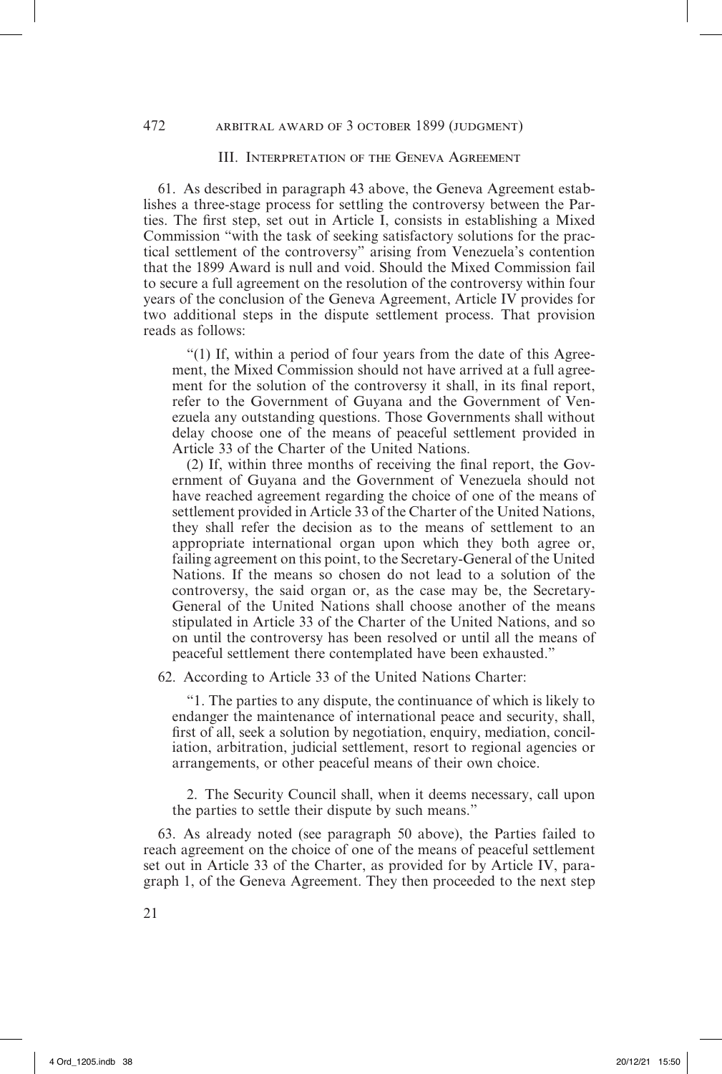#### III. Interpretation of the Geneva Agreement

61. As described in paragraph 43 above, the Geneva Agreement establishes a three-stage process for settling the controversy between the Parties. The first step, set out in Article I, consists in establishing a Mixed Commission "with the task of seeking satisfactory solutions for the practical settlement of the controversy" arising from Venezuela's contention that the 1899 Award is null and void. Should the Mixed Commission fail to secure a full agreement on the resolution of the controversy within four years of the conclusion of the Geneva Agreement, Article IV provides for two additional steps in the dispute settlement process. That provision reads as follows:

"(1) If, within a period of four years from the date of this Agreement, the Mixed Commission should not have arrived at a full agreement for the solution of the controversy it shall, in its final report, refer to the Government of Guyana and the Government of Venezuela any outstanding questions. Those Governments shall without delay choose one of the means of peaceful settlement provided in Article 33 of the Charter of the United Nations.

(2) If, within three months of receiving the final report, the Government of Guyana and the Government of Venezuela should not have reached agreement regarding the choice of one of the means of settlement provided in Article 33 of the Charter of the United Nations, they shall refer the decision as to the means of settlement to an appropriate international organ upon which they both agree or, failing agreement on this point, to the Secretary-General of the United Nations. If the means so chosen do not lead to a solution of the controversy, the said organ or, as the case may be, the Secretary-General of the United Nations shall choose another of the means stipulated in Article 33 of the Charter of the United Nations, and so on until the controversy has been resolved or until all the means of peaceful settlement there contemplated have been exhausted."

62. According to Article 33 of the United Nations Charter:

"1. The parties to any dispute, the continuance of which is likely to endanger the maintenance of international peace and security, shall, first of all, seek a solution by negotiation, enquiry, mediation, conciliation, arbitration, judicial settlement, resort to regional agencies or arrangements, or other peaceful means of their own choice.

2. The Security Council shall, when it deems necessary, call upon the parties to settle their dispute by such means."

63. As already noted (see paragraph 50 above), the Parties failed to reach agreement on the choice of one of the means of peaceful settlement set out in Article 33 of the Charter, as provided for by Article IV, paragraph 1, of the Geneva Agreement. They then proceeded to the next step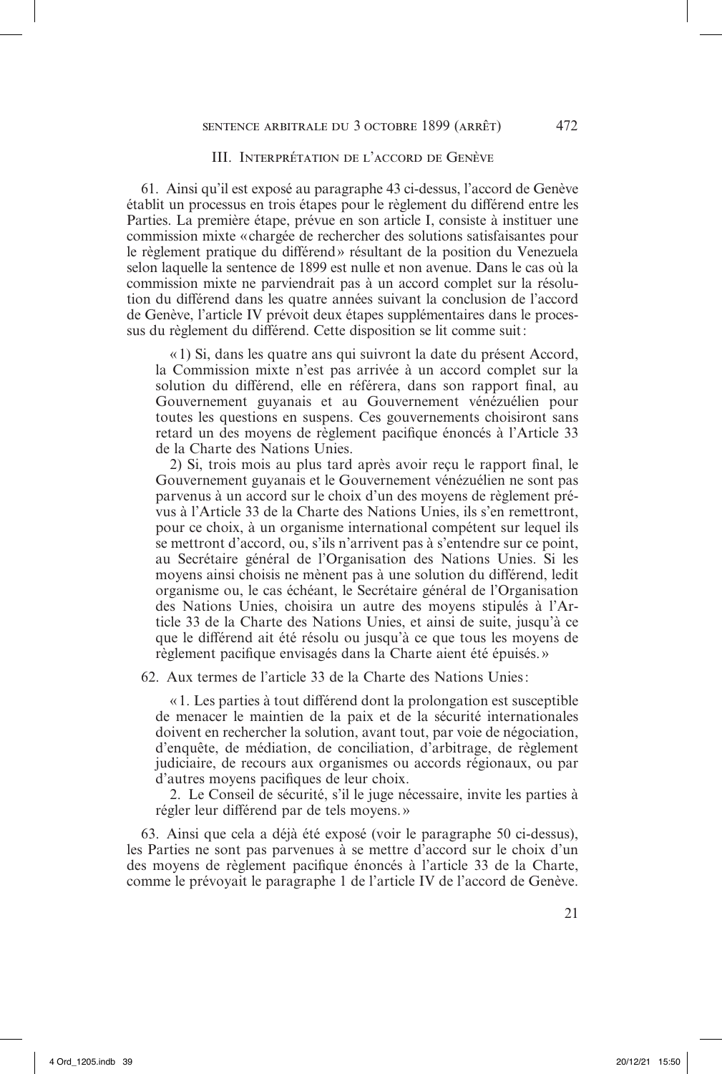#### III. Interprétation de l'accord de Genève

61. Ainsi qu'il est exposé au paragraphe 43 ci-dessus, l'accord de Genève établit un processus en trois étapes pour le règlement du différend entre les Parties. La première étape, prévue en son article I, consiste à instituer une commission mixte «chargée de rechercher des solutions satisfaisantes pour le règlement pratique du différend» résultant de la position du Venezuela selon laquelle la sentence de 1899 est nulle et non avenue. Dans le cas où la commission mixte ne parviendrait pas à un accord complet sur la résolution du différend dans les quatre années suivant la conclusion de l'accord de Genève, l'article IV prévoit deux étapes supplémentaires dans le processus du règlement du différend. Cette disposition se lit comme suit:

«1) Si, dans les quatre ans qui suivront la date du présent Accord, la Commission mixte n'est pas arrivée à un accord complet sur la solution du différend, elle en référera, dans son rapport final, au Gouvernement guyanais et au Gouvernement vénézuélien pour toutes les questions en suspens. Ces gouvernements choisiront sans retard un des moyens de règlement pacifique énoncés à l'Article 33 de la Charte des Nations Unies.

2) Si, trois mois au plus tard après avoir reçu le rapport final, le Gouvernement guyanais et le Gouvernement vénézuélien ne sont pas parvenus à un accord sur le choix d'un des moyens de règlement prévus à l'Article 33 de la Charte des Nations Unies, ils s'en remettront, pour ce choix, à un organisme international compétent sur lequel ils se mettront d'accord, ou, s'ils n'arrivent pas à s'entendre sur ce point, au Secrétaire général de l'Organisation des Nations Unies. Si les moyens ainsi choisis ne mènent pas à une solution du différend, ledit organisme ou, le cas échéant, le Secrétaire général de l'Organisation des Nations Unies, choisira un autre des moyens stipulés à l'Article 33 de la Charte des Nations Unies, et ainsi de suite, jusqu'à ce que le différend ait été résolu ou jusqu'à ce que tous les moyens de règlement pacifique envisagés dans la Charte aient été épuisés.»

62. Aux termes de l'article 33 de la Charte des Nations Unies:

«1. Les parties à tout différend dont la prolongation est susceptible de menacer le maintien de la paix et de la sécurité internationales doivent en rechercher la solution, avant tout, par voie de négociation, d'enquête, de médiation, de conciliation, d'arbitrage, de règlement judiciaire, de recours aux organismes ou accords régionaux, ou par d'autres moyens pacifiques de leur choix.

2. Le Conseil de sécurité, s'il le juge nécessaire, invite les parties à régler leur différend par de tels moyens.»

63. Ainsi que cela a déjà été exposé (voir le paragraphe 50 ci-dessus), les Parties ne sont pas parvenues à se mettre d'accord sur le choix d'un des moyens de règlement pacifique énoncés à l'article 33 de la Charte, comme le prévoyait le paragraphe 1 de l'article IV de l'accord de Genève.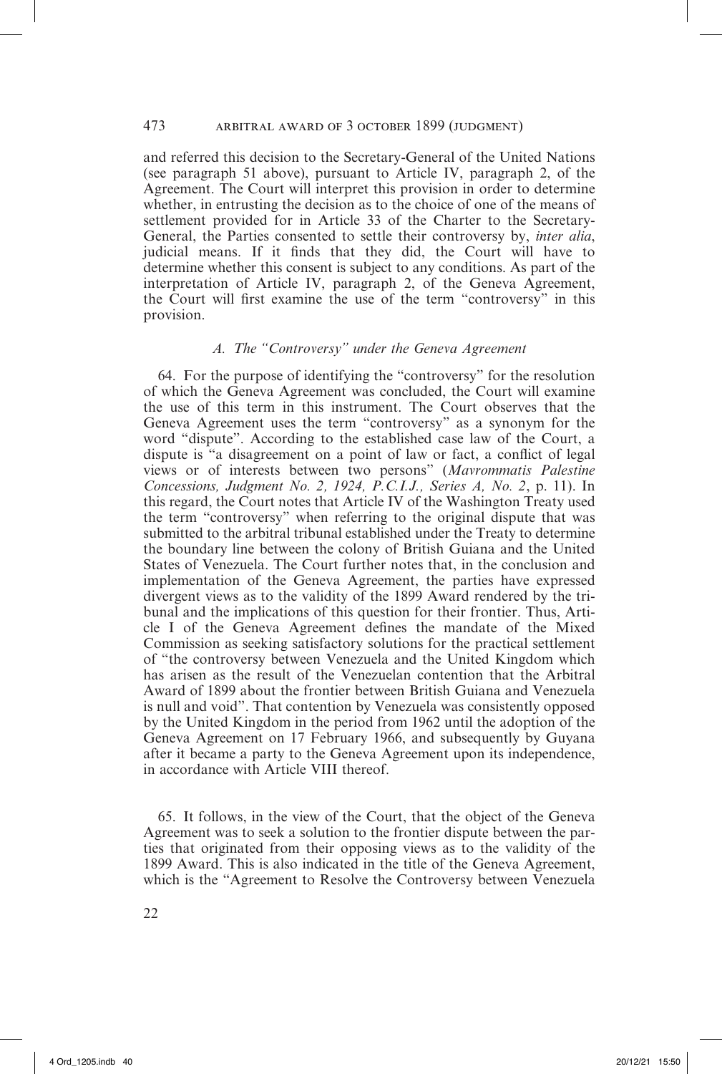and referred this decision to the Secretary-General of the United Nations (see paragraph 51 above), pursuant to Article IV, paragraph 2, of the Agreement. The Court will interpret this provision in order to determine whether, in entrusting the decision as to the choice of one of the means of settlement provided for in Article 33 of the Charter to the Secretary-General, the Parties consented to settle their controversy by, *inter alia*, judicial means. If it finds that they did, the Court will have to determine whether this consent is subject to any conditions. As part of the interpretation of Article IV, paragraph 2, of the Geneva Agreement, the Court will first examine the use of the term "controversy" in this provision.

# *A. The "Controversy" under the Geneva Agreement*

64. For the purpose of identifying the "controversy" for the resolution of which the Geneva Agreement was concluded, the Court will examine the use of this term in this instrument. The Court observes that the Geneva Agreement uses the term "controversy" as a synonym for the word "dispute". According to the established case law of the Court, a dispute is "a disagreement on a point of law or fact, a conflict of legal views or of interests between two persons" (*Mavrommatis Palestine Concessions, Judgment No. 2, 1924, P.C.I.J., Series A, No. 2*, p. 11). In this regard, the Court notes that Article IV of the Washington Treaty used the term "controversy" when referring to the original dispute that was submitted to the arbitral tribunal established under the Treaty to determine the boundary line between the colony of British Guiana and the United States of Venezuela. The Court further notes that, in the conclusion and implementation of the Geneva Agreement, the parties have expressed divergent views as to the validity of the 1899 Award rendered by the tribunal and the implications of this question for their frontier. Thus, Article I of the Geneva Agreement defines the mandate of the Mixed Commission as seeking satisfactory solutions for the practical settlement of "the controversy between Venezuela and the United Kingdom which has arisen as the result of the Venezuelan contention that the Arbitral Award of 1899 about the frontier between British Guiana and Venezuela is null and void". That contention by Venezuela was consistently opposed by the United Kingdom in the period from 1962 until the adoption of the Geneva Agreement on 17 February 1966, and subsequently by Guyana after it became a party to the Geneva Agreement upon its independence, in accordance with Article VIII thereof.

65. It follows, in the view of the Court, that the object of the Geneva Agreement was to seek a solution to the frontier dispute between the parties that originated from their opposing views as to the validity of the 1899 Award. This is also indicated in the title of the Geneva Agreement, which is the "Agreement to Resolve the Controversy between Venezuela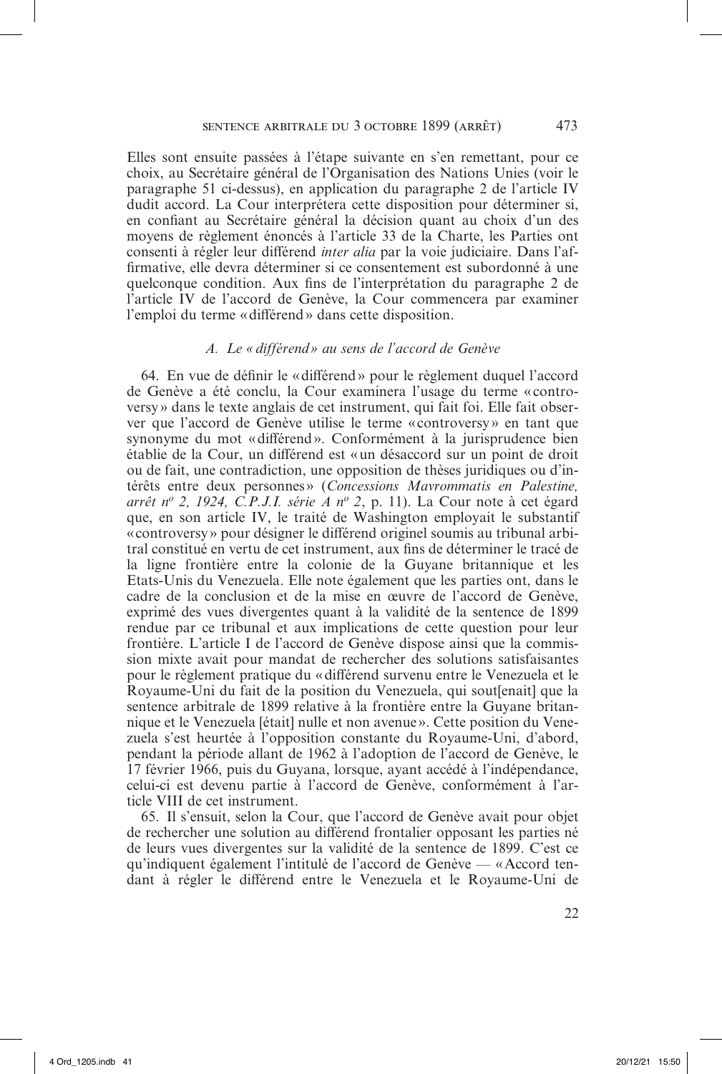Elles sont ensuite passées à l'étape suivante en s'en remettant, pour ce choix, au Secrétaire général de l'Organisation des Nations Unies (voir le paragraphe 51 ci-dessus), en application du paragraphe 2 de l'article IV dudit accord. La Cour interprétera cette disposition pour déterminer si, en confiant au Secrétaire général la décision quant au choix d'un des moyens de règlement énoncés à l'article 33 de la Charte, les Parties ont consenti à régler leur différend *inter alia* par la voie judiciaire. Dans l'affirmative, elle devra déterminer si ce consentement est subordonné à une quelconque condition. Aux fins de l'interprétation du paragraphe 2 de l'article IV de l'accord de Genève, la Cour commencera par examiner l'emploi du terme «différend» dans cette disposition.

#### *A. Le «différend» au sens de l'accord de Genève*

64. En vue de définir le «différend» pour le règlement duquel l'accord de Genève a été conclu, la Cour examinera l'usage du terme « controversy» dans le texte anglais de cet instrument, qui fait foi. Elle fait observer que l'accord de Genève utilise le terme «controversy» en tant que synonyme du mot «différend». Conformément à la jurisprudence bien établie de la Cour, un différend est «un désaccord sur un point de droit ou de fait, une contradiction, une opposition de thèses juridiques ou d'intérêts entre deux personnes » (*Concessions Mavrommatis en Palestine, arrêt n<sup>o</sup> 2, 1924, C.P.J.I. série A n<sup>o</sup> 2*, p. 11). La Cour note à cet égard que, en son article IV, le traité de Washington employait le substantif «controversy» pour désigner le différend originel soumis au tribunal arbitral constitué en vertu de cet instrument, aux fins de déterminer le tracé de la ligne frontière entre la colonie de la Guyane britannique et les Etats-Unis du Venezuela. Elle note également que les parties ont, dans le cadre de la conclusion et de la mise en œuvre de l'accord de Genève, exprimé des vues divergentes quant à la validité de la sentence de 1899 rendue par ce tribunal et aux implications de cette question pour leur frontière. L'article I de l'accord de Genève dispose ainsi que la commission mixte avait pour mandat de rechercher des solutions satisfaisantes pour le règlement pratique du «différend survenu entre le Venezuela et le Royaume-Uni du fait de la position du Venezuela, qui sout[enait] que la sentence arbitrale de 1899 relative à la frontière entre la Guyane britannique et le Venezuela [était] nulle et non avenue ». Cette position du Venezuela s'est heurtée à l'opposition constante du Royaume-Uni, d'abord, pendant la période allant de 1962 à l'adoption de l'accord de Genève, le 17 février 1966, puis du Guyana, lorsque, ayant accédé à l'indépendance, celui-ci est devenu partie à l'accord de Genève, conformément à l'article VIII de cet instrument.

65. Il s'ensuit, selon la Cour, que l'accord de Genève avait pour objet de rechercher une solution au différend frontalier opposant les parties né de leurs vues divergentes sur la validité de la sentence de 1899. C'est ce qu'indiquent également l'intitulé de l'accord de Genève — «Accord tendant à régler le différend entre le Venezuela et le Royaume-Uni de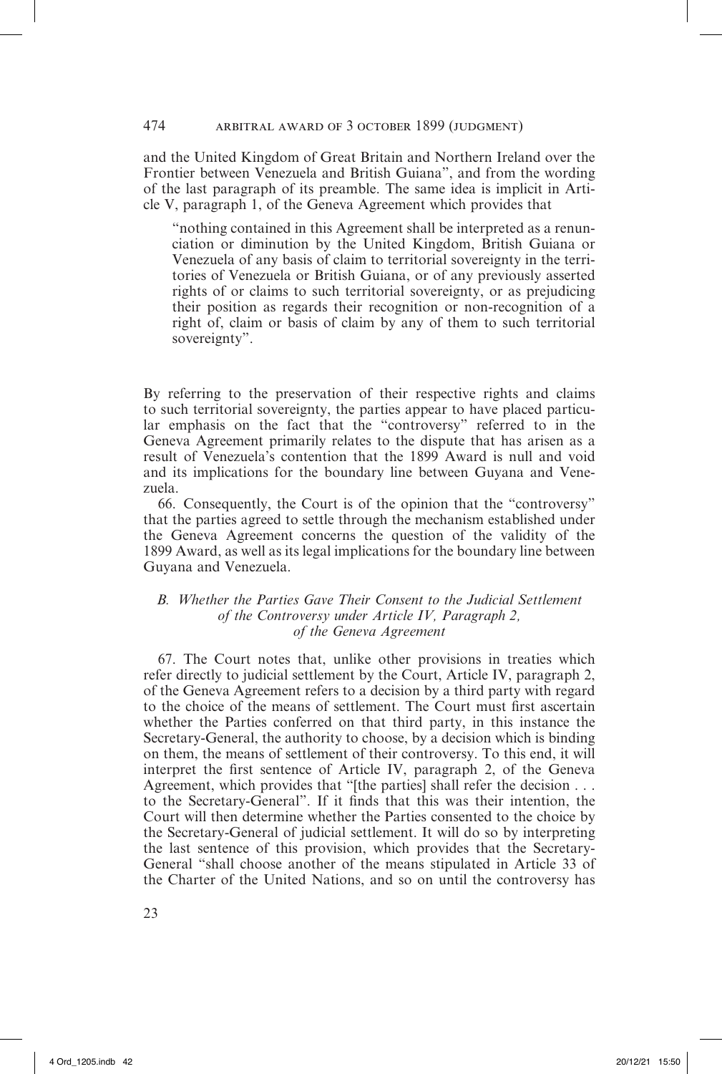and the United Kingdom of Great Britain and Northern Ireland over the Frontier between Venezuela and British Guiana", and from the wording of the last paragraph of its preamble. The same idea is implicit in Article V, paragraph 1, of the Geneva Agreement which provides that

"nothing contained in this Agreement shall be interpreted as a renunciation or diminution by the United Kingdom, British Guiana or Venezuela of any basis of claim to territorial sovereignty in the territories of Venezuela or British Guiana, or of any previously asserted rights of or claims to such territorial sovereignty, or as prejudicing their position as regards their recognition or non-recognition of a right of, claim or basis of claim by any of them to such territorial sovereignty".

By referring to the preservation of their respective rights and claims to such territorial sovereignty, the parties appear to have placed particular emphasis on the fact that the "controversy" referred to in the Geneva Agreement primarily relates to the dispute that has arisen as a result of Venezuela's contention that the 1899 Award is null and void and its implications for the boundary line between Guyana and Venezuela.

66. Consequently, the Court is of the opinion that the "controversy" that the parties agreed to settle through the mechanism established under the Geneva Agreement concerns the question of the validity of the 1899 Award, as well as its legal implications for the boundary line between Guyana and Venezuela.

## *B. Whether the Parties Gave Their Consent to the Judicial Settlement of the Controversy under Article IV, Paragraph 2, of the Geneva Agreement*

67. The Court notes that, unlike other provisions in treaties which refer directly to judicial settlement by the Court, Article IV, paragraph 2, of the Geneva Agreement refers to a decision by a third party with regard to the choice of the means of settlement. The Court must first ascertain whether the Parties conferred on that third party, in this instance the Secretary-General, the authority to choose, by a decision which is binding on them, the means of settlement of their controversy. To this end, it will interpret the first sentence of Article IV, paragraph 2, of the Geneva Agreement, which provides that "[the parties] shall refer the decision . . . to the Secretary-General". If it finds that this was their intention, the Court will then determine whether the Parties consented to the choice by the Secretary-General of judicial settlement. It will do so by interpreting the last sentence of this provision, which provides that the Secretary-General "shall choose another of the means stipulated in Article 33 of the Charter of the United Nations, and so on until the controversy has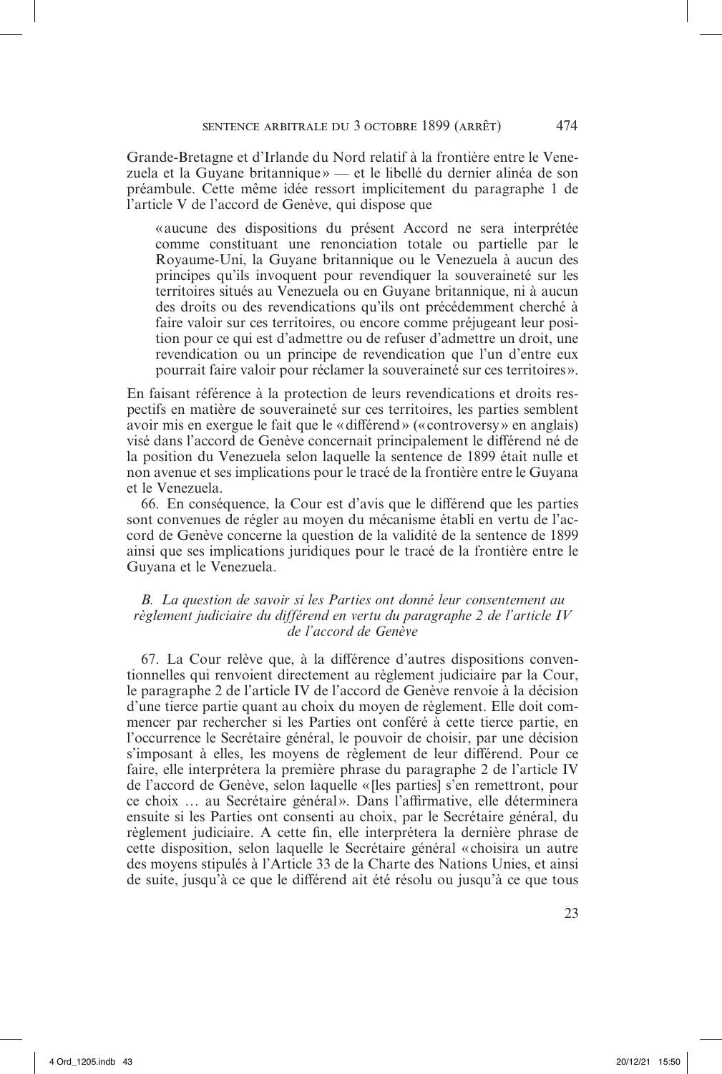Grande-Bretagne et d'Irlande du Nord relatif à la frontière entre le Venezuela et la Guyane britannique » — et le libellé du dernier alinéa de son préambule. Cette même idée ressort implicitement du paragraphe 1 de l'article V de l'accord de Genève, qui dispose que

«aucune des dispositions du présent Accord ne sera interprétée comme constituant une renonciation totale ou partielle par le Royaume-Uni, la Guyane britannique ou le Venezuela à aucun des principes qu'ils invoquent pour revendiquer la souveraineté sur les territoires situés au Venezuela ou en Guyane britannique, ni à aucun des droits ou des revendications qu'ils ont précédemment cherché à faire valoir sur ces territoires, ou encore comme préjugeant leur position pour ce qui est d'admettre ou de refuser d'admettre un droit, une revendication ou un principe de revendication que l'un d'entre eux pourrait faire valoir pour réclamer la souveraineté sur ces territoires».

En faisant référence à la protection de leurs revendications et droits respectifs en matière de souveraineté sur ces territoires, les parties semblent avoir mis en exergue le fait que le «différend» (« controversy» en anglais) visé dans l'accord de Genève concernait principalement le différend né de la position du Venezuela selon laquelle la sentence de 1899 était nulle et non avenue et ses implications pour le tracé de la frontière entre le Guyana et le Venezuela.

66. En conséquence, la Cour est d'avis que le différend que les parties sont convenues de régler au moyen du mécanisme établi en vertu de l'accord de Genève concerne la question de la validité de la sentence de 1899 ainsi que ses implications juridiques pour le tracé de la frontière entre le Guyana et le Venezuela.

## *B. La question de savoir si les Parties ont donné leur consentement au règlement judiciaire du différend en vertu du paragraphe 2 de l'article IV de l'accord de Genève*

67. La Cour relève que, à la différence d'autres dispositions conventionnelles qui renvoient directement au règlement judiciaire par la Cour, le paragraphe 2 de l'article IV de l'accord de Genève renvoie à la décision d'une tierce partie quant au choix du moyen de règlement. Elle doit commencer par rechercher si les Parties ont conféré à cette tierce partie, en l'occurrence le Secrétaire général, le pouvoir de choisir, par une décision s'imposant à elles, les moyens de règlement de leur différend. Pour ce faire, elle interprétera la première phrase du paragraphe 2 de l'article IV de l'accord de Genève, selon laquelle « [les parties] s'en remettront, pour ce choix … au Secrétaire général». Dans l'affirmative, elle déterminera ensuite si les Parties ont consenti au choix, par le Secrétaire général, du règlement judiciaire. A cette fin, elle interprétera la dernière phrase de cette disposition, selon laquelle le Secrétaire général «choisira un autre des moyens stipulés à l'Article 33 de la Charte des Nations Unies, et ainsi de suite, jusqu'à ce que le différend ait été résolu ou jusqu'à ce que tous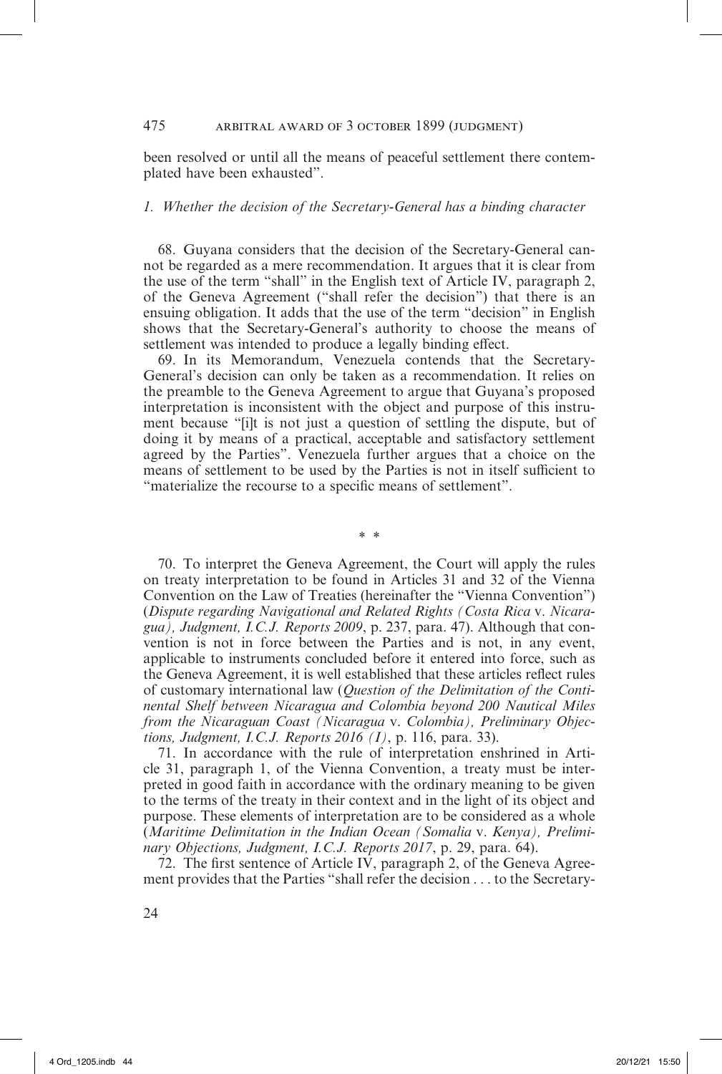#### 475 arbitral award of 3 october 1899 (judgment)

been resolved or until all the means of peaceful settlement there contemplated have been exhausted".

# *1. Whether the decision of the Secretary-General has a binding character*

68. Guyana considers that the decision of the Secretary-General cannot be regarded as a mere recommendation. It argues that it is clear from the use of the term "shall" in the English text of Article IV, paragraph 2, of the Geneva Agreement ("shall refer the decision") that there is an ensuing obligation. It adds that the use of the term "decision" in English shows that the Secretary-General's authority to choose the means of settlement was intended to produce a legally binding effect.

69. In its Memorandum, Venezuela contends that the Secretary-General's decision can only be taken as a recommendation. It relies on the preamble to the Geneva Agreement to argue that Guyana's proposed interpretation is inconsistent with the object and purpose of this instrument because "[i]t is not just a question of settling the dispute, but of doing it by means of a practical, acceptable and satisfactory settlement agreed by the Parties". Venezuela further argues that a choice on the means of settlement to be used by the Parties is not in itself sufficient to "materialize the recourse to a specific means of settlement".

\* \*

70. To interpret the Geneva Agreement, the Court will apply the rules on treaty interpretation to be found in Articles 31 and 32 of the Vienna Convention on the Law of Treaties (hereinafter the "Vienna Convention") (*Dispute regarding Navigational and Related Rights (Costa Rica* v. *Nicaragua), Judgment, I.C.J. Reports 2009*, p. 237, para. 47). Although that convention is not in force between the Parties and is not, in any event, applicable to instruments concluded before it entered into force, such as the Geneva Agreement, it is well established that these articles reflect rules of customary international law (*Question of the Delimitation of the Continental Shelf between Nicaragua and Colombia beyond 200 Nautical Miles from the Nicaraguan Coast (Nicaragua* v. *Colombia), Preliminary Objections, Judgment, I.C.J. Reports 2016 (I)*, p. 116, para. 33).

71. In accordance with the rule of interpretation enshrined in Article 31, paragraph 1, of the Vienna Convention, a treaty must be interpreted in good faith in accordance with the ordinary meaning to be given to the terms of the treaty in their context and in the light of its object and purpose. These elements of interpretation are to be considered as a whole (*Maritime Delimitation in the Indian Ocean (Somalia* v. *Kenya), Preliminary Objections, Judgment, I.C.J. Reports 2017*, p. 29, para. 64).

72. The first sentence of Article IV, paragraph 2, of the Geneva Agreement provides that the Parties "shall refer the decision . . . to the Secretary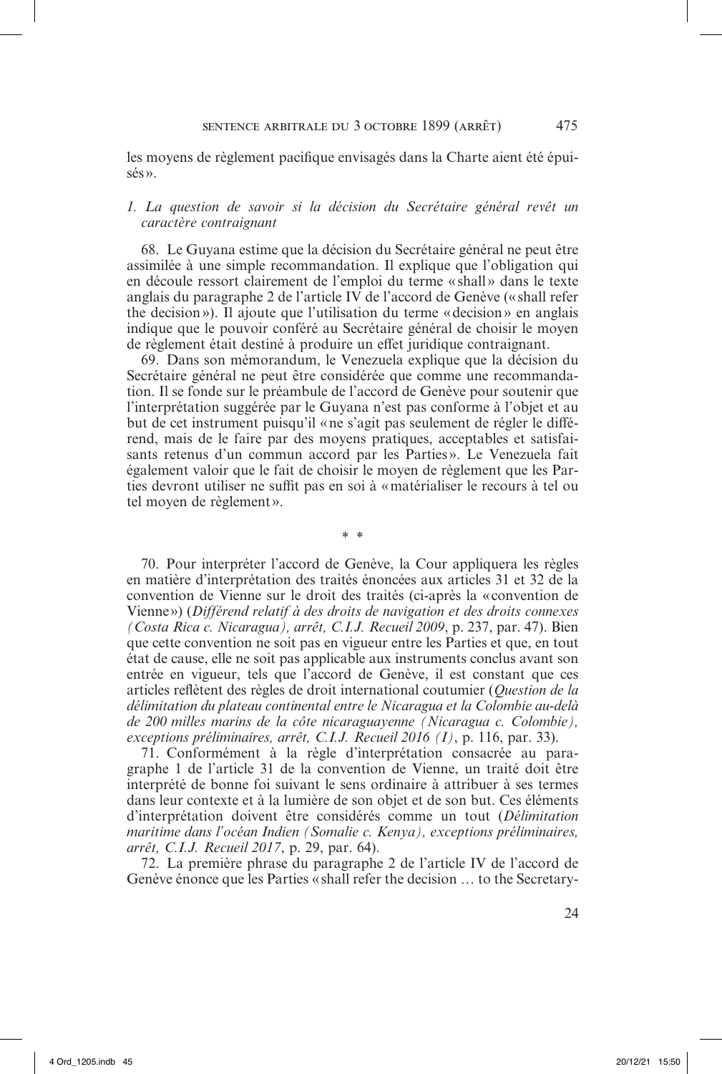les moyens de règlement pacifique envisagés dans la Charte aient été épuisés».

#### *1. La question de savoir si la décision du Secrétaire général revêt un caractère contraignant*

68. Le Guyana estime que la décision du Secrétaire général ne peut être assimilée à une simple recommandation. Il explique que l'obligation qui en découle ressort clairement de l'emploi du terme « shall» dans le texte anglais du paragraphe 2 de l'article IV de l'accord de Genève (« shall refer the decision»). Il ajoute que l'utilisation du terme «decision» en anglais indique que le pouvoir conféré au Secrétaire général de choisir le moyen de règlement était destiné à produire un effet juridique contraignant.

69. Dans son mémorandum, le Venezuela explique que la décision du Secrétaire général ne peut être considérée que comme une recommandation. Il se fonde sur le préambule de l'accord de Genève pour soutenir que l'interprétation suggérée par le Guyana n'est pas conforme à l'objet et au but de cet instrument puisqu'il «ne s'agit pas seulement de régler le différend, mais de le faire par des moyens pratiques, acceptables et satisfaisants retenus d'un commun accord par les Parties». Le Venezuela fait également valoir que le fait de choisir le moyen de règlement que les Parties devront utiliser ne suffit pas en soi à «matérialiser le recours à tel ou tel moyen de règlement».

\* \*

70. Pour interpréter l'accord de Genève, la Cour appliquera les règles en matière d'interprétation des traités énoncées aux articles 31 et 32 de la convention de Vienne sur le droit des traités (ci-après la «convention de Vienne») (*Différend relatif à des droits de navigation et des droits connexes (Costa Rica c. Nicaragua), arrêt, C.I.J. Recueil 2009*, p. 237, par. 47). Bien que cette convention ne soit pas en vigueur entre les Parties et que, en tout état de cause, elle ne soit pas applicable aux instruments conclus avant son entrée en vigueur, tels que l'accord de Genève, il est constant que ces articles reflètent des règles de droit international coutumier (*Question de la délimitation du plateau continental entre le Nicaragua et la Colombie au-delà de 200 milles marins de la côte nicaraguayenne (Nicaragua c. Colombie), exceptions préliminaires, arrêt, C.I.J. Recueil 2016 (I)*, p. 116, par. 33).

71. Conformément à la règle d'interprétation consacrée au paragraphe 1 de l'article 31 de la convention de Vienne, un traité doit être interprété de bonne foi suivant le sens ordinaire à attribuer à ses termes dans leur contexte et à la lumière de son objet et de son but. Ces éléments d'interprétation doivent être considérés comme un tout (*Délimitation maritime dans l'océan Indien (Somalie c. Kenya), exceptions préliminaires, arrêt, C.I.J. Recueil 2017*, p. 29, par. 64).

72. La première phrase du paragraphe 2 de l'article IV de l'accord de Genève énonce que les Parties «shall refer the decision … to the Secretary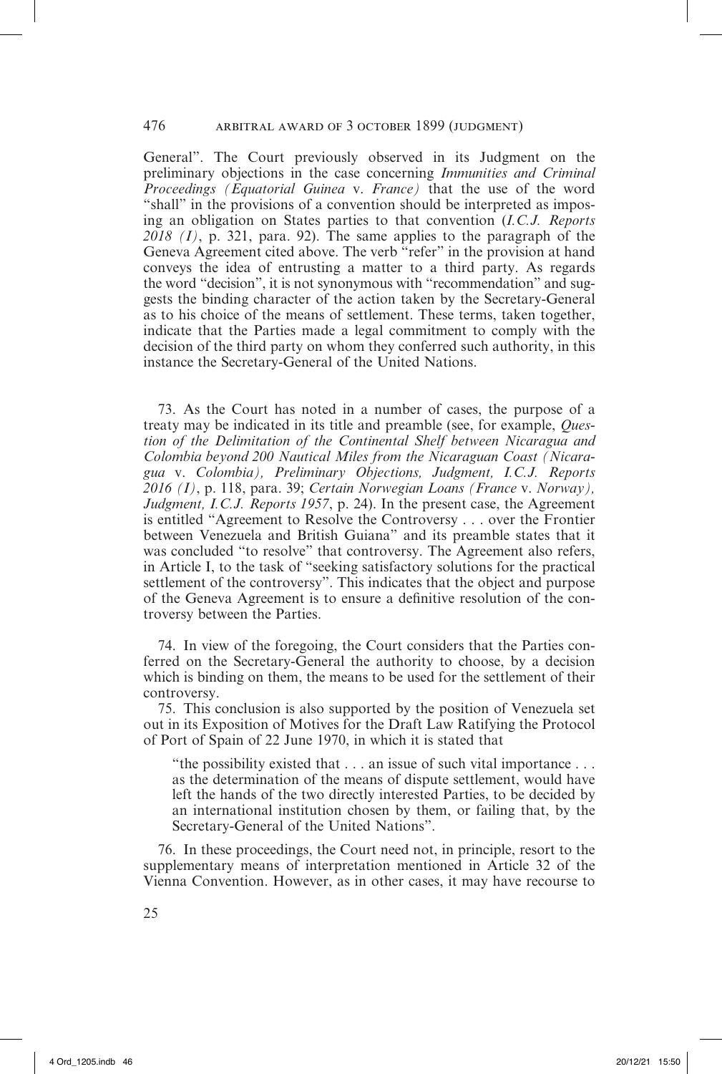General". The Court previously observed in its Judgment on the preliminary objections in the case concerning *Immunities and Criminal Proceedings (Equatorial Guinea* v. *France)* that the use of the word "shall" in the provisions of a convention should be interpreted as imposing an obligation on States parties to that convention (*I.C.J. Reports*   $2018$  (I), p. 321, para. 92). The same applies to the paragraph of the Geneva Agreement cited above. The verb "refer" in the provision at hand conveys the idea of entrusting a matter to a third party. As regards the word "decision", it is not synonymous with "recommendation" and suggests the binding character of the action taken by the Secretary-General as to his choice of the means of settlement. These terms, taken together, indicate that the Parties made a legal commitment to comply with the decision of the third party on whom they conferred such authority, in this instance the Secretary-General of the United Nations.

73. As the Court has noted in a number of cases, the purpose of a treaty may be indicated in its title and preamble (see, for example, *Question of the Delimitation of the Continental Shelf between Nicaragua and Colombia beyond 200 Nautical Miles from the Nicaraguan Coast (Nicaragua* v. *Colombia), Preliminary Objections, Judgment, I.C.J. Reports 2016 (I)*, p. 118, para. 39; *Certain Norwegian Loans (France* v. *Norway), Judgment, I.C.J. Reports 1957*, p. 24). In the present case, the Agreement is entitled "Agreement to Resolve the Controversy . . . over the Frontier between Venezuela and British Guiana" and its preamble states that it was concluded "to resolve" that controversy. The Agreement also refers, in Article I, to the task of "seeking satisfactory solutions for the practical settlement of the controversy". This indicates that the object and purpose of the Geneva Agreement is to ensure a definitive resolution of the controversy between the Parties.

74. In view of the foregoing, the Court considers that the Parties conferred on the Secretary-General the authority to choose, by a decision which is binding on them, the means to be used for the settlement of their controversy.

75. This conclusion is also supported by the position of Venezuela set out in its Exposition of Motives for the Draft Law Ratifying the Protocol of Port of Spain of 22 June 1970, in which it is stated that

"the possibility existed that . . . an issue of such vital importance . . . as the determination of the means of dispute settlement, would have left the hands of the two directly interested Parties, to be decided by an international institution chosen by them, or failing that, by the Secretary-General of the United Nations".

76. In these proceedings, the Court need not, in principle, resort to the supplementary means of interpretation mentioned in Article 32 of the Vienna Convention. However, as in other cases, it may have recourse to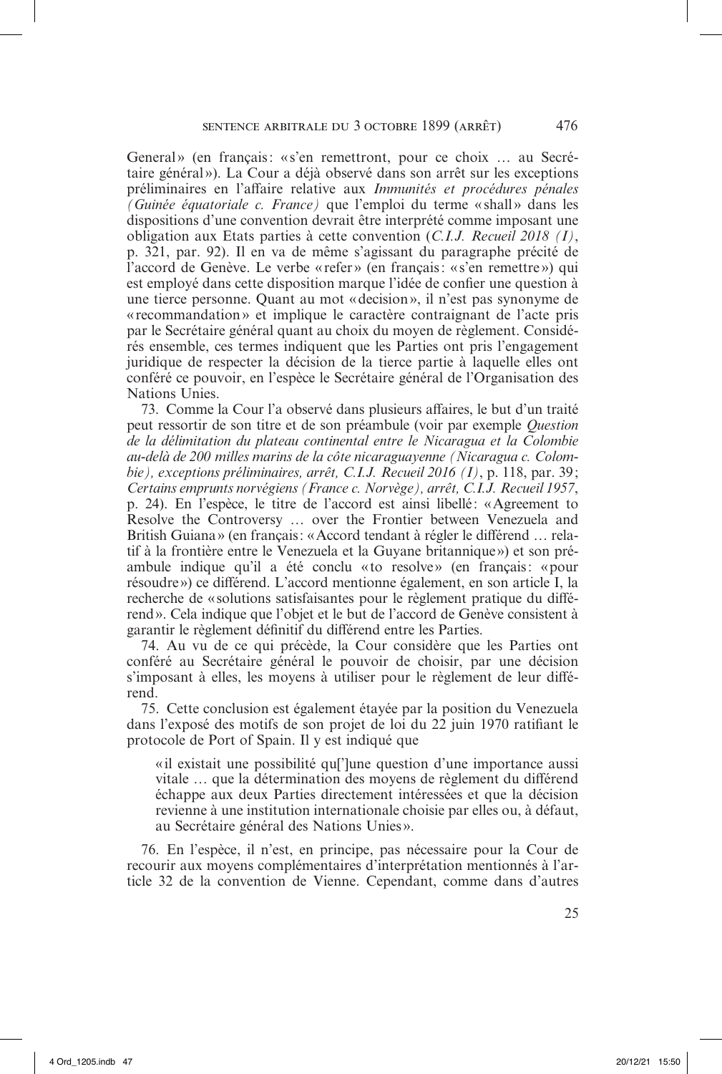General» (en français: «s'en remettront, pour ce choix ... au Secrétaire général»). La Cour a déjà observé dans son arrêt sur les exceptions préliminaires en l'affaire relative aux *Immunités et procédures pénales (Guinée équatoriale c. France)* que l'emploi du terme «shall» dans les dispositions d'une convention devrait être interprété comme imposant une obligation aux Etats parties à cette convention (*C.I.J. Recueil 2018 (I)*, p. 321, par. 92). Il en va de même s'agissant du paragraphe précité de l'accord de Genève. Le verbe « refer» (en français: «s'en remettre») qui est employé dans cette disposition marque l'idée de confier une question à une tierce personne. Quant au mot «decision», il n'est pas synonyme de «recommandation» et implique le caractère contraignant de l'acte pris par le Secrétaire général quant au choix du moyen de règlement. Considérés ensemble, ces termes indiquent que les Parties ont pris l'engagement juridique de respecter la décision de la tierce partie à laquelle elles ont conféré ce pouvoir, en l'espèce le Secrétaire général de l'Organisation des Nations Unies.

73. Comme la Cour l'a observé dans plusieurs affaires, le but d'un traité peut ressortir de son titre et de son préambule (voir par exemple *Question de la délimitation du plateau continental entre le Nicaragua et la Colombie au-delà de 200 milles marins de la côte nicaraguayenne (Nicaragua c. Colombie), exceptions préliminaires, arrêt, C.I.J. Recueil 2016 (I)*, p. 118, par. 39; *Certains emprunts norvégiens (France c. Norvège), arrêt, C.I.J. Recueil 1957*, p. 24). En l'espèce, le titre de l'accord est ainsi libellé: «Agreement to Resolve the Controversy … over the Frontier between Venezuela and British Guiana» (en français: «Accord tendant à régler le différend … relatif à la frontière entre le Venezuela et la Guyane britannique») et son préambule indique qu'il a été conclu «to resolve» (en français: «pour résoudre») ce différend. L'accord mentionne également, en son article I, la recherche de «solutions satisfaisantes pour le règlement pratique du différend». Cela indique que l'objet et le but de l'accord de Genève consistent à garantir le règlement définitif du différend entre les Parties.

74. Au vu de ce qui précède, la Cour considère que les Parties ont conféré au Secrétaire général le pouvoir de choisir, par une décision s'imposant à elles, les moyens à utiliser pour le règlement de leur différend.

75. Cette conclusion est également étayée par la position du Venezuela dans l'exposé des motifs de son projet de loi du 22 juin 1970 ratifiant le protocole de Port of Spain. Il y est indiqué que

«il existait une possibilité qu[']une question d'une importance aussi vitale … que la détermination des moyens de règlement du différend échappe aux deux Parties directement intéressées et que la décision revienne à une institution internationale choisie par elles ou, à défaut, au Secrétaire général des Nations Unies ».

76. En l'espèce, il n'est, en principe, pas nécessaire pour la Cour de recourir aux moyens complémentaires d'interprétation mentionnés à l'article 32 de la convention de Vienne. Cependant, comme dans d'autres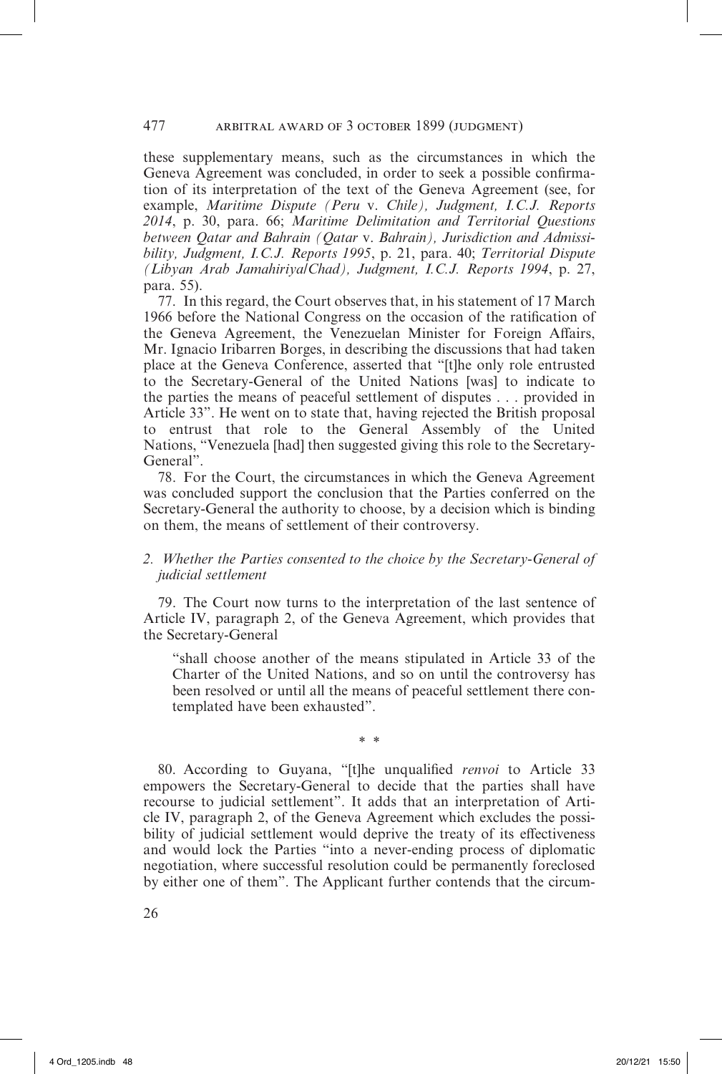#### 477 arbitral award of 3 october 1899 (judgment)

these supplementary means, such as the circumstances in which the Geneva Agreement was concluded, in order to seek a possible confirmation of its interpretation of the text of the Geneva Agreement (see, for example, *Maritime Dispute (Peru* v. *Chile), Judgment, I.C.J. Reports 2014*, p. 30, para. 66; *Maritime Delimitation and Territorial Questions between Qatar and Bahrain (Qatar* v. *Bahrain), Jurisdiction and Admissibility, Judgment, I.C.J. Reports 1995*, p. 21, para. 40; *Territorial Dispute (Libyan Arab Jamahiriya/Chad), Judgment, I.C.J. Reports 1994*, p. 27, para. 55).

77. In this regard, the Court observes that, in his statement of 17 March 1966 before the National Congress on the occasion of the ratification of the Geneva Agreement, the Venezuelan Minister for Foreign Affairs, Mr. Ignacio Iribarren Borges, in describing the discussions that had taken place at the Geneva Conference, asserted that "[t]he only role entrusted to the Secretary-General of the United Nations [was] to indicate to the parties the means of peaceful settlement of disputes . . . provided in Article 33". He went on to state that, having rejected the British proposal to entrust that role to the General Assembly of the United Nations, "Venezuela [had] then suggested giving this role to the Secretary-General".

78. For the Court, the circumstances in which the Geneva Agreement was concluded support the conclusion that the Parties conferred on the Secretary-General the authority to choose, by a decision which is binding on them, the means of settlement of their controversy.

## *2. Whether the Parties consented to the choice by the Secretary-General of judicial settlement*

79. The Court now turns to the interpretation of the last sentence of Article IV, paragraph 2, of the Geneva Agreement, which provides that the Secretary-General

"shall choose another of the means stipulated in Article 33 of the Charter of the United Nations, and so on until the controversy has been resolved or until all the means of peaceful settlement there contemplated have been exhausted".

\* \*

80. According to Guyana, "[t]he unqualified *renvoi* to Article 33 empowers the Secretary-General to decide that the parties shall have recourse to judicial settlement". It adds that an interpretation of Article IV, paragraph 2, of the Geneva Agreement which excludes the possibility of judicial settlement would deprive the treaty of its effectiveness and would lock the Parties "into a never-ending process of diplomatic negotiation, where successful resolution could be permanently foreclosed by either one of them". The Applicant further contends that the circum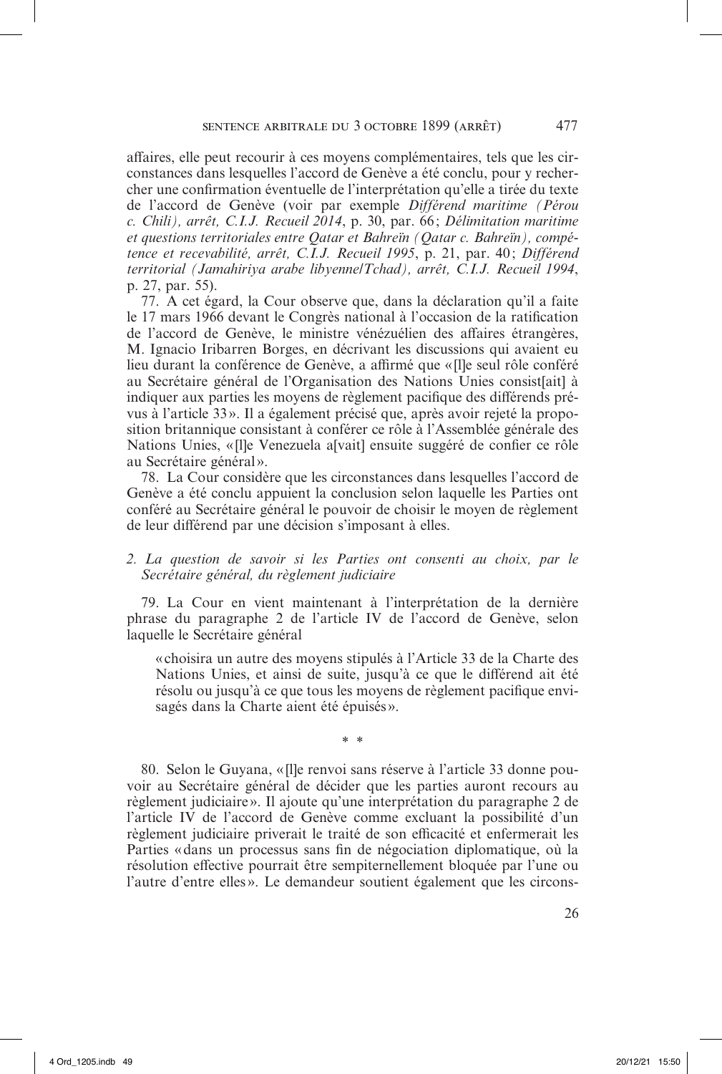affaires, elle peut recourir à ces moyens complémentaires, tels que les circonstances dans lesquelles l'accord de Genève a été conclu, pour y rechercher une confirmation éventuelle de l'interprétation qu'elle a tirée du texte de l'accord de Genève (voir par exemple *Différend maritime (Pérou c. Chili), arrêt, C.I.J. Recueil 2014*, p. 30, par. 66 ; *Délimitation maritime et questions territoriales entre Qatar et Bahreïn (Qatar c. Bahreïn), compétence et recevabilité, arrêt, C.I.J. Recueil 1995*, p. 21, par. 40 ; *Différend territorial (Jamahiriya arabe libyenne/Tchad), arrêt, C.I.J. Recueil 1994*, p. 27, par. 55).

77. A cet égard, la Cour observe que, dans la déclaration qu'il a faite le 17 mars 1966 devant le Congrès national à l'occasion de la ratification de l'accord de Genève, le ministre vénézuélien des affaires étrangères, M. Ignacio Iribarren Borges, en décrivant les discussions qui avaient eu lieu durant la conférence de Genève, a affirmé que «[l]e seul rôle conféré au Secrétaire général de l'Organisation des Nations Unies consist[ait] à indiquer aux parties les moyens de règlement pacifique des différends prévus à l'article 33 ». Il a également précisé que, après avoir rejeté la proposition britannique consistant à conférer ce rôle à l'Assemblée générale des Nations Unies, «Ille Venezuela alvaitl ensuite suggéré de confier ce rôle au Secrétaire général».

78. La Cour considère que les circonstances dans lesquelles l'accord de Genève a été conclu appuient la conclusion selon laquelle les Parties ont conféré au Secrétaire général le pouvoir de choisir le moyen de règlement de leur différend par une décision s'imposant à elles.

## *2. La question de savoir si les Parties ont consenti au choix, par le Secrétaire général, du règlement judiciaire*

79. La Cour en vient maintenant à l'interprétation de la dernière phrase du paragraphe 2 de l'article IV de l'accord de Genève, selon laquelle le Secrétaire général

«choisira un autre des moyens stipulés à l'Article 33 de la Charte des Nations Unies, et ainsi de suite, jusqu'à ce que le différend ait été résolu ou jusqu'à ce que tous les moyens de règlement pacifique envisagés dans la Charte aient été épuisés ».

\* \*

80. Selon le Guyana, «[l]e renvoi sans réserve à l'article 33 donne pouvoir au Secrétaire général de décider que les parties auront recours au règlement judiciaire». Il ajoute qu'une interprétation du paragraphe 2 de l'article IV de l'accord de Genève comme excluant la possibilité d'un règlement judiciaire priverait le traité de son efficacité et enfermerait les Parties «dans un processus sans fin de négociation diplomatique, où la résolution effective pourrait être sempiternellement bloquée par l'une ou l'autre d'entre elles ». Le demandeur soutient également que les circons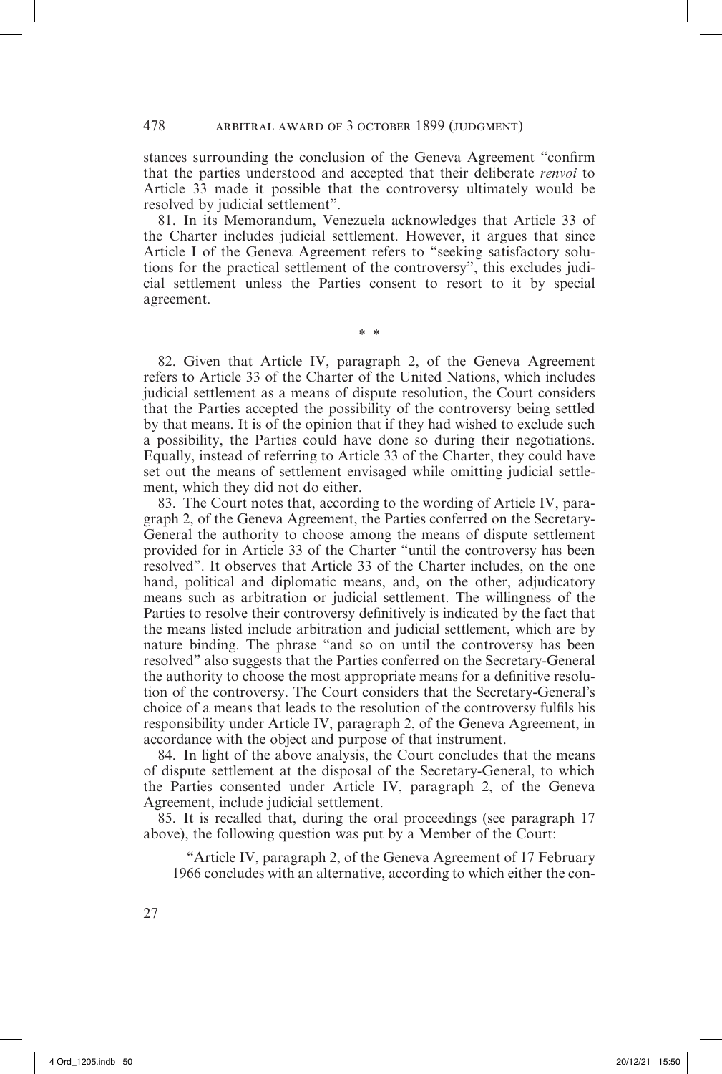stances surrounding the conclusion of the Geneva Agreement "confirm that the parties understood and accepted that their deliberate *renvoi* to Article 33 made it possible that the controversy ultimately would be resolved by judicial settlement".

81. In its Memorandum, Venezuela acknowledges that Article 33 of the Charter includes judicial settlement. However, it argues that since Article I of the Geneva Agreement refers to "seeking satisfactory solutions for the practical settlement of the controversy", this excludes judicial settlement unless the Parties consent to resort to it by special agreement.

\* \*

82. Given that Article IV, paragraph 2, of the Geneva Agreement refers to Article 33 of the Charter of the United Nations, which includes judicial settlement as a means of dispute resolution, the Court considers that the Parties accepted the possibility of the controversy being settled by that means. It is of the opinion that if they had wished to exclude such a possibility, the Parties could have done so during their negotiations. Equally, instead of referring to Article 33 of the Charter, they could have set out the means of settlement envisaged while omitting judicial settlement, which they did not do either.

83. The Court notes that, according to the wording of Article IV, paragraph 2, of the Geneva Agreement, the Parties conferred on the Secretary-General the authority to choose among the means of dispute settlement provided for in Article 33 of the Charter "until the controversy has been resolved". It observes that Article 33 of the Charter includes, on the one hand, political and diplomatic means, and, on the other, adjudicatory means such as arbitration or judicial settlement. The willingness of the Parties to resolve their controversy definitively is indicated by the fact that the means listed include arbitration and judicial settlement, which are by nature binding. The phrase "and so on until the controversy has been resolved" also suggests that the Parties conferred on the Secretary-General the authority to choose the most appropriate means for a definitive resolution of the controversy. The Court considers that the Secretary-General's choice of a means that leads to the resolution of the controversy fulfils his responsibility under Article IV, paragraph 2, of the Geneva Agreement, in accordance with the object and purpose of that instrument.

84. In light of the above analysis, the Court concludes that the means of dispute settlement at the disposal of the Secretary-General, to which the Parties consented under Article IV, paragraph 2, of the Geneva Agreement, include judicial settlement.

85. It is recalled that, during the oral proceedings (see paragraph 17 above), the following question was put by a Member of the Court:

"Article IV, paragraph 2, of the Geneva Agreement of 17 February 1966 concludes with an alternative, according to which either the con-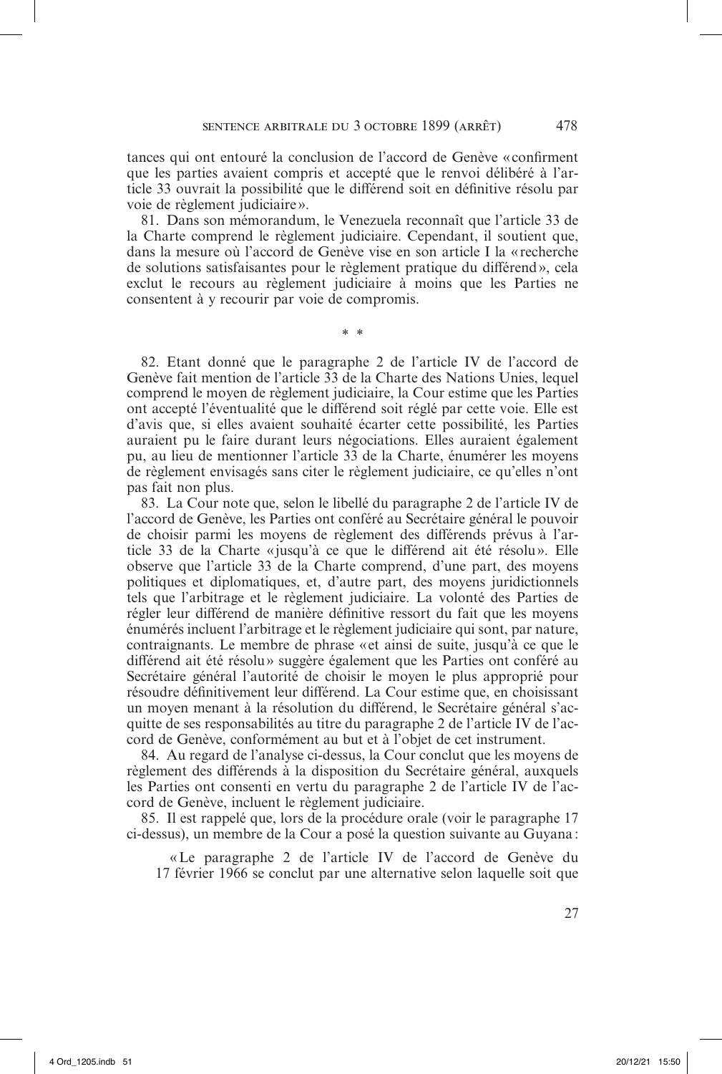tances qui ont entouré la conclusion de l'accord de Genève «confirment que les parties avaient compris et accepté que le renvoi délibéré à l'article 33 ouvrait la possibilité que le différend soit en définitive résolu par voie de règlement judiciaire».

81. Dans son mémorandum, le Venezuela reconnaît que l'article 33 de la Charte comprend le règlement judiciaire. Cependant, il soutient que, dans la mesure où l'accord de Genève vise en son article I la « recherche de solutions satisfaisantes pour le règlement pratique du différend», cela exclut le recours au règlement judiciaire à moins que les Parties ne consentent à y recourir par voie de compromis.

\* \*

82. Etant donné que le paragraphe 2 de l'article IV de l'accord de Genève fait mention de l'article 33 de la Charte des Nations Unies, lequel comprend le moyen de règlement judiciaire, la Cour estime que les Parties ont accepté l'éventualité que le différend soit réglé par cette voie. Elle est d'avis que, si elles avaient souhaité écarter cette possibilité, les Parties auraient pu le faire durant leurs négociations. Elles auraient également pu, au lieu de mentionner l'article 33 de la Charte, énumérer les moyens de règlement envisagés sans citer le règlement judiciaire, ce qu'elles n'ont pas fait non plus.

83. La Cour note que, selon le libellé du paragraphe 2 de l'article IV de l'accord de Genève, les Parties ont conféré au Secrétaire général le pouvoir de choisir parmi les moyens de règlement des différends prévus à l'article 33 de la Charte «jusqu'à ce que le différend ait été résolu». Elle observe que l'article 33 de la Charte comprend, d'une part, des moyens politiques et diplomatiques, et, d'autre part, des moyens juridictionnels tels que l'arbitrage et le règlement judiciaire. La volonté des Parties de régler leur différend de manière définitive ressort du fait que les moyens énumérés incluent l'arbitrage et le règlement judiciaire qui sont, par nature, contraignants. Le membre de phrase «et ainsi de suite, jusqu'à ce que le différend ait été résolu» suggère également que les Parties ont conféré au Secrétaire général l'autorité de choisir le moyen le plus approprié pour résoudre définitivement leur différend. La Cour estime que, en choisissant un moyen menant à la résolution du différend, le Secrétaire général s'acquitte de ses responsabilités au titre du paragraphe 2 de l'article IV de l'accord de Genève, conformément au but et à l'objet de cet instrument.

84. Au regard de l'analyse ci-dessus, la Cour conclut que les moyens de règlement des différends à la disposition du Secrétaire général, auxquels les Parties ont consenti en vertu du paragraphe 2 de l'article IV de l'accord de Genève, incluent le règlement judiciaire.

85. Il est rappelé que, lors de la procédure orale (voir le paragraphe 17 ci-dessus), un membre de la Cour a posé la question suivante au Guyana :

«Le paragraphe 2 de l'article IV de l'accord de Genève du 17 février 1966 se conclut par une alternative selon laquelle soit que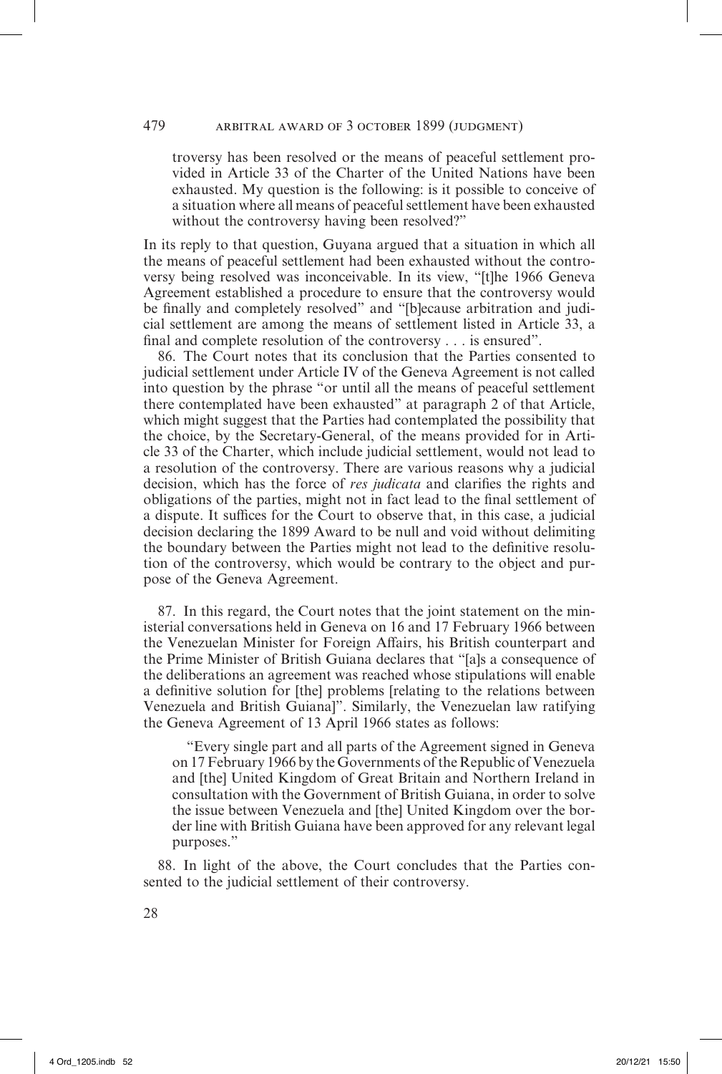troversy has been resolved or the means of peaceful settlement provided in Article 33 of the Charter of the United Nations have been exhausted. My question is the following: is it possible to conceive of a situation where all means of peaceful settlement have been exhausted without the controversy having been resolved?"

In its reply to that question, Guyana argued that a situation in which all the means of peaceful settlement had been exhausted without the controversy being resolved was inconceivable. In its view, "[t]he 1966 Geneva Agreement established a procedure to ensure that the controversy would be finally and completely resolved" and "[b]ecause arbitration and judicial settlement are among the means of settlement listed in Article 33, a final and complete resolution of the controversy . . . is ensured".

86. The Court notes that its conclusion that the Parties consented to judicial settlement under Article IV of the Geneva Agreement is not called into question by the phrase "or until all the means of peaceful settlement there contemplated have been exhausted" at paragraph 2 of that Article, which might suggest that the Parties had contemplated the possibility that the choice, by the Secretary-General, of the means provided for in Article 33 of the Charter, which include judicial settlement, would not lead to a resolution of the controversy. There are various reasons why a judicial decision, which has the force of *res judicata* and clarifies the rights and obligations of the parties, might not in fact lead to the final settlement of a dispute. It suffices for the Court to observe that, in this case, a judicial decision declaring the 1899 Award to be null and void without delimiting the boundary between the Parties might not lead to the definitive resolution of the controversy, which would be contrary to the object and purpose of the Geneva Agreement.

87. In this regard, the Court notes that the joint statement on the ministerial conversations held in Geneva on 16 and 17 February 1966 between the Venezuelan Minister for Foreign Affairs, his British counterpart and the Prime Minister of British Guiana declares that "[a]s a consequence of the deliberations an agreement was reached whose stipulations will enable a definitive solution for [the] problems [relating to the relations between Venezuela and British Guiana]". Similarly, the Venezuelan law ratifying the Geneva Agreement of 13 April 1966 states as follows:

"Every single part and all parts of the Agreement signed in Geneva on 17 February 1966 by the Governments of the Republic of Venezuela and [the] United Kingdom of Great Britain and Northern Ireland in consultation with the Government of British Guiana, in order to solve the issue between Venezuela and [the] United Kingdom over the border line with British Guiana have been approved for any relevant legal purposes."

88. In light of the above, the Court concludes that the Parties consented to the judicial settlement of their controversy.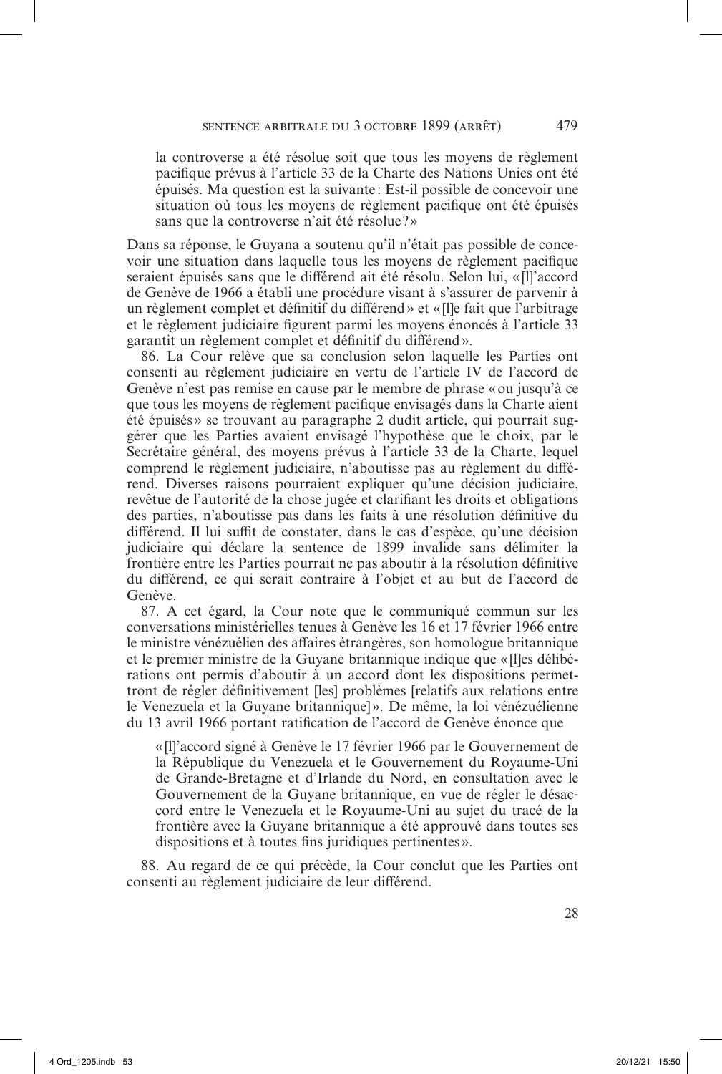la controverse a été résolue soit que tous les moyens de règlement pacifique prévus à l'article 33 de la Charte des Nations Unies ont été épuisés. Ma question est la suivante : Est-il possible de concevoir une situation où tous les moyens de règlement pacifique ont été épuisés sans que la controverse n'ait été résolue?»

Dans sa réponse, le Guyana a soutenu qu'il n'était pas possible de concevoir une situation dans laquelle tous les moyens de règlement pacifique seraient épuisés sans que le différend ait été résolu. Selon lui, « [l]'accord de Genève de 1966 a établi une procédure visant à s'assurer de parvenir à un règlement complet et définitif du différend» et «[l]e fait que l'arbitrage et le règlement judiciaire figurent parmi les moyens énoncés à l'article 33 garantit un règlement complet et définitif du différend».

86. La Cour relève que sa conclusion selon laquelle les Parties ont consenti au règlement judiciaire en vertu de l'article IV de l'accord de Genève n'est pas remise en cause par le membre de phrase «ou jusqu'à ce que tous les moyens de règlement pacifique envisagés dans la Charte aient été épuisés» se trouvant au paragraphe 2 dudit article, qui pourrait suggérer que les Parties avaient envisagé l'hypothèse que le choix, par le Secrétaire général, des moyens prévus à l'article 33 de la Charte, lequel comprend le règlement judiciaire, n'aboutisse pas au règlement du différend. Diverses raisons pourraient expliquer qu'une décision judiciaire, revêtue de l'autorité de la chose jugée et clarifiant les droits et obligations des parties, n'aboutisse pas dans les faits à une résolution définitive du différend. Il lui suffit de constater, dans le cas d'espèce, qu'une décision judiciaire qui déclare la sentence de 1899 invalide sans délimiter la frontière entre les Parties pourrait ne pas aboutir à la résolution définitive du différend, ce qui serait contraire à l'objet et au but de l'accord de Genève.

87. A cet égard, la Cour note que le communiqué commun sur les conversations ministérielles tenues à Genève les 16 et 17 février 1966 entre le ministre vénézuélien des affaires étrangères, son homologue britannique et le premier ministre de la Guyane britannique indique que «[l]es délibérations ont permis d'aboutir à un accord dont les dispositions permettront de régler définitivement [les] problèmes [relatifs aux relations entre le Venezuela et la Guyane britannique] ». De même, la loi vénézuélienne du 13 avril 1966 portant ratification de l'accord de Genève énonce que

«[l]'accord signé à Genève le 17 février 1966 par le Gouvernement de la République du Venezuela et le Gouvernement du Royaume-Uni de Grande-Bretagne et d'Irlande du Nord, en consultation avec le Gouvernement de la Guyane britannique, en vue de régler le désaccord entre le Venezuela et le Royaume-Uni au sujet du tracé de la frontière avec la Guyane britannique a été approuvé dans toutes ses dispositions et à toutes fins juridiques pertinentes».

88. Au regard de ce qui précède, la Cour conclut que les Parties ont consenti au règlement judiciaire de leur différend.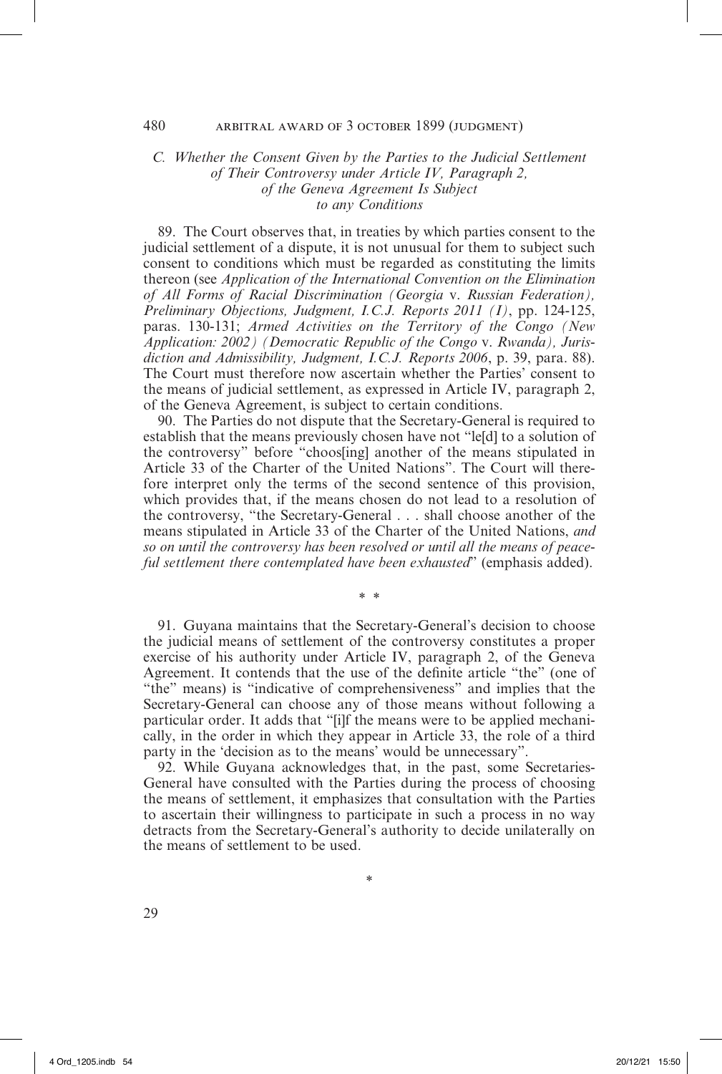## *C. Whether the Consent Given by the Parties to the Judicial Settlement of Their Controversy under Article IV, Paragraph 2, of the Geneva Agreement Is Subject to any Conditions*

89. The Court observes that, in treaties by which parties consent to the judicial settlement of a dispute, it is not unusual for them to subject such consent to conditions which must be regarded as constituting the limits thereon (see *Application of the International Convention on the Elimination of All Forms of Racial Discrimination (Georgia* v. *Russian Federation), Preliminary Objections, Judgment, I.C.J. Reports 2011 (I)*, pp. 124-125, paras. 130-131; *Armed Activities on the Territory of the Congo (New Application: 2002) (Democratic Republic of the Congo* v. *Rwanda), Jurisdiction and Admissibility, Judgment, I.C.J. Reports 2006*, p. 39, para. 88). The Court must therefore now ascertain whether the Parties' consent to the means of judicial settlement, as expressed in Article IV, paragraph 2, of the Geneva Agreement, is subject to certain conditions.

90. The Parties do not dispute that the Secretary-General is required to establish that the means previously chosen have not "le[d] to a solution of the controversy" before "choos[ing] another of the means stipulated in Article 33 of the Charter of the United Nations". The Court will therefore interpret only the terms of the second sentence of this provision, which provides that, if the means chosen do not lead to a resolution of the controversy, "the Secretary-General . . . shall choose another of the means stipulated in Article 33 of the Charter of the United Nations, *and so on until the controversy has been resolved or until all the means of peaceful settlement there contemplated have been exhausted*" (emphasis added).

91. Guyana maintains that the Secretary-General's decision to choose the judicial means of settlement of the controversy constitutes a proper exercise of his authority under Article IV, paragraph 2, of the Geneva Agreement. It contends that the use of the definite article "the" (one of "the" means) is "indicative of comprehensiveness" and implies that the Secretary-General can choose any of those means without following a particular order. It adds that "[i]f the means were to be applied mechanically, in the order in which they appear in Article 33, the role of a third party in the 'decision as to the means' would be unnecessary".

\* \*

92. While Guyana acknowledges that, in the past, some Secretaries-General have consulted with the Parties during the process of choosing the means of settlement, it emphasizes that consultation with the Parties to ascertain their willingness to participate in such a process in no way detracts from the Secretary-General's authority to decide unilaterally on the means of settlement to be used.

\*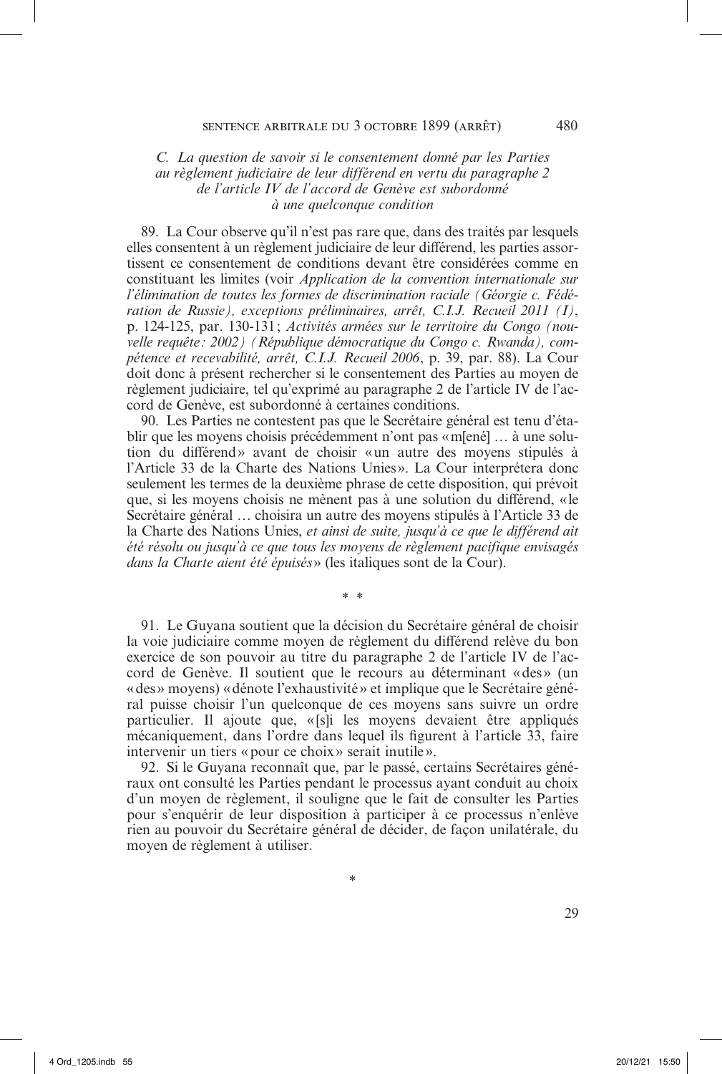### *C. La question de savoir si le consentement donné par les Parties au règlement judiciaire de leur différend en vertu du paragraphe 2 de l'article IV de l'accord de Genève est subordonné à une quelconque condition*

89. La Cour observe qu'il n'est pas rare que, dans des traités par lesquels elles consentent à un règlement judiciaire de leur différend, les parties assortissent ce consentement de conditions devant être considérées comme en constituant les limites (voir *Application de la convention internationale sur l'élimination de toutes les formes de discrimination raciale (Géorgie c. Fédération de Russie), exceptions préliminaires, arrêt, C.I.J. Recueil 2011 (I)*, p. 124-125, par. 130-131; *Activités armées sur le territoire du Congo (nouvelle requête: 2002) (République démocratique du Congo c. Rwanda), compétence et recevabilité, arrêt, C.I.J. Recueil 2006*, p. 39, par. 88). La Cour doit donc à présent rechercher si le consentement des Parties au moyen de règlement judiciaire, tel qu'exprimé au paragraphe 2 de l'article IV de l'accord de Genève, est subordonné à certaines conditions.

90. Les Parties ne contestent pas que le Secrétaire général est tenu d'établir que les moyens choisis précédemment n'ont pas «m[ené] … à une solution du différend» avant de choisir «un autre des moyens stipulés à l'Article 33 de la Charte des Nations Unies». La Cour interprétera donc seulement les termes de la deuxième phrase de cette disposition, qui prévoit que, si les moyens choisis ne mènent pas à une solution du différend, «le Secrétaire général … choisira un autre des moyens stipulés à l'Article 33 de la Charte des Nations Unies, *et ainsi de suite, jusqu'à ce que le différend ait été résolu ou jusqu'à ce que tous les moyens de règlement pacifique envisagés dans la Charte aient été épuisés*» (les italiques sont de la Cour).

\* \*

91. Le Guyana soutient que la décision du Secrétaire général de choisir la voie judiciaire comme moyen de règlement du différend relève du bon exercice de son pouvoir au titre du paragraphe 2 de l'article IV de l'accord de Genève. Il soutient que le recours au déterminant «des» (un «des» moyens) «dénote l'exhaustivité» et implique que le Secrétaire général puisse choisir l'un quelconque de ces moyens sans suivre un ordre particulier. Il ajoute que, «[s]i les moyens devaient être appliqués mécaniquement, dans l'ordre dans lequel ils figurent à l'article 33, faire intervenir un tiers «pour ce choix » serait inutile».

92. Si le Guyana reconnaît que, par le passé, certains Secrétaires généraux ont consulté les Parties pendant le processus ayant conduit au choix d'un moyen de règlement, il souligne que le fait de consulter les Parties pour s'enquérir de leur disposition à participer à ce processus n'enlève rien au pouvoir du Secrétaire général de décider, de façon unilatérale, du moyen de règlement à utiliser.

\*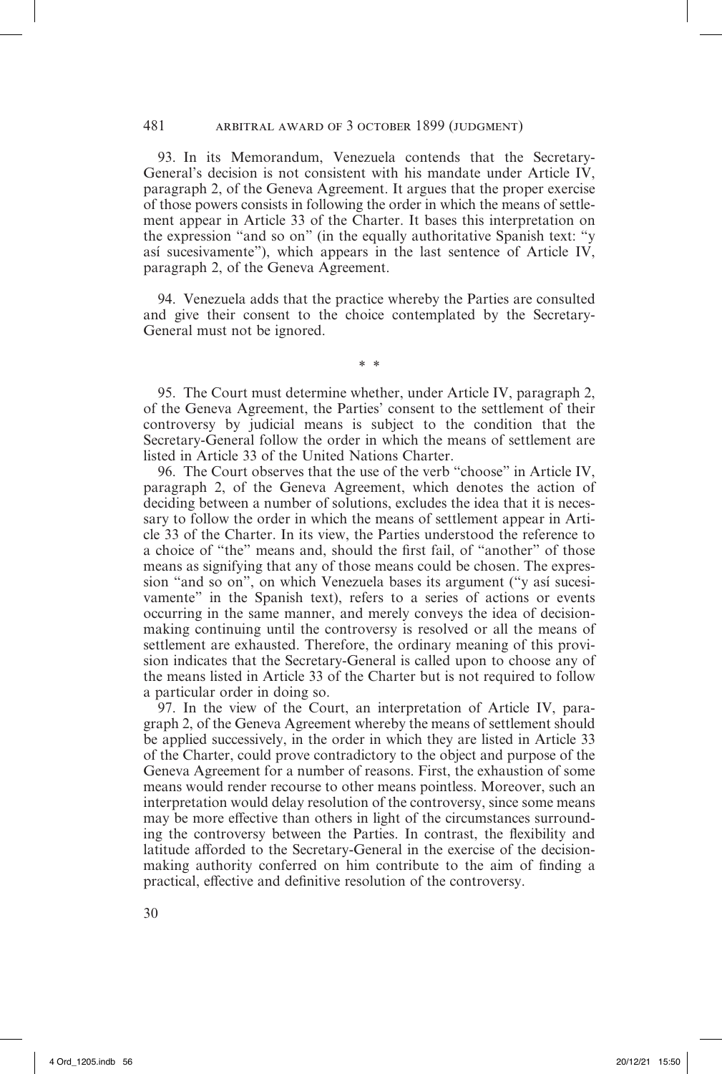93. In its Memorandum, Venezuela contends that the Secretary-General's decision is not consistent with his mandate under Article IV, paragraph 2, of the Geneva Agreement. It argues that the proper exercise of those powers consists in following the order in which the means of settlement appear in Article 33 of the Charter. It bases this interpretation on the expression "and so on" (in the equally authoritative Spanish text: "y así sucesivamente"), which appears in the last sentence of Article IV, paragraph 2, of the Geneva Agreement.

94. Venezuela adds that the practice whereby the Parties are consulted and give their consent to the choice contemplated by the Secretary-General must not be ignored.

\* \*

95. The Court must determine whether, under Article IV, paragraph 2, of the Geneva Agreement, the Parties' consent to the settlement of their controversy by judicial means is subject to the condition that the Secretary-General follow the order in which the means of settlement are listed in Article 33 of the United Nations Charter.

96. The Court observes that the use of the verb "choose" in Article IV, paragraph 2, of the Geneva Agreement, which denotes the action of deciding between a number of solutions, excludes the idea that it is necessary to follow the order in which the means of settlement appear in Article 33 of the Charter. In its view, the Parties understood the reference to a choice of "the" means and, should the first fail, of "another" of those means as signifying that any of those means could be chosen. The expression "and so on", on which Venezuela bases its argument ("y así sucesivamente" in the Spanish text), refers to a series of actions or events occurring in the same manner, and merely conveys the idea of decisionmaking continuing until the controversy is resolved or all the means of settlement are exhausted. Therefore, the ordinary meaning of this provision indicates that the Secretary-General is called upon to choose any of the means listed in Article 33 of the Charter but is not required to follow a particular order in doing so.

97. In the view of the Court, an interpretation of Article IV, paragraph 2, of the Geneva Agreement whereby the means of settlement should be applied successively, in the order in which they are listed in Article 33 of the Charter, could prove contradictory to the object and purpose of the Geneva Agreement for a number of reasons. First, the exhaustion of some means would render recourse to other means pointless. Moreover, such an interpretation would delay resolution of the controversy, since some means may be more effective than others in light of the circumstances surrounding the controversy between the Parties. In contrast, the flexibility and latitude afforded to the Secretary-General in the exercise of the decisionmaking authority conferred on him contribute to the aim of finding a practical, effective and definitive resolution of the controversy.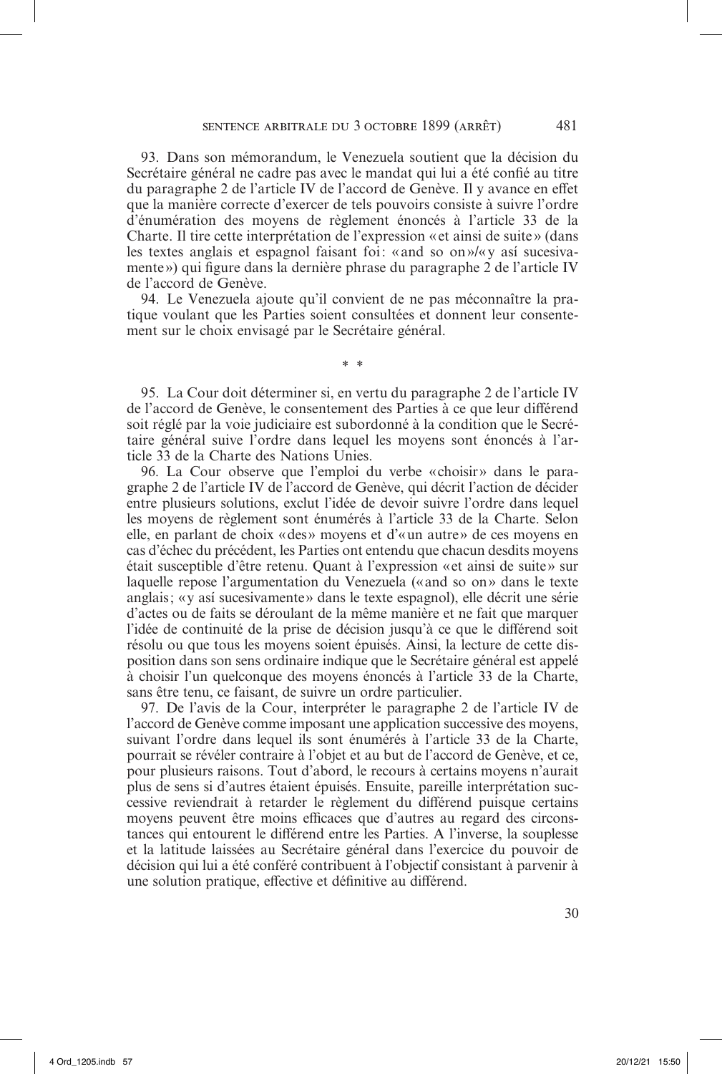93. Dans son mémorandum, le Venezuela soutient que la décision du Secrétaire général ne cadre pas avec le mandat qui lui a été confié au titre du paragraphe 2 de l'article IV de l'accord de Genève. Il y avance en effet que la manière correcte d'exercer de tels pouvoirs consiste à suivre l'ordre d'énumération des moyens de règlement énoncés à l'article 33 de la Charte. Il tire cette interprétation de l'expression « et ainsi de suite » (dans les textes anglais et espagnol faisant foi: «and so on»/«y así sucesivamente») qui figure dans la dernière phrase du paragraphe 2 de l'article IV de l'accord de Genève.

94. Le Venezuela ajoute qu'il convient de ne pas méconnaître la pratique voulant que les Parties soient consultées et donnent leur consentement sur le choix envisagé par le Secrétaire général.

\* \*

95. La Cour doit déterminer si, en vertu du paragraphe 2 de l'article IV de l'accord de Genève, le consentement des Parties à ce que leur différend soit réglé par la voie judiciaire est subordonné à la condition que le Secrétaire général suive l'ordre dans lequel les moyens sont énoncés à l'article 33 de la Charte des Nations Unies.

96. La Cour observe que l'emploi du verbe «choisir» dans le paragraphe 2 de l'article IV de l'accord de Genève, qui décrit l'action de décider entre plusieurs solutions, exclut l'idée de devoir suivre l'ordre dans lequel les moyens de règlement sont énumérés à l'article 33 de la Charte. Selon elle, en parlant de choix «des» moyens et d'«un autre» de ces moyens en cas d'échec du précédent, les Parties ont entendu que chacun desdits moyens était susceptible d'être retenu. Quant à l'expression «et ainsi de suite» sur laquelle repose l'argumentation du Venezuela («and so on» dans le texte anglais; «y así sucesivamente» dans le texte espagnol), elle décrit une série d'actes ou de faits se déroulant de la même manière et ne fait que marquer l'idée de continuité de la prise de décision jusqu'à ce que le différend soit résolu ou que tous les moyens soient épuisés. Ainsi, la lecture de cette disposition dans son sens ordinaire indique que le Secrétaire général est appelé à choisir l'un quelconque des moyens énoncés à l'article 33 de la Charte, sans être tenu, ce faisant, de suivre un ordre particulier.

97. De l'avis de la Cour, interpréter le paragraphe 2 de l'article IV de l'accord de Genève comme imposant une application successive des moyens, suivant l'ordre dans lequel ils sont énumérés à l'article 33 de la Charte, pourrait se révéler contraire à l'objet et au but de l'accord de Genève, et ce, pour plusieurs raisons. Tout d'abord, le recours à certains moyens n'aurait plus de sens si d'autres étaient épuisés. Ensuite, pareille interprétation successive reviendrait à retarder le règlement du différend puisque certains moyens peuvent être moins efficaces que d'autres au regard des circonstances qui entourent le différend entre les Parties. A l'inverse, la souplesse et la latitude laissées au Secrétaire général dans l'exercice du pouvoir de décision qui lui a été conféré contribuent à l'objectif consistant à parvenir à une solution pratique, effective et définitive au différend.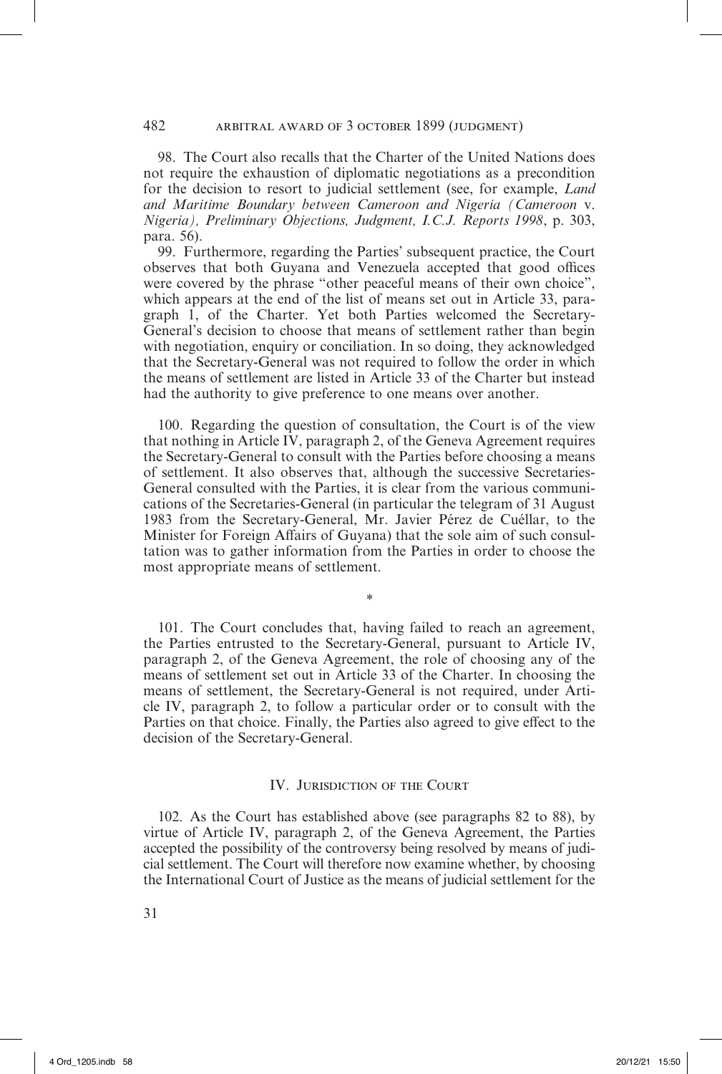98. The Court also recalls that the Charter of the United Nations does not require the exhaustion of diplomatic negotiations as a precondition for the decision to resort to judicial settlement (see, for example, *Land and Maritime Boundary between Cameroon and Nigeria (Cameroon* v. *Nigeria), Preliminary Objections, Judgment, I.C.J. Reports 1998*, p. 303, para. 56).

99. Furthermore, regarding the Parties' subsequent practice, the Court observes that both Guyana and Venezuela accepted that good offices were covered by the phrase "other peaceful means of their own choice", which appears at the end of the list of means set out in Article 33, paragraph 1, of the Charter. Yet both Parties welcomed the Secretary-General's decision to choose that means of settlement rather than begin with negotiation, enquiry or conciliation. In so doing, they acknowledged that the Secretary-General was not required to follow the order in which the means of settlement are listed in Article 33 of the Charter but instead had the authority to give preference to one means over another.

100. Regarding the question of consultation, the Court is of the view that nothing in Article IV, paragraph 2, of the Geneva Agreement requires the Secretary-General to consult with the Parties before choosing a means of settlement. It also observes that, although the successive Secretaries-General consulted with the Parties, it is clear from the various communications of the Secretaries-General (in particular the telegram of 31 August 1983 from the Secretary-General, Mr. Javier Pérez de Cuéllar, to the Minister for Foreign Affairs of Guyana) that the sole aim of such consultation was to gather information from the Parties in order to choose the most appropriate means of settlement.

101. The Court concludes that, having failed to reach an agreement, the Parties entrusted to the Secretary-General, pursuant to Article IV, paragraph 2, of the Geneva Agreement, the role of choosing any of the means of settlement set out in Article 33 of the Charter. In choosing the means of settlement, the Secretary-General is not required, under Article IV, paragraph 2, to follow a particular order or to consult with the Parties on that choice. Finally, the Parties also agreed to give effect to the decision of the Secretary-General.

*\**

### IV. Jurisdiction of the Court

102. As the Court has established above (see paragraphs 82 to 88), by virtue of Article IV, paragraph 2, of the Geneva Agreement, the Parties accepted the possibility of the controversy being resolved by means of judicial settlement. The Court will therefore now examine whether, by choosing the International Court of Justice as the means of judicial settlement for the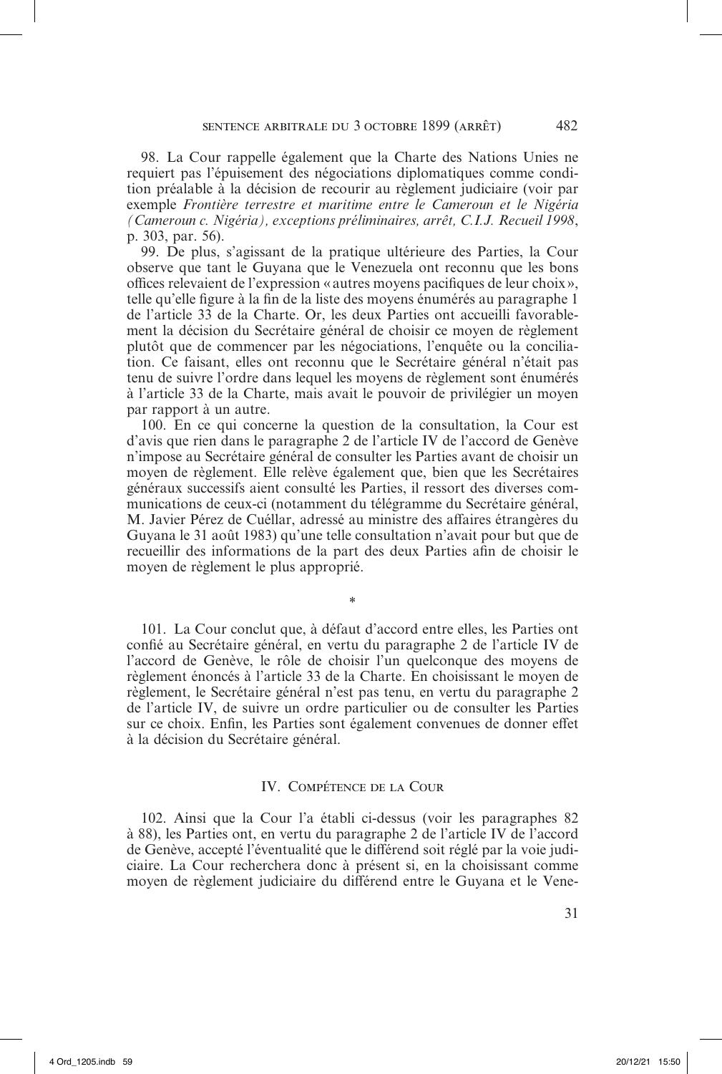98. La Cour rappelle également que la Charte des Nations Unies ne requiert pas l'épuisement des négociations diplomatiques comme condition préalable à la décision de recourir au règlement judiciaire (voir par exemple *Frontière terrestre et maritime entre le Cameroun et le Nigéria (Cameroun c. Nigéria), exceptions préliminaires, arrêt, C.I.J. Recueil 1998*, p. 303, par. 56).

99. De plus, s'agissant de la pratique ultérieure des Parties, la Cour observe que tant le Guyana que le Venezuela ont reconnu que les bons offices relevaient de l'expression «autres moyens pacifiques de leur choix », telle qu'elle figure à la fin de la liste des moyens énumérés au paragraphe 1 de l'article 33 de la Charte. Or, les deux Parties ont accueilli favorablement la décision du Secrétaire général de choisir ce moyen de règlement plutôt que de commencer par les négociations, l'enquête ou la conciliation. Ce faisant, elles ont reconnu que le Secrétaire général n'était pas tenu de suivre l'ordre dans lequel les moyens de règlement sont énumérés à l'article 33 de la Charte, mais avait le pouvoir de privilégier un moyen par rapport à un autre.

100. En ce qui concerne la question de la consultation, la Cour est d'avis que rien dans le paragraphe 2 de l'article IV de l'accord de Genève n'impose au Secrétaire général de consulter les Parties avant de choisir un moyen de règlement. Elle relève également que, bien que les Secrétaires généraux successifs aient consulté les Parties, il ressort des diverses communications de ceux-ci (notamment du télégramme du Secrétaire général, M. Javier Pérez de Cuéllar, adressé au ministre des affaires étrangères du Guyana le 31 août 1983) qu'une telle consultation n'avait pour but que de recueillir des informations de la part des deux Parties afin de choisir le moyen de règlement le plus approprié.

101. La Cour conclut que, à défaut d'accord entre elles, les Parties ont confié au Secrétaire général, en vertu du paragraphe 2 de l'article IV de l'accord de Genève, le rôle de choisir l'un quelconque des moyens de règlement énoncés à l'article 33 de la Charte. En choisissant le moyen de règlement, le Secrétaire général n'est pas tenu, en vertu du paragraphe 2 de l'article IV, de suivre un ordre particulier ou de consulter les Parties sur ce choix. Enfin, les Parties sont également convenues de donner effet à la décision du Secrétaire général.

\*

# IV. Compétence de la Cour

102. Ainsi que la Cour l'a établi ci-dessus (voir les paragraphes 82 à 88), les Parties ont, en vertu du paragraphe 2 de l'article IV de l'accord de Genève, accepté l'éventualité que le différend soit réglé par la voie judiciaire. La Cour recherchera donc à présent si, en la choisissant comme moyen de règlement judiciaire du différend entre le Guyana et le Vene-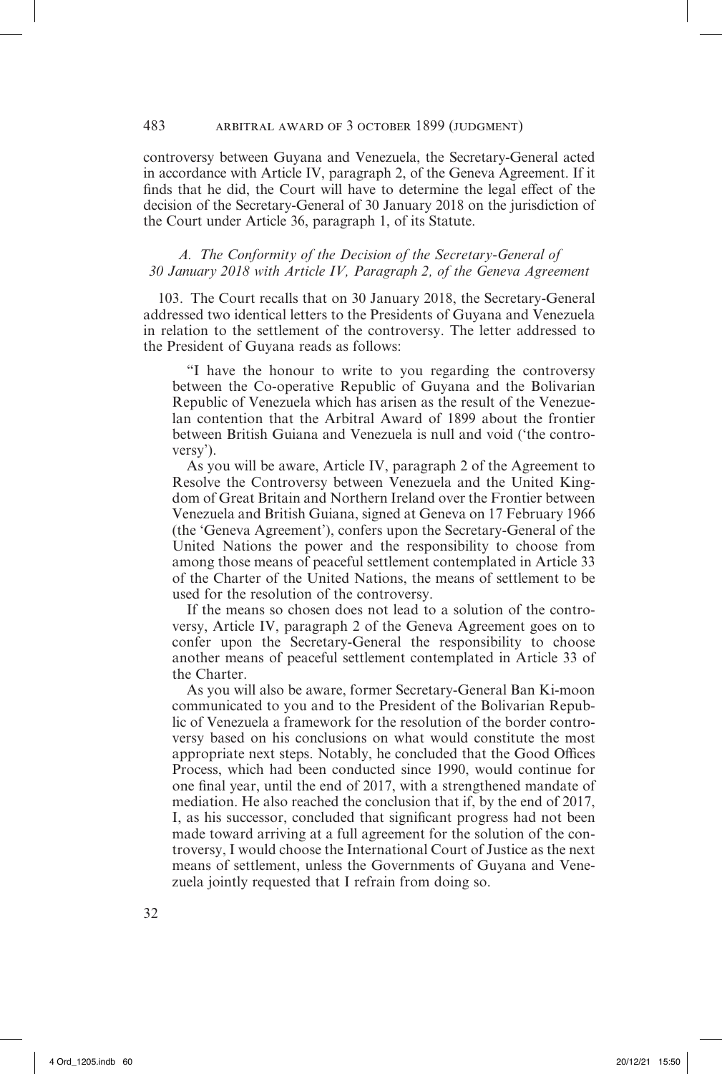#### 483 arbitral award of 3 october 1899 (judgment)

controversy between Guyana and Venezuela, the Secretary-General acted in accordance with Article IV, paragraph 2, of the Geneva Agreement. If it finds that he did, the Court will have to determine the legal effect of the decision of the Secretary-General of 30 January 2018 on the jurisdiction of the Court under Article 36, paragraph 1, of its Statute.

## *A. The Conformity of the Decision of the Secretary-General of 30 January 2018 with Article IV, Paragraph 2, of the Geneva Agreement*

103. The Court recalls that on 30 January 2018, the Secretary-General addressed two identical letters to the Presidents of Guyana and Venezuela in relation to the settlement of the controversy. The letter addressed to the President of Guyana reads as follows:

"I have the honour to write to you regarding the controversy between the Co-operative Republic of Guyana and the Bolivarian Republic of Venezuela which has arisen as the result of the Venezuelan contention that the Arbitral Award of 1899 about the frontier between British Guiana and Venezuela is null and void ('the controversy').

As you will be aware, Article IV, paragraph 2 of the Agreement to Resolve the Controversy between Venezuela and the United Kingdom of Great Britain and Northern Ireland over the Frontier between Venezuela and British Guiana, signed at Geneva on 17 February 1966 (the 'Geneva Agreement'), confers upon the Secretary-General of the United Nations the power and the responsibility to choose from among those means of peaceful settlement contemplated in Article 33 of the Charter of the United Nations, the means of settlement to be used for the resolution of the controversy.

If the means so chosen does not lead to a solution of the controversy, Article IV, paragraph 2 of the Geneva Agreement goes on to confer upon the Secretary-General the responsibility to choose another means of peaceful settlement contemplated in Article 33 of the Charter.

As you will also be aware, former Secretary-General Ban Ki-moon communicated to you and to the President of the Bolivarian Republic of Venezuela a framework for the resolution of the border controversy based on his conclusions on what would constitute the most appropriate next steps. Notably, he concluded that the Good Offices Process, which had been conducted since 1990, would continue for one final year, until the end of 2017, with a strengthened mandate of mediation. He also reached the conclusion that if, by the end of 2017, I, as his successor, concluded that significant progress had not been made toward arriving at a full agreement for the solution of the controversy, I would choose the International Court of Justice as the next means of settlement, unless the Governments of Guyana and Venezuela jointly requested that I refrain from doing so.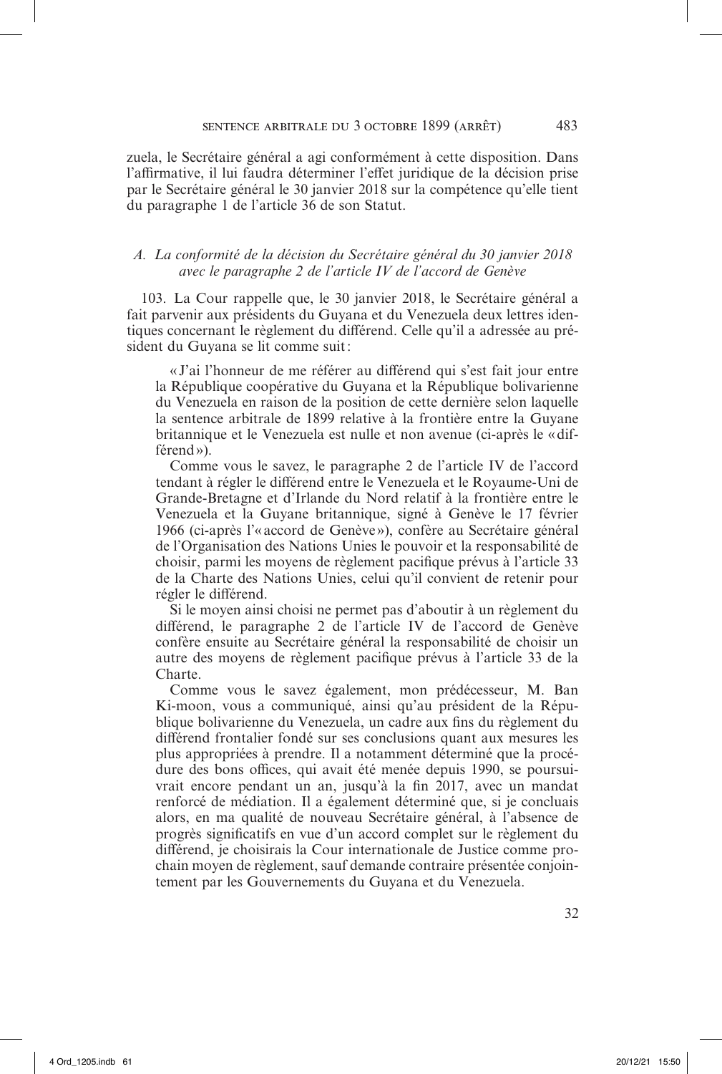zuela, le Secrétaire général a agi conformément à cette disposition. Dans l'affirmative, il lui faudra déterminer l'effet juridique de la décision prise par le Secrétaire général le 30 janvier 2018 sur la compétence qu'elle tient du paragraphe 1 de l'article 36 de son Statut.

## *A. La conformité de la décision du Secrétaire général du 30 janvier 2018 avec le paragraphe 2 de l'article IV de l'accord de Genève*

103. La Cour rappelle que, le 30 janvier 2018, le Secrétaire général a fait parvenir aux présidents du Guyana et du Venezuela deux lettres identiques concernant le règlement du différend. Celle qu'il a adressée au président du Guyana se lit comme suit:

«J'ai l'honneur de me référer au différend qui s'est fait jour entre la République coopérative du Guyana et la République bolivarienne du Venezuela en raison de la position de cette dernière selon laquelle la sentence arbitrale de 1899 relative à la frontière entre la Guyane britannique et le Venezuela est nulle et non avenue (ci-après le «différend»).

Comme vous le savez, le paragraphe 2 de l'article IV de l'accord tendant à régler le différend entre le Venezuela et le Royaume-Uni de Grande-Bretagne et d'Irlande du Nord relatif à la frontière entre le Venezuela et la Guyane britannique, signé à Genève le 17 février 1966 (ci-après l'«accord de Genève»), confère au Secrétaire général de l'Organisation des Nations Unies le pouvoir et la responsabilité de choisir, parmi les moyens de règlement pacifique prévus à l'article 33 de la Charte des Nations Unies, celui qu'il convient de retenir pour régler le différend.

Si le moyen ainsi choisi ne permet pas d'aboutir à un règlement du différend, le paragraphe 2 de l'article IV de l'accord de Genève confère ensuite au Secrétaire général la responsabilité de choisir un autre des moyens de règlement pacifique prévus à l'article 33 de la Charte.

Comme vous le savez également, mon prédécesseur, M. Ban Ki-moon, vous a communiqué, ainsi qu'au président de la République bolivarienne du Venezuela, un cadre aux fins du règlement du différend frontalier fondé sur ses conclusions quant aux mesures les plus appropriées à prendre. Il a notamment déterminé que la procédure des bons offices, qui avait été menée depuis 1990, se poursuivrait encore pendant un an, jusqu'à la fin 2017, avec un mandat renforcé de médiation. Il a également déterminé que, si je concluais alors, en ma qualité de nouveau Secrétaire général, à l'absence de progrès significatifs en vue d'un accord complet sur le règlement du différend, je choisirais la Cour internationale de Justice comme prochain moyen de règlement, sauf demande contraire présentée conjointement par les Gouvernements du Guyana et du Venezuela.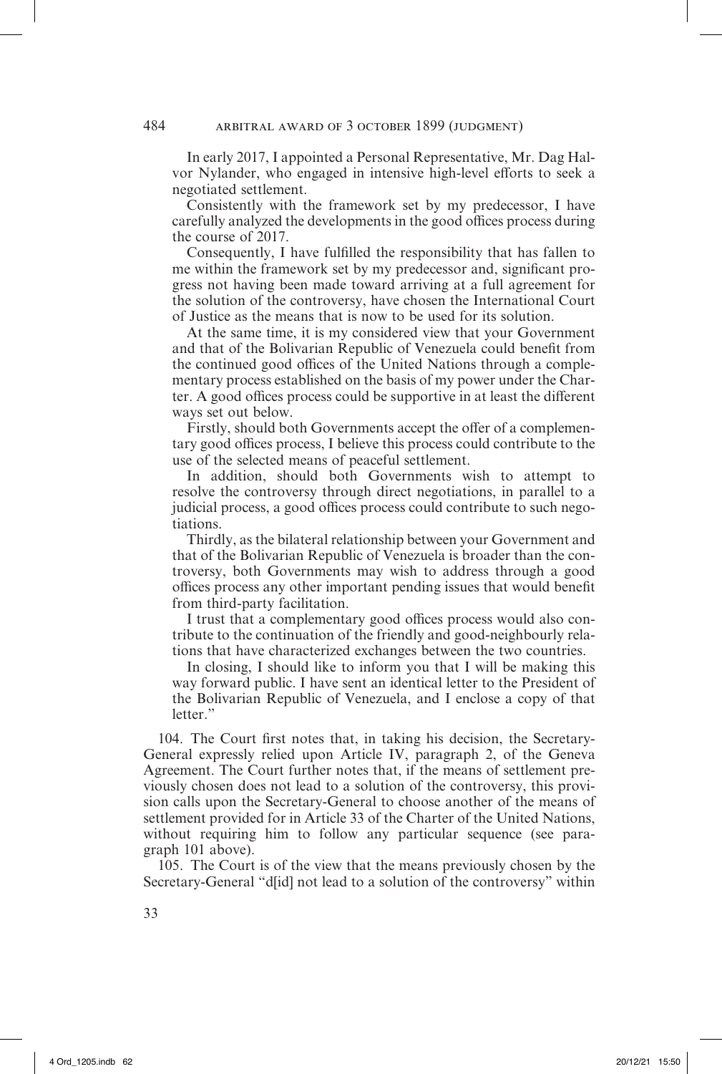In early 2017, I appointed a Personal Representative, Mr. Dag Halvor Nylander, who engaged in intensive high-level efforts to seek a negotiated settlement.

Consistently with the framework set by my predecessor, I have carefully analyzed the developments in the good offices process during the course of 2017.

Consequently, I have fulfilled the responsibility that has fallen to me within the framework set by my predecessor and, significant progress not having been made toward arriving at a full agreement for the solution of the controversy, have chosen the International Court of Justice as the means that is now to be used for its solution.

At the same time, it is my considered view that your Government and that of the Bolivarian Republic of Venezuela could benefit from the continued good offices of the United Nations through a complementary process established on the basis of my power under the Charter. A good offices process could be supportive in at least the different ways set out below.

Firstly, should both Governments accept the offer of a complementary good offices process, I believe this process could contribute to the use of the selected means of peaceful settlement.

In addition, should both Governments wish to attempt to resolve the controversy through direct negotiations, in parallel to a judicial process, a good offices process could contribute to such negotiations.

Thirdly, as the bilateral relationship between your Government and that of the Bolivarian Republic of Venezuela is broader than the controversy, both Governments may wish to address through a good offices process any other important pending issues that would benefit from third-party facilitation.

I trust that a complementary good offices process would also contribute to the continuation of the friendly and good-neighbourly relations that have characterized exchanges between the two countries.

In closing, I should like to inform you that I will be making this way forward public. I have sent an identical letter to the President of the Bolivarian Republic of Venezuela, and I enclose a copy of that letter."

104. The Court first notes that, in taking his decision, the Secretary-General expressly relied upon Article IV, paragraph 2, of the Geneva Agreement. The Court further notes that, if the means of settlement previously chosen does not lead to a solution of the controversy, this provision calls upon the Secretary-General to choose another of the means of settlement provided for in Article 33 of the Charter of the United Nations, without requiring him to follow any particular sequence (see paragraph 101 above).

105. The Court is of the view that the means previously chosen by the Secretary-General "d[id] not lead to a solution of the controversy" within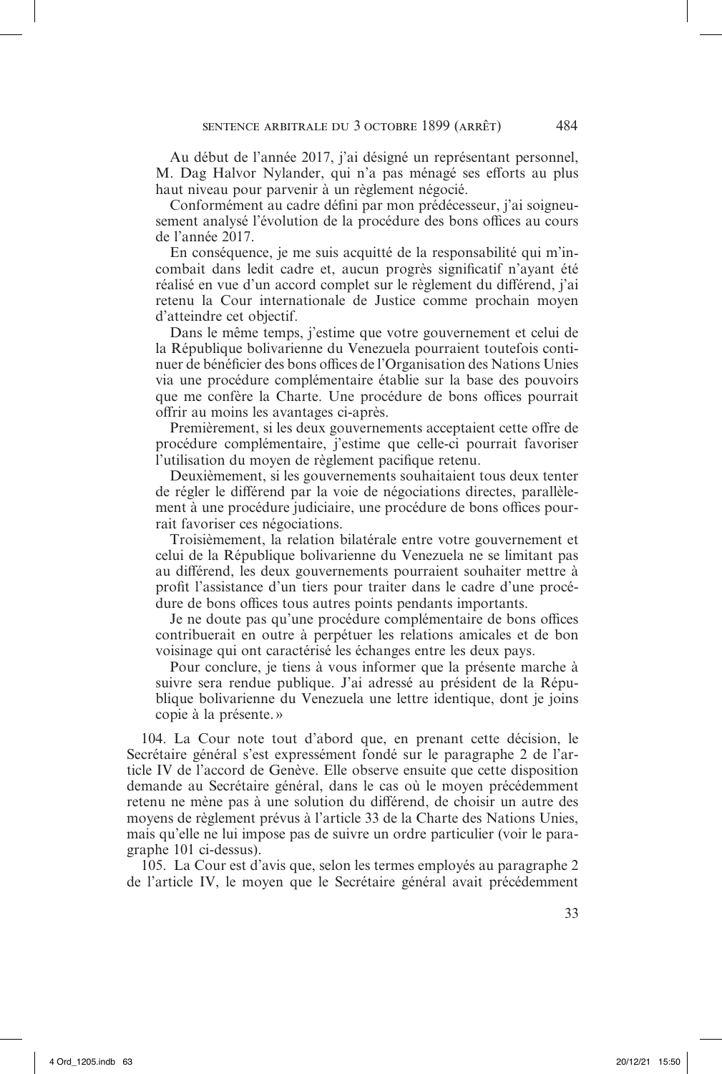Au début de l'année 2017, j'ai désigné un représentant personnel, M. Dag Halvor Nylander, qui n'a pas ménagé ses efforts au plus haut niveau pour parvenir à un règlement négocié.

Conformément au cadre défini par mon prédécesseur, j'ai soigneusement analysé l'évolution de la procédure des bons offices au cours de l'année 2017.

En conséquence, je me suis acquitté de la responsabilité qui m'incombait dans ledit cadre et, aucun progrès significatif n'ayant été réalisé en vue d'un accord complet sur le règlement du différend, j'ai retenu la Cour internationale de Justice comme prochain moyen d'atteindre cet objectif.

Dans le même temps, j'estime que votre gouvernement et celui de la République bolivarienne du Venezuela pourraient toutefois continuer de bénéficier des bons offices de l'Organisation des Nations Unies via une procédure complémentaire établie sur la base des pouvoirs que me confère la Charte. Une procédure de bons offices pourrait offrir au moins les avantages ci-après.

Premièrement, si les deux gouvernements acceptaient cette offre de procédure complémentaire, j'estime que celle-ci pourrait favoriser l'utilisation du moyen de règlement pacifique retenu.

Deuxièmement, si les gouvernements souhaitaient tous deux tenter de régler le différend par la voie de négociations directes, parallèlement à une procédure judiciaire, une procédure de bons offices pourrait favoriser ces négociations.

Troisièmement, la relation bilatérale entre votre gouvernement et celui de la République bolivarienne du Venezuela ne se limitant pas au différend, les deux gouvernements pourraient souhaiter mettre à profit l'assistance d'un tiers pour traiter dans le cadre d'une procédure de bons offices tous autres points pendants importants.

Je ne doute pas qu'une procédure complémentaire de bons offices contribuerait en outre à perpétuer les relations amicales et de bon voisinage qui ont caractérisé les échanges entre les deux pays.

Pour conclure, je tiens à vous informer que la présente marche à suivre sera rendue publique. J'ai adressé au président de la République bolivarienne du Venezuela une lettre identique, dont je joins copie à la présente.»

104. La Cour note tout d'abord que, en prenant cette décision, le Secrétaire général s'est expressément fondé sur le paragraphe 2 de l'article IV de l'accord de Genève. Elle observe ensuite que cette disposition demande au Secrétaire général, dans le cas où le moyen précédemment retenu ne mène pas à une solution du différend, de choisir un autre des moyens de règlement prévus à l'article 33 de la Charte des Nations Unies, mais qu'elle ne lui impose pas de suivre un ordre particulier (voir le paragraphe 101 ci-dessus).

105. La Cour est d'avis que, selon les termes employés au paragraphe 2 de l'article IV, le moyen que le Secrétaire général avait précédemment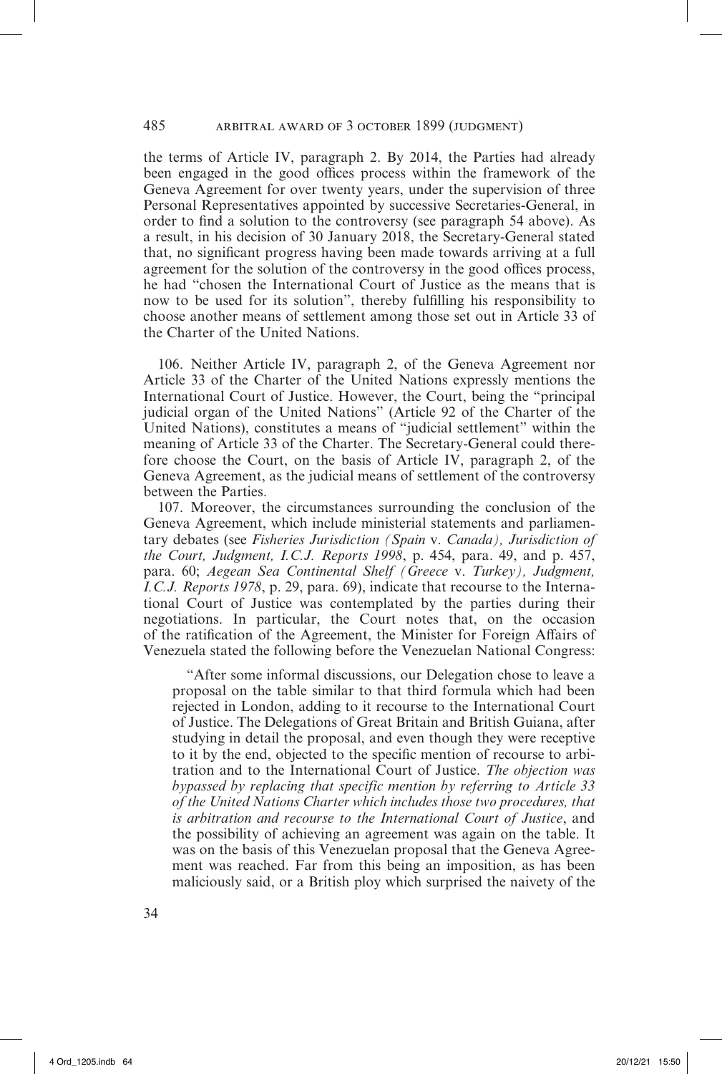the terms of Article IV, paragraph 2. By 2014, the Parties had already been engaged in the good offices process within the framework of the Geneva Agreement for over twenty years, under the supervision of three Personal Representatives appointed by successive Secretaries-General, in order to find a solution to the controversy (see paragraph 54 above). As a result, in his decision of 30 January 2018, the Secretary-General stated that, no significant progress having been made towards arriving at a full agreement for the solution of the controversy in the good offices process, he had "chosen the International Court of Justice as the means that is now to be used for its solution", thereby fulfilling his responsibility to choose another means of settlement among those set out in Article 33 of the Charter of the United Nations.

106. Neither Article IV, paragraph 2, of the Geneva Agreement nor Article 33 of the Charter of the United Nations expressly mentions the International Court of Justice. However, the Court, being the "principal judicial organ of the United Nations" (Article 92 of the Charter of the United Nations), constitutes a means of "judicial settlement" within the meaning of Article 33 of the Charter. The Secretary-General could therefore choose the Court, on the basis of Article IV, paragraph 2, of the Geneva Agreement, as the judicial means of settlement of the controversy between the Parties.

107. Moreover, the circumstances surrounding the conclusion of the Geneva Agreement, which include ministerial statements and parliamentary debates (see *Fisheries Jurisdiction (Spain* v. *Canada), Jurisdiction of the Court, Judgment, I.C.J. Reports 1998*, p. 454, para. 49, and p. 457, para. 60; *Aegean Sea Continental Shelf (Greece* v. *Turkey), Judgment, I.C.J. Reports 1978*, p. 29, para. 69), indicate that recourse to the International Court of Justice was contemplated by the parties during their negotiations. In particular, the Court notes that, on the occasion of the ratification of the Agreement, the Minister for Foreign Affairs of Venezuela stated the following before the Venezuelan National Congress:

"After some informal discussions, our Delegation chose to leave a proposal on the table similar to that third formula which had been rejected in London, adding to it recourse to the International Court of Justice. The Delegations of Great Britain and British Guiana, after studying in detail the proposal, and even though they were receptive to it by the end, objected to the specific mention of recourse to arbitration and to the International Court of Justice. *The objection was bypassed by replacing that specific mention by referring to Article 33 of the United Nations Charter which includes those two procedures, that is arbitration and recourse to the International Court of Justice*, and the possibility of achieving an agreement was again on the table. It was on the basis of this Venezuelan proposal that the Geneva Agreement was reached. Far from this being an imposition, as has been maliciously said, or a British ploy which surprised the naivety of the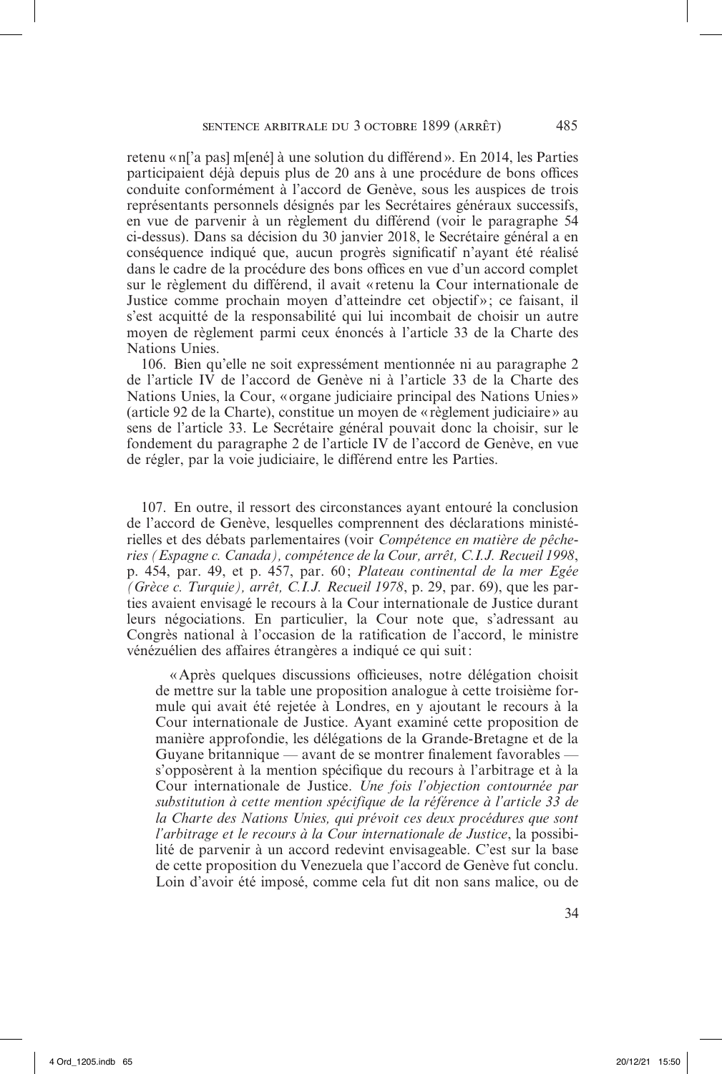retenu «n['a pas] m[ené] à une solution du différend». En 2014, les Parties participaient déjà depuis plus de 20 ans à une procédure de bons offices conduite conformément à l'accord de Genève, sous les auspices de trois représentants personnels désignés par les Secrétaires généraux successifs, en vue de parvenir à un règlement du différend (voir le paragraphe 54 ci-dessus). Dans sa décision du 30 janvier 2018, le Secrétaire général a en conséquence indiqué que, aucun progrès significatif n'ayant été réalisé dans le cadre de la procédure des bons offices en vue d'un accord complet sur le règlement du différend, il avait « retenu la Cour internationale de Justice comme prochain moyen d'atteindre cet objectif» ; ce faisant, il s'est acquitté de la responsabilité qui lui incombait de choisir un autre moyen de règlement parmi ceux énoncés à l'article 33 de la Charte des Nations Unies.

106. Bien qu'elle ne soit expressément mentionnée ni au paragraphe 2 de l'article IV de l'accord de Genève ni à l'article 33 de la Charte des Nations Unies, la Cour, «organe judiciaire principal des Nations Unies» (article 92 de la Charte), constitue un moyen de « règlement judiciaire» au sens de l'article 33. Le Secrétaire général pouvait donc la choisir, sur le fondement du paragraphe 2 de l'article IV de l'accord de Genève, en vue de régler, par la voie judiciaire, le différend entre les Parties.

107. En outre, il ressort des circonstances ayant entouré la conclusion de l'accord de Genève, lesquelles comprennent des déclarations ministérielles et des débats parlementaires (voir *Compétence en matière de pêcheries (Espagne c. Canada), compétence de la Cour, arrêt, C.I.J. Recueil 1998*, p. 454, par. 49, et p. 457, par. 60 ; *Plateau continental de la mer Egée (Grèce c. Turquie), arrêt, C.I.J. Recueil 1978*, p. 29, par. 69), que les parties avaient envisagé le recours à la Cour internationale de Justice durant leurs négociations. En particulier, la Cour note que, s'adressant au Congrès national à l'occasion de la ratification de l'accord, le ministre vénézuélien des affaires étrangères a indiqué ce qui suit:

«Après quelques discussions officieuses, notre délégation choisit de mettre sur la table une proposition analogue à cette troisième formule qui avait été rejetée à Londres, en y ajoutant le recours à la Cour internationale de Justice. Ayant examiné cette proposition de manière approfondie, les délégations de la Grande-Bretagne et de la Guyane britannique — avant de se montrer finalement favorables s'opposèrent à la mention spécifique du recours à l'arbitrage et à la Cour internationale de Justice. *Une fois l'objection contournée par substitution à cette mention spécifique de la référence à l'article 33 de la Charte des Nations Unies, qui prévoit ces deux procédures que sont l'arbitrage et le recours à la Cour internationale de Justice*, la possibilité de parvenir à un accord redevint envisageable. C'est sur la base de cette proposition du Venezuela que l'accord de Genève fut conclu. Loin d'avoir été imposé, comme cela fut dit non sans malice, ou de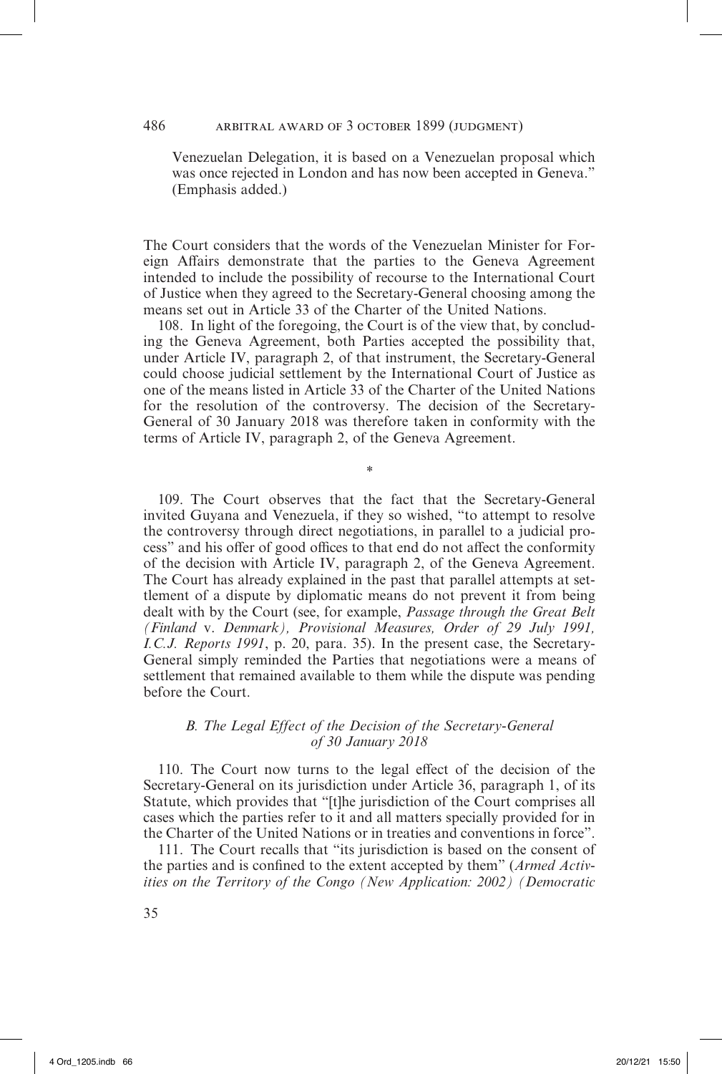Venezuelan Delegation, it is based on a Venezuelan proposal which was once rejected in London and has now been accepted in Geneva." (Emphasis added.)

The Court considers that the words of the Venezuelan Minister for Foreign Affairs demonstrate that the parties to the Geneva Agreement intended to include the possibility of recourse to the International Court of Justice when they agreed to the Secretary-General choosing among the means set out in Article 33 of the Charter of the United Nations.

108. In light of the foregoing, the Court is of the view that, by concluding the Geneva Agreement, both Parties accepted the possibility that, under Article IV, paragraph 2, of that instrument, the Secretary-General could choose judicial settlement by the International Court of Justice as one of the means listed in Article 33 of the Charter of the United Nations for the resolution of the controversy. The decision of the Secretary-General of 30 January 2018 was therefore taken in conformity with the terms of Article IV, paragraph 2, of the Geneva Agreement.

*\**

109. The Court observes that the fact that the Secretary-General invited Guyana and Venezuela, if they so wished, "to attempt to resolve the controversy through direct negotiations, in parallel to a judicial process" and his offer of good offices to that end do not affect the conformity of the decision with Article IV, paragraph 2, of the Geneva Agreement. The Court has already explained in the past that parallel attempts at settlement of a dispute by diplomatic means do not prevent it from being dealt with by the Court (see, for example, *Passage through the Great Belt (Finland* v. *Denmark), Provisional Measures, Order of 29 July 1991, I.C.J. Reports 1991*, p. 20, para. 35). In the present case, the Secretary-General simply reminded the Parties that negotiations were a means of settlement that remained available to them while the dispute was pending before the Court.

### *B. The Legal Effect of the Decision of the Secretary-General of 30 January 2018*

110. The Court now turns to the legal effect of the decision of the Secretary-General on its jurisdiction under Article 36, paragraph 1, of its Statute, which provides that "[t]he jurisdiction of the Court comprises all cases which the parties refer to it and all matters specially provided for in the Charter of the United Nations or in treaties and conventions in force".

111. The Court recalls that "its jurisdiction is based on the consent of the parties and is confined to the extent accepted by them" (*Armed Activities on the Territory of the Congo (New Application: 2002) (Democratic*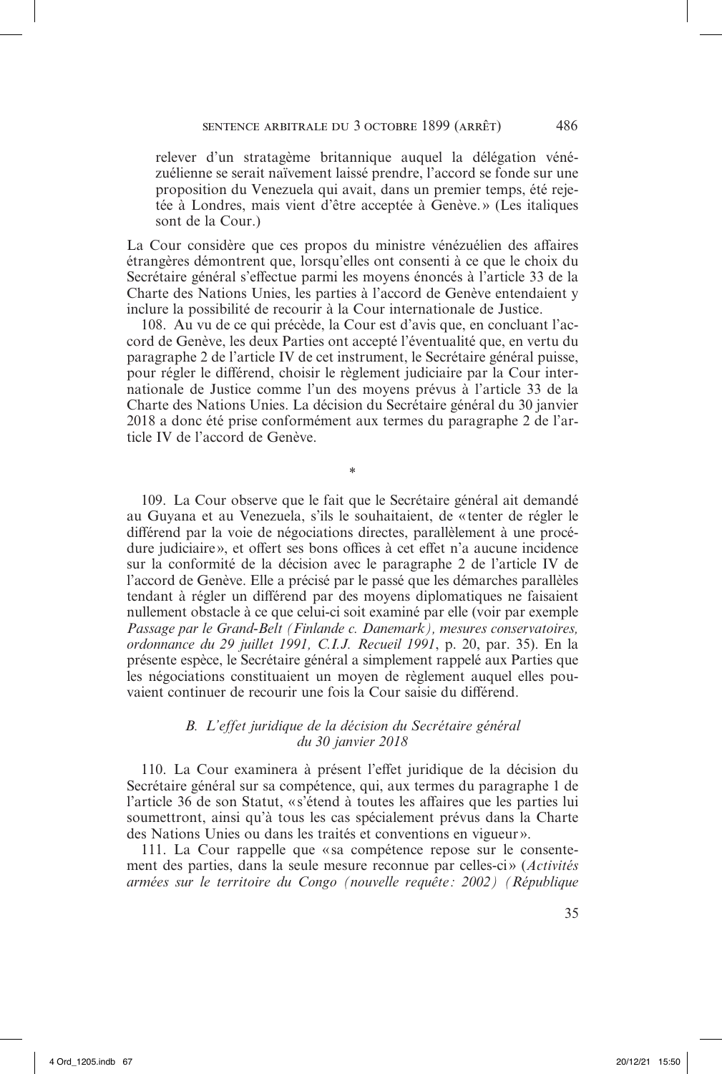relever d'un stratagème britannique auquel la délégation vénézuélienne se serait naïvement laissé prendre, l'accord se fonde sur une proposition du Venezuela qui avait, dans un premier temps, été rejetée à Londres, mais vient d'être acceptée à Genève.» (Les italiques sont de la Cour.)

La Cour considère que ces propos du ministre vénézuélien des affaires étrangères démontrent que, lorsqu'elles ont consenti à ce que le choix du Secrétaire général s'effectue parmi les moyens énoncés à l'article 33 de la Charte des Nations Unies, les parties à l'accord de Genève entendaient y inclure la possibilité de recourir à la Cour internationale de Justice.

108. Au vu de ce qui précède, la Cour est d'avis que, en concluant l'accord de Genève, les deux Parties ont accepté l'éventualité que, en vertu du paragraphe 2 de l'article IV de cet instrument, le Secrétaire général puisse, pour régler le différend, choisir le règlement judiciaire par la Cour internationale de Justice comme l'un des moyens prévus à l'article 33 de la Charte des Nations Unies. La décision du Secrétaire général du 30 janvier 2018 a donc été prise conformément aux termes du paragraphe 2 de l'article IV de l'accord de Genève.

\*

109. La Cour observe que le fait que le Secrétaire général ait demandé au Guyana et au Venezuela, s'ils le souhaitaient, de «tenter de régler le différend par la voie de négociations directes, parallèlement à une procédure judiciaire», et offert ses bons offices à cet effet n'a aucune incidence sur la conformité de la décision avec le paragraphe 2 de l'article IV de l'accord de Genève. Elle a précisé par le passé que les démarches parallèles tendant à régler un différend par des moyens diplomatiques ne faisaient nullement obstacle à ce que celui-ci soit examiné par elle (voir par exemple *Passage par le Grand-Belt (Finlande c. Danemark), mesures conservatoires, ordonnance du 29 juillet 1991, C.I.J. Recueil 1991*, p. 20, par. 35). En la présente espèce, le Secrétaire général a simplement rappelé aux Parties que les négociations constituaient un moyen de règlement auquel elles pouvaient continuer de recourir une fois la Cour saisie du différend.

## *B. L'effet juridique de la décision du Secrétaire général du 30 janvier 2018*

110. La Cour examinera à présent l'effet juridique de la décision du Secrétaire général sur sa compétence, qui, aux termes du paragraphe 1 de l'article 36 de son Statut, «s'étend à toutes les affaires que les parties lui soumettront, ainsi qu'à tous les cas spécialement prévus dans la Charte des Nations Unies ou dans les traités et conventions en vigueur».

111. La Cour rappelle que « sa compétence repose sur le consentement des parties, dans la seule mesure reconnue par celles-ci » (*Activités armées sur le territoire du Congo (nouvelle requête : 2002) (République*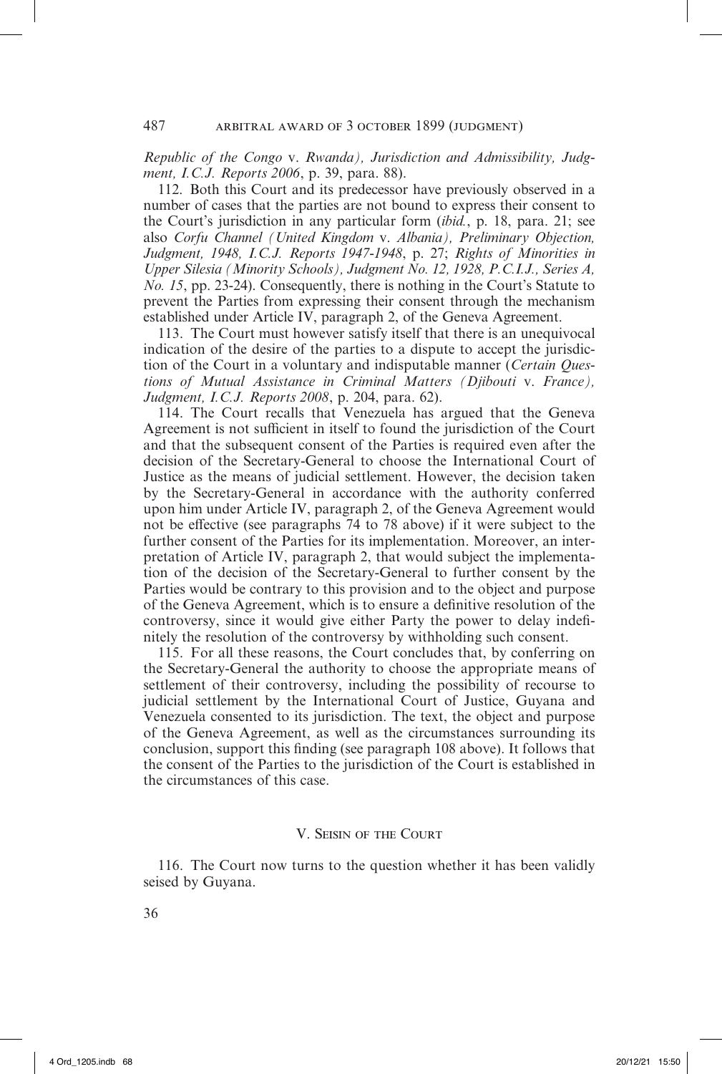*Republic of the Congo* v. *Rwanda), Jurisdiction and Admissibility, Judgment, I.C.J. Reports 2006*, p. 39, para. 88).

112. Both this Court and its predecessor have previously observed in a number of cases that the parties are not bound to express their consent to the Court's jurisdiction in any particular form (*ibid.*, p. 18, para. 21; see also *Corfu Channel (United Kingdom* v. *Albania), Preliminary Objection, Judgment, 1948, I.C.J. Reports 1947-1948*, p. 27; *Rights of Minorities in Upper Silesia (Minority Schools), Judgment No. 12, 1928, P.C.I.J., Series A, No. 15*, pp. 23-24). Consequently, there is nothing in the Court's Statute to prevent the Parties from expressing their consent through the mechanism established under Article IV, paragraph 2, of the Geneva Agreement.

113. The Court must however satisfy itself that there is an unequivocal indication of the desire of the parties to a dispute to accept the jurisdiction of the Court in a voluntary and indisputable manner (*Certain Questions of Mutual Assistance in Criminal Matters (Djibouti* v. *France), Judgment, I.C.J. Reports 2008*, p. 204, para. 62).

114. The Court recalls that Venezuela has argued that the Geneva Agreement is not sufficient in itself to found the jurisdiction of the Court and that the subsequent consent of the Parties is required even after the decision of the Secretary-General to choose the International Court of Justice as the means of judicial settlement. However, the decision taken by the Secretary-General in accordance with the authority conferred upon him under Article IV, paragraph 2, of the Geneva Agreement would not be effective (see paragraphs 74 to 78 above) if it were subject to the further consent of the Parties for its implementation. Moreover, an interpretation of Article IV, paragraph 2, that would subject the implementation of the decision of the Secretary-General to further consent by the Parties would be contrary to this provision and to the object and purpose of the Geneva Agreement, which is to ensure a definitive resolution of the controversy, since it would give either Party the power to delay indefinitely the resolution of the controversy by withholding such consent.

115. For all these reasons, the Court concludes that, by conferring on the Secretary-General the authority to choose the appropriate means of settlement of their controversy, including the possibility of recourse to judicial settlement by the International Court of Justice, Guyana and Venezuela consented to its jurisdiction. The text, the object and purpose of the Geneva Agreement, as well as the circumstances surrounding its conclusion, support this finding (see paragraph 108 above). It follows that the consent of the Parties to the jurisdiction of the Court is established in the circumstances of this case.

#### V. Seisin of the Court

116. The Court now turns to the question whether it has been validly seised by Guyana.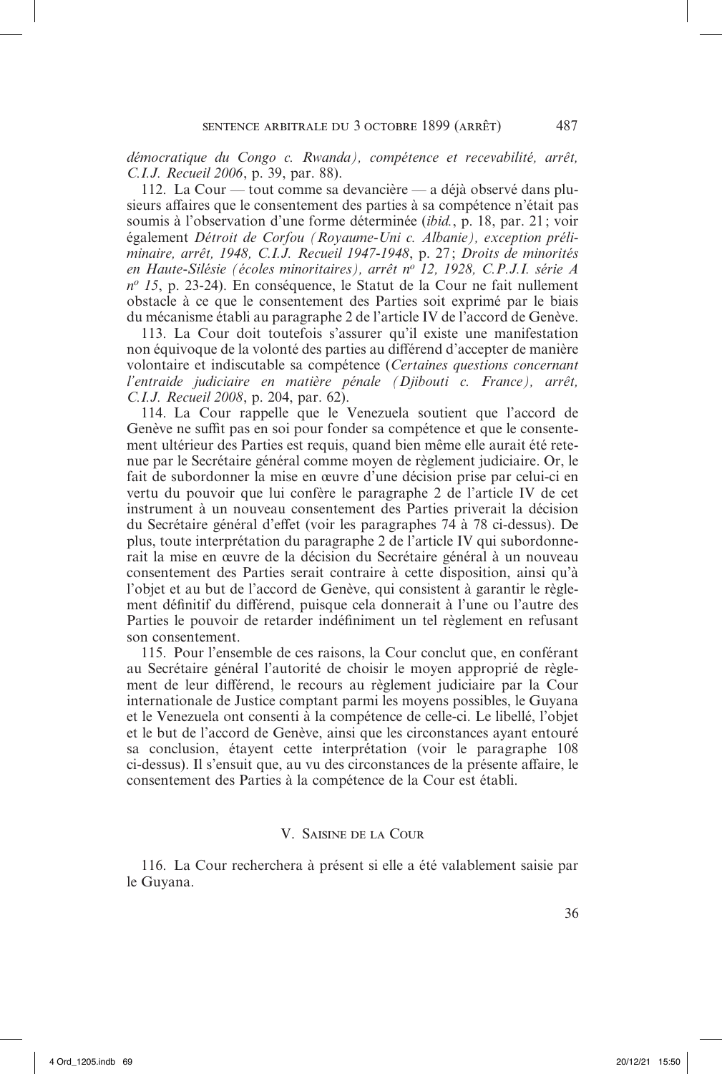*démocratique du Congo c. Rwanda), compétence et recevabilité, arrêt, C.I.J. Recueil 2006*, p. 39, par. 88).

112. La Cour — tout comme sa devancière — a déjà observé dans plusieurs affaires que le consentement des parties à sa compétence n'était pas soumis à l'observation d'une forme déterminée (*ibid.*, p. 18, par. 21; voir également *Détroit de Corfou (Royaume-Uni c. Albanie), exception préliminaire, arrêt, 1948, C.I.J. Recueil 1947-1948*, p. 27 ; *Droits de minorités en Haute-Silésie (écoles minoritaires), arrêt no 12, 1928, C.P.J.I. série A n<sup>o</sup> 15*, p. 23-24). En conséquence, le Statut de la Cour ne fait nullement obstacle à ce que le consentement des Parties soit exprimé par le biais du mécanisme établi au paragraphe 2 de l'article IV de l'accord de Genève.

113. La Cour doit toutefois s'assurer qu'il existe une manifestation non équivoque de la volonté des parties au différend d'accepter de manière volontaire et indiscutable sa compétence (*Certaines questions concernant l'entraide judiciaire en matière pénale (Djibouti c. France), arrêt, C.I.J. Recueil 2008*, p. 204, par. 62).

114. La Cour rappelle que le Venezuela soutient que l'accord de Genève ne suffit pas en soi pour fonder sa compétence et que le consentement ultérieur des Parties est requis, quand bien même elle aurait été retenue par le Secrétaire général comme moyen de règlement judiciaire. Or, le fait de subordonner la mise en œuvre d'une décision prise par celui-ci en vertu du pouvoir que lui confère le paragraphe 2 de l'article IV de cet instrument à un nouveau consentement des Parties priverait la décision du Secrétaire général d'effet (voir les paragraphes 74 à 78 ci-dessus). De plus, toute interprétation du paragraphe 2 de l'article IV qui subordonnerait la mise en œuvre de la décision du Secrétaire général à un nouveau consentement des Parties serait contraire à cette disposition, ainsi qu'à l'objet et au but de l'accord de Genève, qui consistent à garantir le règlement définitif du différend, puisque cela donnerait à l'une ou l'autre des Parties le pouvoir de retarder indéfiniment un tel règlement en refusant son consentement.

115. Pour l'ensemble de ces raisons, la Cour conclut que, en conférant au Secrétaire général l'autorité de choisir le moyen approprié de règlement de leur différend, le recours au règlement judiciaire par la Cour internationale de Justice comptant parmi les moyens possibles, le Guyana et le Venezuela ont consenti à la compétence de celle-ci. Le libellé, l'objet et le but de l'accord de Genève, ainsi que les circonstances ayant entouré sa conclusion, étayent cette interprétation (voir le paragraphe 108 ci-dessus). Il s'ensuit que, au vu des circonstances de la présente affaire, le consentement des Parties à la compétence de la Cour est établi.

### V. Saisine de la Cour

116. La Cour recherchera à présent si elle a été valablement saisie par le Guyana.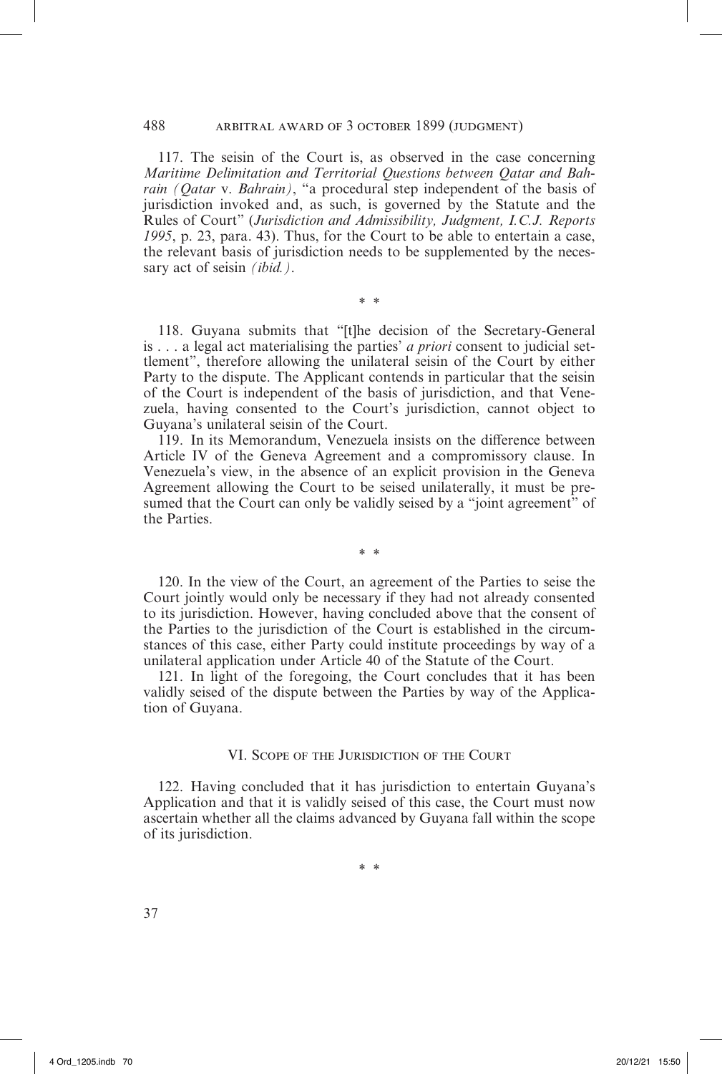117. The seisin of the Court is, as observed in the case concerning *Maritime Delimitation and Territorial Questions between Qatar and Bahrain (Qatar* v. *Bahrain)*, "a procedural step independent of the basis of jurisdiction invoked and, as such, is governed by the Statute and the Rules of Court" (*Jurisdiction and Admissibility, Judgment, I.C.J. Reports 1995*, p. 23, para. 43). Thus, for the Court to be able to entertain a case, the relevant basis of jurisdiction needs to be supplemented by the necessary act of seisin *(ibid.)*.

118. Guyana submits that "[t]he decision of the Secretary-General is . . . a legal act materialising the parties' *a priori* consent to judicial settlement", therefore allowing the unilateral seisin of the Court by either Party to the dispute. The Applicant contends in particular that the seisin of the Court is independent of the basis of jurisdiction, and that Venezuela, having consented to the Court's jurisdiction, cannot object to Guyana's unilateral seisin of the Court.

\* \*

119. In its Memorandum, Venezuela insists on the difference between Article IV of the Geneva Agreement and a compromissory clause. In Venezuela's view, in the absence of an explicit provision in the Geneva Agreement allowing the Court to be seised unilaterally, it must be presumed that the Court can only be validly seised by a "joint agreement" of the Parties.

\* \*

120. In the view of the Court, an agreement of the Parties to seise the Court jointly would only be necessary if they had not already consented to its jurisdiction. However, having concluded above that the consent of the Parties to the jurisdiction of the Court is established in the circumstances of this case, either Party could institute proceedings by way of a unilateral application under Article 40 of the Statute of the Court.

121. In light of the foregoing, the Court concludes that it has been validly seised of the dispute between the Parties by way of the Application of Guyana.

#### VI. Scope of the Jurisdiction of the Court

122. Having concluded that it has jurisdiction to entertain Guyana's Application and that it is validly seised of this case, the Court must now ascertain whether all the claims advanced by Guyana fall within the scope of its jurisdiction.

\* \*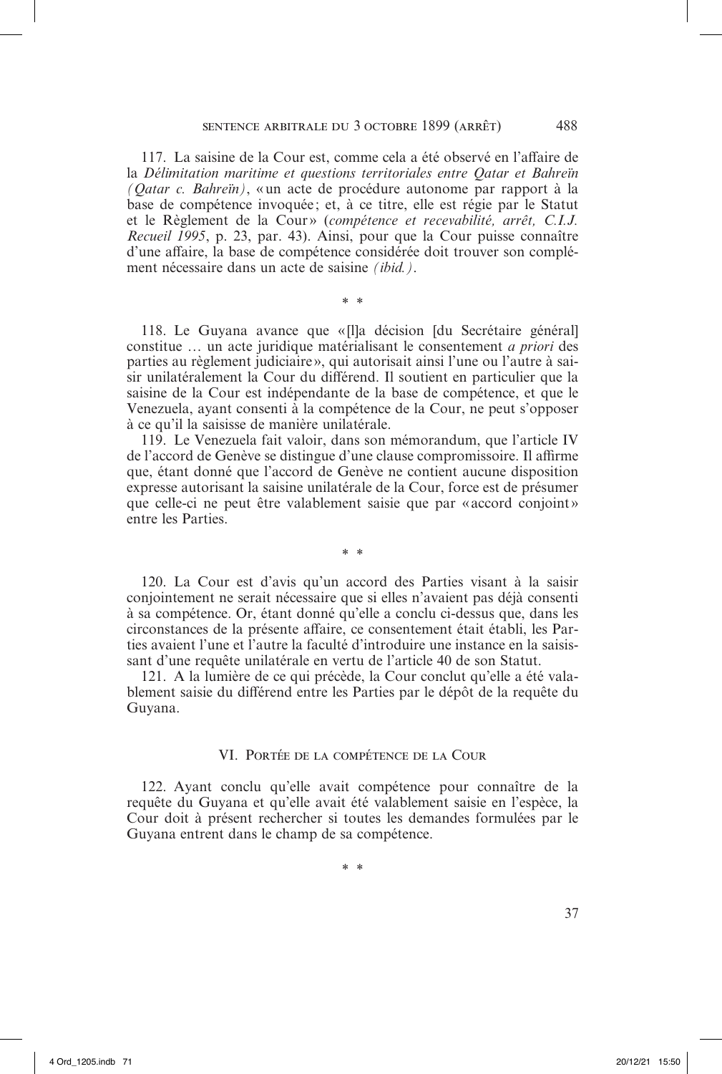117. La saisine de la Cour est, comme cela a été observé en l'affaire de la *Délimitation maritime et questions territoriales entre Qatar et Bahreïn (Qatar c. Bahreïn)*, «un acte de procédure autonome par rapport à la base de compétence invoquée ; et, à ce titre, elle est régie par le Statut et le Règlement de la Cour» (*compétence et recevabilité*, arrêt, C.I.J. *Recueil 1995*, p. 23, par. 43). Ainsi, pour que la Cour puisse connaître d'une affaire, la base de compétence considérée doit trouver son complément nécessaire dans un acte de saisine *(ibid.)*.

\* \*

118. Le Guyana avance que « [l]a décision [du Secrétaire général] constitue … un acte juridique matérialisant le consentement *a priori* des parties au règlement judiciaire», qui autorisait ainsi l'une ou l'autre à saisir unilatéralement la Cour du différend. Il soutient en particulier que la saisine de la Cour est indépendante de la base de compétence, et que le Venezuela, ayant consenti à la compétence de la Cour, ne peut s'opposer à ce qu'il la saisisse de manière unilatérale.

119. Le Venezuela fait valoir, dans son mémorandum, que l'article IV de l'accord de Genève se distingue d'une clause compromissoire. Il affirme que, étant donné que l'accord de Genève ne contient aucune disposition expresse autorisant la saisine unilatérale de la Cour, force est de présumer que celle-ci ne peut être valablement saisie que par «accord conjoint» entre les Parties.

120. La Cour est d'avis qu'un accord des Parties visant à la saisir conjointement ne serait nécessaire que si elles n'avaient pas déjà consenti à sa compétence. Or, étant donné qu'elle a conclu ci-dessus que, dans les circonstances de la présente affaire, ce consentement était établi, les Parties avaient l'une et l'autre la faculté d'introduire une instance en la saisissant d'une requête unilatérale en vertu de l'article 40 de son Statut.

\* \*

121. A la lumière de ce qui précède, la Cour conclut qu'elle a été valablement saisie du différend entre les Parties par le dépôt de la requête du Guyana.

#### VI. Portée de la compétence de la Cour

122. Ayant conclu qu'elle avait compétence pour connaître de la requête du Guyana et qu'elle avait été valablement saisie en l'espèce, la Cour doit à présent rechercher si toutes les demandes formulées par le Guyana entrent dans le champ de sa compétence.

\* \*

37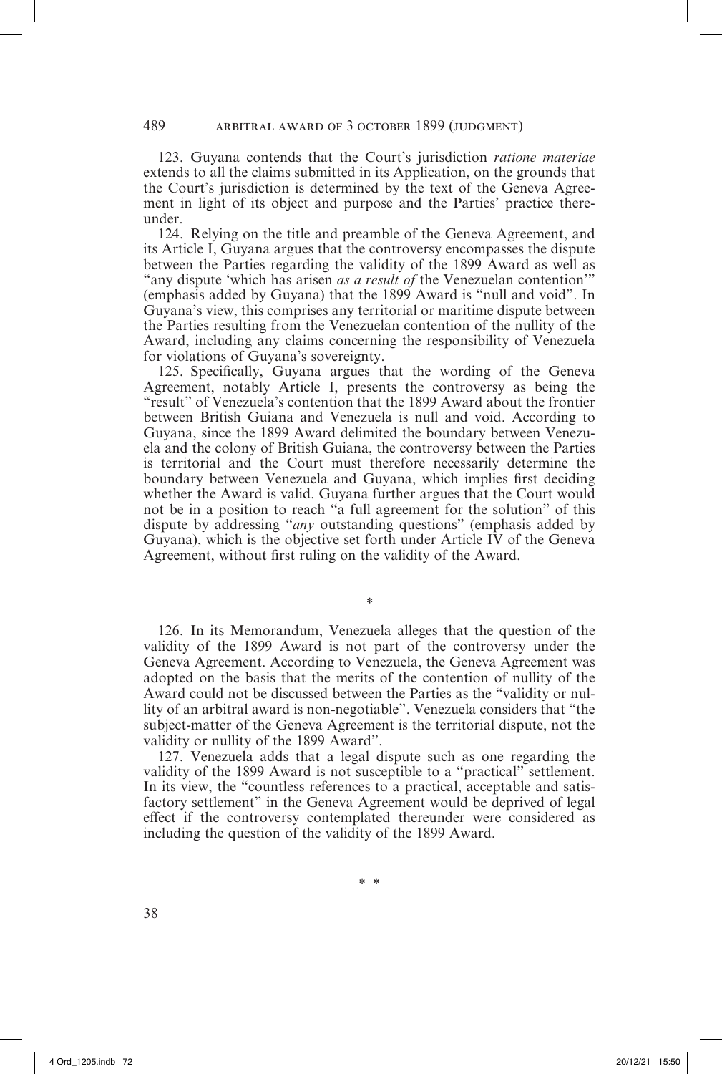123. Guyana contends that the Court's jurisdiction *ratione materiae* extends to all the claims submitted in its Application, on the grounds that the Court's jurisdiction is determined by the text of the Geneva Agreement in light of its object and purpose and the Parties' practice thereunder.

124. Relying on the title and preamble of the Geneva Agreement, and its Article I, Guyana argues that the controversy encompasses the dispute between the Parties regarding the validity of the 1899 Award as well as "any dispute 'which has arisen *as a result of* the Venezuelan contention'" (emphasis added by Guyana) that the 1899 Award is "null and void". In Guyana's view, this comprises any territorial or maritime dispute between the Parties resulting from the Venezuelan contention of the nullity of the Award, including any claims concerning the responsibility of Venezuela for violations of Guyana's sovereignty.

125. Specifically, Guyana argues that the wording of the Geneva Agreement, notably Article I, presents the controversy as being the "result" of Venezuela's contention that the 1899 Award about the frontier between British Guiana and Venezuela is null and void. According to Guyana, since the 1899 Award delimited the boundary between Venezuela and the colony of British Guiana, the controversy between the Parties is territorial and the Court must therefore necessarily determine the boundary between Venezuela and Guyana, which implies first deciding whether the Award is valid. Guyana further argues that the Court would not be in a position to reach "a full agreement for the solution" of this dispute by addressing "*any* outstanding questions" (emphasis added by Guyana), which is the objective set forth under Article IV of the Geneva Agreement, without first ruling on the validity of the Award.

126. In its Memorandum, Venezuela alleges that the question of the validity of the 1899 Award is not part of the controversy under the Geneva Agreement. According to Venezuela, the Geneva Agreement was adopted on the basis that the merits of the contention of nullity of the Award could not be discussed between the Parties as the "validity or nullity of an arbitral award is non-negotiable". Venezuela considers that "the subject-matter of the Geneva Agreement is the territorial dispute, not the validity or nullity of the 1899 Award".

*\**

127. Venezuela adds that a legal dispute such as one regarding the validity of the 1899 Award is not susceptible to a "practical" settlement. In its view, the "countless references to a practical, acceptable and satisfactory settlement" in the Geneva Agreement would be deprived of legal effect if the controversy contemplated thereunder were considered as including the question of the validity of the 1899 Award.

\* \*

38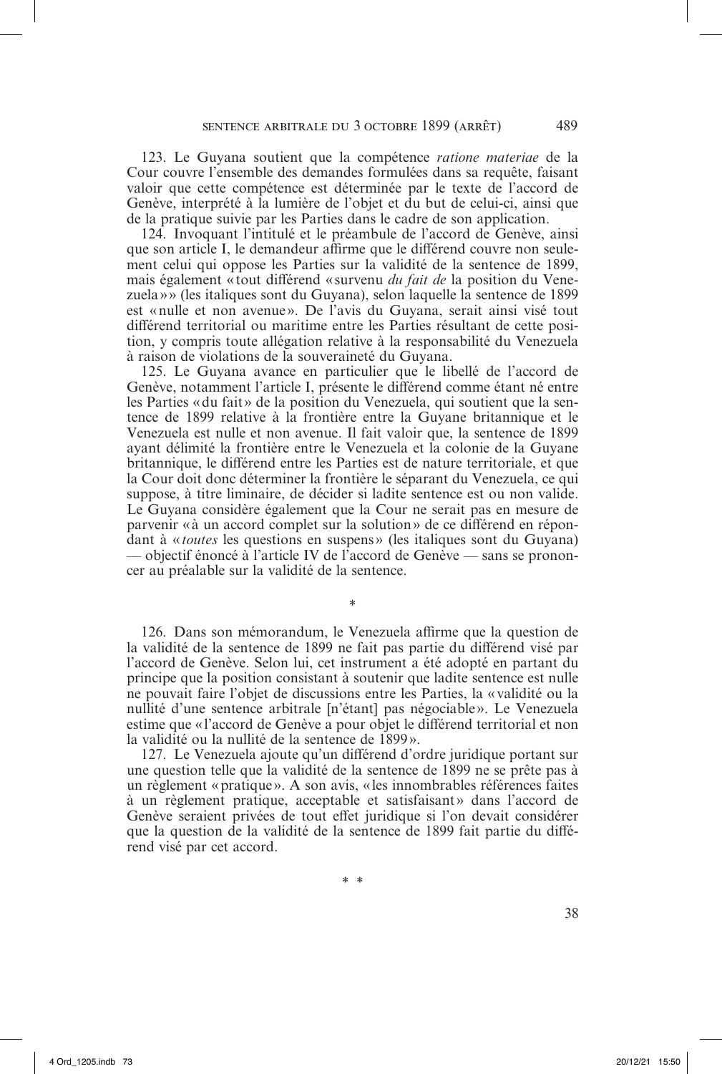123. Le Guyana soutient que la compétence *ratione materiae* de la Cour couvre l'ensemble des demandes formulées dans sa requête, faisant valoir que cette compétence est déterminée par le texte de l'accord de Genève, interprété à la lumière de l'objet et du but de celui-ci, ainsi que de la pratique suivie par les Parties dans le cadre de son application.

124. Invoquant l'intitulé et le préambule de l'accord de Genève, ainsi que son article I, le demandeur affirme que le différend couvre non seulement celui qui oppose les Parties sur la validité de la sentence de 1899, mais également « tout différend « survenu *du fait de* la position du Venezuela »» (les italiques sont du Guyana), selon laquelle la sentence de 1899 est «nulle et non avenue ». De l'avis du Guyana, serait ainsi visé tout différend territorial ou maritime entre les Parties résultant de cette position, y compris toute allégation relative à la responsabilité du Venezuela à raison de violations de la souveraineté du Guyana.

125. Le Guyana avance en particulier que le libellé de l'accord de Genève, notamment l'article I, présente le différend comme étant né entre les Parties «du fait» de la position du Venezuela, qui soutient que la sentence de 1899 relative à la frontière entre la Guyane britannique et le Venezuela est nulle et non avenue. Il fait valoir que, la sentence de 1899 ayant délimité la frontière entre le Venezuela et la colonie de la Guyane britannique, le différend entre les Parties est de nature territoriale, et que la Cour doit donc déterminer la frontière le séparant du Venezuela, ce qui suppose, à titre liminaire, de décider si ladite sentence est ou non valide. Le Guyana considère également que la Cour ne serait pas en mesure de parvenir « à un accord complet sur la solution» de ce différend en répondant à « *toutes* les questions en suspens » (les italiques sont du Guyana) — objectif énoncé à l'article IV de l'accord de Genève — sans se prononcer au préalable sur la validité de la sentence.

126. Dans son mémorandum, le Venezuela affirme que la question de la validité de la sentence de 1899 ne fait pas partie du différend visé par l'accord de Genève. Selon lui, cet instrument a été adopté en partant du principe que la position consistant à soutenir que ladite sentence est nulle ne pouvait faire l'objet de discussions entre les Parties, la « validité ou la nullité d'une sentence arbitrale [n'étant] pas négociable». Le Venezuela estime que «l'accord de Genève a pour objet le différend territorial et non la validité ou la nullité de la sentence de 1899 ».

\*

127. Le Venezuela ajoute qu'un différend d'ordre juridique portant sur une question telle que la validité de la sentence de 1899 ne se prête pas à un règlement «pratique ». A son avis, «les innombrables références faites à un règlement pratique, acceptable et satisfaisant» dans l'accord de Genève seraient privées de tout effet juridique si l'on devait considérer que la question de la validité de la sentence de 1899 fait partie du différend visé par cet accord.

\* \*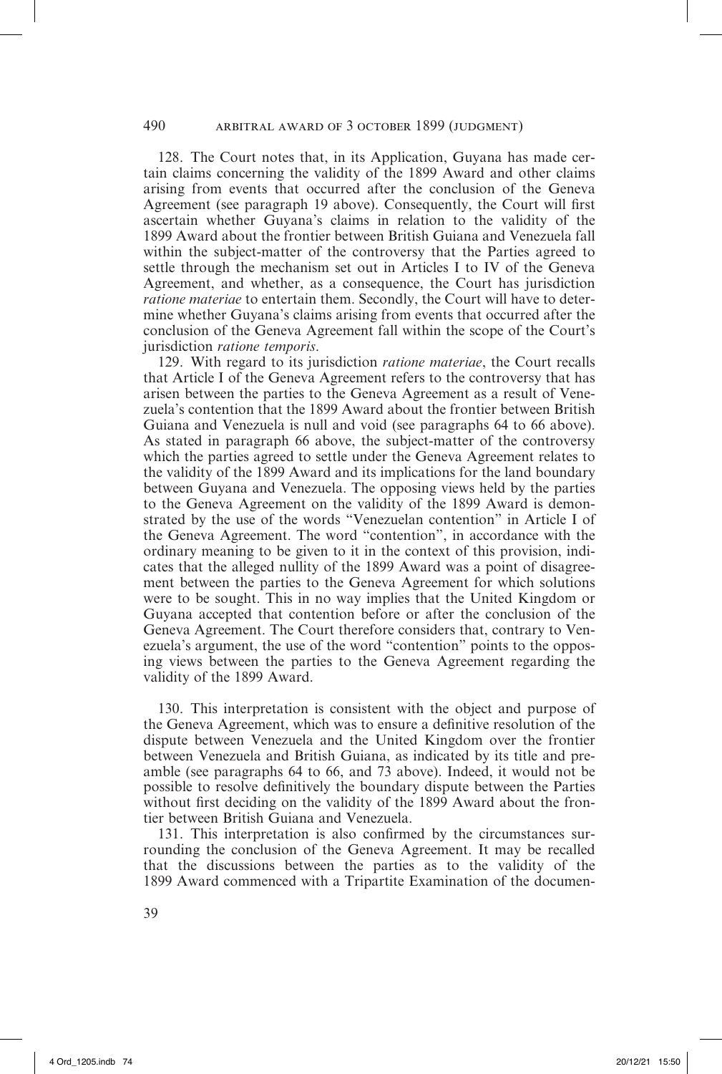128. The Court notes that, in its Application, Guyana has made certain claims concerning the validity of the 1899 Award and other claims arising from events that occurred after the conclusion of the Geneva Agreement (see paragraph 19 above). Consequently, the Court will first ascertain whether Guyana's claims in relation to the validity of the 1899 Award about the frontier between British Guiana and Venezuela fall within the subject-matter of the controversy that the Parties agreed to settle through the mechanism set out in Articles I to IV of the Geneva Agreement, and whether, as a consequence, the Court has jurisdiction *ratione materiae* to entertain them. Secondly, the Court will have to determine whether Guyana's claims arising from events that occurred after the conclusion of the Geneva Agreement fall within the scope of the Court's jurisdiction *ratione temporis*.

129. With regard to its jurisdiction *ratione materiae*, the Court recalls that Article I of the Geneva Agreement refers to the controversy that has arisen between the parties to the Geneva Agreement as a result of Venezuela's contention that the 1899 Award about the frontier between British Guiana and Venezuela is null and void (see paragraphs 64 to 66 above). As stated in paragraph 66 above, the subject-matter of the controversy which the parties agreed to settle under the Geneva Agreement relates to the validity of the 1899 Award and its implications for the land boundary between Guyana and Venezuela. The opposing views held by the parties to the Geneva Agreement on the validity of the 1899 Award is demonstrated by the use of the words "Venezuelan contention" in Article I of the Geneva Agreement. The word "contention", in accordance with the ordinary meaning to be given to it in the context of this provision, indicates that the alleged nullity of the 1899 Award was a point of disagreement between the parties to the Geneva Agreement for which solutions were to be sought. This in no way implies that the United Kingdom or Guyana accepted that contention before or after the conclusion of the Geneva Agreement. The Court therefore considers that, contrary to Venezuela's argument, the use of the word "contention" points to the opposing views between the parties to the Geneva Agreement regarding the validity of the 1899 Award.

130. This interpretation is consistent with the object and purpose of the Geneva Agreement, which was to ensure a definitive resolution of the dispute between Venezuela and the United Kingdom over the frontier between Venezuela and British Guiana, as indicated by its title and preamble (see paragraphs 64 to 66, and 73 above). Indeed, it would not be possible to resolve definitively the boundary dispute between the Parties without first deciding on the validity of the 1899 Award about the frontier between British Guiana and Venezuela.

131. This interpretation is also confirmed by the circumstances surrounding the conclusion of the Geneva Agreement. It may be recalled that the discussions between the parties as to the validity of the 1899 Award commenced with a Tripartite Examination of the documen-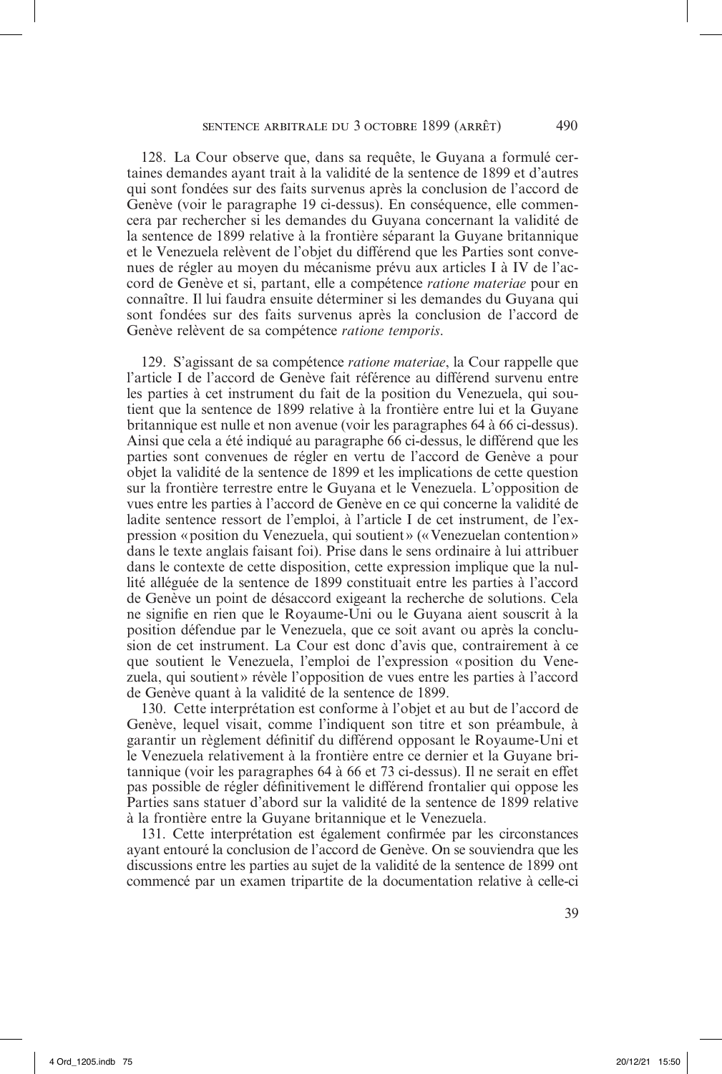128. La Cour observe que, dans sa requête, le Guyana a formulé certaines demandes ayant trait à la validité de la sentence de 1899 et d'autres qui sont fondées sur des faits survenus après la conclusion de l'accord de Genève (voir le paragraphe 19 ci-dessus). En conséquence, elle commencera par rechercher si les demandes du Guyana concernant la validité de la sentence de 1899 relative à la frontière séparant la Guyane britannique et le Venezuela relèvent de l'objet du différend que les Parties sont convenues de régler au moyen du mécanisme prévu aux articles I à IV de l'accord de Genève et si, partant, elle a compétence *ratione materiae* pour en connaître. Il lui faudra ensuite déterminer si les demandes du Guyana qui sont fondées sur des faits survenus après la conclusion de l'accord de Genève relèvent de sa compétence *ratione temporis*.

129. S'agissant de sa compétence *ratione materiae*, la Cour rappelle que l'article I de l'accord de Genève fait référence au différend survenu entre les parties à cet instrument du fait de la position du Venezuela, qui soutient que la sentence de 1899 relative à la frontière entre lui et la Guyane britannique est nulle et non avenue (voir les paragraphes 64 à 66 ci-dessus). Ainsi que cela a été indiqué au paragraphe 66 ci-dessus, le différend que les parties sont convenues de régler en vertu de l'accord de Genève a pour objet la validité de la sentence de 1899 et les implications de cette question sur la frontière terrestre entre le Guyana et le Venezuela. L'opposition de vues entre les parties à l'accord de Genève en ce qui concerne la validité de ladite sentence ressort de l'emploi, à l'article I de cet instrument, de l'expression «position du Venezuela, qui soutient» («Venezuelan contention» dans le texte anglais faisant foi). Prise dans le sens ordinaire à lui attribuer dans le contexte de cette disposition, cette expression implique que la nullité alléguée de la sentence de 1899 constituait entre les parties à l'accord de Genève un point de désaccord exigeant la recherche de solutions. Cela ne signifie en rien que le Royaume-Uni ou le Guyana aient souscrit à la position défendue par le Venezuela, que ce soit avant ou après la conclusion de cet instrument. La Cour est donc d'avis que, contrairement à ce que soutient le Venezuela, l'emploi de l'expression «position du Venezuela, qui soutient» révèle l'opposition de vues entre les parties à l'accord de Genève quant à la validité de la sentence de 1899.

130. Cette interprétation est conforme à l'objet et au but de l'accord de Genève, lequel visait, comme l'indiquent son titre et son préambule, à garantir un règlement définitif du différend opposant le Royaume-Uni et le Venezuela relativement à la frontière entre ce dernier et la Guyane britannique (voir les paragraphes 64 à 66 et 73 ci-dessus). Il ne serait en effet pas possible de régler définitivement le différend frontalier qui oppose les Parties sans statuer d'abord sur la validité de la sentence de 1899 relative à la frontière entre la Guyane britannique et le Venezuela.

131. Cette interprétation est également confirmée par les circonstances ayant entouré la conclusion de l'accord de Genève. On se souviendra que les discussions entre les parties au sujet de la validité de la sentence de 1899 ont commencé par un examen tripartite de la documentation relative à celle-ci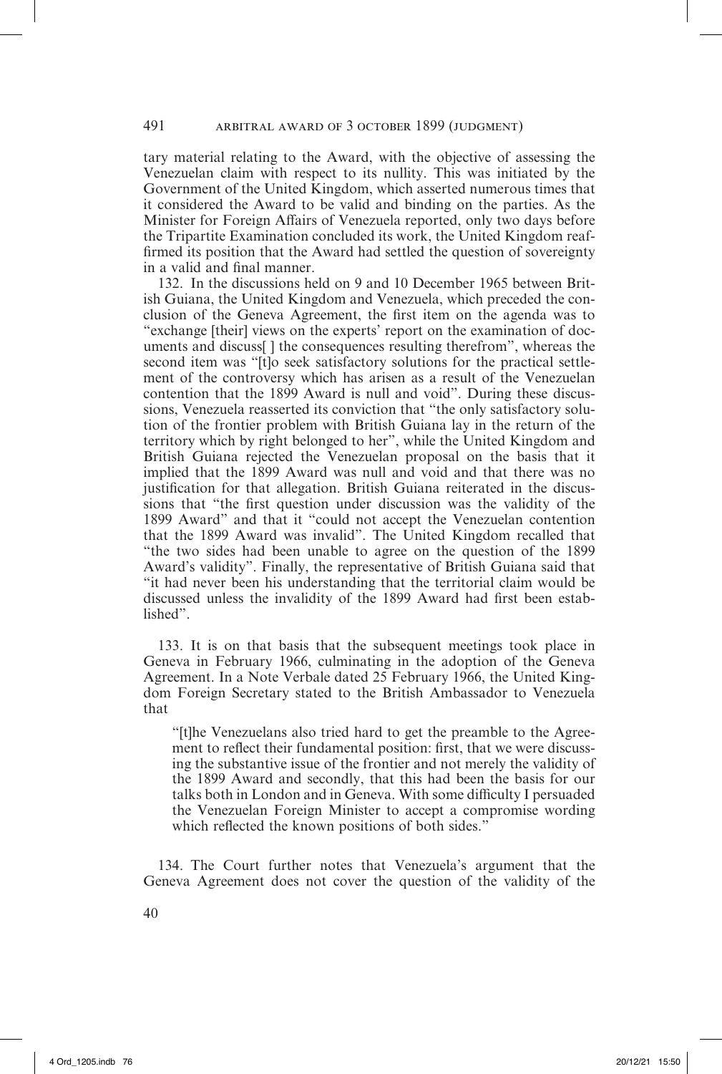tary material relating to the Award, with the objective of assessing the Venezuelan claim with respect to its nullity. This was initiated by the Government of the United Kingdom, which asserted numerous times that it considered the Award to be valid and binding on the parties. As the Minister for Foreign Affairs of Venezuela reported, only two days before the Tripartite Examination concluded its work, the United Kingdom reaffirmed its position that the Award had settled the question of sovereignty in a valid and final manner.

132. In the discussions held on 9 and 10 December 1965 between British Guiana, the United Kingdom and Venezuela, which preceded the conclusion of the Geneva Agreement, the first item on the agenda was to "exchange [their] views on the experts' report on the examination of documents and discuss[ ] the consequences resulting therefrom", whereas the second item was "[t]o seek satisfactory solutions for the practical settlement of the controversy which has arisen as a result of the Venezuelan contention that the 1899 Award is null and void". During these discussions, Venezuela reasserted its conviction that "the only satisfactory solution of the frontier problem with British Guiana lay in the return of the territory which by right belonged to her", while the United Kingdom and British Guiana rejected the Venezuelan proposal on the basis that it implied that the 1899 Award was null and void and that there was no justification for that allegation. British Guiana reiterated in the discussions that "the first question under discussion was the validity of the 1899 Award" and that it "could not accept the Venezuelan contention that the 1899 Award was invalid". The United Kingdom recalled that "the two sides had been unable to agree on the question of the 1899 Award's validity". Finally, the representative of British Guiana said that "it had never been his understanding that the territorial claim would be discussed unless the invalidity of the 1899 Award had first been established".

133. It is on that basis that the subsequent meetings took place in Geneva in February 1966, culminating in the adoption of the Geneva Agreement. In a Note Verbale dated 25 February 1966, the United Kingdom Foreign Secretary stated to the British Ambassador to Venezuela that

"[t]he Venezuelans also tried hard to get the preamble to the Agreement to reflect their fundamental position: first, that we were discussing the substantive issue of the frontier and not merely the validity of the 1899 Award and secondly, that this had been the basis for our talks both in London and in Geneva. With some difficulty I persuaded the Venezuelan Foreign Minister to accept a compromise wording which reflected the known positions of both sides."

134. The Court further notes that Venezuela's argument that the Geneva Agreement does not cover the question of the validity of the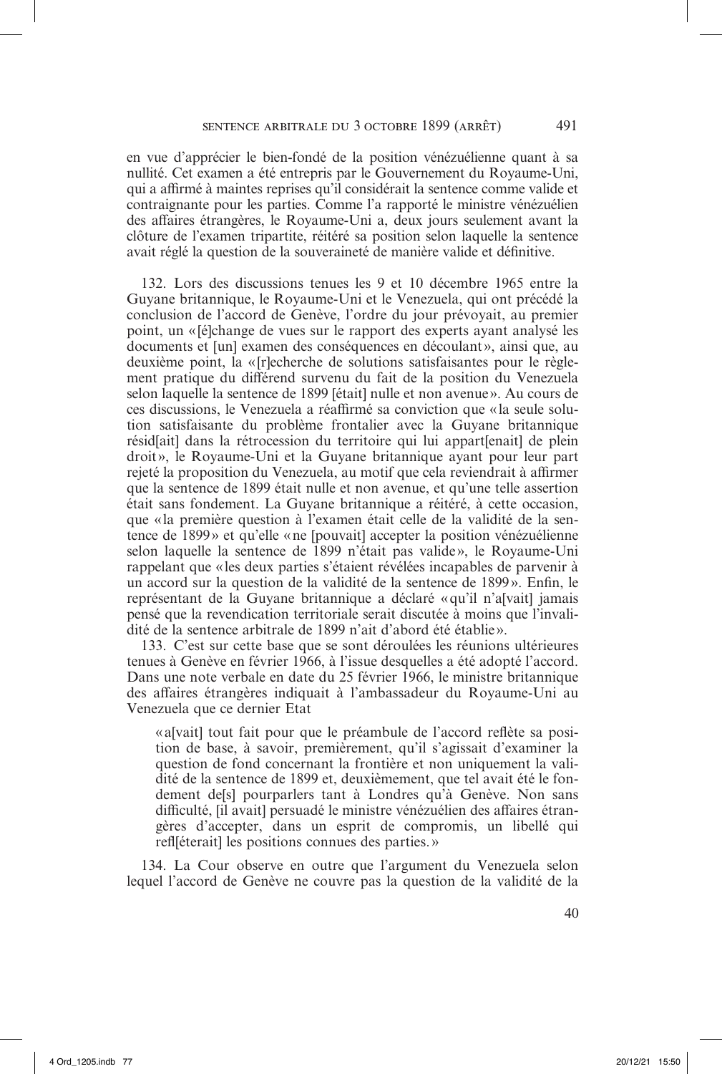en vue d'apprécier le bien-fondé de la position vénézuélienne quant à sa nullité. Cet examen a été entrepris par le Gouvernement du Royaume-Uni, qui a affirmé à maintes reprises qu'il considérait la sentence comme valide et contraignante pour les parties. Comme l'a rapporté le ministre vénézuélien des affaires étrangères, le Royaume-Uni a, deux jours seulement avant la clôture de l'examen tripartite, réitéré sa position selon laquelle la sentence avait réglé la question de la souveraineté de manière valide et définitive.

132. Lors des discussions tenues les 9 et 10 décembre 1965 entre la Guyane britannique, le Royaume-Uni et le Venezuela, qui ont précédé la conclusion de l'accord de Genève, l'ordre du jour prévoyait, au premier point, un «[é]change de vues sur le rapport des experts ayant analysé les documents et [un] examen des conséquences en découlant», ainsi que, au deuxième point, la «[r]echerche de solutions satisfaisantes pour le règlement pratique du différend survenu du fait de la position du Venezuela selon laquelle la sentence de 1899 [était] nulle et non avenue». Au cours de ces discussions, le Venezuela a réaffirmé sa conviction que «la seule solution satisfaisante du problème frontalier avec la Guyane britannique résid[ait] dans la rétrocession du territoire qui lui appart[enait] de plein droit», le Royaume-Uni et la Guyane britannique ayant pour leur part rejeté la proposition du Venezuela, au motif que cela reviendrait à affirmer que la sentence de 1899 était nulle et non avenue, et qu'une telle assertion était sans fondement. La Guyane britannique a réitéré, à cette occasion, que «la première question à l'examen était celle de la validité de la sentence de 1899» et qu'elle «ne [pouvait] accepter la position vénézuélienne selon laquelle la sentence de 1899 n'était pas valide», le Royaume-Uni rappelant que «les deux parties s'étaient révélées incapables de parvenir à un accord sur la question de la validité de la sentence de 1899». Enfin, le représentant de la Guyane britannique a déclaré «qu'il n'a[vait] jamais pensé que la revendication territoriale serait discutée à moins que l'invalidité de la sentence arbitrale de 1899 n'ait d'abord été établie».

133. C'est sur cette base que se sont déroulées les réunions ultérieures tenues à Genève en février 1966, à l'issue desquelles a été adopté l'accord. Dans une note verbale en date du 25 février 1966, le ministre britannique des affaires étrangères indiquait à l'ambassadeur du Royaume-Uni au Venezuela que ce dernier Etat

«a[vait] tout fait pour que le préambule de l'accord reflète sa position de base, à savoir, premièrement, qu'il s'agissait d'examiner la question de fond concernant la frontière et non uniquement la validité de la sentence de 1899 et, deuxièmement, que tel avait été le fondement de[s] pourparlers tant à Londres qu'à Genève. Non sans difficulté, [il avait] persuadé le ministre vénézuélien des affaires étrangères d'accepter, dans un esprit de compromis, un libellé qui refl[éterait] les positions connues des parties.»

134. La Cour observe en outre que l'argument du Venezuela selon lequel l'accord de Genève ne couvre pas la question de la validité de la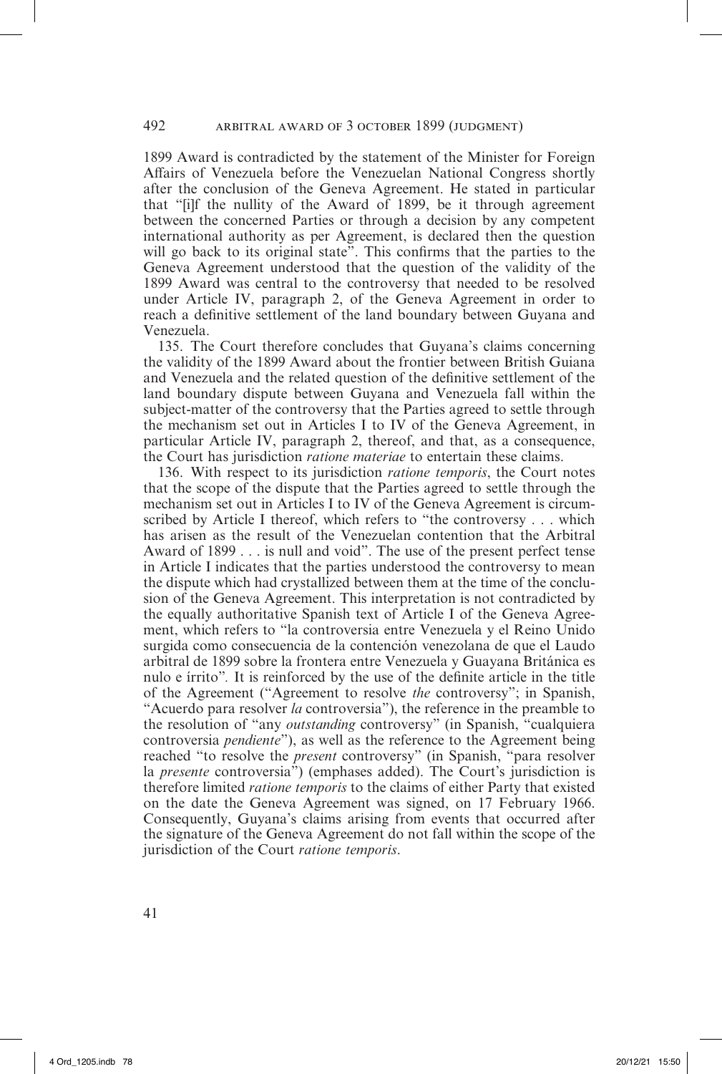1899 Award is contradicted by the statement of the Minister for Foreign Affairs of Venezuela before the Venezuelan National Congress shortly after the conclusion of the Geneva Agreement. He stated in particular that "[i]f the nullity of the Award of 1899, be it through agreement between the concerned Parties or through a decision by any competent international authority as per Agreement, is declared then the question will go back to its original state". This confirms that the parties to the Geneva Agreement understood that the question of the validity of the 1899 Award was central to the controversy that needed to be resolved under Article IV, paragraph 2, of the Geneva Agreement in order to reach a definitive settlement of the land boundary between Guyana and Venezuela.

135. The Court therefore concludes that Guyana's claims concerning the validity of the 1899 Award about the frontier between British Guiana and Venezuela and the related question of the definitive settlement of the land boundary dispute between Guyana and Venezuela fall within the subject-matter of the controversy that the Parties agreed to settle through the mechanism set out in Articles I to IV of the Geneva Agreement, in particular Article IV, paragraph 2, thereof, and that, as a consequence, the Court has jurisdiction *ratione materiae* to entertain these claims.

136. With respect to its jurisdiction *ratione temporis*, the Court notes that the scope of the dispute that the Parties agreed to settle through the mechanism set out in Articles I to IV of the Geneva Agreement is circumscribed by Article I thereof, which refers to "the controversy . . . which has arisen as the result of the Venezuelan contention that the Arbitral Award of 1899 . . . is null and void". The use of the present perfect tense in Article I indicates that the parties understood the controversy to mean the dispute which had crystallized between them at the time of the conclusion of the Geneva Agreement. This interpretation is not contradicted by the equally authoritative Spanish text of Article I of the Geneva Agreement, which refers to "la controversia entre Venezuela y el Reino Unido surgida como consecuencia de la contención venezolana de que el Laudo arbitral de 1899 sobre la frontera entre Venezuela y Guayana Británica es nulo e írrito"*.* It is reinforced by the use of the definite article in the title of the Agreement ("Agreement to resolve *the* controversy"; in Spanish, "Acuerdo para resolver *la* controversia"), the reference in the preamble to the resolution of "any *outstanding* controversy" (in Spanish, "cualquiera controversia *pendiente*"), as well as the reference to the Agreement being reached "to resolve the *present* controversy" (in Spanish, "para resolver la *presente* controversia") (emphases added). The Court's jurisdiction is therefore limited *ratione temporis* to the claims of either Party that existed on the date the Geneva Agreement was signed, on 17 February 1966. Consequently, Guyana's claims arising from events that occurred after the signature of the Geneva Agreement do not fall within the scope of the jurisdiction of the Court *ratione temporis*.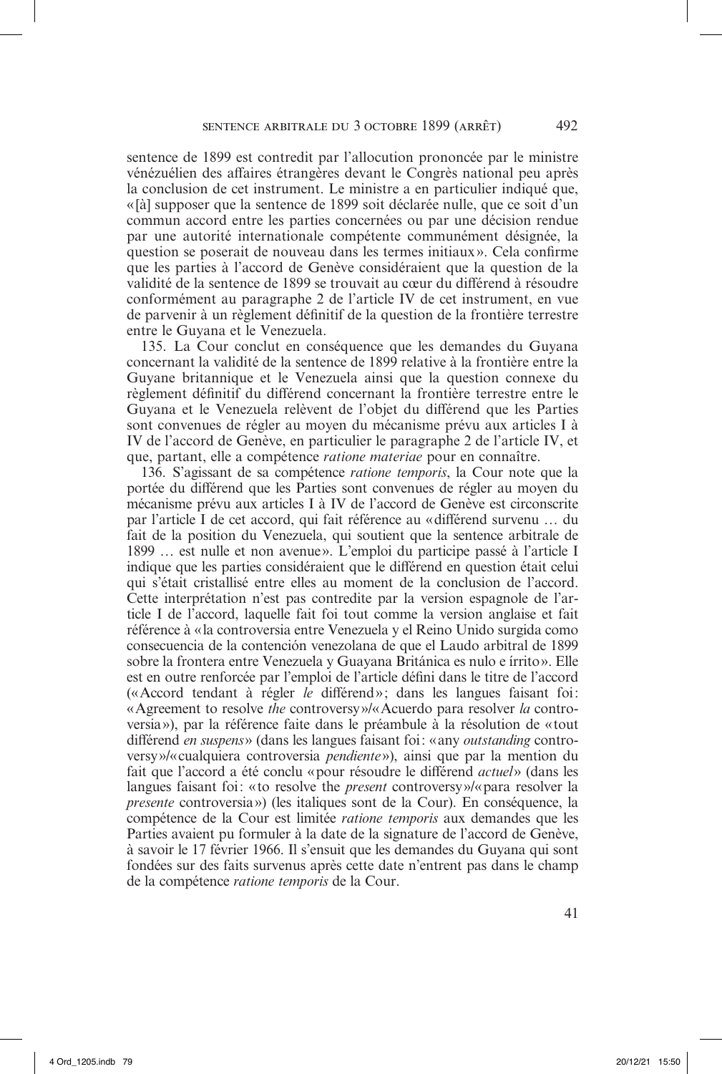sentence de 1899 est contredit par l'allocution prononcée par le ministre vénézuélien des affaires étrangères devant le Congrès national peu après la conclusion de cet instrument. Le ministre a en particulier indiqué que, « [à] supposer que la sentence de 1899 soit déclarée nulle, que ce soit d'un commun accord entre les parties concernées ou par une décision rendue par une autorité internationale compétente communément désignée, la question se poserait de nouveau dans les termes initiaux». Cela confirme que les parties à l'accord de Genève considéraient que la question de la validité de la sentence de 1899 se trouvait au cœur du différend à résoudre conformément au paragraphe 2 de l'article IV de cet instrument, en vue de parvenir à un règlement définitif de la question de la frontière terrestre entre le Guyana et le Venezuela.

135. La Cour conclut en conséquence que les demandes du Guyana concernant la validité de la sentence de 1899 relative à la frontière entre la Guyane britannique et le Venezuela ainsi que la question connexe du règlement définitif du différend concernant la frontière terrestre entre le Guyana et le Venezuela relèvent de l'objet du différend que les Parties sont convenues de régler au moyen du mécanisme prévu aux articles I à IV de l'accord de Genève, en particulier le paragraphe 2 de l'article IV, et que, partant, elle a compétence *ratione materiae* pour en connaître.

136. S'agissant de sa compétence *ratione temporis*, la Cour note que la portée du différend que les Parties sont convenues de régler au moyen du mécanisme prévu aux articles I à IV de l'accord de Genève est circonscrite par l'article I de cet accord, qui fait référence au «différend survenu … du fait de la position du Venezuela, qui soutient que la sentence arbitrale de 1899 … est nulle et non avenue». L'emploi du participe passé à l'article I indique que les parties considéraient que le différend en question était celui qui s'était cristallisé entre elles au moment de la conclusion de l'accord. Cette interprétation n'est pas contredite par la version espagnole de l'article I de l'accord, laquelle fait foi tout comme la version anglaise et fait référence à «la controversia entre Venezuela y el Reino Unido surgida como consecuencia de la contención venezolana de que el Laudo arbitral de 1899 sobre la frontera entre Venezuela y Guayana Británica es nulo e írrito». Elle est en outre renforcée par l'emploi de l'article défini dans le titre de l'accord («Accord tendant à régler *le* différend»; dans les langues faisant foi: « Agreement to resolve *the* controversy»/«Acuerdo para resolver *la* controversia»), par la référence faite dans le préambule à la résolution de «tout différend *en suspens*» (dans les langues faisant foi: «any *outstanding* controversy»/«cualquiera controversia *pendiente*»), ainsi que par la mention du fait que l'accord a été conclu «pour résoudre le différend *actuel*» (dans les langues faisant foi: «to resolve the *present* controversy»/«para resolver la *presente* controversia») (les italiques sont de la Cour). En conséquence, la compétence de la Cour est limitée *ratione temporis* aux demandes que les Parties avaient pu formuler à la date de la signature de l'accord de Genève, à savoir le 17 février 1966. Il s'ensuit que les demandes du Guyana qui sont fondées sur des faits survenus après cette date n'entrent pas dans le champ de la compétence *ratione temporis* de la Cour.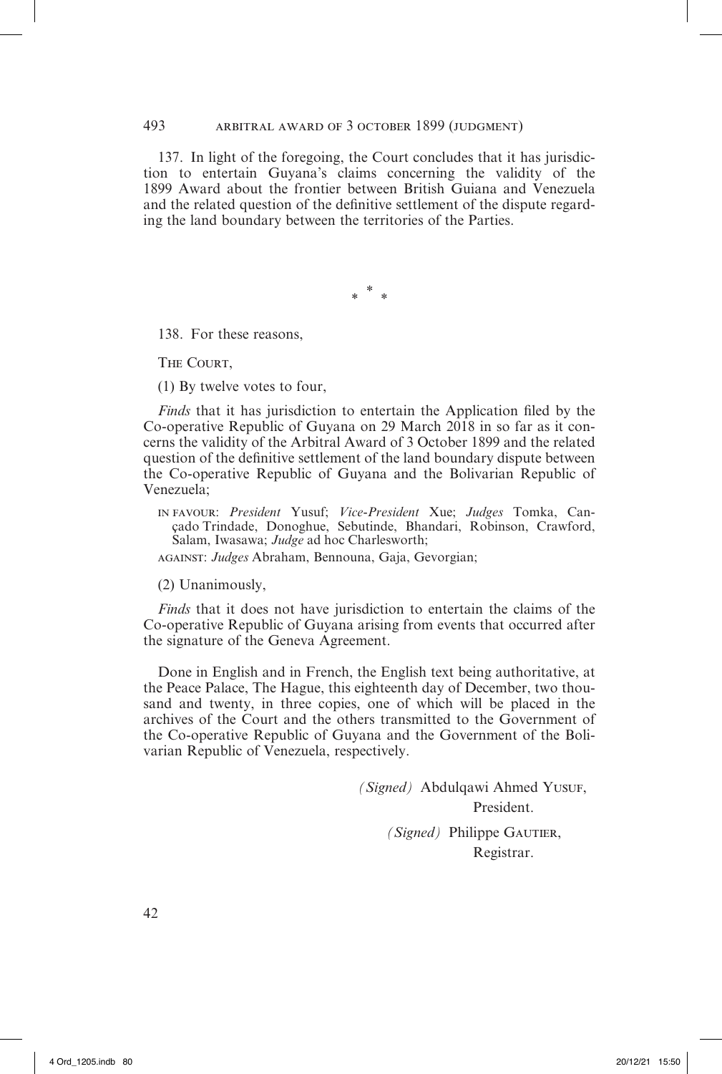493 arbitral award of 3 october 1899 (judgment)

137. In light of the foregoing, the Court concludes that it has jurisdiction to entertain Guyana's claims concerning the validity of the 1899 Award about the frontier between British Guiana and Venezuela and the related question of the definitive settlement of the dispute regarding the land boundary between the territories of the Parties.

\* *\* \**

138. For these reasons,

THE COURT.

(1) By twelve votes to four,

*Finds* that it has jurisdiction to entertain the Application filed by the Co-operative Republic of Guyana on 29 March 2018 in so far as it concerns the validity of the Arbitral Award of 3 October 1899 and the related question of the definitive settlement of the land boundary dispute between the Co-operative Republic of Guyana and the Bolivarian Republic of Venezuela;

in favour: *President* Yusuf; *Vice-President* Xue; *Judges* Tomka, Cançado Trindade, Donoghue, Sebutinde, Bhandari, Robinson, Crawford, Salam, Iwasawa; *Judge* ad hoc Charlesworth;

against: *Judges* Abraham, Bennouna, Gaja, Gevorgian;

(2) Unanimously,

*Finds* that it does not have jurisdiction to entertain the claims of the Co-operative Republic of Guyana arising from events that occurred after the signature of the Geneva Agreement.

Done in English and in French, the English text being authoritative, at the Peace Palace, The Hague, this eighteenth day of December, two thousand and twenty, in three copies, one of which will be placed in the archives of the Court and the others transmitted to the Government of the Co-operative Republic of Guyana and the Government of the Bolivarian Republic of Venezuela, respectively.

> *(Signed)* Abdulqawi Ahmed Yusuf, President. *(Signed)* Philippe GAUTIER, Registrar.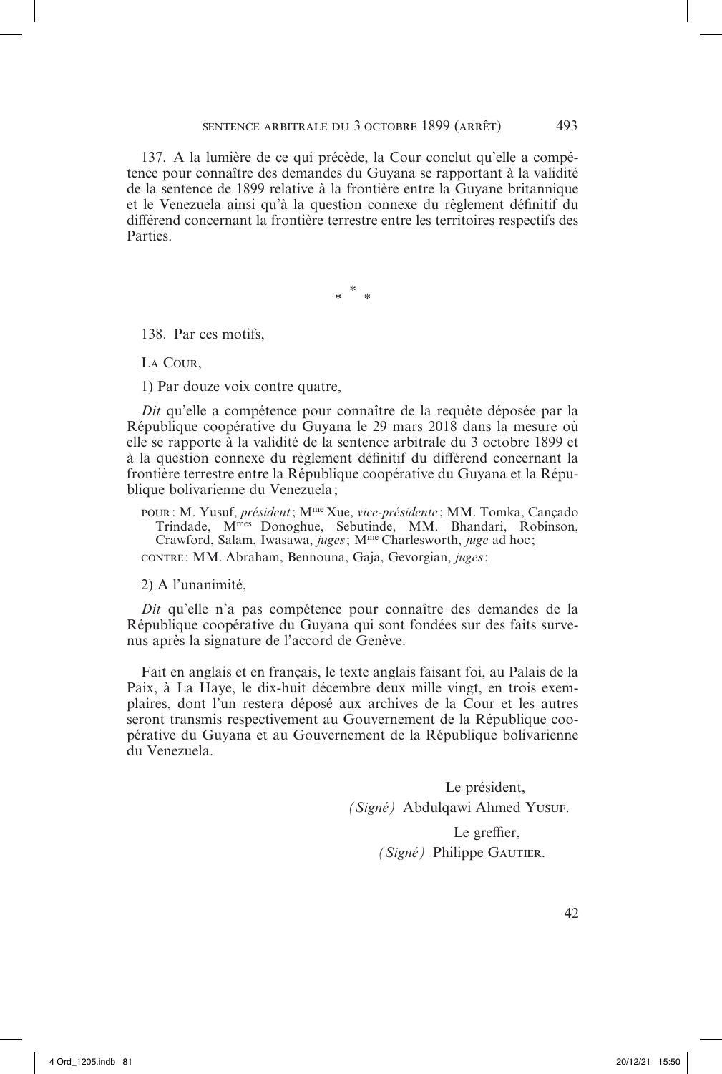137. A la lumière de ce qui précède, la Cour conclut qu'elle a compétence pour connaître des demandes du Guyana se rapportant à la validité de la sentence de 1899 relative à la frontière entre la Guyane britannique et le Venezuela ainsi qu'à la question connexe du règlement définitif du différend concernant la frontière terrestre entre les territoires respectifs des **Parties** 

\* *\* \**

138. Par ces motifs,

La Cour,

1) Par douze voix contre quatre,

*Dit* qu'elle a compétence pour connaître de la requête déposée par la République coopérative du Guyana le 29 mars 2018 dans la mesure où elle se rapporte à la validité de la sentence arbitrale du 3 octobre 1899 et à la question connexe du règlement définitif du différend concernant la frontière terrestre entre la République coopérative du Guyana et la République bolivarienne du Venezuela;

pour: M. Yusuf, *président*; Mme Xue, *vice-présidente* ; MM. Tomka, Cançado Trindade, Mmes Donoghue, Sebutinde, MM. Bhandari, Robinson, Crawford, Salam, Iwasawa, *juges*; M<sup>me</sup> Charlesworth, *juge* ad hoc; contre : MM. Abraham, Bennouna, Gaja, Gevorgian, *juges*;

2) A l'unanimité,

*Dit* qu'elle n'a pas compétence pour connaître des demandes de la République coopérative du Guyana qui sont fondées sur des faits survenus après la signature de l'accord de Genève.

Fait en anglais et en français, le texte anglais faisant foi, au Palais de la Paix, à La Haye, le dix-huit décembre deux mille vingt, en trois exemplaires, dont l'un restera déposé aux archives de la Cour et les autres seront transmis respectivement au Gouvernement de la République coopérative du Guyana et au Gouvernement de la République bolivarienne du Venezuela.

> Le président, *(Signé)* Abdulqawi Ahmed Yusuf. Le greffier, *(Signé)* Philippe GAUTIER.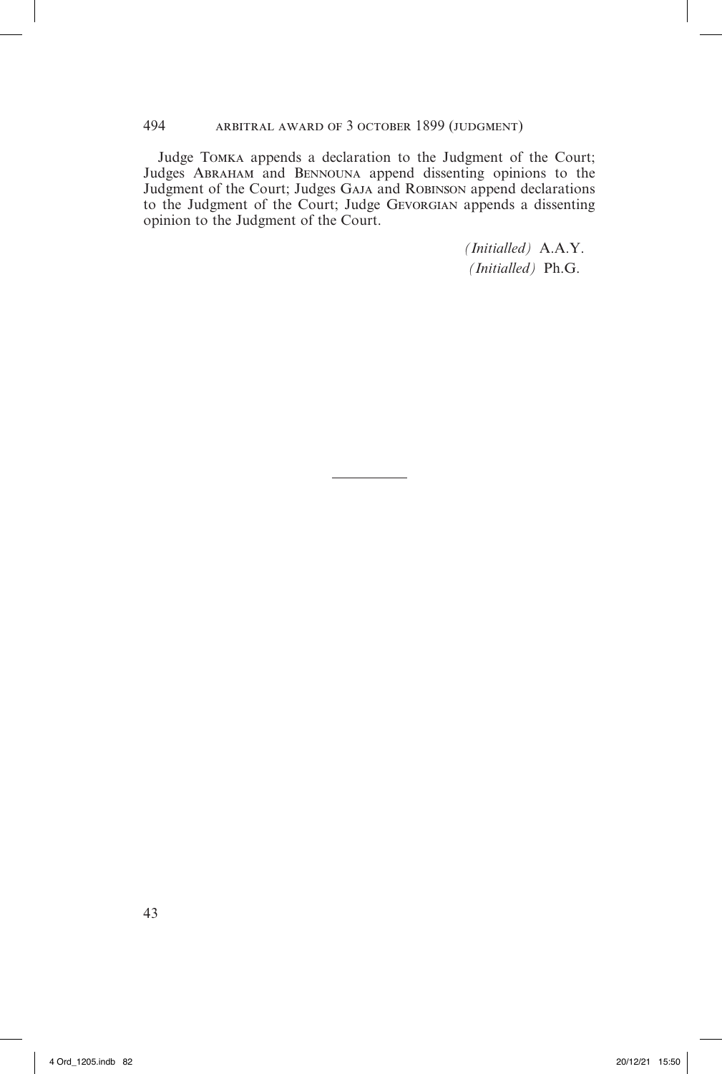Judge Tomka appends a declaration to the Judgment of the Court; Judges Abraham and Bennouna append dissenting opinions to the Judgment of the Court; Judges GAJA and ROBINSON append declarations to the Judgment of the Court; Judge Gevorgian appends a dissenting opinion to the Judgment of the Court.

> *(Initialled)* A.A.Y. *(Initialled)* Ph.G.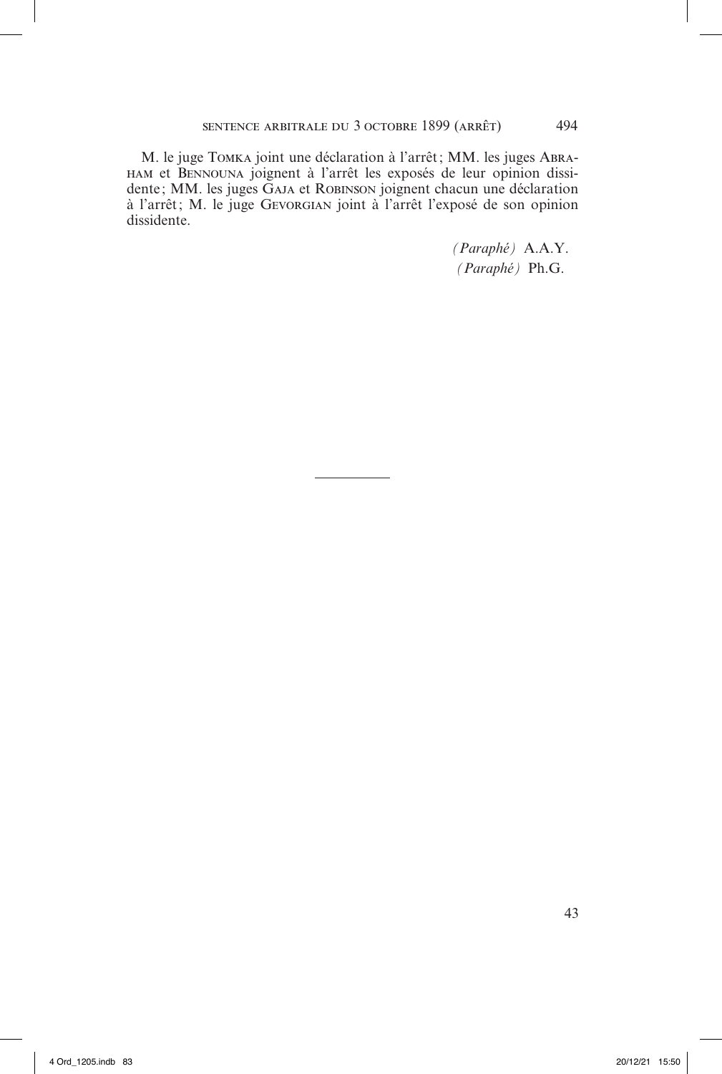M. le juge Tomka joint une déclaration à l'arrêt; MM. les juges Abraham et Bennouna joignent à l'arrêt les exposés de leur opinion dissidente; MM. les juges GAJA et ROBINSON joignent chacun une déclaration à l'arrêt; M. le juge Gevorgian joint à l'arrêt l'exposé de son opinion dissidente.

> *(Paraphé)* A.A.Y. *(Paraphé)* Ph.G.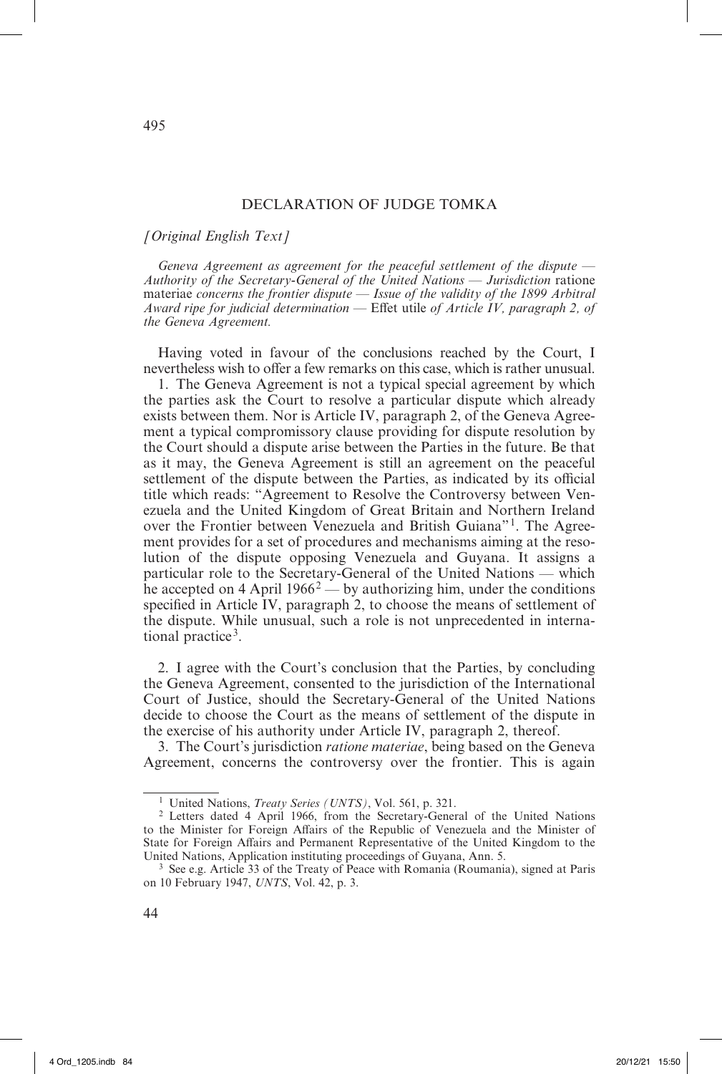# DECLARATION OF JUDGE TOMKA

#### *[Original English Text]*

*Geneva Agreement as agreement for the peaceful settlement of the dispute — Authority of the Secretary*-*General of the United Nations — Jurisdiction* ratione materiae *concerns the frontier dispute — Issue of the validity of the 1899 Arbitral Award ripe for judicial determination —* Effet utile *of Article IV, paragraph 2, of the Geneva Agreement.*

Having voted in favour of the conclusions reached by the Court, I nevertheless wish to offer a few remarks on this case, which is rather unusual.

1. The Geneva Agreement is not a typical special agreement by which the parties ask the Court to resolve a particular dispute which already exists between them. Nor is Article IV, paragraph 2, of the Geneva Agreement a typical compromissory clause providing for dispute resolution by the Court should a dispute arise between the Parties in the future. Be that as it may, the Geneva Agreement is still an agreement on the peaceful settlement of the dispute between the Parties, as indicated by its official title which reads: "Agreement to Resolve the Controversy between Venezuela and the United Kingdom of Great Britain and Northern Ireland over the Frontier between Venezuela and British Guiana"1. The Agreement provides for a set of procedures and mechanisms aiming at the resolution of the dispute opposing Venezuela and Guyana. It assigns a particular role to the Secretary-General of the United Nations — which he accepted on 4 April 1966<sup>2</sup> — by authorizing him, under the conditions specified in Article IV, paragraph 2, to choose the means of settlement of the dispute. While unusual, such a role is not unprecedented in international practice<sup>3</sup>.

2. I agree with the Court's conclusion that the Parties, by concluding the Geneva Agreement, consented to the jurisdiction of the International Court of Justice, should the Secretary-General of the United Nations decide to choose the Court as the means of settlement of the dispute in the exercise of his authority under Article IV, paragraph 2, thereof.

3. The Court's jurisdiction *ratione materiae*, being based on the Geneva Agreement, concerns the controversy over the frontier. This is again

<sup>1</sup> United Nations, *Treaty Series (UNTS)*, Vol. 561, p. 321.

<sup>2</sup> Letters dated 4 April 1966, from the Secretary-General of the United Nations to the Minister for Foreign Affairs of the Republic of Venezuela and the Minister of State for Foreign Affairs and Permanent Representative of the United Kingdom to the United Nations, Application instituting proceedings of Guyana, Ann. 5.

<sup>&</sup>lt;sup>3</sup> See e.g. Article 33 of the Treaty of Peace with Romania (Roumania), signed at Paris on 10 February 1947, *UNTS*, Vol. 42, p. 3.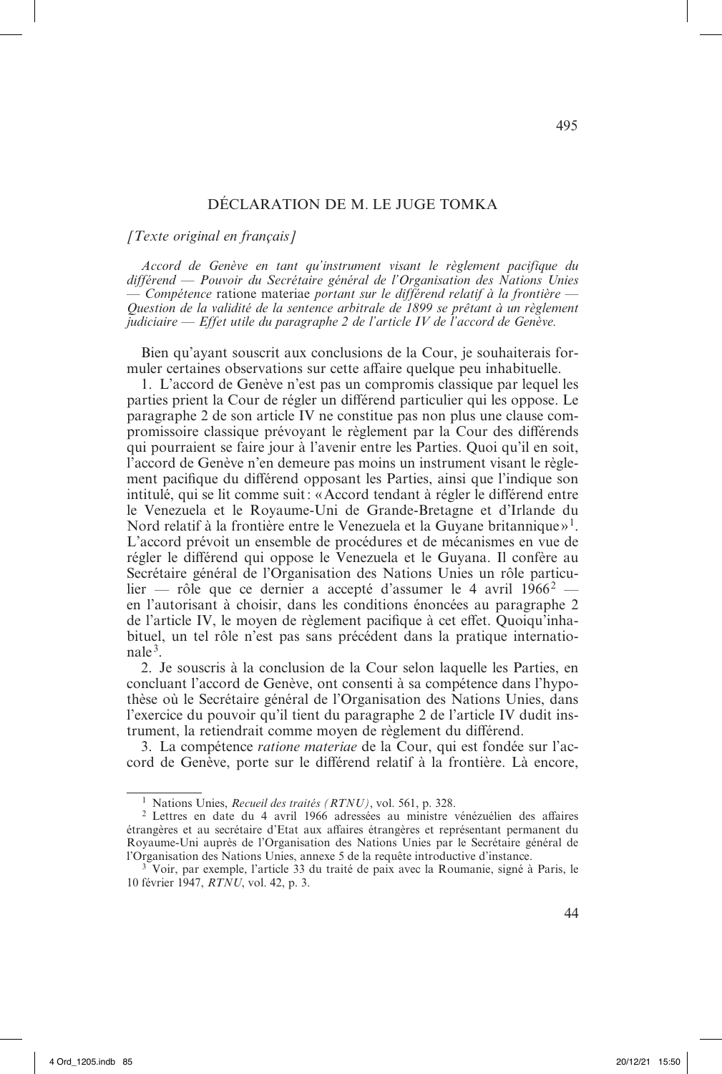# DÉCLARATION DE M. LE JUGE TOMKA

*[Texte original en français]*

*Accord de Genève en tant qu'instrument visant le règlement pacifique du différend* — *Pouvoir du Secrétaire général de l'Organisation des Nations Unies*  — *Compétence* ratione materiae *portant sur le différend relatif à la frontière* — *Question de la validité de la sentence arbitrale de 1899 se prêtant à un règlement judiciaire* — *Effet utile du paragraphe 2 de l'article IV de l'accord de Genève.*

Bien qu'ayant souscrit aux conclusions de la Cour, je souhaiterais formuler certaines observations sur cette affaire quelque peu inhabituelle.

1. L'accord de Genève n'est pas un compromis classique par lequel les parties prient la Cour de régler un différend particulier qui les oppose. Le paragraphe 2 de son article IV ne constitue pas non plus une clause compromissoire classique prévoyant le règlement par la Cour des différends qui pourraient se faire jour à l'avenir entre les Parties. Quoi qu'il en soit, l'accord de Genève n'en demeure pas moins un instrument visant le règlement pacifique du différend opposant les Parties, ainsi que l'indique son intitulé, qui se lit comme suit: «Accord tendant à régler le différend entre le Venezuela et le Royaume-Uni de Grande-Bretagne et d'Irlande du Nord relatif à la frontière entre le Venezuela et la Guyane britannique»1. L'accord prévoit un ensemble de procédures et de mécanismes en vue de régler le différend qui oppose le Venezuela et le Guyana. Il confère au Secrétaire général de l'Organisation des Nations Unies un rôle particulier — rôle que ce dernier a accepté d'assumer le 4 avril 1966<sup>2</sup> en l'autorisant à choisir, dans les conditions énoncées au paragraphe 2 de l'article IV, le moyen de règlement pacifique à cet effet. Quoiqu'inhabituel, un tel rôle n'est pas sans précédent dans la pratique internatio $nale<sup>3</sup>$ .

2. Je souscris à la conclusion de la Cour selon laquelle les Parties, en concluant l'accord de Genève, ont consenti à sa compétence dans l'hypothèse où le Secrétaire général de l'Organisation des Nations Unies, dans l'exercice du pouvoir qu'il tient du paragraphe 2 de l'article IV dudit instrument, la retiendrait comme moyen de règlement du différend.

3. La compétence *ratione materiae* de la Cour, qui est fondée sur l'accord de Genève, porte sur le différend relatif à la frontière. Là encore,

<sup>1</sup> Nations Unies, *Recueil des traités (RTNU)*, vol. 561, p. 328.

<sup>2</sup> Lettres en date du 4 avril 1966 adressées au ministre vénézuélien des affaires étrangères et au secrétaire d'Etat aux affaires étrangères et représentant permanent du Royaume-Uni auprès de l'Organisation des Nations Unies par le Secrétaire général de l'Organisation des Nations Unies, annexe 5 de la requête introductive d'instance.

<sup>&</sup>lt;sup>3</sup> Voir, par exemple, l'article 33 du traité de paix avec la Roumanie, signé à Paris, le 10 février 1947, *RTNU*, vol. 42, p. 3.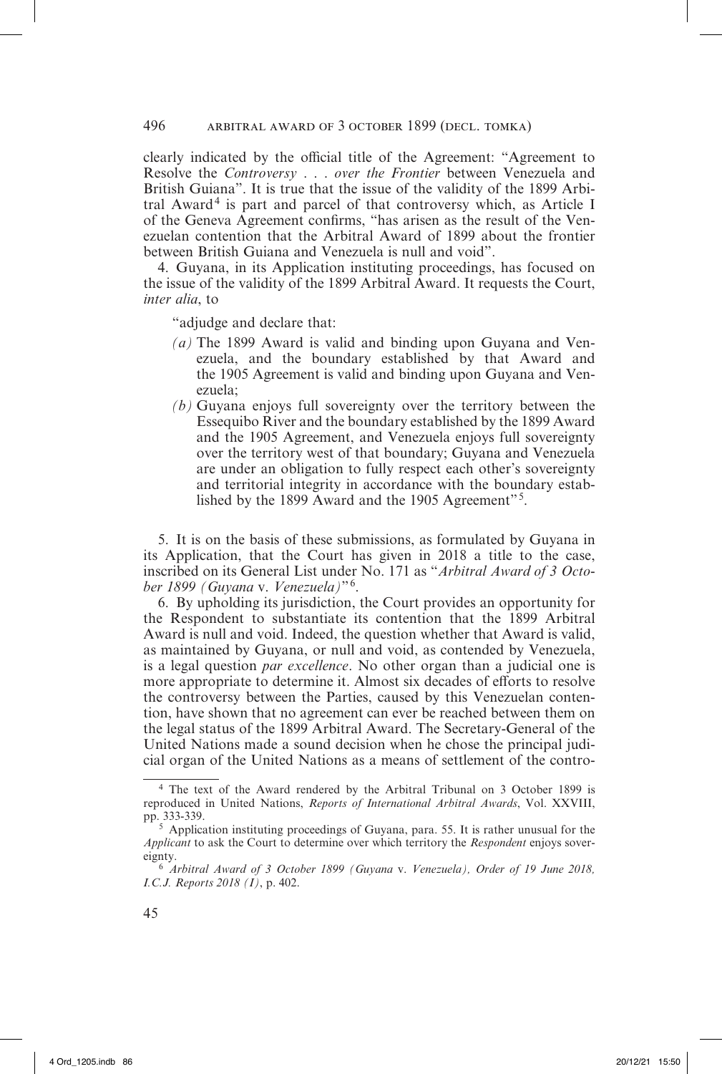# 496 arbitral award of 3 october 1899 (decl. tomka)

clearly indicated by the official title of the Agreement: "Agreement to Resolve the *Controversy* . . . *over the Frontier* between Venezuela and British Guiana". It is true that the issue of the validity of the 1899 Arbitral  $Award<sup>4</sup>$  is part and parcel of that controversy which, as Article I of the Geneva Agreement confirms, "has arisen as the result of the Venezuelan contention that the Arbitral Award of 1899 about the frontier between British Guiana and Venezuela is null and void".

4. Guyana, in its Application instituting proceedings, has focused on the issue of the validity of the 1899 Arbitral Award. It requests the Court, *inter alia*, to

"adjudge and declare that:

- *(a)* The 1899 Award is valid and binding upon Guyana and Venezuela, and the boundary established by that Award and the 1905 Agreement is valid and binding upon Guyana and Venezuela;
- *(b)* Guyana enjoys full sovereignty over the territory between the Essequibo River and the boundary established by the 1899 Award and the 1905 Agreement, and Venezuela enjoys full sovereignty over the territory west of that boundary; Guyana and Venezuela are under an obligation to fully respect each other's sovereignty and territorial integrity in accordance with the boundary established by the 1899 Award and the 1905 Agreement"5.

5. It is on the basis of these submissions, as formulated by Guyana in its Application, that the Court has given in 2018 a title to the case, inscribed on its General List under No. 171 as "*Arbitral Award of 3 October 1899 (Guyana* v. *Venezuela)*"6.

6. By upholding its jurisdiction, the Court provides an opportunity for the Respondent to substantiate its contention that the 1899 Arbitral Award is null and void. Indeed, the question whether that Award is valid, as maintained by Guyana, or null and void, as contended by Venezuela, is a legal question *par excellence*. No other organ than a judicial one is more appropriate to determine it. Almost six decades of efforts to resolve the controversy between the Parties, caused by this Venezuelan contention, have shown that no agreement can ever be reached between them on the legal status of the 1899 Arbitral Award. The Secretary-General of the United Nations made a sound decision when he chose the principal judicial organ of the United Nations as a means of settlement of the contro-

<sup>4</sup> The text of the Award rendered by the Arbitral Tribunal on 3 October 1899 is reproduced in United Nations, *Reports of International Arbitral Awards*, Vol. XXVIII, pp. 333-339.

<sup>5</sup> Application instituting proceedings of Guyana, para. 55. It is rather unusual for the *Applicant* to ask the Court to determine over which territory the *Respondent* enjoys sovereignty.

<sup>6</sup> *Arbitral Award of 3 October 1899 (Guyana* v. *Venezuela), Order of 19 June 2018, I.C.J. Reports 2018 (I)*, p. 402.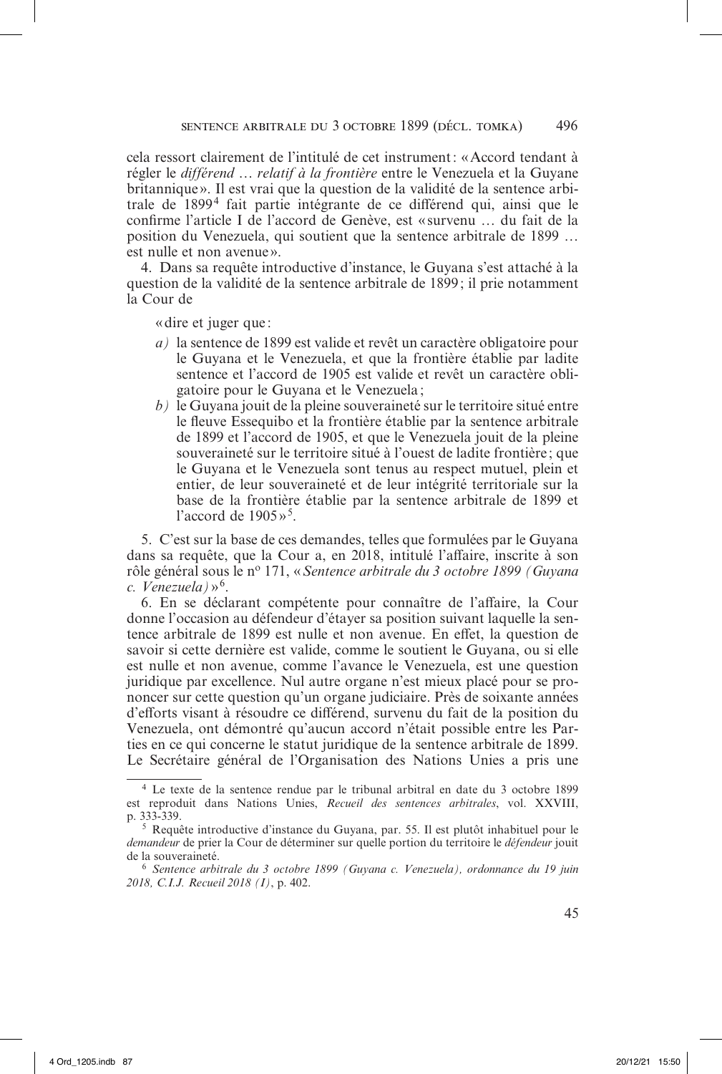cela ressort clairement de l'intitulé de cet instrument: «Accord tendant à régler le *différend … relatif à la frontière* entre le Venezuela et la Guyane britannique». Il est vrai que la question de la validité de la sentence arbitrale de 18994 fait partie intégrante de ce différend qui, ainsi que le confirme l'article I de l'accord de Genève, est « survenu … du fait de la position du Venezuela, qui soutient que la sentence arbitrale de 1899 … est nulle et non avenue».

4. Dans sa requête introductive d'instance, le Guyana s'est attaché à la question de la validité de la sentence arbitrale de 1899 ; il prie notamment la Cour de

«dire et juger que :

- *a)* la sentence de 1899 est valide et revêt un caractère obligatoire pour le Guyana et le Venezuela, et que la frontière établie par ladite sentence et l'accord de 1905 est valide et revêt un caractère obligatoire pour le Guyana et le Venezuela;
- *b)* le Guyana jouit de la pleine souveraineté sur le territoire situé entre le fleuve Essequibo et la frontière établie par la sentence arbitrale de 1899 et l'accord de 1905, et que le Venezuela jouit de la pleine souveraineté sur le territoire situé à l'ouest de ladite frontière ; que le Guyana et le Venezuela sont tenus au respect mutuel, plein et entier, de leur souveraineté et de leur intégrité territoriale sur la base de la frontière établie par la sentence arbitrale de 1899 et l'accord de  $1905 \times 5$ .

5. C'est sur la base de ces demandes, telles que formulées par le Guyana dans sa requête, que la Cour a, en 2018, intitulé l'affaire, inscrite à son rôle général sous le n<sup>o</sup> 171, «*Sentence arbitrale du 3 octobre 1899 (Guyana c. Venezuela)*»6.

6. En se déclarant compétente pour connaître de l'affaire, la Cour donne l'occasion au défendeur d'étayer sa position suivant laquelle la sentence arbitrale de 1899 est nulle et non avenue. En effet, la question de savoir si cette dernière est valide, comme le soutient le Guyana, ou si elle est nulle et non avenue, comme l'avance le Venezuela, est une question juridique par excellence. Nul autre organe n'est mieux placé pour se prononcer sur cette question qu'un organe judiciaire. Près de soixante années d'efforts visant à résoudre ce différend, survenu du fait de la position du Venezuela, ont démontré qu'aucun accord n'était possible entre les Parties en ce qui concerne le statut juridique de la sentence arbitrale de 1899. Le Secrétaire général de l'Organisation des Nations Unies a pris une

<sup>4</sup> Le texte de la sentence rendue par le tribunal arbitral en date du 3 octobre 1899 est reproduit dans Nations Unies, *Recueil des sentences arbitrales*, vol. XXVIII, p. 333-339.

<sup>5</sup> Requête introductive d'instance du Guyana, par. 55. Il est plutôt inhabituel pour le *demandeur* de prier la Cour de déterminer sur quelle portion du territoire le *défendeur* jouit de la souveraineté.

<sup>6</sup> *Sentence arbitrale du 3 octobre 1899 (Guyana c. Venezuela), ordonnance du 19 juin 2018, C.I.J. Recueil 2018 (I)*, p. 402.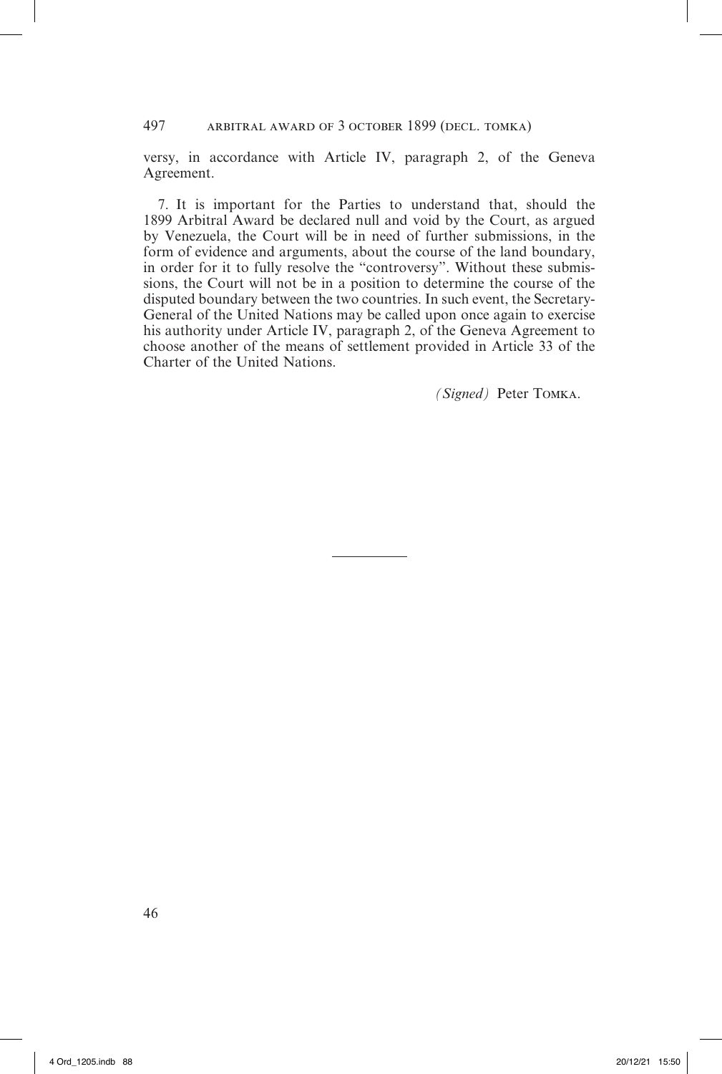# 497 arbitral award of 3 october 1899 (decl. tomka)

versy, in accordance with Article IV, paragraph 2, of the Geneva Agreement.

7. It is important for the Parties to understand that, should the 1899 Arbitral Award be declared null and void by the Court, as argued by Venezuela, the Court will be in need of further submissions, in the form of evidence and arguments, about the course of the land boundary, in order for it to fully resolve the "controversy". Without these submissions, the Court will not be in a position to determine the course of the disputed boundary between the two countries. In such event, the Secretary-General of the United Nations may be called upon once again to exercise his authority under Article IV, paragraph 2, of the Geneva Agreement to choose another of the means of settlement provided in Article 33 of the Charter of the United Nations.

*(Signed)* Peter Tomka.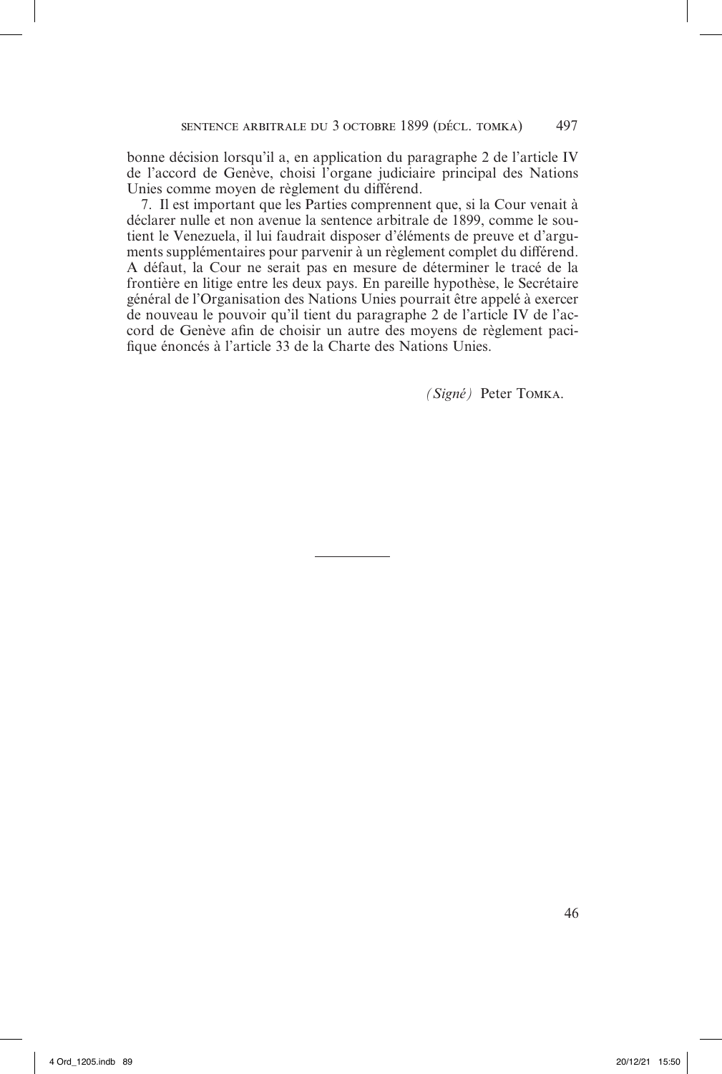bonne décision lorsqu'il a, en application du paragraphe 2 de l'article IV de l'accord de Genève, choisi l'organe judiciaire principal des Nations Unies comme moyen de règlement du différend.

7. Il est important que les Parties comprennent que, si la Cour venait à déclarer nulle et non avenue la sentence arbitrale de 1899, comme le soutient le Venezuela, il lui faudrait disposer d'éléments de preuve et d'arguments supplémentaires pour parvenir à un règlement complet du différend. A défaut, la Cour ne serait pas en mesure de déterminer le tracé de la frontière en litige entre les deux pays. En pareille hypothèse, le Secrétaire général de l'Organisation des Nations Unies pourrait être appelé à exercer de nouveau le pouvoir qu'il tient du paragraphe 2 de l'article IV de l'accord de Genève afin de choisir un autre des moyens de règlement pacifique énoncés à l'article 33 de la Charte des Nations Unies.

*(Signé)* Peter Tomka.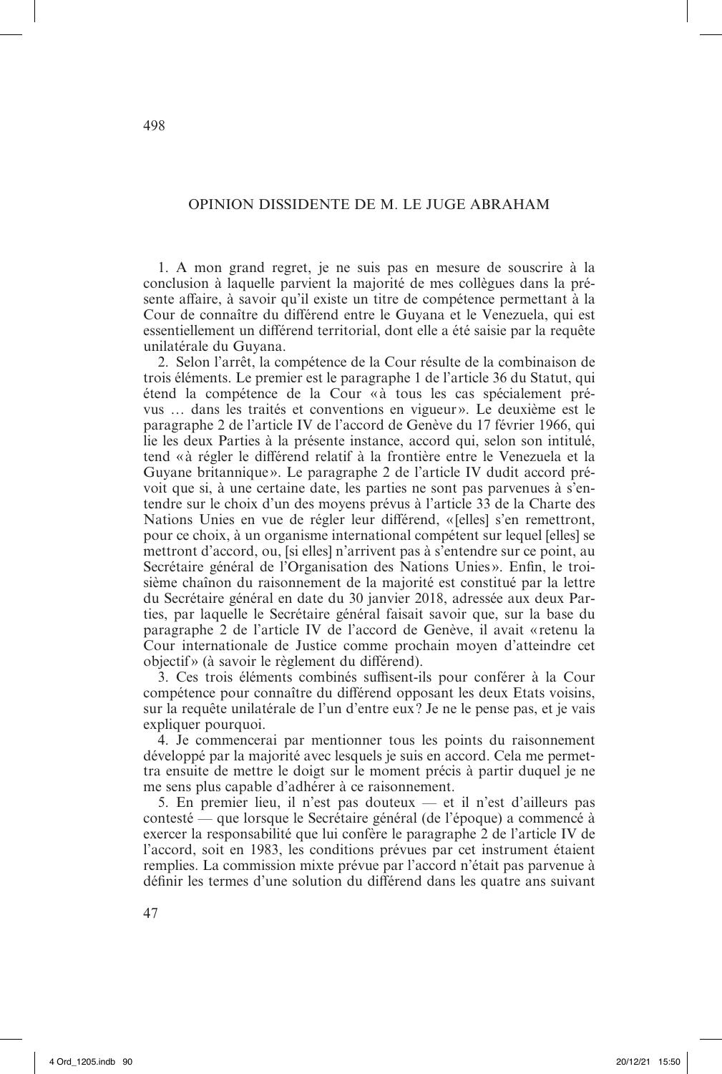# OPINION DISSIDENTE DE M. LE JUGE ABRAHAM

1. A mon grand regret, je ne suis pas en mesure de souscrire à la conclusion à laquelle parvient la majorité de mes collègues dans la présente affaire, à savoir qu'il existe un titre de compétence permettant à la Cour de connaître du différend entre le Guyana et le Venezuela, qui est essentiellement un différend territorial, dont elle a été saisie par la requête unilatérale du Guyana.

2. Selon l'arrêt, la compétence de la Cour résulte de la combinaison de trois éléments. Le premier est le paragraphe 1 de l'article 36 du Statut, qui étend la compétence de la Cour « à tous les cas spécialement prévus … dans les traités et conventions en vigueur». Le deuxième est le paragraphe 2 de l'article IV de l'accord de Genève du 17 février 1966, qui lie les deux Parties à la présente instance, accord qui, selon son intitulé, tend «à régler le différend relatif à la frontière entre le Venezuela et la Guyane britannique». Le paragraphe 2 de l'article IV dudit accord prévoit que si, à une certaine date, les parties ne sont pas parvenues à s'entendre sur le choix d'un des moyens prévus à l'article 33 de la Charte des Nations Unies en vue de régler leur différend, «[elles] s'en remettront, pour ce choix, à un organisme international compétent sur lequel [elles] se mettront d'accord, ou, [si elles] n'arrivent pas à s'entendre sur ce point, au Secrétaire général de l'Organisation des Nations Unies ». Enfin, le troisième chaînon du raisonnement de la majorité est constitué par la lettre du Secrétaire général en date du 30 janvier 2018, adressée aux deux Parties, par laquelle le Secrétaire général faisait savoir que, sur la base du paragraphe 2 de l'article IV de l'accord de Genève, il avait «retenu la Cour internationale de Justice comme prochain moyen d'atteindre cet objectif» (à savoir le règlement du différend).

3. Ces trois éléments combinés suffisent-ils pour conférer à la Cour compétence pour connaître du différend opposant les deux Etats voisins, sur la requête unilatérale de l'un d'entre eux? Je ne le pense pas, et je vais expliquer pourquoi.

4. Je commencerai par mentionner tous les points du raisonnement développé par la majorité avec lesquels je suis en accord. Cela me permettra ensuite de mettre le doigt sur le moment précis à partir duquel je ne me sens plus capable d'adhérer à ce raisonnement.

5. En premier lieu, il n'est pas douteux — et il n'est d'ailleurs pas contesté — que lorsque le Secrétaire général (de l'époque) a commencé à exercer la responsabilité que lui confère le paragraphe 2 de l'article IV de l'accord, soit en 1983, les conditions prévues par cet instrument étaient remplies. La commission mixte prévue par l'accord n'était pas parvenue à définir les termes d'une solution du différend dans les quatre ans suivant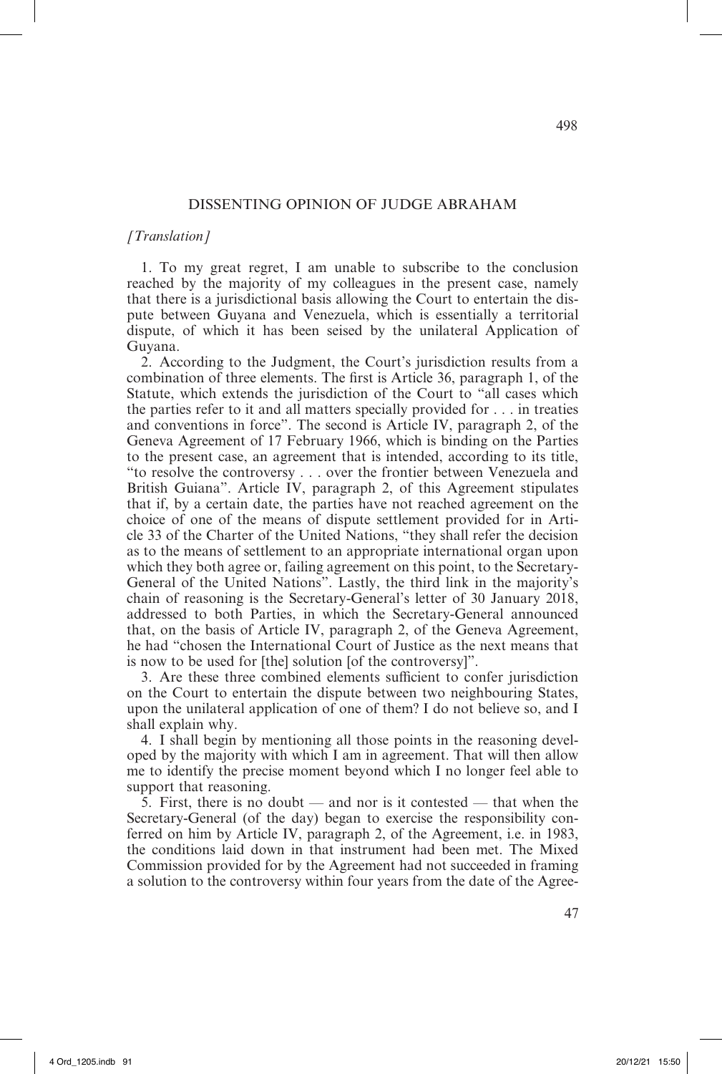# DISSENTING OPINION OF JUDGE ABRAHAM

## *[Translation]*

1. To my great regret, I am unable to subscribe to the conclusion reached by the majority of my colleagues in the present case, namely that there is a jurisdictional basis allowing the Court to entertain the dispute between Guyana and Venezuela, which is essentially a territorial dispute, of which it has been seised by the unilateral Application of Guyana.

2. According to the Judgment, the Court's jurisdiction results from a combination of three elements. The first is Article 36, paragraph 1, of the Statute, which extends the jurisdiction of the Court to "all cases which the parties refer to it and all matters specially provided for . . . in treaties and conventions in force". The second is Article IV, paragraph 2, of the Geneva Agreement of 17 February 1966, which is binding on the Parties to the present case, an agreement that is intended, according to its title, "to resolve the controversy . . . over the frontier between Venezuela and British Guiana". Article IV, paragraph 2, of this Agreement stipulates that if, by a certain date, the parties have not reached agreement on the choice of one of the means of dispute settlement provided for in Article 33 of the Charter of the United Nations, "they shall refer the decision as to the means of settlement to an appropriate international organ upon which they both agree or, failing agreement on this point, to the Secretary-General of the United Nations". Lastly, the third link in the majority's chain of reasoning is the Secretary-General's letter of 30 January 2018, addressed to both Parties, in which the Secretary-General announced that, on the basis of Article IV, paragraph 2, of the Geneva Agreement, he had "chosen the International Court of Justice as the next means that is now to be used for [the] solution [of the controversy]".

3. Are these three combined elements sufficient to confer jurisdiction on the Court to entertain the dispute between two neighbouring States, upon the unilateral application of one of them? I do not believe so, and I shall explain why.

4. I shall begin by mentioning all those points in the reasoning developed by the majority with which I am in agreement. That will then allow me to identify the precise moment beyond which I no longer feel able to support that reasoning.

5. First, there is no doubt — and nor is it contested — that when the Secretary-General (of the day) began to exercise the responsibility conferred on him by Article IV, paragraph 2, of the Agreement, i.e. in 1983, the conditions laid down in that instrument had been met. The Mixed Commission provided for by the Agreement had not succeeded in framing a solution to the controversy within four years from the date of the Agree-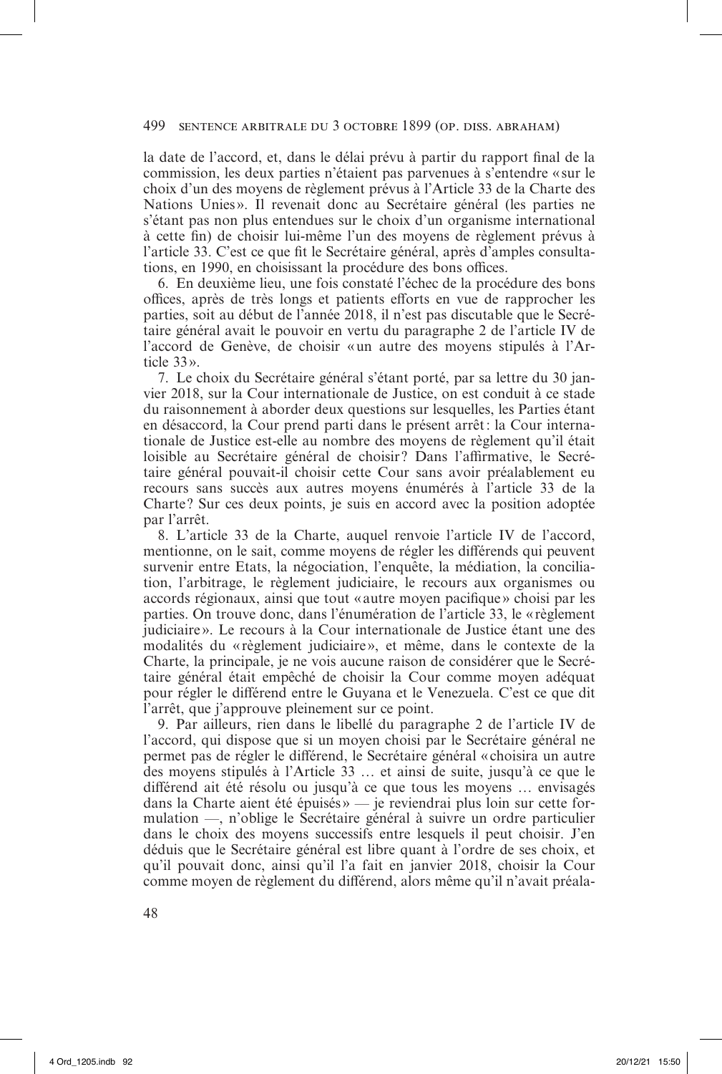# 499 sentence arbitrale du 3 octobre 1899 (op. diss. abraham)

la date de l'accord, et, dans le délai prévu à partir du rapport final de la commission, les deux parties n'étaient pas parvenues à s'entendre «sur le choix d'un des moyens de règlement prévus à l'Article 33 de la Charte des Nations Unies». Il revenait donc au Secrétaire général (les parties ne s'étant pas non plus entendues sur le choix d'un organisme international à cette fin) de choisir lui-même l'un des moyens de règlement prévus à l'article 33. C'est ce que fit le Secrétaire général, après d'amples consultations, en 1990, en choisissant la procédure des bons offices.

6. En deuxième lieu, une fois constaté l'échec de la procédure des bons offices, après de très longs et patients efforts en vue de rapprocher les parties, soit au début de l'année 2018, il n'est pas discutable que le Secrétaire général avait le pouvoir en vertu du paragraphe 2 de l'article IV de l'accord de Genève, de choisir «un autre des moyens stipulés à l'Article 33».

7. Le choix du Secrétaire général s'étant porté, par sa lettre du 30 janvier 2018, sur la Cour internationale de Justice, on est conduit à ce stade du raisonnement à aborder deux questions sur lesquelles, les Parties étant en désaccord, la Cour prend parti dans le présent arrêt: la Cour internationale de Justice est-elle au nombre des moyens de règlement qu'il était loisible au Secrétaire général de choisir? Dans l'affirmative, le Secrétaire général pouvait-il choisir cette Cour sans avoir préalablement eu recours sans succès aux autres moyens énumérés à l'article 33 de la Charte ? Sur ces deux points, je suis en accord avec la position adoptée par l'arrêt.

8. L'article 33 de la Charte, auquel renvoie l'article IV de l'accord, mentionne, on le sait, comme moyens de régler les différends qui peuvent survenir entre Etats, la négociation, l'enquête, la médiation, la conciliation, l'arbitrage, le règlement judiciaire, le recours aux organismes ou accords régionaux, ainsi que tout «autre moyen pacifique» choisi par les parties. On trouve donc, dans l'énumération de l'article 33, le «règlement judiciaire ». Le recours à la Cour internationale de Justice étant une des modalités du «règlement judiciaire», et même, dans le contexte de la Charte, la principale, je ne vois aucune raison de considérer que le Secrétaire général était empêché de choisir la Cour comme moyen adéquat pour régler le différend entre le Guyana et le Venezuela. C'est ce que dit l'arrêt, que j'approuve pleinement sur ce point.

9. Par ailleurs, rien dans le libellé du paragraphe 2 de l'article IV de l'accord, qui dispose que si un moyen choisi par le Secrétaire général ne permet pas de régler le différend, le Secrétaire général «choisira un autre des moyens stipulés à l'Article 33 … et ainsi de suite, jusqu'à ce que le différend ait été résolu ou jusqu'à ce que tous les moyens … envisagés dans la Charte aient été épuisés» — je reviendrai plus loin sur cette formulation —, n'oblige le Secrétaire général à suivre un ordre particulier dans le choix des moyens successifs entre lesquels il peut choisir. J'en déduis que le Secrétaire général est libre quant à l'ordre de ses choix, et qu'il pouvait donc, ainsi qu'il l'a fait en janvier 2018, choisir la Cour comme moyen de règlement du différend, alors même qu'il n'avait préala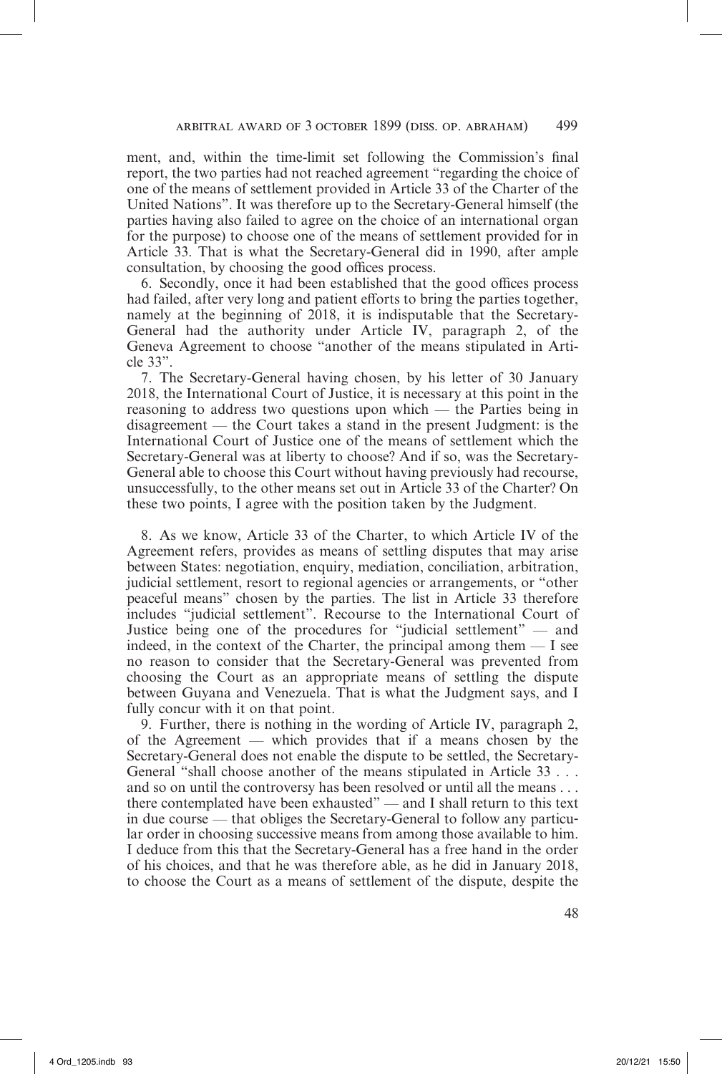ment, and, within the time-limit set following the Commission's final report, the two parties had not reached agreement "regarding the choice of one of the means of settlement provided in Article 33 of the Charter of the United Nations". It was therefore up to the Secretary-General himself (the parties having also failed to agree on the choice of an international organ for the purpose) to choose one of the means of settlement provided for in Article 33. That is what the Secretary-General did in 1990, after ample consultation, by choosing the good offices process.

6. Secondly, once it had been established that the good offices process had failed, after very long and patient efforts to bring the parties together, namely at the beginning of 2018, it is indisputable that the Secretary-General had the authority under Article IV, paragraph 2, of the Geneva Agreement to choose "another of the means stipulated in Article 33".

7. The Secretary-General having chosen, by his letter of 30 January 2018, the International Court of Justice, it is necessary at this point in the reasoning to address two questions upon which — the Parties being in disagreement — the Court takes a stand in the present Judgment: is the International Court of Justice one of the means of settlement which the Secretary-General was at liberty to choose? And if so, was the Secretary-General able to choose this Court without having previously had recourse, unsuccessfully, to the other means set out in Article 33 of the Charter? On these two points, I agree with the position taken by the Judgment.

8. As we know, Article 33 of the Charter, to which Article IV of the Agreement refers, provides as means of settling disputes that may arise between States: negotiation, enquiry, mediation, conciliation, arbitration, judicial settlement, resort to regional agencies or arrangements, or "other peaceful means" chosen by the parties. The list in Article 33 therefore includes "judicial settlement". Recourse to the International Court of Justice being one of the procedures for "judicial settlement" — and indeed, in the context of the Charter, the principal among them — I see no reason to consider that the Secretary-General was prevented from choosing the Court as an appropriate means of settling the dispute between Guyana and Venezuela. That is what the Judgment says, and I fully concur with it on that point.

9. Further, there is nothing in the wording of Article IV, paragraph 2, of the Agreement — which provides that if a means chosen by the Secretary-General does not enable the dispute to be settled, the Secretary-General "shall choose another of the means stipulated in Article 33 . . . and so on until the controversy has been resolved or until all the means . . . there contemplated have been exhausted" — and I shall return to this text in due course — that obliges the Secretary-General to follow any particular order in choosing successive means from among those available to him. I deduce from this that the Secretary-General has a free hand in the order of his choices, and that he was therefore able, as he did in January 2018, to choose the Court as a means of settlement of the dispute, despite the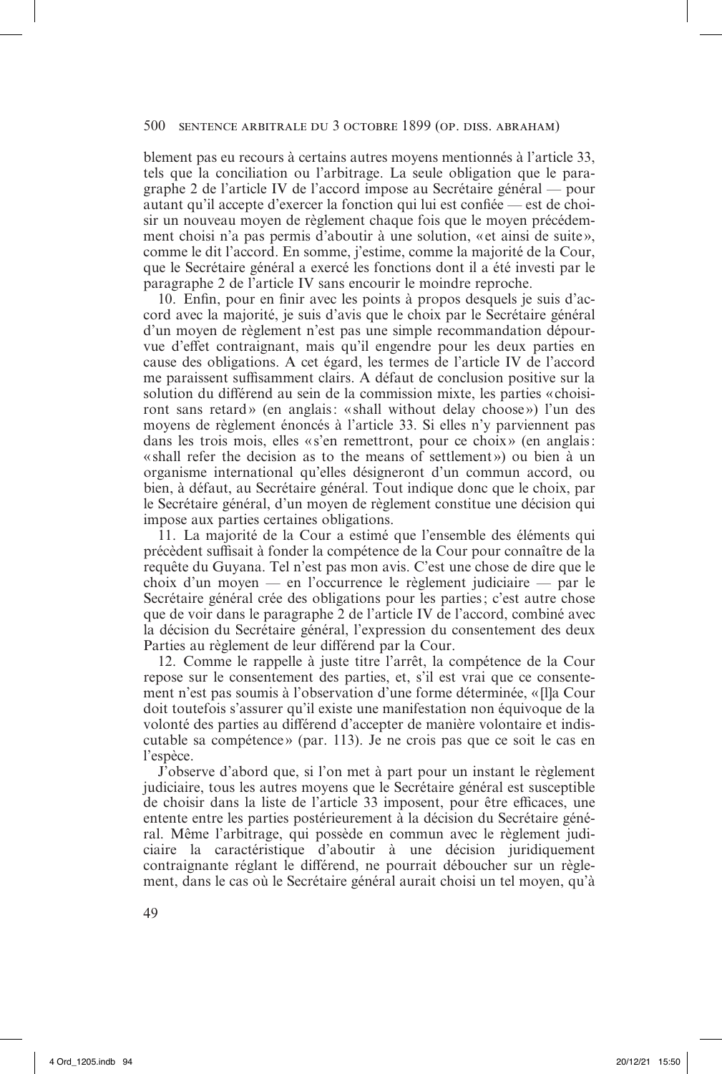# 500 sentence arbitrale du 3 octobre 1899 (op. diss. abraham)

blement pas eu recours à certains autres moyens mentionnés à l'article 33, tels que la conciliation ou l'arbitrage. La seule obligation que le paragraphe 2 de l'article IV de l'accord impose au Secrétaire général — pour autant qu'il accepte d'exercer la fonction qui lui est confiée — est de choisir un nouveau moyen de règlement chaque fois que le moyen précédemment choisi n'a pas permis d'aboutir à une solution, «et ainsi de suite», comme le dit l'accord. En somme, j'estime, comme la majorité de la Cour, que le Secrétaire général a exercé les fonctions dont il a été investi par le paragraphe 2 de l'article IV sans encourir le moindre reproche.

10. Enfin, pour en finir avec les points à propos desquels je suis d'accord avec la majorité, je suis d'avis que le choix par le Secrétaire général d'un moyen de règlement n'est pas une simple recommandation dépourvue d'effet contraignant, mais qu'il engendre pour les deux parties en cause des obligations. A cet égard, les termes de l'article IV de l'accord me paraissent suffisamment clairs. A défaut de conclusion positive sur la solution du différend au sein de la commission mixte, les parties «choisiront sans retard» (en anglais: «shall without delay choose») l'un des moyens de règlement énoncés à l'article 33. Si elles n'y parviennent pas dans les trois mois, elles « s'en remettront, pour ce choix» (en anglais: «shall refer the decision as to the means of settlement») ou bien à un organisme international qu'elles désigneront d'un commun accord, ou bien, à défaut, au Secrétaire général. Tout indique donc que le choix, par le Secrétaire général, d'un moyen de règlement constitue une décision qui impose aux parties certaines obligations.

11. La majorité de la Cour a estimé que l'ensemble des éléments qui précèdent suffisait à fonder la compétence de la Cour pour connaître de la requête du Guyana. Tel n'est pas mon avis. C'est une chose de dire que le choix d'un moyen — en l'occurrence le règlement judiciaire — par le Secrétaire général crée des obligations pour les parties; c'est autre chose que de voir dans le paragraphe 2 de l'article IV de l'accord, combiné avec la décision du Secrétaire général, l'expression du consentement des deux Parties au règlement de leur différend par la Cour.

12. Comme le rappelle à juste titre l'arrêt, la compétence de la Cour repose sur le consentement des parties, et, s'il est vrai que ce consentement n'est pas soumis à l'observation d'une forme déterminée, « [l]a Cour doit toutefois s'assurer qu'il existe une manifestation non équivoque de la volonté des parties au différend d'accepter de manière volontaire et indiscutable sa compétence» (par. 113). Je ne crois pas que ce soit le cas en l'espèce.

J'observe d'abord que, si l'on met à part pour un instant le règlement judiciaire, tous les autres moyens que le Secrétaire général est susceptible de choisir dans la liste de l'article 33 imposent, pour être efficaces, une entente entre les parties postérieurement à la décision du Secrétaire général. Même l'arbitrage, qui possède en commun avec le règlement judiciaire la caractéristique d'aboutir à une décision juridiquement contraignante réglant le différend, ne pourrait déboucher sur un règlement, dans le cas où le Secrétaire général aurait choisi un tel moyen, qu'à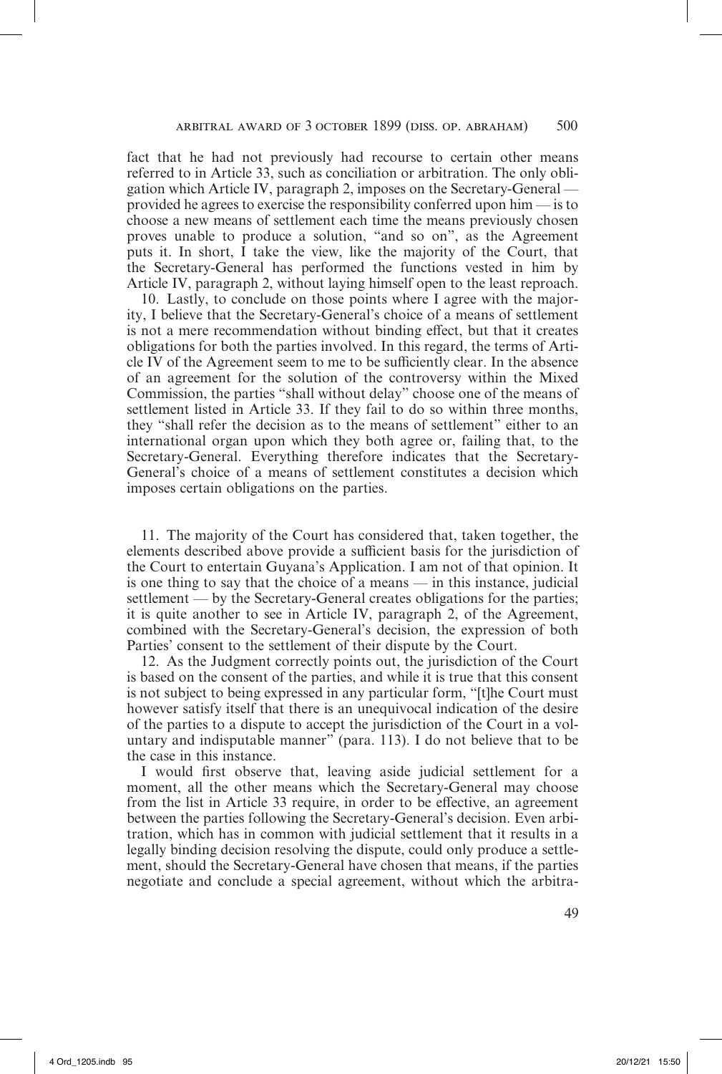fact that he had not previously had recourse to certain other means referred to in Article 33, such as conciliation or arbitration. The only obligation which Article IV, paragraph 2, imposes on the Secretary-General provided he agrees to exercise the responsibility conferred upon him — is to choose a new means of settlement each time the means previously chosen proves unable to produce a solution, "and so on", as the Agreement puts it. In short, I take the view, like the majority of the Court, that the Secretary-General has performed the functions vested in him by Article IV, paragraph 2, without laying himself open to the least reproach.

10. Lastly, to conclude on those points where I agree with the majority, I believe that the Secretary-General's choice of a means of settlement is not a mere recommendation without binding effect, but that it creates obligations for both the parties involved. In this regard, the terms of Article IV of the Agreement seem to me to be sufficiently clear. In the absence of an agreement for the solution of the controversy within the Mixed Commission, the parties "shall without delay" choose one of the means of settlement listed in Article 33. If they fail to do so within three months, they "shall refer the decision as to the means of settlement" either to an international organ upon which they both agree or, failing that, to the Secretary-General. Everything therefore indicates that the Secretary-General's choice of a means of settlement constitutes a decision which imposes certain obligations on the parties.

11. The majority of the Court has considered that, taken together, the elements described above provide a sufficient basis for the jurisdiction of the Court to entertain Guyana's Application. I am not of that opinion. It is one thing to say that the choice of a means — in this instance, judicial settlement — by the Secretary-General creates obligations for the parties; it is quite another to see in Article IV, paragraph 2, of the Agreement, combined with the Secretary-General's decision, the expression of both Parties' consent to the settlement of their dispute by the Court.

12. As the Judgment correctly points out, the jurisdiction of the Court is based on the consent of the parties, and while it is true that this consent is not subject to being expressed in any particular form, "[t]he Court must however satisfy itself that there is an unequivocal indication of the desire of the parties to a dispute to accept the jurisdiction of the Court in a voluntary and indisputable manner" (para. 113). I do not believe that to be the case in this instance.

I would first observe that, leaving aside judicial settlement for a moment, all the other means which the Secretary-General may choose from the list in Article 33 require, in order to be effective, an agreement between the parties following the Secretary-General's decision. Even arbitration, which has in common with judicial settlement that it results in a legally binding decision resolving the dispute, could only produce a settlement, should the Secretary-General have chosen that means, if the parties negotiate and conclude a special agreement, without which the arbitra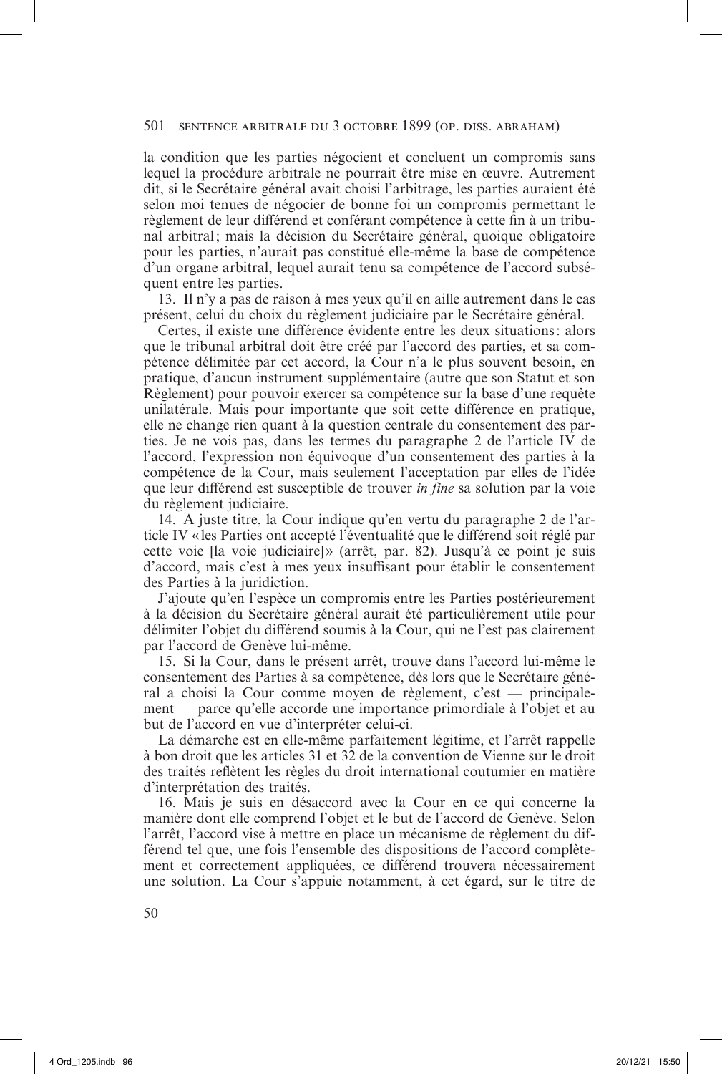la condition que les parties négocient et concluent un compromis sans lequel la procédure arbitrale ne pourrait être mise en œuvre. Autrement dit, si le Secrétaire général avait choisi l'arbitrage, les parties auraient été selon moi tenues de négocier de bonne foi un compromis permettant le règlement de leur différend et conférant compétence à cette fin à un tribunal arbitral; mais la décision du Secrétaire général, quoique obligatoire pour les parties, n'aurait pas constitué elle-même la base de compétence d'un organe arbitral, lequel aurait tenu sa compétence de l'accord subséquent entre les parties.

13. Il n'y a pas de raison à mes yeux qu'il en aille autrement dans le cas présent, celui du choix du règlement judiciaire par le Secrétaire général.

Certes, il existe une différence évidente entre les deux situations: alors que le tribunal arbitral doit être créé par l'accord des parties, et sa compétence délimitée par cet accord, la Cour n'a le plus souvent besoin, en pratique, d'aucun instrument supplémentaire (autre que son Statut et son Règlement) pour pouvoir exercer sa compétence sur la base d'une requête unilatérale. Mais pour importante que soit cette différence en pratique, elle ne change rien quant à la question centrale du consentement des parties. Je ne vois pas, dans les termes du paragraphe 2 de l'article IV de l'accord, l'expression non équivoque d'un consentement des parties à la compétence de la Cour, mais seulement l'acceptation par elles de l'idée que leur différend est susceptible de trouver *in fine* sa solution par la voie du règlement judiciaire.

14. A juste titre, la Cour indique qu'en vertu du paragraphe 2 de l'article IV «les Parties ont accepté l'éventualité que le différend soit réglé par cette voie [la voie judiciaire]» (arrêt, par. 82). Jusqu'à ce point je suis d'accord, mais c'est à mes yeux insuffisant pour établir le consentement des Parties à la juridiction.

J'ajoute qu'en l'espèce un compromis entre les Parties postérieurement à la décision du Secrétaire général aurait été particulièrement utile pour délimiter l'objet du différend soumis à la Cour, qui ne l'est pas clairement par l'accord de Genève lui-même.

15. Si la Cour, dans le présent arrêt, trouve dans l'accord lui-même le consentement des Parties à sa compétence, dès lors que le Secrétaire général a choisi la Cour comme moyen de règlement, c'est — principalement — parce qu'elle accorde une importance primordiale à l'objet et au but de l'accord en vue d'interpréter celui-ci.

La démarche est en elle-même parfaitement légitime, et l'arrêt rappelle à bon droit que les articles 31 et 32 de la convention de Vienne sur le droit des traités reflètent les règles du droit international coutumier en matière d'interprétation des traités.

16. Mais je suis en désaccord avec la Cour en ce qui concerne la manière dont elle comprend l'objet et le but de l'accord de Genève. Selon l'arrêt, l'accord vise à mettre en place un mécanisme de règlement du différend tel que, une fois l'ensemble des dispositions de l'accord complètement et correctement appliquées, ce différend trouvera nécessairement une solution. La Cour s'appuie notamment, à cet égard, sur le titre de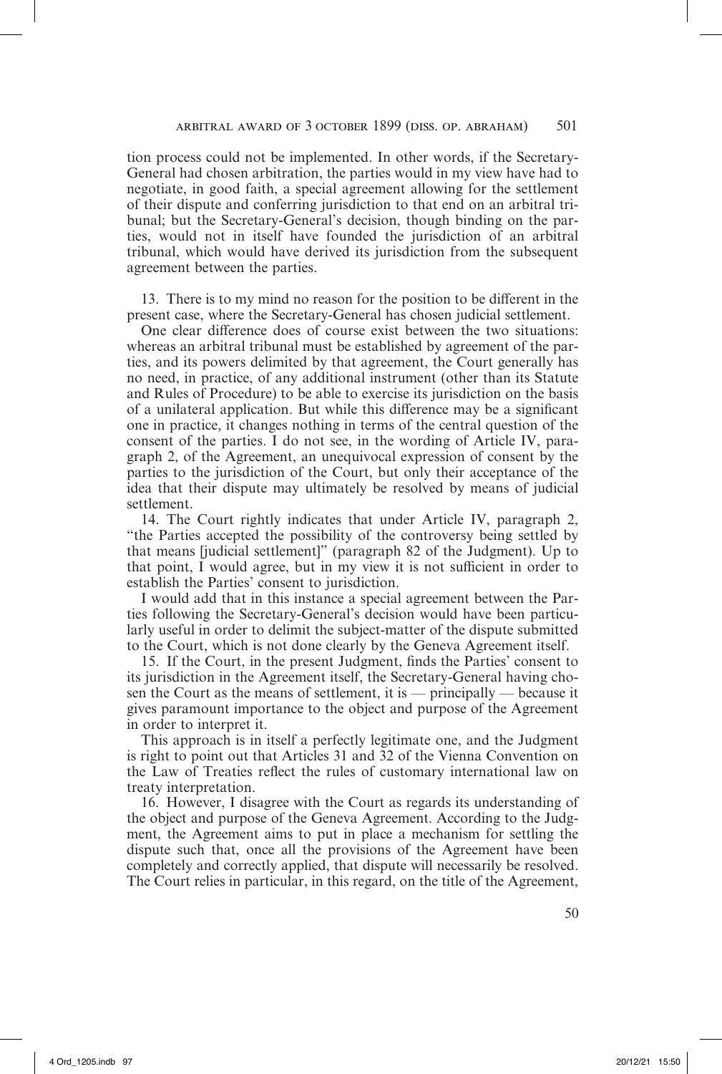tion process could not be implemented. In other words, if the Secretary-General had chosen arbitration, the parties would in my view have had to negotiate, in good faith, a special agreement allowing for the settlement of their dispute and conferring jurisdiction to that end on an arbitral tribunal; but the Secretary-General's decision, though binding on the parties, would not in itself have founded the jurisdiction of an arbitral tribunal, which would have derived its jurisdiction from the subsequent agreement between the parties.

13. There is to my mind no reason for the position to be different in the present case, where the Secretary-General has chosen judicial settlement.

One clear difference does of course exist between the two situations: whereas an arbitral tribunal must be established by agreement of the parties, and its powers delimited by that agreement, the Court generally has no need, in practice, of any additional instrument (other than its Statute and Rules of Procedure) to be able to exercise its jurisdiction on the basis of a unilateral application. But while this difference may be a significant one in practice, it changes nothing in terms of the central question of the consent of the parties. I do not see, in the wording of Article IV, paragraph 2, of the Agreement, an unequivocal expression of consent by the parties to the jurisdiction of the Court, but only their acceptance of the idea that their dispute may ultimately be resolved by means of judicial settlement.

14. The Court rightly indicates that under Article IV, paragraph 2, "the Parties accepted the possibility of the controversy being settled by that means [judicial settlement]" (paragraph 82 of the Judgment). Up to that point, I would agree, but in my view it is not sufficient in order to establish the Parties' consent to jurisdiction.

I would add that in this instance a special agreement between the Parties following the Secretary-General's decision would have been particularly useful in order to delimit the subject-matter of the dispute submitted to the Court, which is not done clearly by the Geneva Agreement itself.

15. If the Court, in the present Judgment, finds the Parties' consent to its jurisdiction in the Agreement itself, the Secretary-General having chosen the Court as the means of settlement, it is — principally — because it gives paramount importance to the object and purpose of the Agreement in order to interpret it.

This approach is in itself a perfectly legitimate one, and the Judgment is right to point out that Articles 31 and 32 of the Vienna Convention on the Law of Treaties reflect the rules of customary international law on treaty interpretation.

16. However, I disagree with the Court as regards its understanding of the object and purpose of the Geneva Agreement. According to the Judgment, the Agreement aims to put in place a mechanism for settling the dispute such that, once all the provisions of the Agreement have been completely and correctly applied, that dispute will necessarily be resolved. The Court relies in particular, in this regard, on the title of the Agreement,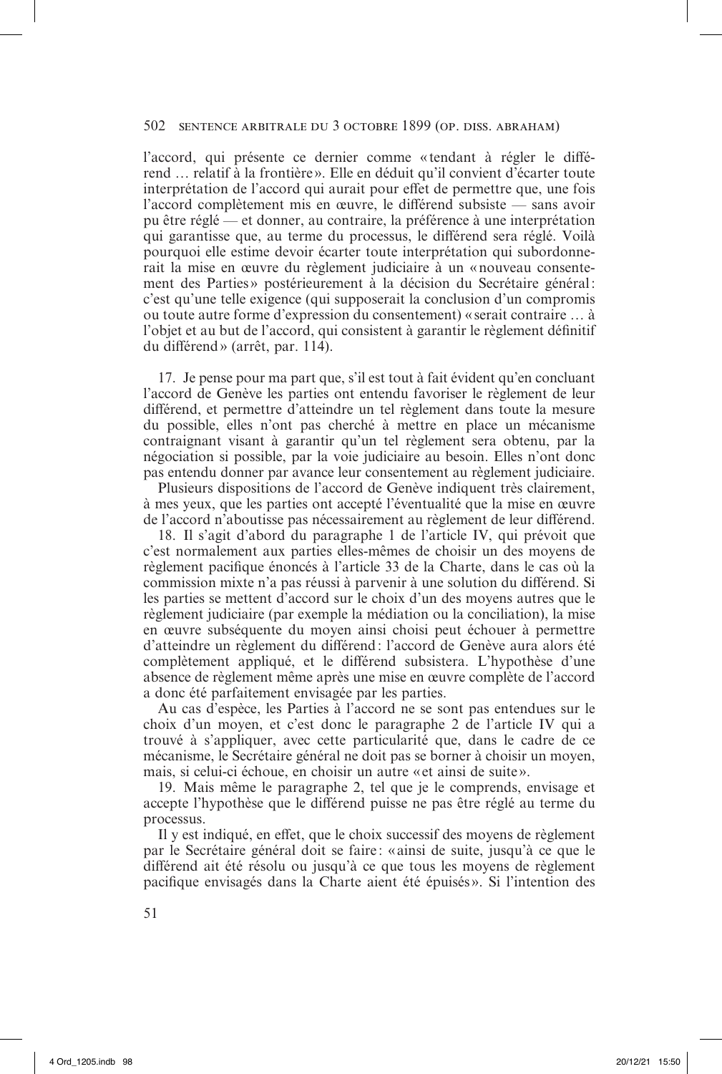# 502 sentence arbitrale du 3 octobre 1899 (op. diss. abraham)

l'accord, qui présente ce dernier comme « tendant à régler le différend … relatif à la frontière ». Elle en déduit qu'il convient d'écarter toute interprétation de l'accord qui aurait pour effet de permettre que, une fois l'accord complètement mis en œuvre, le différend subsiste — sans avoir pu être réglé — et donner, au contraire, la préférence à une interprétation qui garantisse que, au terme du processus, le différend sera réglé. Voilà pourquoi elle estime devoir écarter toute interprétation qui subordonnerait la mise en œuvre du règlement judiciaire à un «nouveau consentement des Parties » postérieurement à la décision du Secrétaire général: c'est qu'une telle exigence (qui supposerait la conclusion d'un compromis ou toute autre forme d'expression du consentement) « serait contraire … à l'objet et au but de l'accord, qui consistent à garantir le règlement définitif du différend» (arrêt, par. 114).

17. Je pense pour ma part que, s'il est tout à fait évident qu'en concluant l'accord de Genève les parties ont entendu favoriser le règlement de leur différend, et permettre d'atteindre un tel règlement dans toute la mesure du possible, elles n'ont pas cherché à mettre en place un mécanisme contraignant visant à garantir qu'un tel règlement sera obtenu, par la négociation si possible, par la voie judiciaire au besoin. Elles n'ont donc pas entendu donner par avance leur consentement au règlement judiciaire.

Plusieurs dispositions de l'accord de Genève indiquent très clairement, à mes yeux, que les parties ont accepté l'éventualité que la mise en œuvre de l'accord n'aboutisse pas nécessairement au règlement de leur différend.

18. Il s'agit d'abord du paragraphe 1 de l'article IV, qui prévoit que c'est normalement aux parties elles-mêmes de choisir un des moyens de règlement pacifique énoncés à l'article 33 de la Charte, dans le cas où la commission mixte n'a pas réussi à parvenir à une solution du différend. Si les parties se mettent d'accord sur le choix d'un des moyens autres que le règlement judiciaire (par exemple la médiation ou la conciliation), la mise en œuvre subséquente du moyen ainsi choisi peut échouer à permettre d'atteindre un règlement du différend: l'accord de Genève aura alors été complètement appliqué, et le différend subsistera. L'hypothèse d'une absence de règlement même après une mise en œuvre complète de l'accord a donc été parfaitement envisagée par les parties.

Au cas d'espèce, les Parties à l'accord ne se sont pas entendues sur le choix d'un moyen, et c'est donc le paragraphe 2 de l'article IV qui a trouvé à s'appliquer, avec cette particularité que, dans le cadre de ce mécanisme, le Secrétaire général ne doit pas se borner à choisir un moyen, mais, si celui-ci échoue, en choisir un autre «et ainsi de suite».

19. Mais même le paragraphe 2, tel que je le comprends, envisage et accepte l'hypothèse que le différend puisse ne pas être réglé au terme du processus.

Il y est indiqué, en effet, que le choix successif des moyens de règlement par le Secrétaire général doit se faire : «ainsi de suite, jusqu'à ce que le différend ait été résolu ou jusqu'à ce que tous les moyens de règlement pacifique envisagés dans la Charte aient été épuisés ». Si l'intention des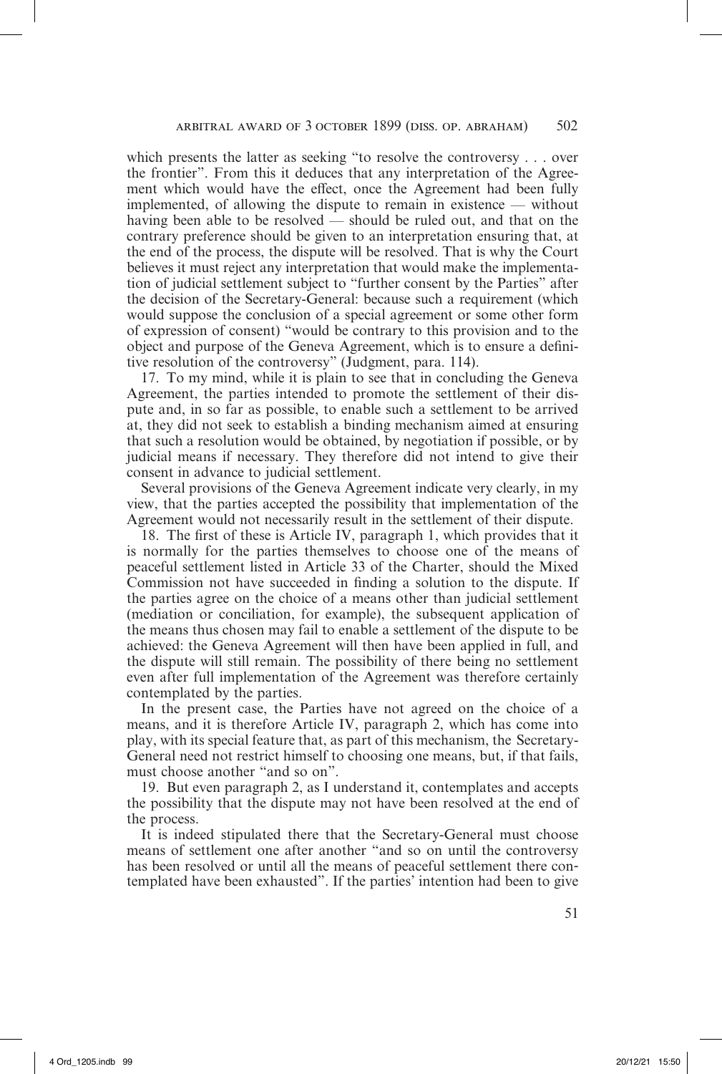which presents the latter as seeking "to resolve the controversy . . . over the frontier". From this it deduces that any interpretation of the Agreement which would have the effect, once the Agreement had been fully implemented, of allowing the dispute to remain in existence — without having been able to be resolved — should be ruled out, and that on the contrary preference should be given to an interpretation ensuring that, at the end of the process, the dispute will be resolved. That is why the Court believes it must reject any interpretation that would make the implementation of judicial settlement subject to "further consent by the Parties" after the decision of the Secretary-General: because such a requirement (which would suppose the conclusion of a special agreement or some other form of expression of consent) "would be contrary to this provision and to the object and purpose of the Geneva Agreement, which is to ensure a definitive resolution of the controversy" (Judgment, para. 114).

17. To my mind, while it is plain to see that in concluding the Geneva Agreement, the parties intended to promote the settlement of their dispute and, in so far as possible, to enable such a settlement to be arrived at, they did not seek to establish a binding mechanism aimed at ensuring that such a resolution would be obtained, by negotiation if possible, or by judicial means if necessary. They therefore did not intend to give their consent in advance to judicial settlement.

Several provisions of the Geneva Agreement indicate very clearly, in my view, that the parties accepted the possibility that implementation of the Agreement would not necessarily result in the settlement of their dispute.

18. The first of these is Article IV, paragraph 1, which provides that it is normally for the parties themselves to choose one of the means of peaceful settlement listed in Article 33 of the Charter, should the Mixed Commission not have succeeded in finding a solution to the dispute. If the parties agree on the choice of a means other than judicial settlement (mediation or conciliation, for example), the subsequent application of the means thus chosen may fail to enable a settlement of the dispute to be achieved: the Geneva Agreement will then have been applied in full, and the dispute will still remain. The possibility of there being no settlement even after full implementation of the Agreement was therefore certainly contemplated by the parties.

In the present case, the Parties have not agreed on the choice of a means, and it is therefore Article IV, paragraph 2, which has come into play, with its special feature that, as part of this mechanism, the Secretary-General need not restrict himself to choosing one means, but, if that fails, must choose another "and so on".

19. But even paragraph 2, as I understand it, contemplates and accepts the possibility that the dispute may not have been resolved at the end of the process.

It is indeed stipulated there that the Secretary-General must choose means of settlement one after another "and so on until the controversy has been resolved or until all the means of peaceful settlement there contemplated have been exhausted". If the parties' intention had been to give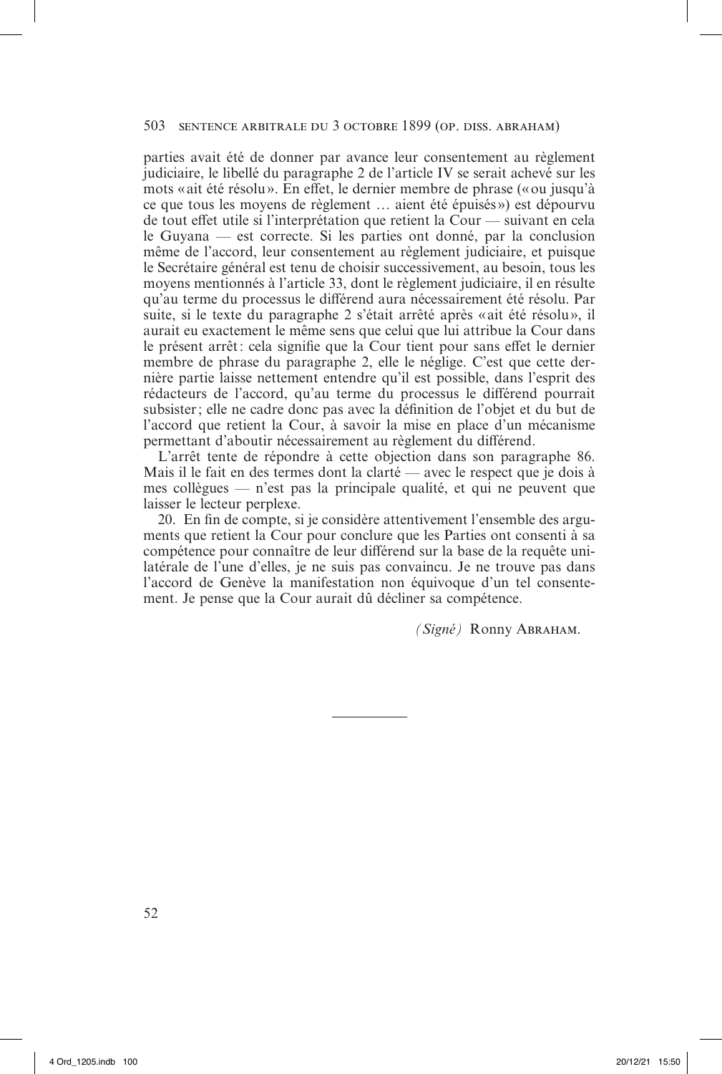## 503 sentence arbitrale du 3 octobre 1899 (op. diss. abraham)

parties avait été de donner par avance leur consentement au règlement judiciaire, le libellé du paragraphe 2 de l'article IV se serait achevé sur les mots «ait été résolu». En effet, le dernier membre de phrase («ou jusqu'à ce que tous les moyens de règlement … aient été épuisés ») est dépourvu de tout effet utile si l'interprétation que retient la Cour — suivant en cela le Guyana — est correcte. Si les parties ont donné, par la conclusion même de l'accord, leur consentement au règlement judiciaire, et puisque le Secrétaire général est tenu de choisir successivement, au besoin, tous les moyens mentionnés à l'article 33, dont le règlement judiciaire, il en résulte qu'au terme du processus le différend aura nécessairement été résolu. Par suite, si le texte du paragraphe 2 s'était arrêté après «ait été résolu», il aurait eu exactement le même sens que celui que lui attribue la Cour dans le présent arrêt: cela signifie que la Cour tient pour sans effet le dernier membre de phrase du paragraphe 2, elle le néglige. C'est que cette dernière partie laisse nettement entendre qu'il est possible, dans l'esprit des rédacteurs de l'accord, qu'au terme du processus le différend pourrait subsister; elle ne cadre donc pas avec la définition de l'objet et du but de l'accord que retient la Cour, à savoir la mise en place d'un mécanisme permettant d'aboutir nécessairement au règlement du différend.

L'arrêt tente de répondre à cette objection dans son paragraphe 86. Mais il le fait en des termes dont la clarté — avec le respect que je dois à mes collègues — n'est pas la principale qualité, et qui ne peuvent que laisser le lecteur perplexe.

20. En fin de compte, si je considère attentivement l'ensemble des arguments que retient la Cour pour conclure que les Parties ont consenti à sa compétence pour connaître de leur différend sur la base de la requête unilatérale de l'une d'elles, je ne suis pas convaincu. Je ne trouve pas dans l'accord de Genève la manifestation non équivoque d'un tel consentement. Je pense que la Cour aurait dû décliner sa compétence.

*(Signé)* Ronny Abraham.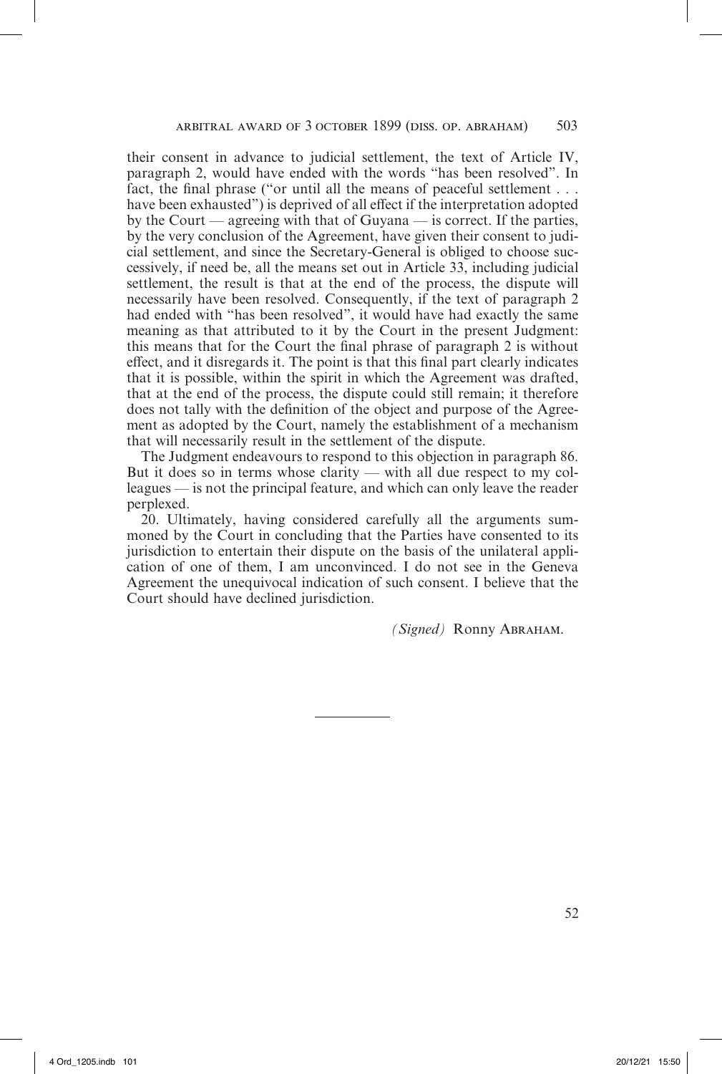their consent in advance to judicial settlement, the text of Article IV, paragraph 2, would have ended with the words "has been resolved". In fact, the final phrase ("or until all the means of peaceful settlement . . . have been exhausted") is deprived of all effect if the interpretation adopted by the Court — agreeing with that of Guyana — is correct. If the parties, by the very conclusion of the Agreement, have given their consent to judicial settlement, and since the Secretary-General is obliged to choose successively, if need be, all the means set out in Article 33, including judicial settlement, the result is that at the end of the process, the dispute will necessarily have been resolved. Consequently, if the text of paragraph 2 had ended with "has been resolved", it would have had exactly the same meaning as that attributed to it by the Court in the present Judgment: this means that for the Court the final phrase of paragraph 2 is without effect, and it disregards it. The point is that this final part clearly indicates that it is possible, within the spirit in which the Agreement was drafted, that at the end of the process, the dispute could still remain; it therefore does not tally with the definition of the object and purpose of the Agreement as adopted by the Court, namely the establishment of a mechanism that will necessarily result in the settlement of the dispute.

The Judgment endeavours to respond to this objection in paragraph 86. But it does so in terms whose clarity — with all due respect to my colleagues — is not the principal feature, and which can only leave the reader perplexed.

20. Ultimately, having considered carefully all the arguments summoned by the Court in concluding that the Parties have consented to its jurisdiction to entertain their dispute on the basis of the unilateral application of one of them, I am unconvinced. I do not see in the Geneva Agreement the unequivocal indication of such consent. I believe that the Court should have declined jurisdiction.

*(Signed)* Ronny Abraham.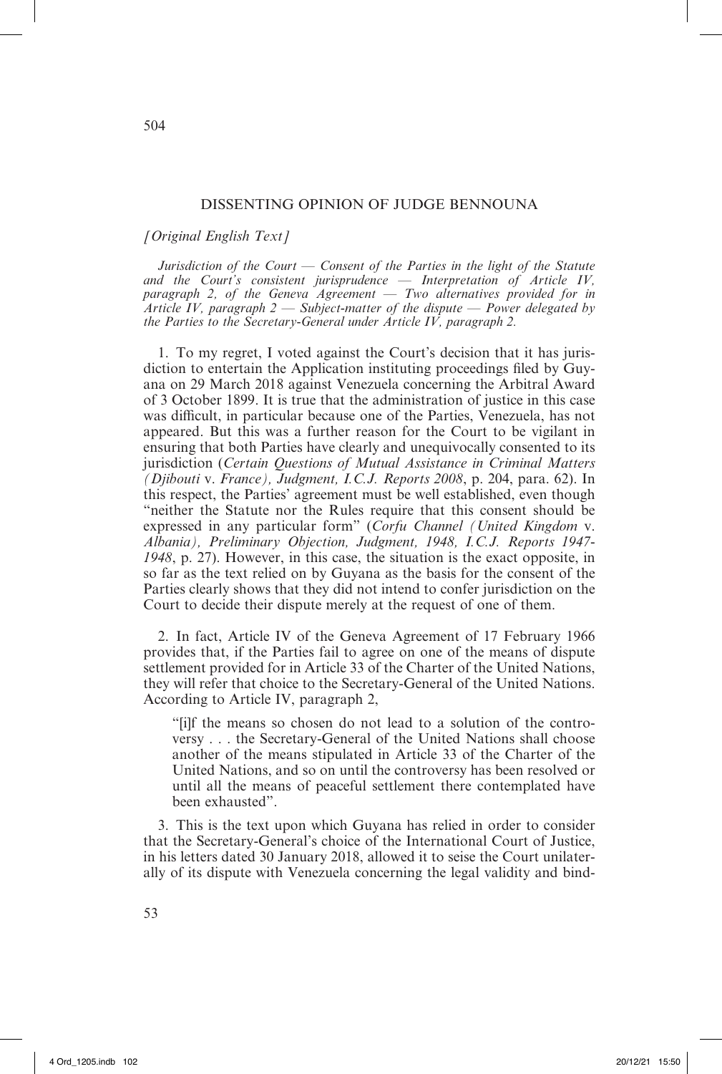### DISSENTING OPINION OF JUDGE BENNOUNA

#### *[Original English Text]*

*Jurisdiction of the Court — Consent of the Parties in the light of the Statute and the Court's consistent jurisprudence — Interpretation of Article IV, paragraph 2, of the Geneva Agreement* — *Two alternatives provided for in Article IV, paragraph 2 — Subject-matter of the dispute — Power delegated by the Parties to the Secretary-General under Article IV, paragraph 2.*

1. To my regret, I voted against the Court's decision that it has jurisdiction to entertain the Application instituting proceedings filed by Guyana on 29 March 2018 against Venezuela concerning the Arbitral Award of 3 October 1899. It is true that the administration of justice in this case was difficult, in particular because one of the Parties, Venezuela, has not appeared. But this was a further reason for the Court to be vigilant in ensuring that both Parties have clearly and unequivocally consented to its jurisdiction (*Certain Questions of Mutual Assistance in Criminal Matters (Djibouti* v. *France), Judgment, I.C.J. Reports 2008*, p. 204, para. 62). In this respect, the Parties' agreement must be well established, even though "neither the Statute nor the Rules require that this consent should be expressed in any particular form" (*Corfu Channel (United Kingdom* v. *Albania), Preliminary Objection, Judgment, 1948, I.C.J. Reports 1947- 1948*, p. 27). However, in this case, the situation is the exact opposite, in so far as the text relied on by Guyana as the basis for the consent of the Parties clearly shows that they did not intend to confer jurisdiction on the Court to decide their dispute merely at the request of one of them.

2. In fact, Article IV of the Geneva Agreement of 17 February 1966 provides that, if the Parties fail to agree on one of the means of dispute settlement provided for in Article 33 of the Charter of the United Nations, they will refer that choice to the Secretary-General of the United Nations. According to Article IV, paragraph 2,

"[i]f the means so chosen do not lead to a solution of the controversy . . . the Secretary-General of the United Nations shall choose another of the means stipulated in Article 33 of the Charter of the United Nations, and so on until the controversy has been resolved or until all the means of peaceful settlement there contemplated have been exhausted".

3. This is the text upon which Guyana has relied in order to consider that the Secretary-General's choice of the International Court of Justice, in his letters dated 30 January 2018, allowed it to seise the Court unilaterally of its dispute with Venezuela concerning the legal validity and bind-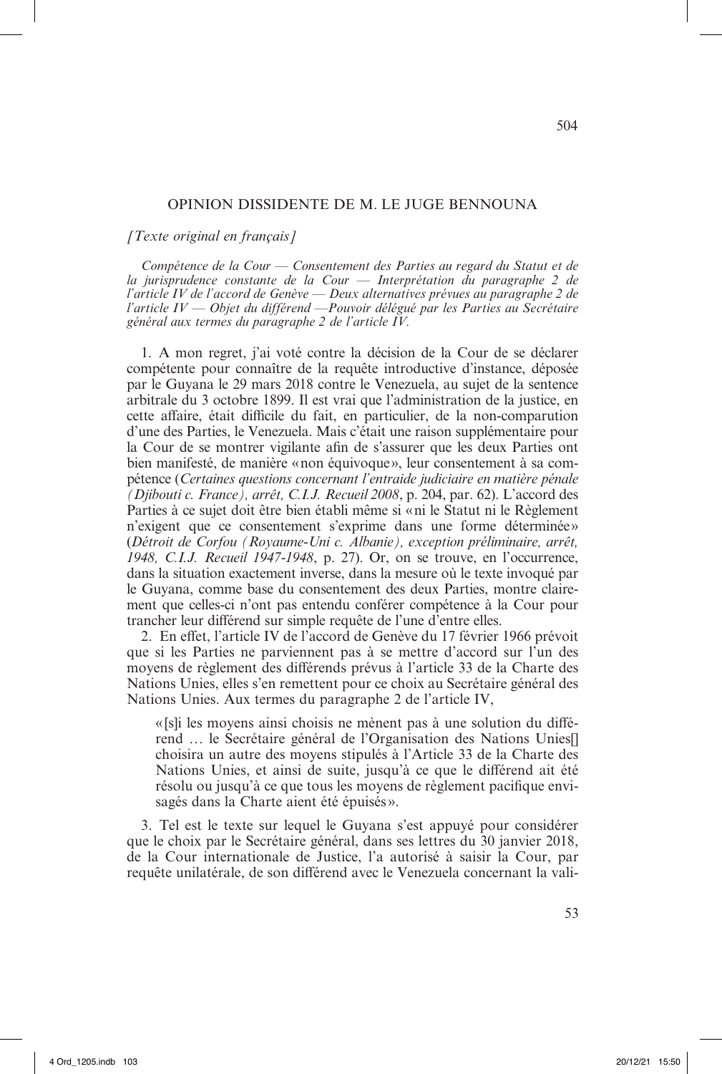#### OPINION DISSIDENTE DE M. LE JUGE BENNOUNA

*[Texte original en français]*

*Compétence de la Cour — Consentement des Parties au regard du Statut et de la jurisprudence constante de la Cour — Interprétation du paragraphe 2 de l'article IV de l'accord de Genève — Deux alternatives prévues au paragraphe 2 de l'article IV — Objet du différend —Pouvoir délégué par les Parties au Secrétaire général aux termes du paragraphe 2 de l'article IV.*

1. A mon regret, j'ai voté contre la décision de la Cour de se déclarer compétente pour connaître de la requête introductive d'instance, déposée par le Guyana le 29 mars 2018 contre le Venezuela, au sujet de la sentence arbitrale du 3 octobre 1899. Il est vrai que l'administration de la justice, en cette affaire, était difficile du fait, en particulier, de la non-comparution d'une des Parties, le Venezuela. Mais c'était une raison supplémentaire pour la Cour de se montrer vigilante afin de s'assurer que les deux Parties ont bien manifesté, de manière «non équivoque», leur consentement à sa compétence (*Certaines questions concernant l'entraide judiciaire en matière pénale (Djibouti c. France), arrêt, C.I.J. Recueil 2008*, p. 204, par. 62). L'accord des Parties à ce sujet doit être bien établi même si «ni le Statut ni le Règlement n'exigent que ce consentement s'exprime dans une forme déterminée» (*Détroit de Corfou (Royaume-Uni c. Albanie), exception préliminaire, arrêt, 1948, C.I.J. Recueil 1947-1948*, p. 27). Or, on se trouve, en l'occurrence, dans la situation exactement inverse, dans la mesure où le texte invoqué par le Guyana, comme base du consentement des deux Parties, montre clairement que celles-ci n'ont pas entendu conférer compétence à la Cour pour trancher leur différend sur simple requête de l'une d'entre elles.

2. En effet, l'article IV de l'accord de Genève du 17 février 1966 prévoit que si les Parties ne parviennent pas à se mettre d'accord sur l'un des moyens de règlement des différends prévus à l'article 33 de la Charte des Nations Unies, elles s'en remettent pour ce choix au Secrétaire général des Nations Unies. Aux termes du paragraphe 2 de l'article IV,

«[s]i les moyens ainsi choisis ne mènent pas à une solution du différend … le Secrétaire général de l'Organisation des Nations Unies[] choisira un autre des moyens stipulés à l'Article 33 de la Charte des Nations Unies, et ainsi de suite, jusqu'à ce que le différend ait été résolu ou jusqu'à ce que tous les moyens de règlement pacifique envisagés dans la Charte aient été épuisés ».

3. Tel est le texte sur lequel le Guyana s'est appuyé pour considérer que le choix par le Secrétaire général, dans ses lettres du 30 janvier 2018, de la Cour internationale de Justice, l'a autorisé à saisir la Cour, par requête unilatérale, de son différend avec le Venezuela concernant la vali-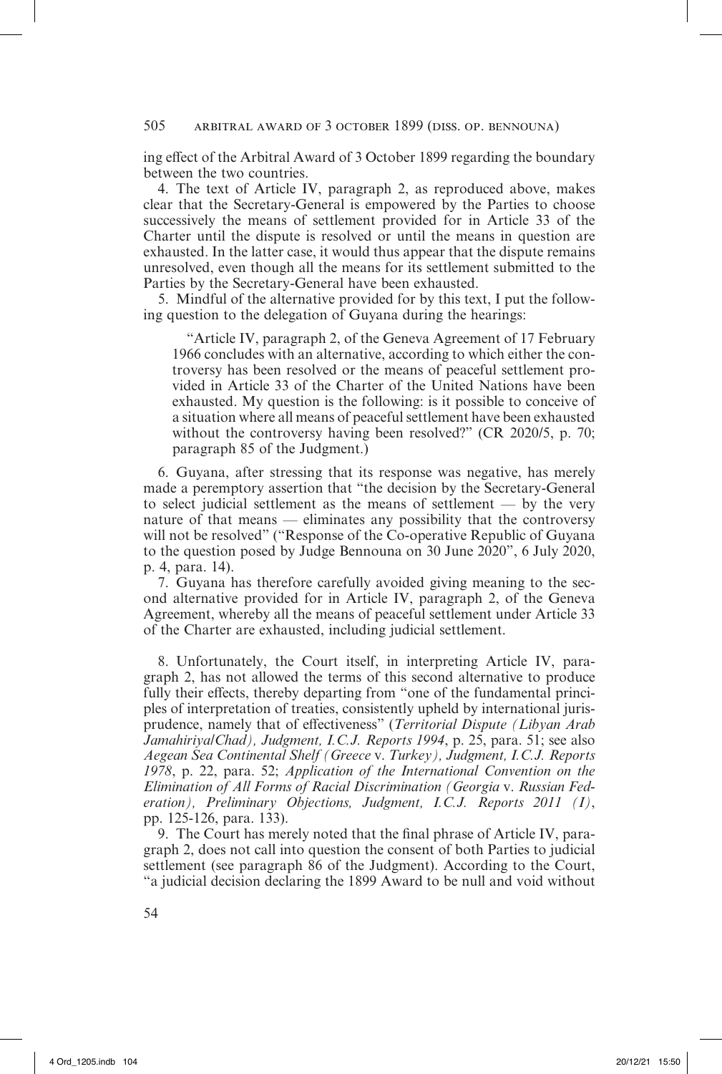## 505 arbitral award of 3 october 1899 (diss. op. bennouna)

ing effect of the Arbitral Award of 3 October 1899 regarding the boundary between the two countries.

4. The text of Article IV, paragraph 2, as reproduced above, makes clear that the Secretary-General is empowered by the Parties to choose successively the means of settlement provided for in Article 33 of the Charter until the dispute is resolved or until the means in question are exhausted. In the latter case, it would thus appear that the dispute remains unresolved, even though all the means for its settlement submitted to the Parties by the Secretary-General have been exhausted.

5. Mindful of the alternative provided for by this text, I put the following question to the delegation of Guyana during the hearings:

"Article IV, paragraph 2, of the Geneva Agreement of 17 February 1966 concludes with an alternative, according to which either the controversy has been resolved or the means of peaceful settlement provided in Article 33 of the Charter of the United Nations have been exhausted. My question is the following: is it possible to conceive of a situation where all means of peaceful settlement have been exhausted without the controversy having been resolved?" (CR 2020/5, p. 70; paragraph 85 of the Judgment.)

6. Guyana, after stressing that its response was negative, has merely made a peremptory assertion that "the decision by the Secretary-General to select judicial settlement as the means of settlement — by the very nature of that means — eliminates any possibility that the controversy will not be resolved" ("Response of the Co-operative Republic of Guyana to the question posed by Judge Bennouna on 30 June 2020", 6 July 2020, p. 4, para. 14).

7. Guyana has therefore carefully avoided giving meaning to the second alternative provided for in Article IV, paragraph 2, of the Geneva Agreement, whereby all the means of peaceful settlement under Article 33 of the Charter are exhausted, including judicial settlement.

8. Unfortunately, the Court itself, in interpreting Article IV, paragraph 2, has not allowed the terms of this second alternative to produce fully their effects, thereby departing from "one of the fundamental principles of interpretation of treaties, consistently upheld by international jurisprudence, namely that of effectiveness" (*Territorial Dispute (Libyan Arab Jamahiriya/Chad), Judgment, I.C.J. Reports 1994*, p. 25, para. 51; see also *Aegean Sea Continental Shelf (Greece* v. *Turkey), Judgment, I.C.J. Reports 1978*, p. 22, para. 52; *Application of the International Convention on the Elimination of All Forms of Racial Discrimination (Georgia* v. *Russian Federation), Preliminary Objections, Judgment, I.C.J. Reports 2011 (I)*, pp. 125-126, para. 133).

9. The Court has merely noted that the final phrase of Article IV, paragraph 2, does not call into question the consent of both Parties to judicial settlement (see paragraph 86 of the Judgment). According to the Court, "a judicial decision declaring the 1899 Award to be null and void without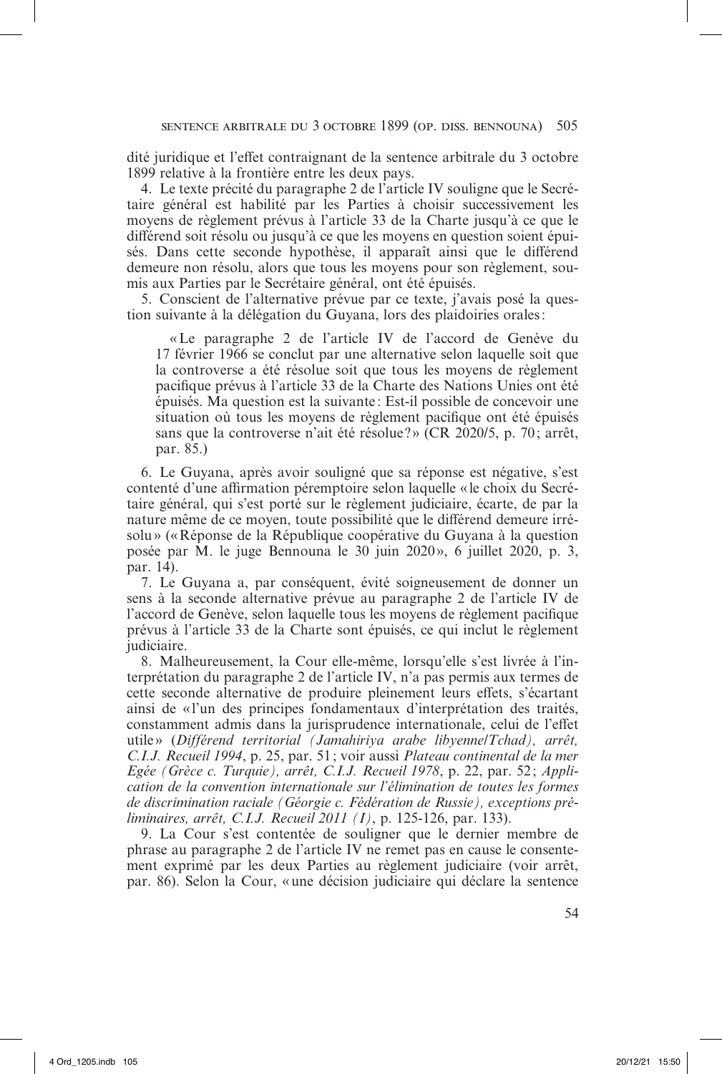dité juridique et l'effet contraignant de la sentence arbitrale du 3 octobre 1899 relative à la frontière entre les deux pays.

4. Le texte précité du paragraphe 2 de l'article IV souligne que le Secrétaire général est habilité par les Parties à choisir successivement les moyens de règlement prévus à l'article 33 de la Charte jusqu'à ce que le différend soit résolu ou jusqu'à ce que les moyens en question soient épuisés. Dans cette seconde hypothèse, il apparaît ainsi que le différend demeure non résolu, alors que tous les moyens pour son règlement, soumis aux Parties par le Secrétaire général, ont été épuisés.

5. Conscient de l'alternative prévue par ce texte, j'avais posé la question suivante à la délégation du Guyana, lors des plaidoiries orales:

«Le paragraphe 2 de l'article IV de l'accord de Genève du 17 février 1966 se conclut par une alternative selon laquelle soit que la controverse a été résolue soit que tous les moyens de règlement pacifique prévus à l'article 33 de la Charte des Nations Unies ont été épuisés. Ma question est la suivante : Est-il possible de concevoir une situation où tous les moyens de règlement pacifique ont été épuisés sans que la controverse n'ait été résolue ?» (CR 2020/5, p. 70 ; arrêt, par. 85.)

6. Le Guyana, après avoir souligné que sa réponse est négative, s'est contenté d'une affirmation péremptoire selon laquelle «le choix du Secrétaire général, qui s'est porté sur le règlement judiciaire, écarte, de par la nature même de ce moyen, toute possibilité que le différend demeure irrésolu» («Réponse de la République coopérative du Guyana à la question posée par M. le juge Bennouna le 30 juin 2020», 6 juillet 2020, p. 3, par. 14).

7. Le Guyana a, par conséquent, évité soigneusement de donner un sens à la seconde alternative prévue au paragraphe 2 de l'article IV de l'accord de Genève, selon laquelle tous les moyens de règlement pacifique prévus à l'article 33 de la Charte sont épuisés, ce qui inclut le règlement judiciaire.

8. Malheureusement, la Cour elle-même, lorsqu'elle s'est livrée à l'interprétation du paragraphe 2 de l'article IV, n'a pas permis aux termes de cette seconde alternative de produire pleinement leurs effets, s'écartant ainsi de «l'un des principes fondamentaux d'interprétation des traités, constamment admis dans la jurisprudence internationale, celui de l'effet utile» (*Différend territorial (Jamahiriya arabe libyenne/Tchad), arrêt, C.I.J. Recueil 1994*, p. 25, par. 51 ; voir aussi *Plateau continental de la mer Egée (Grèce c. Turquie), arrêt, C.I.J. Recueil 1978*, p. 22, par. 52; *Application de la convention internationale sur l'élimination de toutes les formes de discrimination raciale (Géorgie c. Fédération de Russie), exceptions préliminaires, arrêt, C.I.J. Recueil 2011 (I)*, p. 125-126, par. 133).

9. La Cour s'est contentée de souligner que le dernier membre de phrase au paragraphe 2 de l'article IV ne remet pas en cause le consentement exprimé par les deux Parties au règlement judiciaire (voir arrêt, par. 86). Selon la Cour, «une décision judiciaire qui déclare la sentence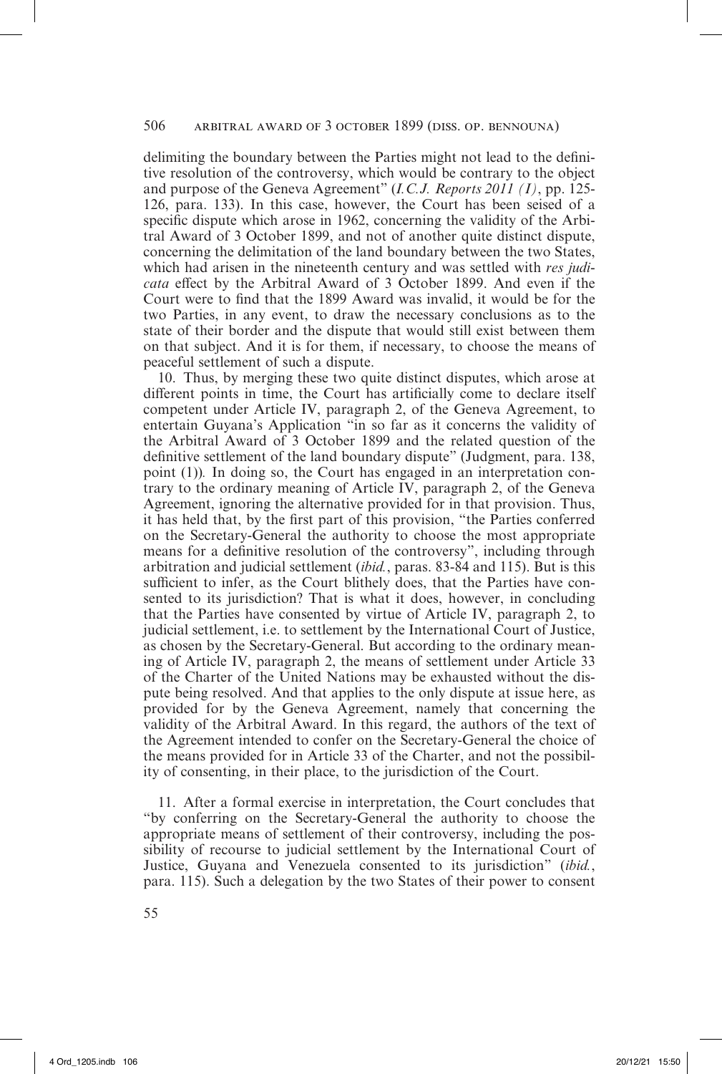# 506 arbitral award of 3 october 1899 (diss. op. bennouna)

delimiting the boundary between the Parties might not lead to the definitive resolution of the controversy, which would be contrary to the object and purpose of the Geneva Agreement" (*I.C.J. Reports 2011 (I)*, pp. 125- 126, para. 133). In this case, however, the Court has been seised of a specific dispute which arose in 1962, concerning the validity of the Arbitral Award of 3 October 1899, and not of another quite distinct dispute, concerning the delimitation of the land boundary between the two States, which had arisen in the nineteenth century and was settled with *res judicata* effect by the Arbitral Award of 3 October 1899. And even if the Court were to find that the 1899 Award was invalid, it would be for the two Parties, in any event, to draw the necessary conclusions as to the state of their border and the dispute that would still exist between them on that subject. And it is for them, if necessary, to choose the means of peaceful settlement of such a dispute.

10. Thus, by merging these two quite distinct disputes, which arose at different points in time, the Court has artificially come to declare itself competent under Article IV, paragraph 2, of the Geneva Agreement, to entertain Guyana's Application "in so far as it concerns the validity of the Arbitral Award of 3 October 1899 and the related question of the definitive settlement of the land boundary dispute" (Judgment, para. 138, point (1))*.* In doing so, the Court has engaged in an interpretation contrary to the ordinary meaning of Article IV, paragraph 2, of the Geneva Agreement, ignoring the alternative provided for in that provision. Thus, it has held that, by the first part of this provision, "the Parties conferred on the Secretary-General the authority to choose the most appropriate means for a definitive resolution of the controversy", including through arbitration and judicial settlement (*ibid.*, paras. 83-84 and 115). But is this sufficient to infer, as the Court blithely does, that the Parties have consented to its jurisdiction? That is what it does, however, in concluding that the Parties have consented by virtue of Article IV, paragraph 2, to judicial settlement, i.e. to settlement by the International Court of Justice, as chosen by the Secretary-General. But according to the ordinary meaning of Article IV, paragraph 2, the means of settlement under Article 33 of the Charter of the United Nations may be exhausted without the dispute being resolved. And that applies to the only dispute at issue here, as provided for by the Geneva Agreement, namely that concerning the validity of the Arbitral Award. In this regard, the authors of the text of the Agreement intended to confer on the Secretary-General the choice of the means provided for in Article 33 of the Charter, and not the possibility of consenting, in their place, to the jurisdiction of the Court.

11. After a formal exercise in interpretation, the Court concludes that "by conferring on the Secretary-General the authority to choose the appropriate means of settlement of their controversy, including the possibility of recourse to judicial settlement by the International Court of Justice, Guyana and Venezuela consented to its jurisdiction" (*ibid.*, para. 115). Such a delegation by the two States of their power to consent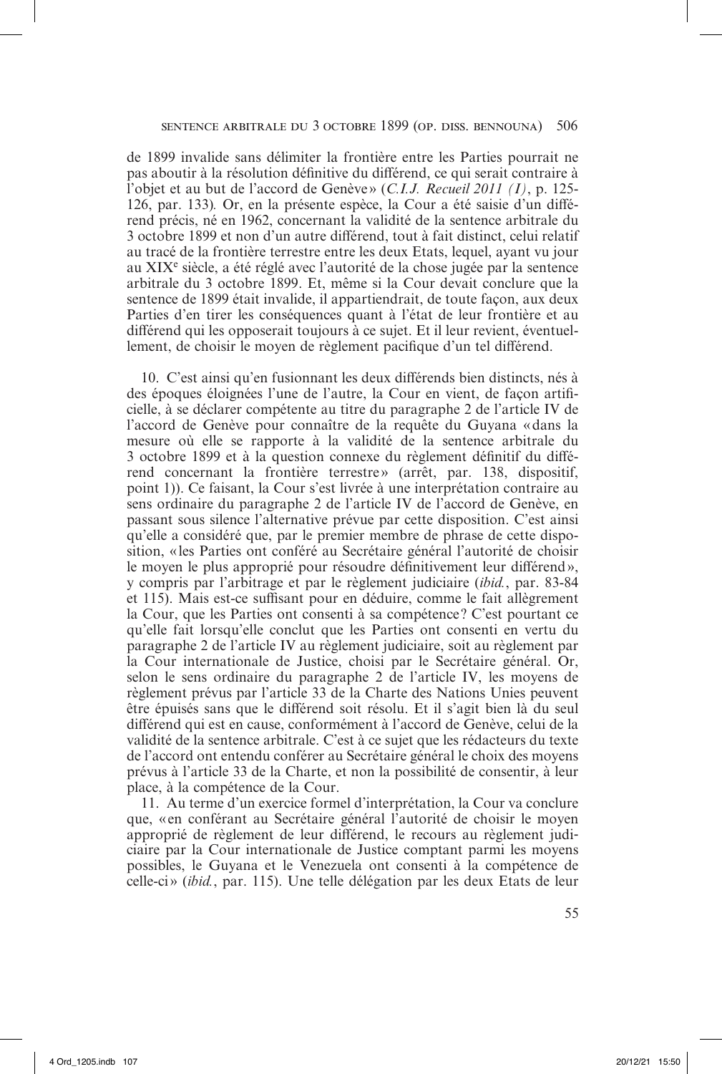de 1899 invalide sans délimiter la frontière entre les Parties pourrait ne pas aboutir à la résolution définitive du différend, ce qui serait contraire à l'objet et au but de l'accord de Genève » (*C.I.J. Recueil 2011 (I)*, p. 125- 126, par. 133)*.* Or, en la présente espèce, la Cour a été saisie d'un différend précis, né en 1962, concernant la validité de la sentence arbitrale du 3 octobre 1899 et non d'un autre différend, tout à fait distinct, celui relatif au tracé de la frontière terrestre entre les deux Etats, lequel, ayant vu jour au XIXe siècle, a été réglé avec l'autorité de la chose jugée par la sentence arbitrale du 3 octobre 1899. Et, même si la Cour devait conclure que la sentence de 1899 était invalide, il appartiendrait, de toute façon, aux deux Parties d'en tirer les conséquences quant à l'état de leur frontière et au différend qui les opposerait toujours à ce sujet. Et il leur revient, éventuellement, de choisir le moyen de règlement pacifique d'un tel différend.

10. C'est ainsi qu'en fusionnant les deux différends bien distincts, nés à des époques éloignées l'une de l'autre, la Cour en vient, de façon artificielle, à se déclarer compétente au titre du paragraphe 2 de l'article IV de l'accord de Genève pour connaître de la requête du Guyana «dans la mesure où elle se rapporte à la validité de la sentence arbitrale du 3 octobre 1899 et à la question connexe du règlement définitif du différend concernant la frontière terrestre » (arrêt, par. 138, dispositif, point 1)). Ce faisant, la Cour s'est livrée à une interprétation contraire au sens ordinaire du paragraphe 2 de l'article IV de l'accord de Genève, en passant sous silence l'alternative prévue par cette disposition. C'est ainsi qu'elle a considéré que, par le premier membre de phrase de cette disposition, «les Parties ont conféré au Secrétaire général l'autorité de choisir le moyen le plus approprié pour résoudre définitivement leur différend», y compris par l'arbitrage et par le règlement judiciaire (*ibid.*, par. 83-84 et 115). Mais est-ce suffisant pour en déduire, comme le fait allègrement la Cour, que les Parties ont consenti à sa compétence ? C'est pourtant ce qu'elle fait lorsqu'elle conclut que les Parties ont consenti en vertu du paragraphe 2 de l'article IV au règlement judiciaire, soit au règlement par la Cour internationale de Justice, choisi par le Secrétaire général. Or, selon le sens ordinaire du paragraphe 2 de l'article IV, les moyens de règlement prévus par l'article 33 de la Charte des Nations Unies peuvent être épuisés sans que le différend soit résolu. Et il s'agit bien là du seul différend qui est en cause, conformément à l'accord de Genève, celui de la validité de la sentence arbitrale. C'est à ce sujet que les rédacteurs du texte de l'accord ont entendu conférer au Secrétaire général le choix des moyens prévus à l'article 33 de la Charte, et non la possibilité de consentir, à leur place, à la compétence de la Cour.

11. Au terme d'un exercice formel d'interprétation, la Cour va conclure que, « en conférant au Secrétaire général l'autorité de choisir le moyen approprié de règlement de leur différend, le recours au règlement judiciaire par la Cour internationale de Justice comptant parmi les moyens possibles, le Guyana et le Venezuela ont consenti à la compétence de celle-ci» (*ibid.*, par. 115). Une telle délégation par les deux Etats de leur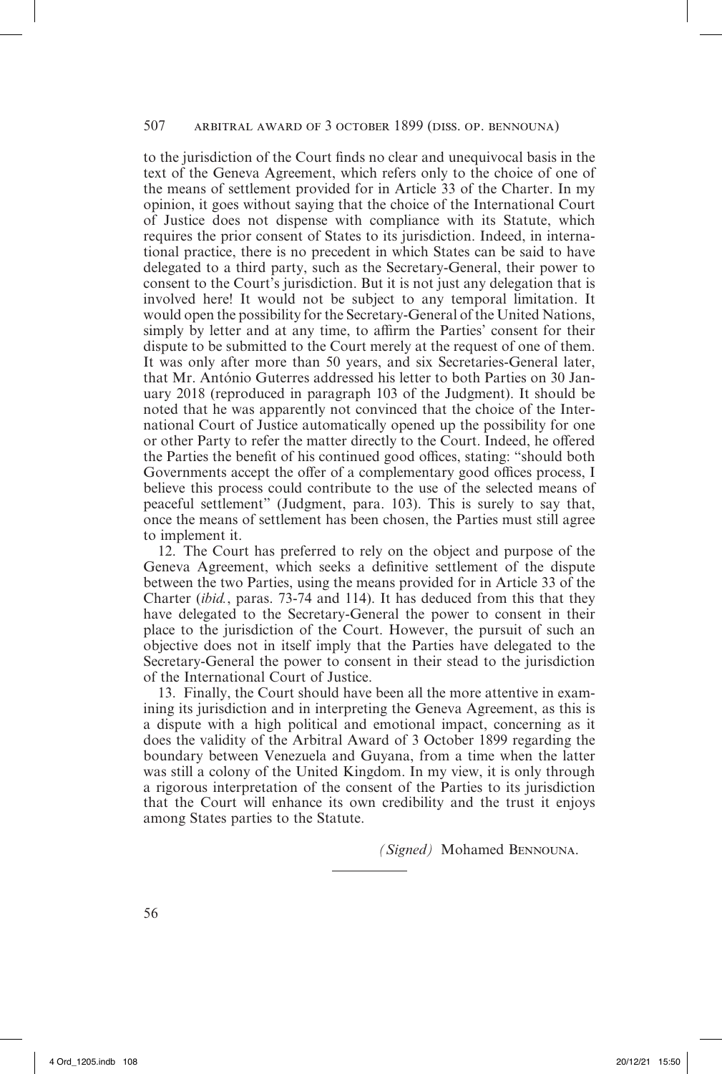# 507 arbitral award of 3 october 1899 (diss. op. bennouna)

to the jurisdiction of the Court finds no clear and unequivocal basis in the text of the Geneva Agreement, which refers only to the choice of one of the means of settlement provided for in Article 33 of the Charter. In my opinion, it goes without saying that the choice of the International Court of Justice does not dispense with compliance with its Statute, which requires the prior consent of States to its jurisdiction. Indeed, in international practice, there is no precedent in which States can be said to have delegated to a third party, such as the Secretary-General, their power to consent to the Court's jurisdiction. But it is not just any delegation that is involved here! It would not be subject to any temporal limitation. It would open the possibility for the Secretary-General of the United Nations, simply by letter and at any time, to affirm the Parties' consent for their dispute to be submitted to the Court merely at the request of one of them. It was only after more than 50 years, and six Secretaries-General later, that Mr. António Guterres addressed his letter to both Parties on 30 January 2018 (reproduced in paragraph 103 of the Judgment). It should be noted that he was apparently not convinced that the choice of the International Court of Justice automatically opened up the possibility for one or other Party to refer the matter directly to the Court. Indeed, he offered the Parties the benefit of his continued good offices, stating: "should both Governments accept the offer of a complementary good offices process, I believe this process could contribute to the use of the selected means of peaceful settlement" (Judgment, para. 103). This is surely to say that, once the means of settlement has been chosen, the Parties must still agree to implement it.

12. The Court has preferred to rely on the object and purpose of the Geneva Agreement, which seeks a definitive settlement of the dispute between the two Parties, using the means provided for in Article 33 of the Charter (*ibid.*, paras. 73-74 and 114). It has deduced from this that they have delegated to the Secretary-General the power to consent in their place to the jurisdiction of the Court. However, the pursuit of such an objective does not in itself imply that the Parties have delegated to the Secretary-General the power to consent in their stead to the jurisdiction of the International Court of Justice.

13. Finally, the Court should have been all the more attentive in examining its jurisdiction and in interpreting the Geneva Agreement, as this is a dispute with a high political and emotional impact, concerning as it does the validity of the Arbitral Award of 3 October 1899 regarding the boundary between Venezuela and Guyana, from a time when the latter was still a colony of the United Kingdom. In my view, it is only through a rigorous interpretation of the consent of the Parties to its jurisdiction that the Court will enhance its own credibility and the trust it enjoys among States parties to the Statute.

*(Signed)* Mohamed Bennouna.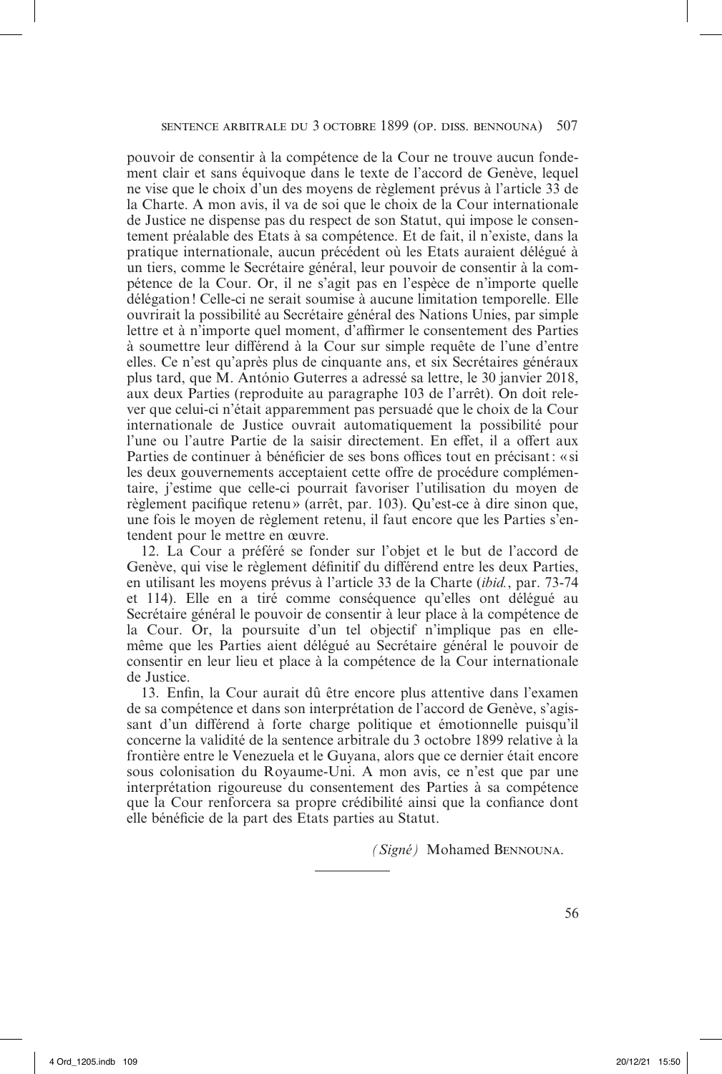pouvoir de consentir à la compétence de la Cour ne trouve aucun fondement clair et sans équivoque dans le texte de l'accord de Genève, lequel ne vise que le choix d'un des moyens de règlement prévus à l'article 33 de la Charte. A mon avis, il va de soi que le choix de la Cour internationale de Justice ne dispense pas du respect de son Statut, qui impose le consentement préalable des Etats à sa compétence. Et de fait, il n'existe, dans la pratique internationale, aucun précédent où les Etats auraient délégué à un tiers, comme le Secrétaire général, leur pouvoir de consentir à la compétence de la Cour. Or, il ne s'agit pas en l'espèce de n'importe quelle délégation! Celle-ci ne serait soumise à aucune limitation temporelle. Elle ouvrirait la possibilité au Secrétaire général des Nations Unies, par simple lettre et à n'importe quel moment, d'affirmer le consentement des Parties à soumettre leur différend à la Cour sur simple requête de l'une d'entre elles. Ce n'est qu'après plus de cinquante ans, et six Secrétaires généraux plus tard, que M. António Guterres a adressé sa lettre, le 30 janvier 2018, aux deux Parties (reproduite au paragraphe 103 de l'arrêt). On doit relever que celui-ci n'était apparemment pas persuadé que le choix de la Cour internationale de Justice ouvrait automatiquement la possibilité pour l'une ou l'autre Partie de la saisir directement. En effet, il a offert aux Parties de continuer à bénéficier de ses bons offices tout en précisant: « si les deux gouvernements acceptaient cette offre de procédure complémentaire, j'estime que celle-ci pourrait favoriser l'utilisation du moyen de règlement pacifique retenu» (arrêt, par. 103). Qu'est-ce à dire sinon que, une fois le moyen de règlement retenu, il faut encore que les Parties s'entendent pour le mettre en œuvre.

12. La Cour a préféré se fonder sur l'objet et le but de l'accord de Genève, qui vise le règlement définitif du différend entre les deux Parties, en utilisant les moyens prévus à l'article 33 de la Charte (*ibid.*, par. 73-74 et 114). Elle en a tiré comme conséquence qu'elles ont délégué au Secrétaire général le pouvoir de consentir à leur place à la compétence de la Cour. Or, la poursuite d'un tel objectif n'implique pas en ellemême que les Parties aient délégué au Secrétaire général le pouvoir de consentir en leur lieu et place à la compétence de la Cour internationale de Justice.

13. Enfin, la Cour aurait dû être encore plus attentive dans l'examen de sa compétence et dans son interprétation de l'accord de Genève, s'agissant d'un différend à forte charge politique et émotionnelle puisqu'il concerne la validité de la sentence arbitrale du 3 octobre 1899 relative à la frontière entre le Venezuela et le Guyana, alors que ce dernier était encore sous colonisation du Royaume-Uni. A mon avis, ce n'est que par une interprétation rigoureuse du consentement des Parties à sa compétence que la Cour renforcera sa propre crédibilité ainsi que la confiance dont elle bénéficie de la part des Etats parties au Statut.

*(Signé)* Mohamed Bennouna.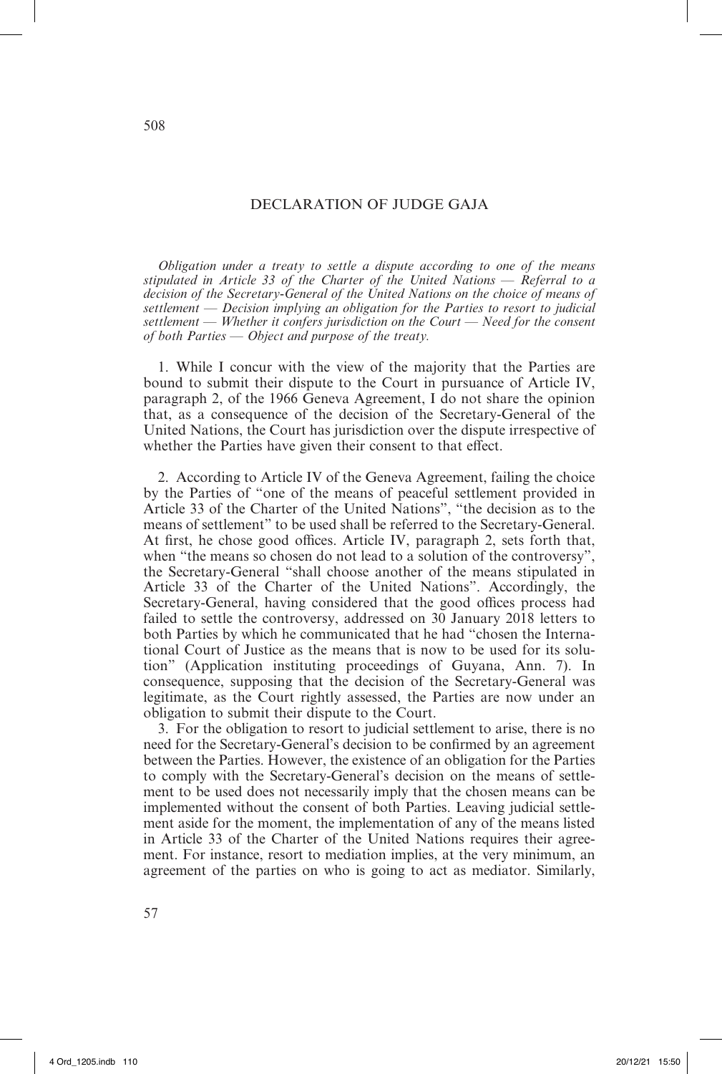# DECLARATION OF JUDGE GAJA

*Obligation under a treaty to settle a dispute according to one of the means stipulated in Article 33 of the Charter of the United Nations* — *Referral to a decision of the Secretary-General of the United Nations on the choice of means of settlement* — *Decision implying an obligation for the Parties to resort to judicial settlement* — *Whether it confers jurisdiction on the Court* — *Need for the consent of both Parties* — *Object and purpose of the treaty.*

1. While I concur with the view of the majority that the Parties are bound to submit their dispute to the Court in pursuance of Article IV, paragraph 2, of the 1966 Geneva Agreement, I do not share the opinion that, as a consequence of the decision of the Secretary-General of the United Nations, the Court has jurisdiction over the dispute irrespective of whether the Parties have given their consent to that effect.

2. According to Article IV of the Geneva Agreement, failing the choice by the Parties of "one of the means of peaceful settlement provided in Article 33 of the Charter of the United Nations", "the decision as to the means of settlement" to be used shall be referred to the Secretary- General. At first, he chose good offices. Article IV, paragraph 2, sets forth that, when "the means so chosen do not lead to a solution of the controversy", the Secretary-General "shall choose another of the means stipulated in Article 33 of the Charter of the United Nations". Accordingly, the Secretary-General, having considered that the good offices process had failed to settle the controversy, addressed on 30 January 2018 letters to both Parties by which he communicated that he had "chosen the International Court of Justice as the means that is now to be used for its solution" (Application instituting proceedings of Guyana, Ann. 7). In consequence, supposing that the decision of the Secretary-General was legitimate, as the Court rightly assessed, the Parties are now under an obligation to submit their dispute to the Court.

3. For the obligation to resort to judicial settlement to arise, there is no need for the Secretary-General's decision to be confirmed by an agreement between the Parties. However, the existence of an obligation for the Parties to comply with the Secretary-General's decision on the means of settlement to be used does not necessarily imply that the chosen means can be implemented without the consent of both Parties. Leaving judicial settlement aside for the moment, the implementation of any of the means listed in Article 33 of the Charter of the United Nations requires their agreement. For instance, resort to mediation implies, at the very minimum, an agreement of the parties on who is going to act as mediator. Similarly,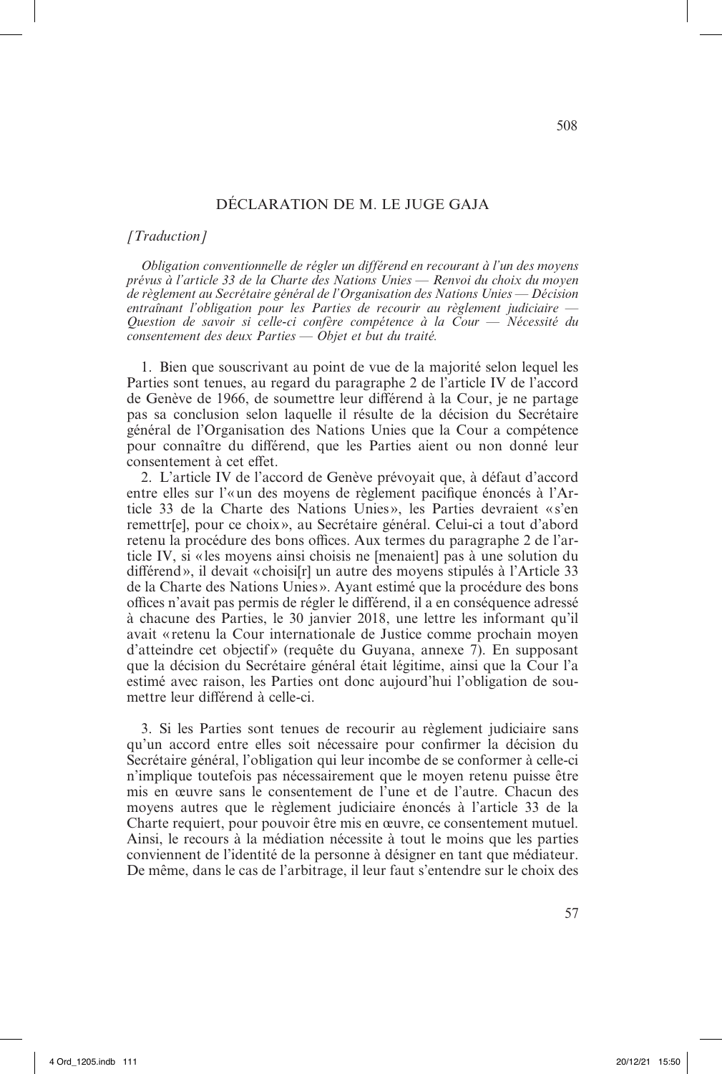# DÉCLARATION DE M. LE JUGE GAJA

### *[Traduction]*

*Obligation conventionnelle de régler un différend en recourant à l'un des moyens prévus à l'article 33 de la Charte des Nations Unies* — *Renvoi du choix du moyen de règlement au Secrétaire général de l'Organisation des Nations Unies* — *Décision entraînant l'obligation pour les Parties de recourir au règlement judiciaire* — *Question de savoir si celle-ci confère compétence à la Cour* — *Nécessité du consentement des deux Parties* — *Objet et but du traité.*

1. Bien que souscrivant au point de vue de la majorité selon lequel les Parties sont tenues, au regard du paragraphe 2 de l'article IV de l'accord de Genève de 1966, de soumettre leur différend à la Cour, je ne partage pas sa conclusion selon laquelle il résulte de la décision du Secrétaire général de l'Organisation des Nations Unies que la Cour a compétence pour connaître du différend, que les Parties aient ou non donné leur consentement à cet effet.

2. L'article IV de l'accord de Genève prévoyait que, à défaut d'accord entre elles sur l'«un des moyens de règlement pacifique énoncés à l'Article 33 de la Charte des Nations Unies », les Parties devraient «s'en remettr[e], pour ce choix », au Secrétaire général. Celui-ci a tout d'abord retenu la procédure des bons offices. Aux termes du paragraphe 2 de l'article IV, si « les moyens ainsi choisis ne [menaient] pas à une solution du différend», il devait «choisi[r] un autre des moyens stipulés à l'Article 33 de la Charte des Nations Unies ». Ayant estimé que la procédure des bons offices n'avait pas permis de régler le différend, il a en conséquence adressé à chacune des Parties, le 30 janvier 2018, une lettre les informant qu'il avait «retenu la Cour internationale de Justice comme prochain moyen d'atteindre cet objectif» (requête du Guyana, annexe 7). En supposant que la décision du Secrétaire général était légitime, ainsi que la Cour l'a estimé avec raison, les Parties ont donc aujourd'hui l'obligation de soumettre leur différend à celle-ci.

3. Si les Parties sont tenues de recourir au règlement judiciaire sans qu'un accord entre elles soit nécessaire pour confirmer la décision du Secrétaire général, l'obligation qui leur incombe de se conformer à celle-ci n'implique toutefois pas nécessairement que le moyen retenu puisse être mis en œuvre sans le consentement de l'une et de l'autre. Chacun des moyens autres que le règlement judiciaire énoncés à l'article 33 de la Charte requiert, pour pouvoir être mis en œuvre, ce consentement mutuel. Ainsi, le recours à la médiation nécessite à tout le moins que les parties conviennent de l'identité de la personne à désigner en tant que médiateur. De même, dans le cas de l'arbitrage, il leur faut s'entendre sur le choix des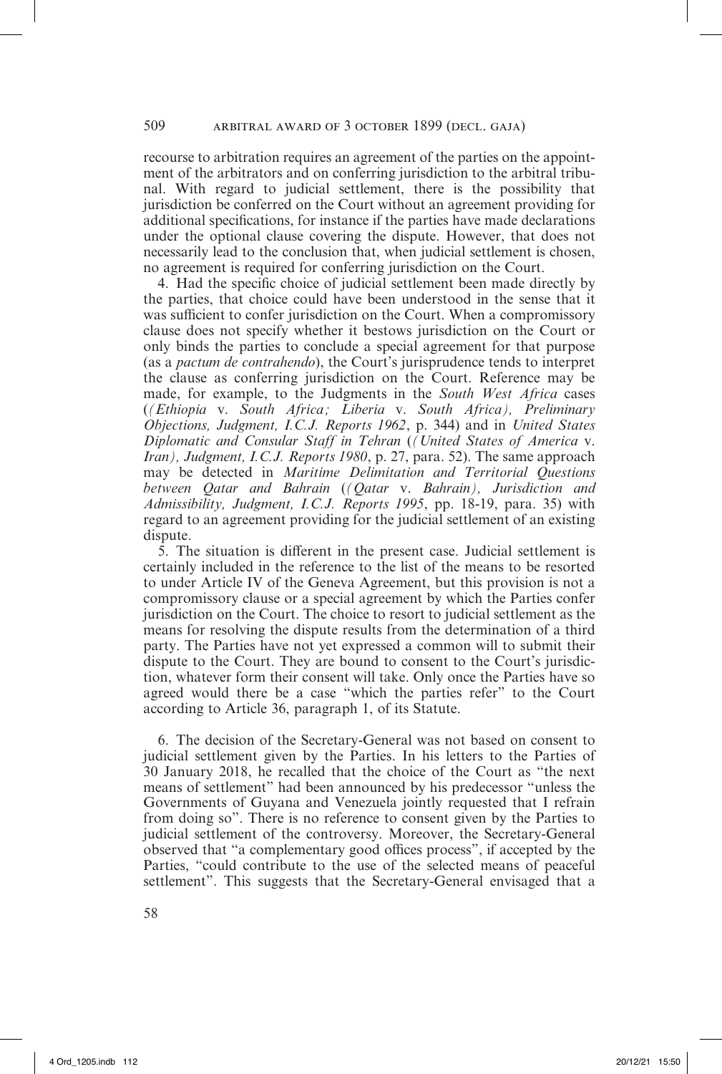recourse to arbitration requires an agreement of the parties on the appointment of the arbitrators and on conferring jurisdiction to the arbitral tribunal. With regard to judicial settlement, there is the possibility that jurisdiction be conferred on the Court without an agreement providing for additional specifications, for instance if the parties have made declarations under the optional clause covering the dispute. However, that does not necessarily lead to the conclusion that, when judicial settlement is chosen, no agreement is required for conferring jurisdiction on the Court.

4. Had the specific choice of judicial settlement been made directly by the parties, that choice could have been understood in the sense that it was sufficient to confer jurisdiction on the Court. When a compromissory clause does not specify whether it bestows jurisdiction on the Court or only binds the parties to conclude a special agreement for that purpose (as a *pactum de contrahendo*), the Court's jurisprudence tends to interpret the clause as conferring jurisdiction on the Court. Reference may be made, for example, to the Judgments in the *South West Africa* cases (*(Ethiopia* v. *South Africa; Liberia* v. *South Africa), Preliminary Objections, Judgment, I.C.J. Reports 1962*, p. 344) and in *United States Diplomatic and Consular Staff in Tehran* (*(United States of America* v. *Iran), Judgment, I.C.J. Reports 1980*, p. 27, para. 52). The same approach may be detected in *Maritime Delimitation and Territorial Questions between Qatar and Bahrain* (*(Qatar* v. *Bahrain), Jurisdiction and Admissibility, Judgment, I.C.J. Reports 1995*, pp. 18-19, para. 35) with regard to an agreement providing for the judicial settlement of an existing dispute.

5. The situation is different in the present case. Judicial settlement is certainly included in the reference to the list of the means to be resorted to under Article IV of the Geneva Agreement, but this provision is not a compromissory clause or a special agreement by which the Parties confer jurisdiction on the Court. The choice to resort to judicial settlement as the means for resolving the dispute results from the determination of a third party. The Parties have not yet expressed a common will to submit their dispute to the Court. They are bound to consent to the Court's jurisdiction, whatever form their consent will take. Only once the Parties have so agreed would there be a case "which the parties refer" to the Court according to Article 36, paragraph 1, of its Statute.

6. The decision of the Secretary-General was not based on consent to judicial settlement given by the Parties. In his letters to the Parties of 30 January 2018, he recalled that the choice of the Court as "the next means of settlement" had been announced by his predecessor "unless the Governments of Guyana and Venezuela jointly requested that I refrain from doing so". There is no reference to consent given by the Parties to judicial settlement of the controversy. Moreover, the Secretary-General observed that "a complementary good offices process", if accepted by the Parties, "could contribute to the use of the selected means of peaceful settlement". This suggests that the Secretary-General envisaged that a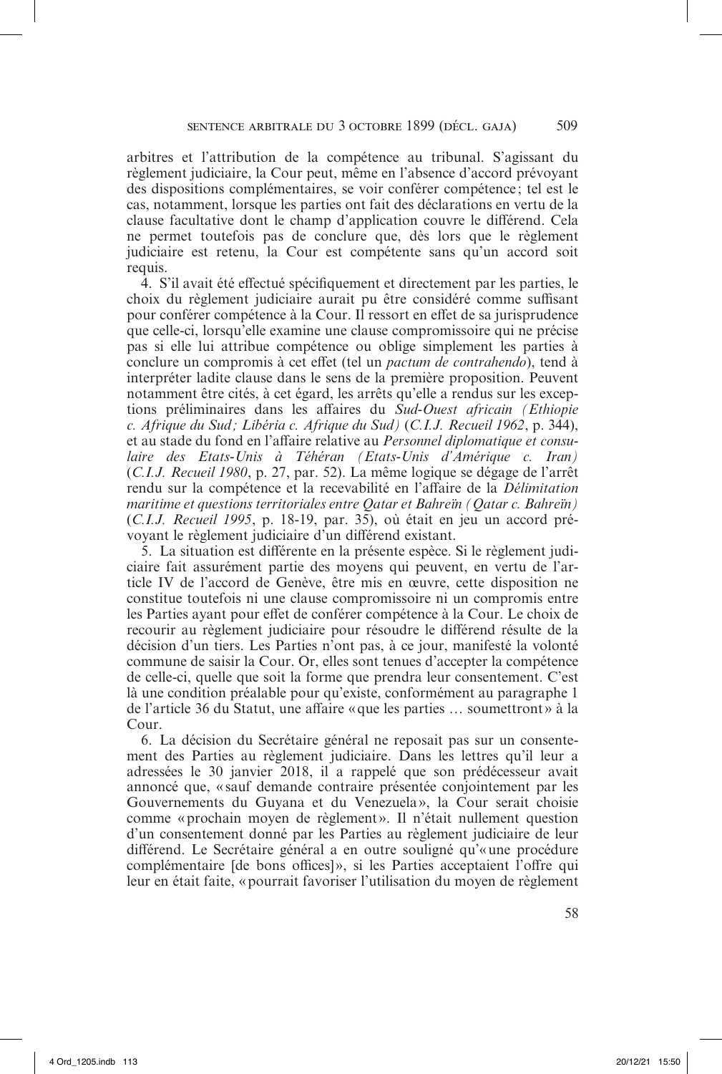arbitres et l'attribution de la compétence au tribunal. S'agissant du règlement judiciaire, la Cour peut, même en l'absence d'accord prévoyant des dispositions complémentaires, se voir conférer compétence ; tel est le cas, notamment, lorsque les parties ont fait des déclarations en vertu de la clause facultative dont le champ d'application couvre le différend. Cela ne permet toutefois pas de conclure que, dès lors que le règlement judiciaire est retenu, la Cour est compétente sans qu'un accord soit requis.

4. S'il avait été effectué spécifiquement et directement par les parties, le choix du règlement judiciaire aurait pu être considéré comme suffisant pour conférer compétence à la Cour. Il ressort en effet de sa jurisprudence que celle-ci, lorsqu'elle examine une clause compromissoire qui ne précise pas si elle lui attribue compétence ou oblige simplement les parties à conclure un compromis à cet effet (tel un *pactum de contrahendo*), tend à interpréter ladite clause dans le sens de la première proposition. Peuvent notamment être cités, à cet égard, les arrêts qu'elle a rendus sur les exceptions préliminaires dans les affaires du *Sud-Ouest africain (Ethiopie c. Afrique du Sud ; Libéria c. Afrique du Sud)* (*C.I.J. Recueil 1962*, p. 344), et au stade du fond en l'affaire relative au *Personnel diplomatique et consulaire des Etats-Unis à Téhéran (Etats-Unis d'Amérique c. Iran)*  (*C.I.J. Recueil 1980*, p. 27, par. 52). La même logique se dégage de l'arrêt rendu sur la compétence et la recevabilité en l'affaire de la *Délimitation maritime et questions territoriales entre Qatar et Bahreïn (Qatar c. Bahreïn)*  (*C.I.J. Recueil 1995*, p. 18-19, par. 35), où était en jeu un accord prévoyant le règlement judiciaire d'un différend existant.

5. La situation est différente en la présente espèce. Si le règlement judiciaire fait assurément partie des moyens qui peuvent, en vertu de l'article IV de l'accord de Genève, être mis en œuvre, cette disposition ne constitue toutefois ni une clause compromissoire ni un compromis entre les Parties ayant pour effet de conférer compétence à la Cour. Le choix de recourir au règlement judiciaire pour résoudre le différend résulte de la décision d'un tiers. Les Parties n'ont pas, à ce jour, manifesté la volonté commune de saisir la Cour. Or, elles sont tenues d'accepter la compétence de celle-ci, quelle que soit la forme que prendra leur consentement. C'est là une condition préalable pour qu'existe, conformément au paragraphe 1 de l'article 36 du Statut, une affaire «que les parties … soumettront » à la Cour.

6. La décision du Secrétaire général ne reposait pas sur un consentement des Parties au règlement judiciaire. Dans les lettres qu'il leur a adressées le 30 janvier 2018, il a rappelé que son prédécesseur avait annoncé que, «sauf demande contraire présentée conjointement par les Gouvernements du Guyana et du Venezuela», la Cour serait choisie comme «prochain moyen de règlement». Il n'était nullement question d'un consentement donné par les Parties au règlement judiciaire de leur différend. Le Secrétaire général a en outre souligné qu'«une procédure complémentaire [de bons offices]», si les Parties acceptaient l'offre qui leur en était faite, «pourrait favoriser l'utilisation du moyen de règlement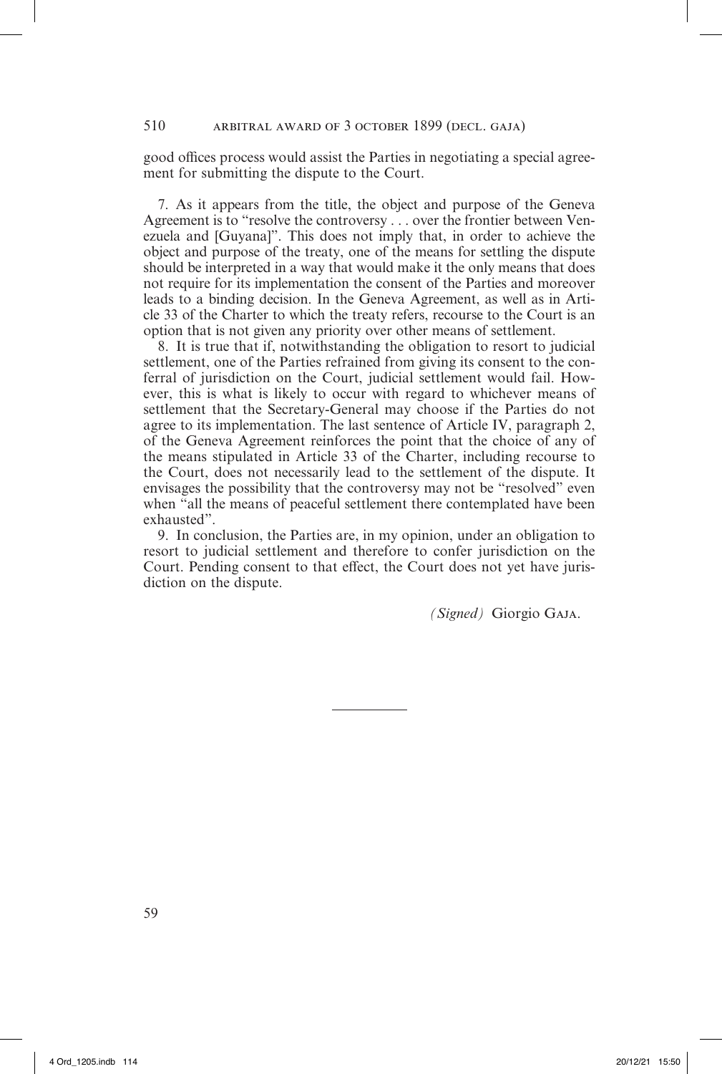good offices process would assist the Parties in negotiating a special agreement for submitting the dispute to the Court.

7. As it appears from the title, the object and purpose of the Geneva Agreement is to "resolve the controversy . . . over the frontier between Venezuela and [Guyana]". This does not imply that, in order to achieve the object and purpose of the treaty, one of the means for settling the dispute should be interpreted in a way that would make it the only means that does not require for its implementation the consent of the Parties and moreover leads to a binding decision. In the Geneva Agreement, as well as in Article 33 of the Charter to which the treaty refers, recourse to the Court is an option that is not given any priority over other means of settlement.

8. It is true that if, notwithstanding the obligation to resort to judicial settlement, one of the Parties refrained from giving its consent to the conferral of jurisdiction on the Court, judicial settlement would fail. However, this is what is likely to occur with regard to whichever means of settlement that the Secretary-General may choose if the Parties do not agree to its implementation. The last sentence of Article IV, paragraph 2, of the Geneva Agreement reinforces the point that the choice of any of the means stipulated in Article 33 of the Charter, including recourse to the Court, does not necessarily lead to the settlement of the dispute. It envisages the possibility that the controversy may not be "resolved" even when "all the means of peaceful settlement there contemplated have been exhausted".

9. In conclusion, the Parties are, in my opinion, under an obligation to resort to judicial settlement and therefore to confer jurisdiction on the Court. Pending consent to that effect, the Court does not yet have jurisdiction on the dispute.

*(Signed)* Giorgio Gaja.

59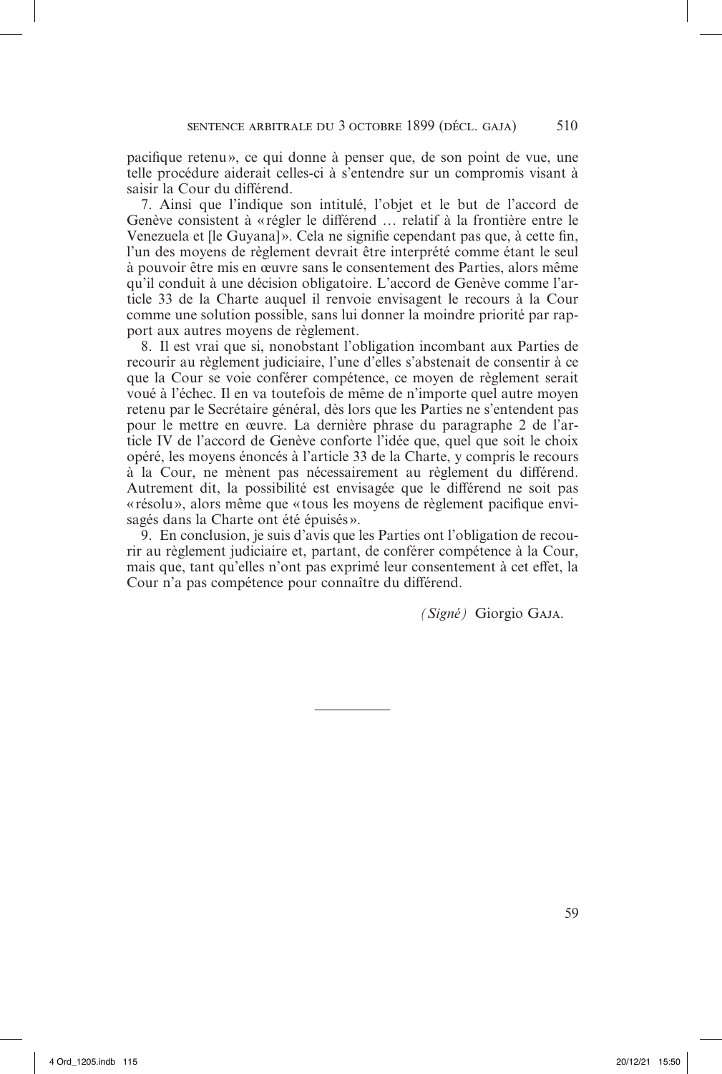pacifique retenu», ce qui donne à penser que, de son point de vue, une telle procédure aiderait celles-ci à s'entendre sur un compromis visant à saisir la Cour du différend.

7. Ainsi que l'indique son intitulé, l'objet et le but de l'accord de Genève consistent à «régler le différend … relatif à la frontière entre le Venezuela et [le Guyana]». Cela ne signifie cependant pas que, à cette fin, l'un des moyens de règlement devrait être interprété comme étant le seul à pouvoir être mis en œuvre sans le consentement des Parties, alors même qu'il conduit à une décision obligatoire. L'accord de Genève comme l'article 33 de la Charte auquel il renvoie envisagent le recours à la Cour comme une solution possible, sans lui donner la moindre priorité par rapport aux autres moyens de règlement.

8. Il est vrai que si, nonobstant l'obligation incombant aux Parties de recourir au règlement judiciaire, l'une d'elles s'abstenait de consentir à ce que la Cour se voie conférer compétence, ce moyen de règlement serait voué à l'échec. Il en va toutefois de même de n'importe quel autre moyen retenu par le Secrétaire général, dès lors que les Parties ne s'entendent pas pour le mettre en œuvre. La dernière phrase du paragraphe 2 de l'article IV de l'accord de Genève conforte l'idée que, quel que soit le choix opéré, les moyens énoncés à l'article 33 de la Charte, y compris le recours à la Cour, ne mènent pas nécessairement au règlement du différend. Autrement dit, la possibilité est envisagée que le différend ne soit pas «résolu», alors même que «tous les moyens de règlement pacifique envisagés dans la Charte ont été épuisés».

9. En conclusion, je suis d'avis que les Parties ont l'obligation de recourir au règlement judiciaire et, partant, de conférer compétence à la Cour, mais que, tant qu'elles n'ont pas exprimé leur consentement à cet effet, la Cour n'a pas compétence pour connaître du différend.

*(Signé)* Giorgio Gaja.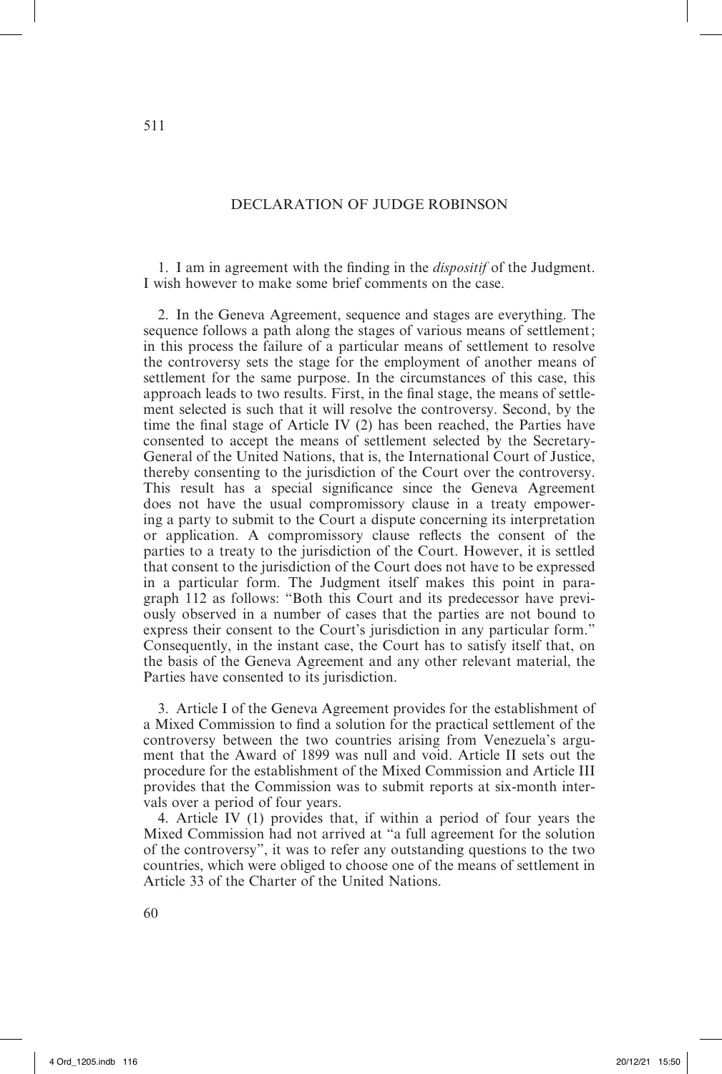# DECLARATION OF JUDGE ROBINSON

1. I am in agreement with the finding in the *dispositif* of the Judgment. I wish however to make some brief comments on the case.

2. In the Geneva Agreement, sequence and stages are everything. The sequence follows a path along the stages of various means of settlement; in this process the failure of a particular means of settlement to resolve the controversy sets the stage for the employment of another means of settlement for the same purpose. In the circumstances of this case, this approach leads to two results. First, in the final stage, the means of settlement selected is such that it will resolve the controversy. Second, by the time the final stage of Article IV (2) has been reached, the Parties have consented to accept the means of settlement selected by the Secretary-General of the United Nations, that is, the International Court of Justice, thereby consenting to the jurisdiction of the Court over the controversy. This result has a special significance since the Geneva Agreement does not have the usual compromissory clause in a treaty empowering a party to submit to the Court a dispute concerning its interpretation or application. A compromissory clause reflects the consent of the parties to a treaty to the jurisdiction of the Court. However, it is settled that consent to the jurisdiction of the Court does not have to be expressed in a particular form. The Judgment itself makes this point in paragraph 112 as follows: "Both this Court and its predecessor have previously observed in a number of cases that the parties are not bound to express their consent to the Court's jurisdiction in any particular form." Consequently, in the instant case, the Court has to satisfy itself that, on the basis of the Geneva Agreement and any other relevant material, the Parties have consented to its jurisdiction.

3. Article I of the Geneva Agreement provides for the establishment of a Mixed Commission to find a solution for the practical settlement of the controversy between the two countries arising from Venezuela's argument that the Award of 1899 was null and void. Article II sets out the procedure for the establishment of the Mixed Commission and Article III provides that the Commission was to submit reports at six-month intervals over a period of four years.

4. Article IV (1) provides that, if within a period of four years the Mixed Commission had not arrived at "a full agreement for the solution of the controversy", it was to refer any outstanding questions to the two countries, which were obliged to choose one of the means of settlement in Article 33 of the Charter of the United Nations.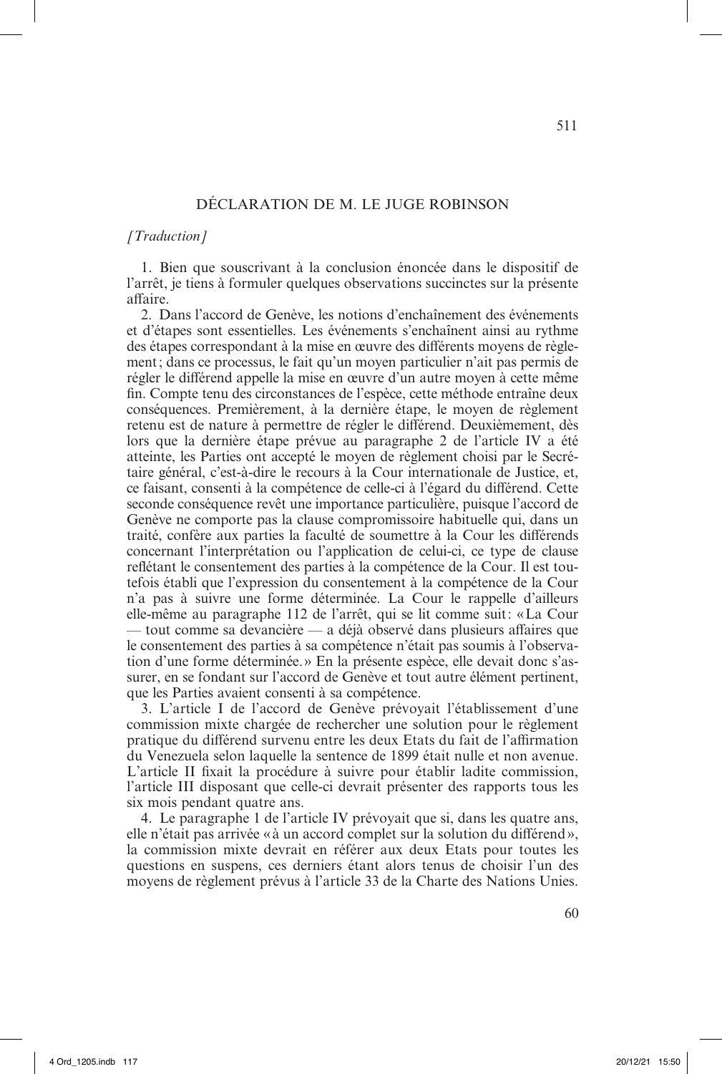# DÉCLARATION DE M. LE JUGE ROBINSON

### *[Traduction]*

1. Bien que souscrivant à la conclusion énoncée dans le dispositif de l'arrêt, je tiens à formuler quelques observations succinctes sur la présente affaire.

2. Dans l'accord de Genève, les notions d'enchaînement des événements et d'étapes sont essentielles. Les événements s'enchaînent ainsi au rythme des étapes correspondant à la mise en œuvre des différents moyens de règlement; dans ce processus, le fait qu'un moyen particulier n'ait pas permis de régler le différend appelle la mise en œuvre d'un autre moyen à cette même fin. Compte tenu des circonstances de l'espèce, cette méthode entraîne deux conséquences. Premièrement, à la dernière étape, le moyen de règlement retenu est de nature à permettre de régler le différend. Deuxièmement, dès lors que la dernière étape prévue au paragraphe 2 de l'article IV a été atteinte, les Parties ont accepté le moyen de règlement choisi par le Secrétaire général, c'est-à-dire le recours à la Cour internationale de Justice, et, ce faisant, consenti à la compétence de celle-ci à l'égard du différend. Cette seconde conséquence revêt une importance particulière, puisque l'accord de Genève ne comporte pas la clause compromissoire habituelle qui, dans un traité, confère aux parties la faculté de soumettre à la Cour les différends concernant l'interprétation ou l'application de celui-ci, ce type de clause reflétant le consentement des parties à la compétence de la Cour. Il est toutefois établi que l'expression du consentement à la compétence de la Cour n'a pas à suivre une forme déterminée. La Cour le rappelle d'ailleurs elle-même au paragraphe 112 de l'arrêt, qui se lit comme suit: «La Cour — tout comme sa devancière — a déjà observé dans plusieurs affaires que le consentement des parties à sa compétence n'était pas soumis à l'observation d'une forme déterminée.» En la présente espèce, elle devait donc s'assurer, en se fondant sur l'accord de Genève et tout autre élément pertinent, que les Parties avaient consenti à sa compétence.

3. L'article I de l'accord de Genève prévoyait l'établissement d'une commission mixte chargée de rechercher une solution pour le règlement pratique du différend survenu entre les deux Etats du fait de l'affirmation du Venezuela selon laquelle la sentence de 1899 était nulle et non avenue. L'article II fixait la procédure à suivre pour établir ladite commission, l'article III disposant que celle-ci devrait présenter des rapports tous les six mois pendant quatre ans.

4. Le paragraphe 1 de l'article IV prévoyait que si, dans les quatre ans, elle n'était pas arrivée «à un accord complet sur la solution du différend», la commission mixte devrait en référer aux deux Etats pour toutes les questions en suspens, ces derniers étant alors tenus de choisir l'un des moyens de règlement prévus à l'article 33 de la Charte des Nations Unies.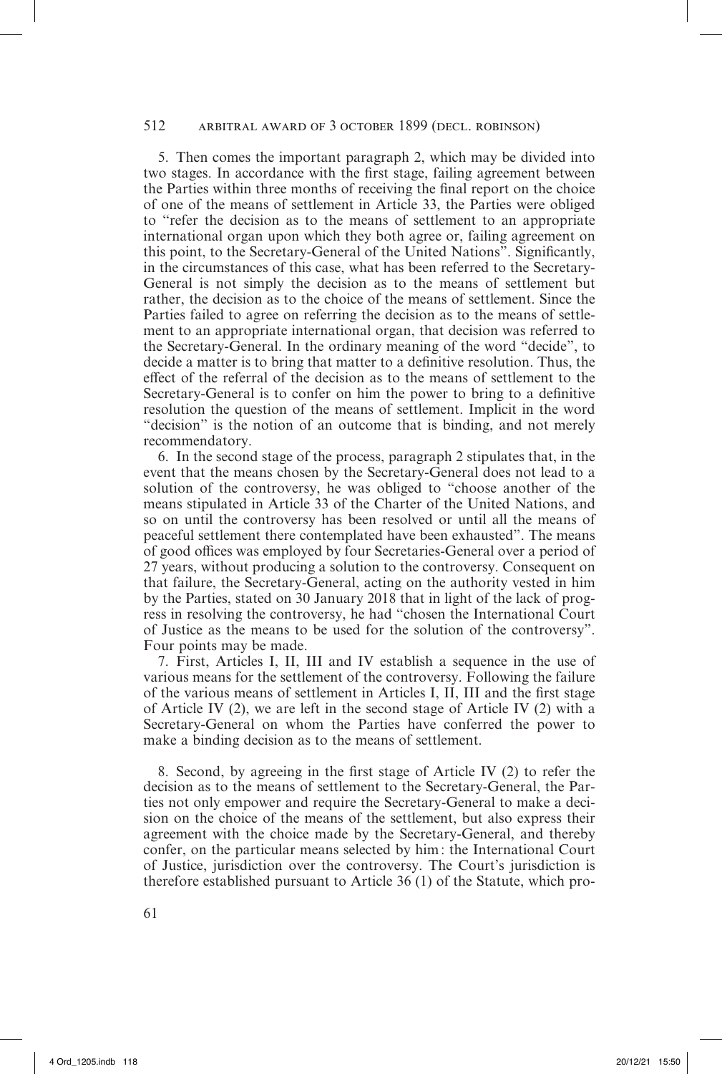# 512 arbitral award of 3 october 1899 (decl. robinson)

5. Then comes the important paragraph 2, which may be divided into two stages. In accordance with the first stage, failing agreement between the Parties within three months of receiving the final report on the choice of one of the means of settlement in Article 33, the Parties were obliged to "refer the decision as to the means of settlement to an appropriate international organ upon which they both agree or, failing agreement on this point, to the Secretary-General of the United Nations". Significantly, in the circumstances of this case, what has been referred to the Secretary-General is not simply the decision as to the means of settlement but rather, the decision as to the choice of the means of settlement. Since the Parties failed to agree on referring the decision as to the means of settlement to an appropriate international organ, that decision was referred to the Secretary-General. In the ordinary meaning of the word "decide", to decide a matter is to bring that matter to a definitive resolution. Thus, the effect of the referral of the decision as to the means of settlement to the Secretary-General is to confer on him the power to bring to a definitive resolution the question of the means of settlement. Implicit in the word "decision" is the notion of an outcome that is binding, and not merely recommendatory.

6. In the second stage of the process, paragraph 2 stipulates that, in the event that the means chosen by the Secretary-General does not lead to a solution of the controversy, he was obliged to "choose another of the means stipulated in Article 33 of the Charter of the United Nations, and so on until the controversy has been resolved or until all the means of peaceful settlement there contemplated have been exhausted". The means of good offices was employed by four Secretaries-General over a period of 27 years, without producing a solution to the controversy. Consequent on that failure, the Secretary-General, acting on the authority vested in him by the Parties, stated on 30 January 2018 that in light of the lack of progress in resolving the controversy, he had "chosen the International Court of Justice as the means to be used for the solution of the controversy". Four points may be made.

7. First, Articles I, II, III and IV establish a sequence in the use of various means for the settlement of the controversy. Following the failure of the various means of settlement in Articles I, II, III and the first stage of Article IV (2), we are left in the second stage of Article IV (2) with a Secretary-General on whom the Parties have conferred the power to make a binding decision as to the means of settlement.

8. Second, by agreeing in the first stage of Article IV (2) to refer the decision as to the means of settlement to the Secretary-General, the Parties not only empower and require the Secretary-General to make a decision on the choice of the means of the settlement, but also express their agreement with the choice made by the Secretary-General, and thereby confer, on the particular means selected by him: the International Court of Justice, jurisdiction over the controversy. The Court's jurisdiction is therefore established pursuant to Article 36 (1) of the Statute, which pro-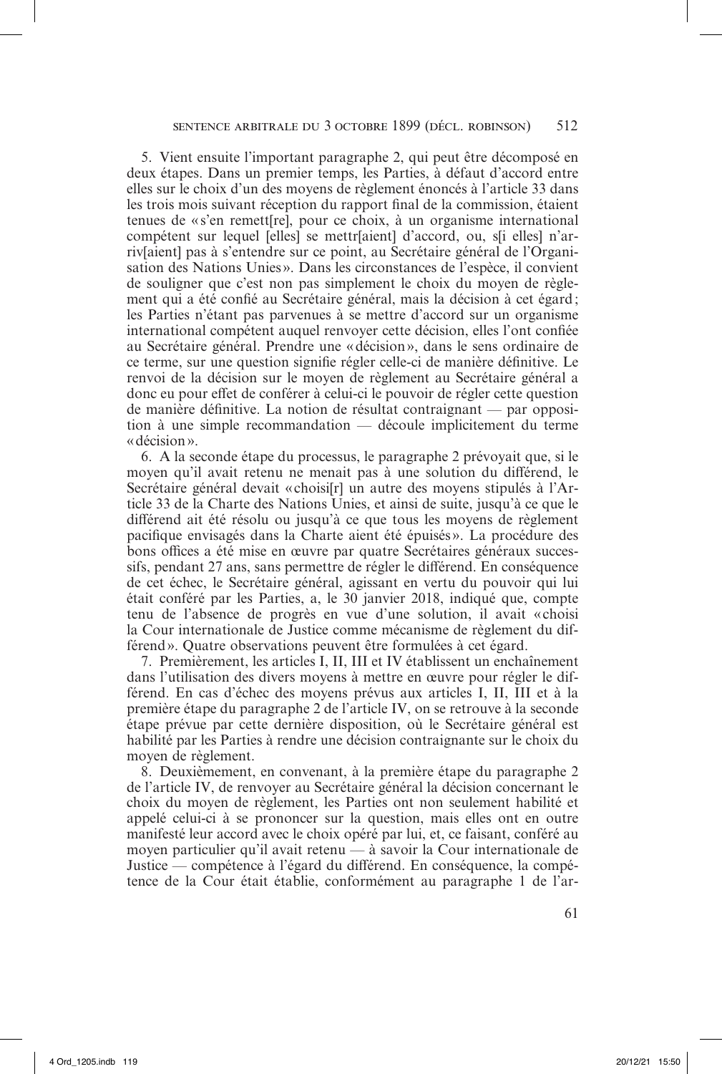5. Vient ensuite l'important paragraphe 2, qui peut être décomposé en deux étapes. Dans un premier temps, les Parties, à défaut d'accord entre elles sur le choix d'un des moyens de règlement énoncés à l'article 33 dans les trois mois suivant réception du rapport final de la commission, étaient tenues de «s'en remett[re], pour ce choix, à un organisme international compétent sur lequel [elles] se mettr[aient] d'accord, ou, s[i elles] n'arriv[aient] pas à s'entendre sur ce point, au Secrétaire général de l'Organisation des Nations Unies». Dans les circonstances de l'espèce, il convient de souligner que c'est non pas simplement le choix du moyen de règlement qui a été confié au Secrétaire général, mais la décision à cet égard; les Parties n'étant pas parvenues à se mettre d'accord sur un organisme international compétent auquel renvoyer cette décision, elles l'ont confiée au Secrétaire général. Prendre une «décision», dans le sens ordinaire de ce terme, sur une question signifie régler celle-ci de manière définitive. Le renvoi de la décision sur le moyen de règlement au Secrétaire général a donc eu pour effet de conférer à celui-ci le pouvoir de régler cette question de manière définitive. La notion de résultat contraignant — par opposition à une simple recommandation — découle implicitement du terme «décision».

6. A la seconde étape du processus, le paragraphe 2 prévoyait que, si le moyen qu'il avait retenu ne menait pas à une solution du différend, le Secrétaire général devait «choisi[r] un autre des moyens stipulés à l'Article 33 de la Charte des Nations Unies, et ainsi de suite, jusqu'à ce que le différend ait été résolu ou jusqu'à ce que tous les moyens de règlement pacifique envisagés dans la Charte aient été épuisés ». La procédure des bons offices a été mise en œuvre par quatre Secrétaires généraux successifs, pendant 27 ans, sans permettre de régler le différend. En conséquence de cet échec, le Secrétaire général, agissant en vertu du pouvoir qui lui était conféré par les Parties, a, le 30 janvier 2018, indiqué que, compte tenu de l'absence de progrès en vue d'une solution, il avait «choisi la Cour internationale de Justice comme mécanisme de règlement du différend». Quatre observations peuvent être formulées à cet égard.

7. Premièrement, les articles I, II, III et IV établissent un enchaînement dans l'utilisation des divers moyens à mettre en œuvre pour régler le différend. En cas d'échec des moyens prévus aux articles I, II, III et à la première étape du paragraphe 2 de l'article IV, on se retrouve à la seconde étape prévue par cette dernière disposition, où le Secrétaire général est habilité par les Parties à rendre une décision contraignante sur le choix du moyen de règlement.

8. Deuxièmement, en convenant, à la première étape du paragraphe 2 de l'article IV, de renvoyer au Secrétaire général la décision concernant le choix du moyen de règlement, les Parties ont non seulement habilité et appelé celui-ci à se prononcer sur la question, mais elles ont en outre manifesté leur accord avec le choix opéré par lui, et, ce faisant, conféré au moyen particulier qu'il avait retenu — à savoir la Cour internationale de Justice — compétence à l'égard du différend. En conséquence, la compétence de la Cour était établie, conformément au paragraphe 1 de l'ar-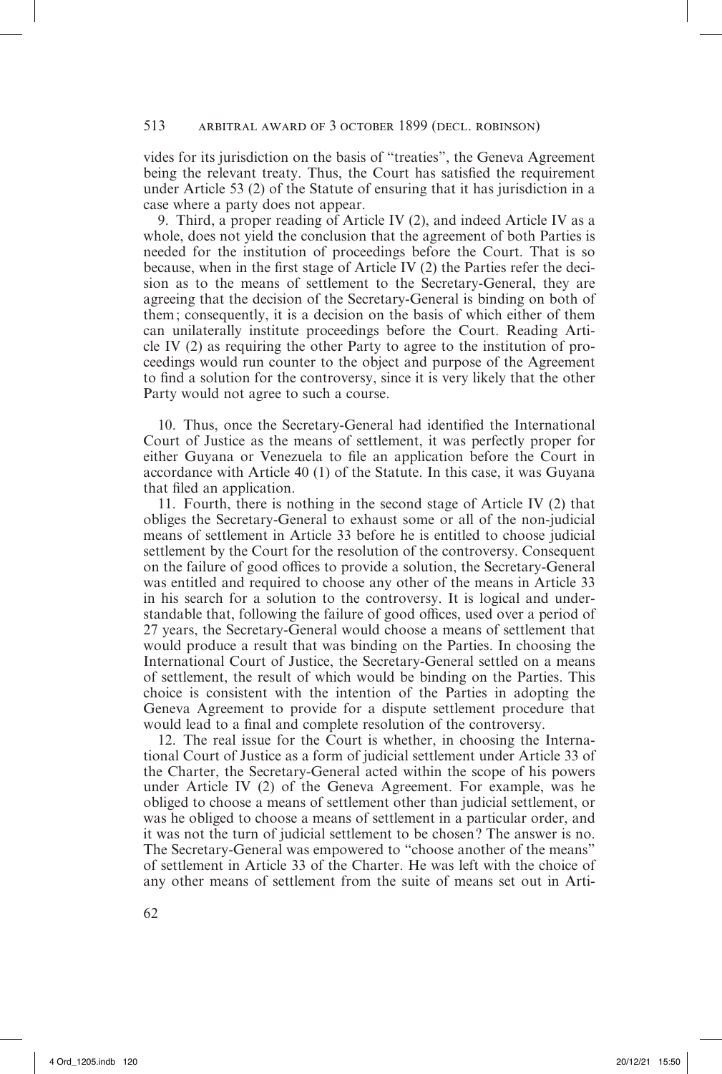# 513 arbitral award of 3 october 1899 (decl. robinson)

vides for its jurisdiction on the basis of "treaties", the Geneva Agreement being the relevant treaty. Thus, the Court has satisfied the requirement under Article 53 (2) of the Statute of ensuring that it has jurisdiction in a case where a party does not appear.

9. Third, a proper reading of Article IV (2), and indeed Article IV as a whole, does not yield the conclusion that the agreement of both Parties is needed for the institution of proceedings before the Court. That is so because, when in the first stage of Article IV (2) the Parties refer the decision as to the means of settlement to the Secretary-General, they are agreeing that the decision of the Secretary-General is binding on both of them; consequently, it is a decision on the basis of which either of them can unilaterally institute proceedings before the Court. Reading Article IV (2) as requiring the other Party to agree to the institution of proceedings would run counter to the object and purpose of the Agreement to find a solution for the controversy, since it is very likely that the other Party would not agree to such a course.

10. Thus, once the Secretary-General had identified the International Court of Justice as the means of settlement, it was perfectly proper for either Guyana or Venezuela to file an application before the Court in accordance with Article 40 (1) of the Statute. In this case, it was Guyana that filed an application.

11. Fourth, there is nothing in the second stage of Article IV (2) that obliges the Secretary-General to exhaust some or all of the non-judicial means of settlement in Article 33 before he is entitled to choose judicial settlement by the Court for the resolution of the controversy. Consequent on the failure of good offices to provide a solution, the Secretary-General was entitled and required to choose any other of the means in Article 33 in his search for a solution to the controversy. It is logical and understandable that, following the failure of good offices, used over a period of 27 years, the Secretary-General would choose a means of settlement that would produce a result that was binding on the Parties. In choosing the International Court of Justice, the Secretary-General settled on a means of settlement, the result of which would be binding on the Parties. This choice is consistent with the intention of the Parties in adopting the Geneva Agreement to provide for a dispute settlement procedure that would lead to a final and complete resolution of the controversy.

12. The real issue for the Court is whether, in choosing the International Court of Justice as a form of judicial settlement under Article 33 of the Charter, the Secretary-General acted within the scope of his powers under Article IV (2) of the Geneva Agreement. For example, was he obliged to choose a means of settlement other than judicial settlement, or was he obliged to choose a means of settlement in a particular order, and it was not the turn of judicial settlement to be chosen? The answer is no. The Secretary-General was empowered to "choose another of the means" of settlement in Article 33 of the Charter. He was left with the choice of any other means of settlement from the suite of means set out in Arti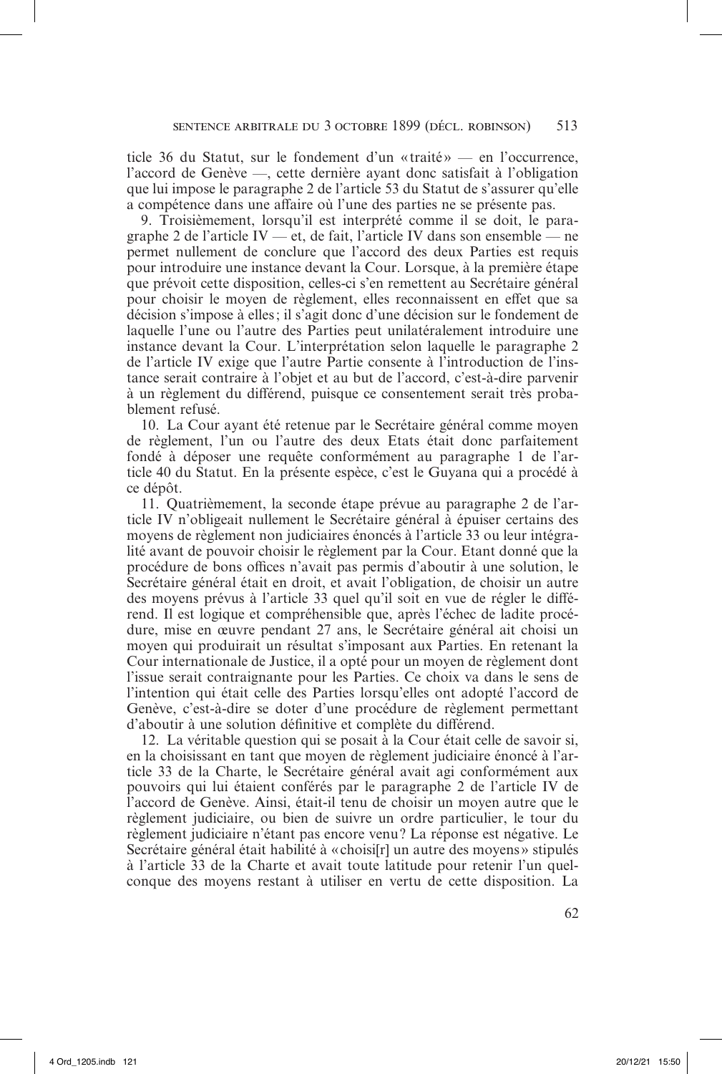ticle 36 du Statut, sur le fondement d'un «traité » — en l'occurrence, l'accord de Genève —, cette dernière ayant donc satisfait à l'obligation que lui impose le paragraphe 2 de l'article 53 du Statut de s'assurer qu'elle a compétence dans une affaire où l'une des parties ne se présente pas.

9. Troisièmement, lorsqu'il est interprété comme il se doit, le paragraphe 2 de l'article IV — et, de fait, l'article IV dans son ensemble — ne permet nullement de conclure que l'accord des deux Parties est requis pour introduire une instance devant la Cour. Lorsque, à la première étape que prévoit cette disposition, celles-ci s'en remettent au Secrétaire général pour choisir le moyen de règlement, elles reconnaissent en effet que sa décision s'impose à elles; il s'agit donc d'une décision sur le fondement de laquelle l'une ou l'autre des Parties peut unilatéralement introduire une instance devant la Cour. L'interprétation selon laquelle le paragraphe 2 de l'article IV exige que l'autre Partie consente à l'introduction de l'instance serait contraire à l'objet et au but de l'accord, c'est-à-dire parvenir à un règlement du différend, puisque ce consentement serait très probablement refusé.

10. La Cour ayant été retenue par le Secrétaire général comme moyen de règlement, l'un ou l'autre des deux Etats était donc parfaitement fondé à déposer une requête conformément au paragraphe 1 de l'article 40 du Statut. En la présente espèce, c'est le Guyana qui a procédé à ce dépôt.

11. Quatrièmement, la seconde étape prévue au paragraphe 2 de l'article IV n'obligeait nullement le Secrétaire général à épuiser certains des moyens de règlement non judiciaires énoncés à l'article 33 ou leur intégralité avant de pouvoir choisir le règlement par la Cour. Etant donné que la procédure de bons offices n'avait pas permis d'aboutir à une solution, le Secrétaire général était en droit, et avait l'obligation, de choisir un autre des moyens prévus à l'article 33 quel qu'il soit en vue de régler le différend. Il est logique et compréhensible que, après l'échec de ladite procédure, mise en œuvre pendant 27 ans, le Secrétaire général ait choisi un moyen qui produirait un résultat s'imposant aux Parties. En retenant la Cour internationale de Justice, il a opté pour un moyen de règlement dont l'issue serait contraignante pour les Parties. Ce choix va dans le sens de l'intention qui était celle des Parties lorsqu'elles ont adopté l'accord de Genève, c'est-à-dire se doter d'une procédure de règlement permettant d'aboutir à une solution définitive et complète du différend.

12. La véritable question qui se posait à la Cour était celle de savoir si, en la choisissant en tant que moyen de règlement judiciaire énoncé à l'article 33 de la Charte, le Secrétaire général avait agi conformément aux pouvoirs qui lui étaient conférés par le paragraphe 2 de l'article IV de l'accord de Genève. Ainsi, était-il tenu de choisir un moyen autre que le règlement judiciaire, ou bien de suivre un ordre particulier, le tour du règlement judiciaire n'étant pas encore venu? La réponse est négative. Le Secrétaire général était habilité à « choisi[r] un autre des moyens » stipulés à l'article 33 de la Charte et avait toute latitude pour retenir l'un quelconque des moyens restant à utiliser en vertu de cette disposition. La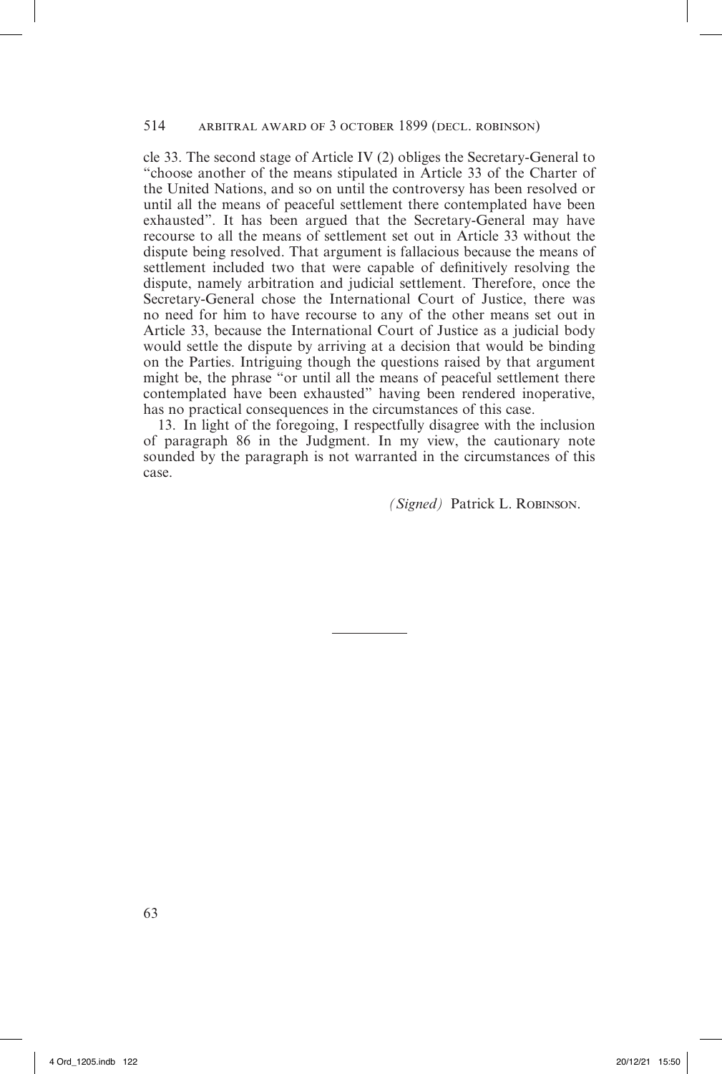#### 514 arbitral award of 3 october 1899 (decl. robinson)

cle 33. The second stage of Article IV (2) obliges the Secretary-General to "choose another of the means stipulated in Article 33 of the Charter of the United Nations, and so on until the controversy has been resolved or until all the means of peaceful settlement there contemplated have been exhausted". It has been argued that the Secretary-General may have recourse to all the means of settlement set out in Article 33 without the dispute being resolved. That argument is fallacious because the means of settlement included two that were capable of definitively resolving the dispute, namely arbitration and judicial settlement. Therefore, once the Secretary-General chose the International Court of Justice, there was no need for him to have recourse to any of the other means set out in Article 33, because the International Court of Justice as a judicial body would settle the dispute by arriving at a decision that would be binding on the Parties. Intriguing though the questions raised by that argument might be, the phrase "or until all the means of peaceful settlement there contemplated have been exhausted" having been rendered inoperative, has no practical consequences in the circumstances of this case.

13. In light of the foregoing, I respectfully disagree with the inclusion of paragraph 86 in the Judgment. In my view, the cautionary note sounded by the paragraph is not warranted in the circumstances of this case.

*(Signed)* Patrick L. Robinson.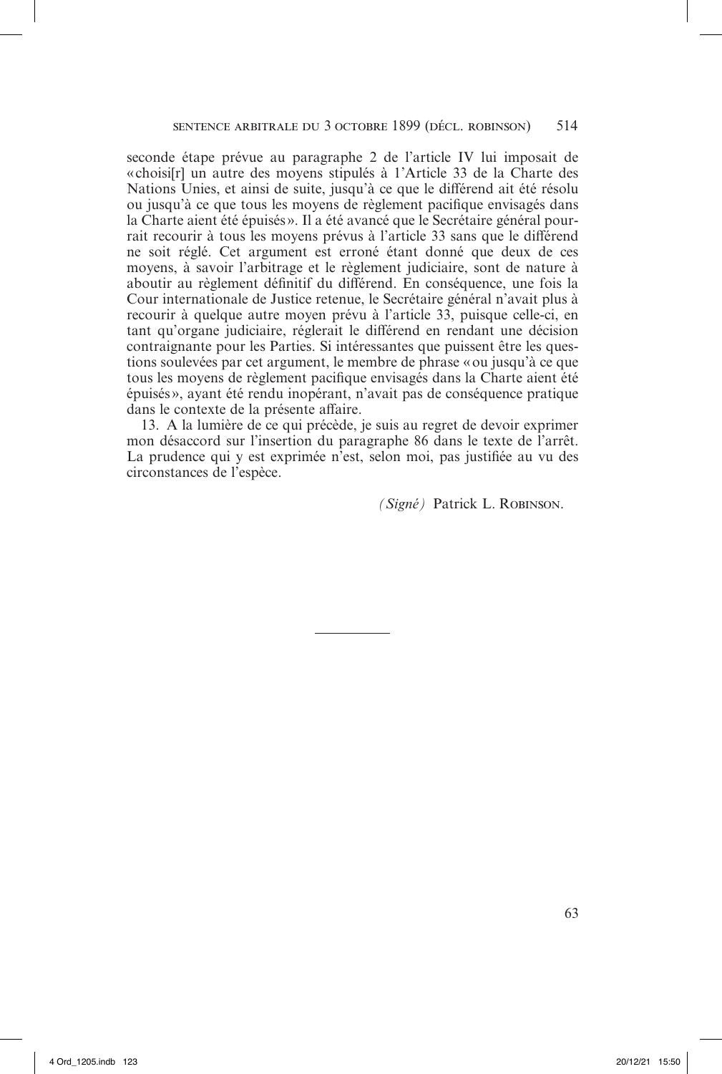seconde étape prévue au paragraphe 2 de l'article IV lui imposait de «choisi[r] un autre des moyens stipulés à 1'Article 33 de la Charte des Nations Unies, et ainsi de suite, jusqu'à ce que le différend ait été résolu ou jusqu'à ce que tous les moyens de règlement pacifique envisagés dans la Charte aient été épuisés». Il a été avancé que le Secrétaire général pourrait recourir à tous les moyens prévus à l'article 33 sans que le différend ne soit réglé. Cet argument est erroné étant donné que deux de ces moyens, à savoir l'arbitrage et le règlement judiciaire, sont de nature à aboutir au règlement définitif du différend. En conséquence, une fois la Cour internationale de Justice retenue, le Secrétaire général n'avait plus à recourir à quelque autre moyen prévu à l'article 33, puisque celle-ci, en tant qu'organe judiciaire, réglerait le différend en rendant une décision contraignante pour les Parties. Si intéressantes que puissent être les questions soulevées par cet argument, le membre de phrase «ou jusqu'à ce que tous les moyens de règlement pacifique envisagés dans la Charte aient été épuisés», ayant été rendu inopérant, n'avait pas de conséquence pratique dans le contexte de la présente affaire.

13. A la lumière de ce qui précède, je suis au regret de devoir exprimer mon désaccord sur l'insertion du paragraphe 86 dans le texte de l'arrêt. La prudence qui y est exprimée n'est, selon moi, pas justifiée au vu des circonstances de l'espèce.

*(Signé)* Patrick L. Robinson.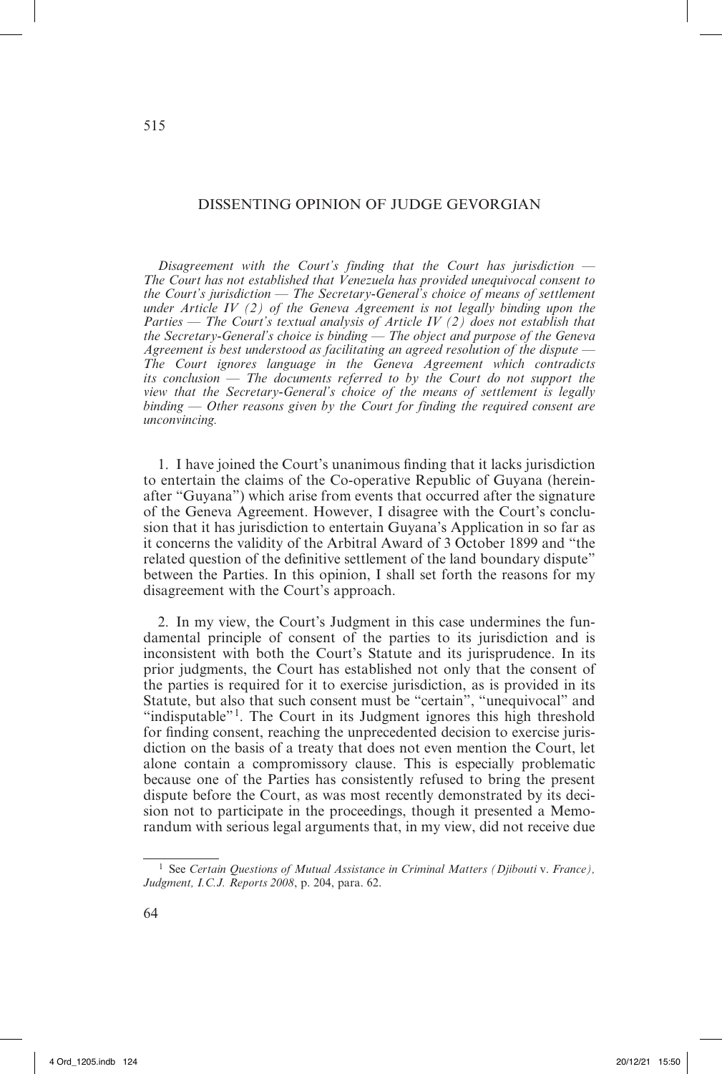# DISSENTING OPINION OF JUDGE GEVORGIAN

*Disagreement with the Court's finding that the Court has jurisdiction* — *The Court has not established that Venezuela has provided unequivocal consent to the Court's jurisdiction* — *The Secretary-General's choice of means of settlement under Article IV (2) of the Geneva Agreement is not legally binding upon the Parties* — *The Court's textual analysis of Article IV (2) does not establish that the Secretary-General's choice is binding* — *The object and purpose of the Geneva Agreement is best understood as facilitating an agreed resolution of the dispute* — *The Court ignores language in the Geneva Agreement which contradicts its conclusion* — *The documents referred to by the Court do not support the view that the Secretary-General's choice of the means of settlement is legally binding* — *Other reasons given by the Court for finding the required consent are unconvincing.*

1. I have joined the Court's unanimous finding that it lacks jurisdiction to entertain the claims of the Co-operative Republic of Guyana (hereinafter "Guyana") which arise from events that occurred after the signature of the Geneva Agreement. However, I disagree with the Court's conclusion that it has jurisdiction to entertain Guyana's Application in so far as it concerns the validity of the Arbitral Award of 3 October 1899 and "the related question of the definitive settlement of the land boundary dispute" between the Parties. In this opinion, I shall set forth the reasons for my disagreement with the Court's approach.

2. In my view, the Court's Judgment in this case undermines the fundamental principle of consent of the parties to its jurisdiction and is inconsistent with both the Court's Statute and its jurisprudence. In its prior judgments, the Court has established not only that the consent of the parties is required for it to exercise jurisdiction, as is provided in its Statute, but also that such consent must be "certain", "unequivocal" and "indisputable"<sup>1</sup>. The Court in its Judgment ignores this high threshold for finding consent, reaching the unprecedented decision to exercise jurisdiction on the basis of a treaty that does not even mention the Court, let alone contain a compromissory clause. This is especially problematic because one of the Parties has consistently refused to bring the present dispute before the Court, as was most recently demonstrated by its decision not to participate in the proceedings, though it presented a Memorandum with serious legal arguments that, in my view, did not receive due

<sup>1</sup> See *Certain Questions of Mutual Assistance in Criminal Matters (Djibouti* v. *France), Judgment, I.C.J. Reports 2008*, p. 204, para. 62.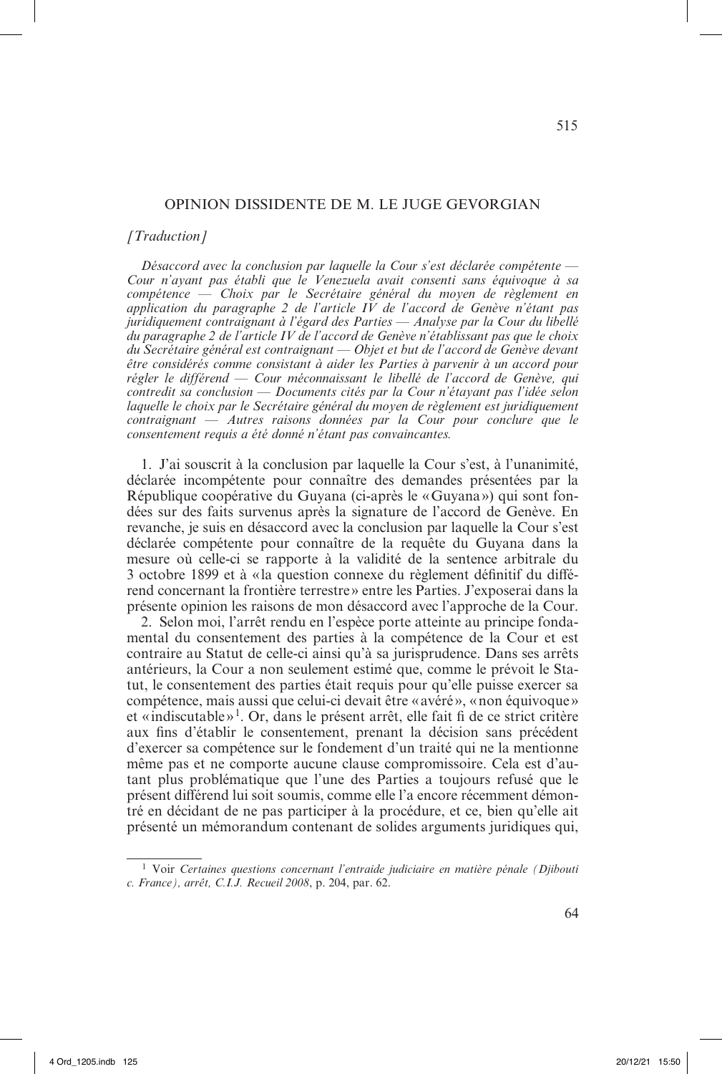#### OPINION DISSIDENTE DE M. LE JUGE GEVORGIAN

### *[Traduction]*

*Désaccord avec la conclusion par laquelle la Cour s'est déclarée compétente* — *Cour n'ayant pas établi que le Venezuela avait consenti sans équivoque à sa compétence — Choix par le Secrétaire général du moyen de règlement en application du paragraphe 2 de l'article IV de l'accord de Genève n'étant pas juridiquement contraignant à l'égard des Parties* — *Analyse par la Cour du libellé du paragraphe 2 de l'article IV de l'accord de Genève n'établissant pas que le choix du Secrétaire général est contraignant* — *Objet et but de l'accord de Genève devant être considérés comme consistant à aider les Parties à parvenir à un accord pour régler le différend* — *Cour méconnaissant le libellé de l'accord de Genève, qui contredit sa conclusion* — *Documents cités par la Cour n'étayant pas l'idée selon laquelle le choix par le Secrétaire général du moyen de règlement est juridiquement contraignant* — *Autres raisons données par la Cour pour conclure que le consentement requis a été donné n'étant pas convaincantes.*

1. J'ai souscrit à la conclusion par laquelle la Cour s'est, à l'unanimité, déclarée incompétente pour connaître des demandes présentées par la République coopérative du Guyana (ci-après le «Guyana») qui sont fondées sur des faits survenus après la signature de l'accord de Genève. En revanche, je suis en désaccord avec la conclusion par laquelle la Cour s'est déclarée compétente pour connaître de la requête du Guyana dans la mesure où celle-ci se rapporte à la validité de la sentence arbitrale du 3 octobre 1899 et à «la question connexe du règlement définitif du différend concernant la frontière terrestre» entre les Parties. J'exposerai dans la présente opinion les raisons de mon désaccord avec l'approche de la Cour.

2. Selon moi, l'arrêt rendu en l'espèce porte atteinte au principe fondamental du consentement des parties à la compétence de la Cour et est contraire au Statut de celle-ci ainsi qu'à sa jurisprudence. Dans ses arrêts antérieurs, la Cour a non seulement estimé que, comme le prévoit le Statut, le consentement des parties était requis pour qu'elle puisse exercer sa compétence, mais aussi que celui-ci devait être «avéré», «non équivoque» et « indiscutable»1. Or, dans le présent arrêt, elle fait fi de ce strict critère aux fins d'établir le consentement, prenant la décision sans précédent d'exercer sa compétence sur le fondement d'un traité qui ne la mentionne même pas et ne comporte aucune clause compromissoire. Cela est d'autant plus problématique que l'une des Parties a toujours refusé que le présent différend lui soit soumis, comme elle l'a encore récemment démontré en décidant de ne pas participer à la procédure, et ce, bien qu'elle ait présenté un mémorandum contenant de solides arguments juridiques qui,

<sup>1</sup> Voir *Certaines questions concernant l'entraide judiciaire en matière pénale (Djibouti c. France), arrêt, C.I.J. Recueil 2008*, p. 204, par. 62.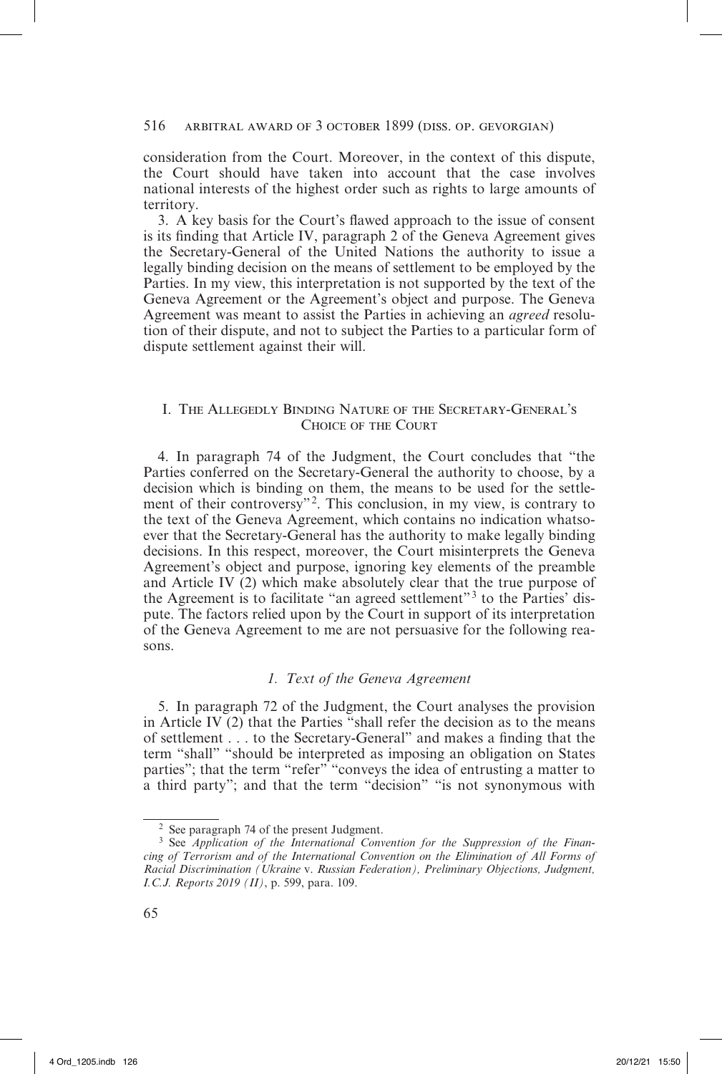consideration from the Court. Moreover, in the context of this dispute, the Court should have taken into account that the case involves national interests of the highest order such as rights to large amounts of territory.

3. A key basis for the Court's flawed approach to the issue of consent is its finding that Article IV, paragraph 2 of the Geneva Agreement gives the Secretary-General of the United Nations the authority to issue a legally binding decision on the means of settlement to be employed by the Parties. In my view, this interpretation is not supported by the text of the Geneva Agreement or the Agreement's object and purpose. The Geneva Agreement was meant to assist the Parties in achieving an *agreed* resolution of their dispute, and not to subject the Parties to a particular form of dispute settlement against their will.

# I. The Allegedly Binding Nature of the Secretary-General's Choice of the Court

4. In paragraph 74 of the Judgment, the Court concludes that "the Parties conferred on the Secretary-General the authority to choose, by a decision which is binding on them, the means to be used for the settlement of their controversy"<sup>2</sup>. This conclusion, in my view, is contrary to the text of the Geneva Agreement, which contains no indication whatsoever that the Secretary-General has the authority to make legally binding decisions. In this respect, moreover, the Court misinterprets the Geneva Agreement's object and purpose, ignoring key elements of the preamble and Article IV (2) which make absolutely clear that the true purpose of the Agreement is to facilitate "an agreed settlement"3 to the Parties' dispute. The factors relied upon by the Court in support of its interpretation of the Geneva Agreement to me are not persuasive for the following reasons.

# *1. Text of the Geneva Agreement*

5. In paragraph 72 of the Judgment, the Court analyses the provision in Article IV (2) that the Parties "shall refer the decision as to the means of settlement . . . to the Secretary-General" and makes a finding that the term "shall" "should be interpreted as imposing an obligation on States parties"; that the term "refer" "conveys the idea of entrusting a matter to a third party"; and that the term "decision" "is not synonymous with

<sup>2</sup> See paragraph 74 of the present Judgment.

<sup>&</sup>lt;sup>3</sup> See *Application of the International Convention for the Suppression of the Financing of Terrorism and of the International Convention on the Elimination of All Forms of Racial Discrimination (Ukraine* v. *Russian Federation), Preliminary Objections, Judgment, I.C.J. Reports 2019 (II)*, p. 599, para. 109.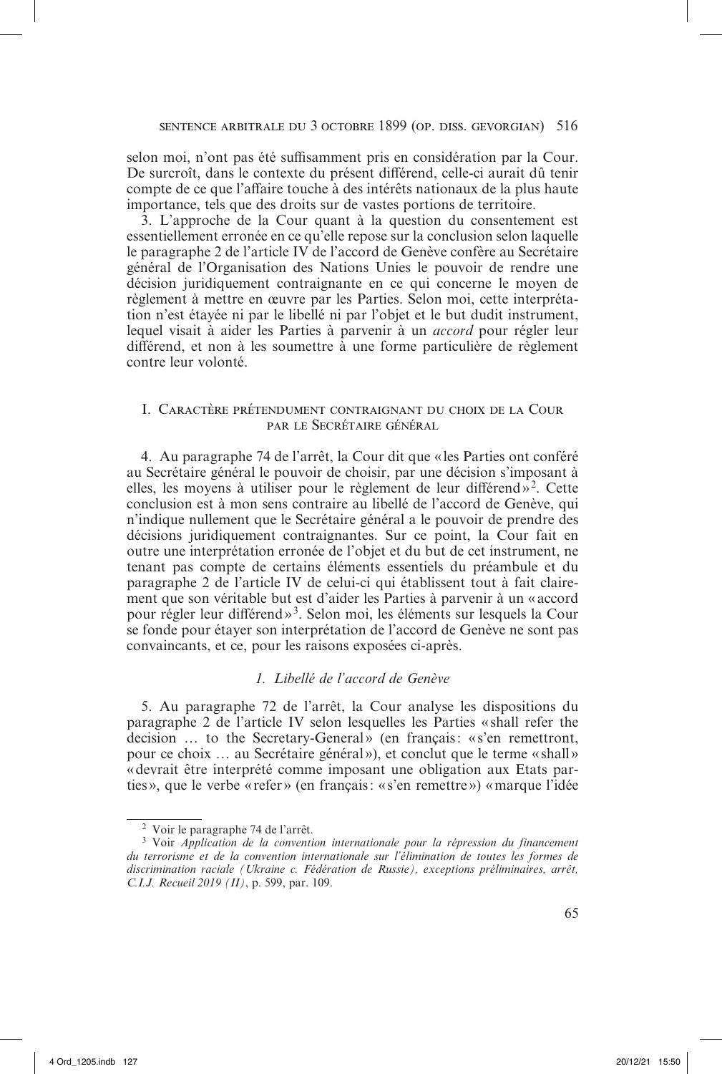selon moi, n'ont pas été suffisamment pris en considération par la Cour. De surcroît, dans le contexte du présent différend, celle-ci aurait dû tenir compte de ce que l'affaire touche à des intérêts nationaux de la plus haute importance, tels que des droits sur de vastes portions de territoire.

3. L'approche de la Cour quant à la question du consentement est essentiellement erronée en ce qu'elle repose sur la conclusion selon laquelle le paragraphe 2 de l'article IV de l'accord de Genève confère au Secrétaire général de l'Organisation des Nations Unies le pouvoir de rendre une décision juridiquement contraignante en ce qui concerne le moyen de règlement à mettre en œuvre par les Parties. Selon moi, cette interprétation n'est étayée ni par le libellé ni par l'objet et le but dudit instrument, lequel visait à aider les Parties à parvenir à un *accord* pour régler leur différend, et non à les soumettre à une forme particulière de règlement contre leur volonté.

# I. Caractère prétendument contraignant du choix de la Cour par le Secrétaire général

4. Au paragraphe 74 de l'arrêt, la Cour dit que « les Parties ont conféré au Secrétaire général le pouvoir de choisir, par une décision s'imposant à elles, les moyens à utiliser pour le règlement de leur différend»<sup>2</sup>. Cette conclusion est à mon sens contraire au libellé de l'accord de Genève, qui n'indique nullement que le Secrétaire général a le pouvoir de prendre des décisions juridiquement contraignantes. Sur ce point, la Cour fait en outre une interprétation erronée de l'objet et du but de cet instrument, ne tenant pas compte de certains éléments essentiels du préambule et du paragraphe 2 de l'article IV de celui-ci qui établissent tout à fait clairement que son véritable but est d'aider les Parties à parvenir à un «accord pour régler leur différend»3. Selon moi, les éléments sur lesquels la Cour se fonde pour étayer son interprétation de l'accord de Genève ne sont pas convaincants, et ce, pour les raisons exposées ci-après.

# *1. Libellé de l'accord de Genève*

5. Au paragraphe 72 de l'arrêt, la Cour analyse les dispositions du paragraphe 2 de l'article IV selon lesquelles les Parties «shall refer the decision … to the Secretary-General» (en français: « s'en remettront, pour ce choix … au Secrétaire général»), et conclut que le terme « shall» «devrait être interprété comme imposant une obligation aux Etats parties», que le verbe «refer » (en français: «s'en remettre») «marque l'idée

<sup>2</sup> Voir le paragraphe 74 de l'arrêt.

<sup>3</sup> Voir *Application de la convention internationale pour la répression du financement du terrorisme et de la convention internationale sur l'élimination de toutes les formes de discrimination raciale (Ukraine c. Fédération de Russie), exceptions préliminaires, arrêt, C.I.J. Recueil 2019 (II)*, p. 599, par. 109.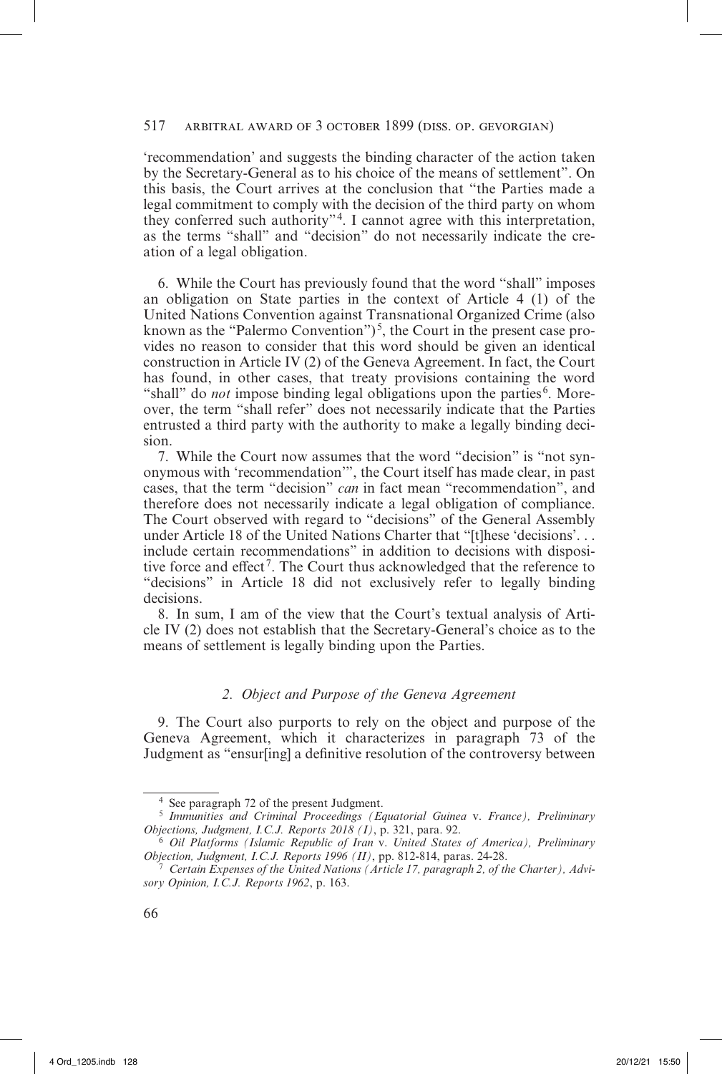'recommendation' and suggests the binding character of the action taken by the Secretary-General as to his choice of the means of settlement". On this basis, the Court arrives at the conclusion that "the Parties made a legal commitment to comply with the decision of the third party on whom they conferred such authority"4. I cannot agree with this interpretation, as the terms "shall" and "decision" do not necessarily indicate the creation of a legal obligation.

6. While the Court has previously found that the word "shall" imposes an obligation on State parties in the context of Article 4 (1) of the United Nations Convention against Transnational Organized Crime (also known as the "Palermo Convention" $5$ , the Court in the present case provides no reason to consider that this word should be given an identical construction in Article IV (2) of the Geneva Agreement. In fact, the Court has found, in other cases, that treaty provisions containing the word "shall" do *not* impose binding legal obligations upon the parties<sup>6</sup>. Moreover, the term "shall refer" does not necessarily indicate that the Parties entrusted a third party with the authority to make a legally binding decision.

7. While the Court now assumes that the word "decision" is "not synonymous with 'recommendation'", the Court itself has made clear, in past cases, that the term "decision" *can* in fact mean "recommendation", and therefore does not necessarily indicate a legal obligation of compliance. The Court observed with regard to "decisions" of the General Assembly under Article 18 of the United Nations Charter that "[t]hese 'decisions'. . . include certain recommendations" in addition to decisions with dispositive force and effect<sup>7</sup>. The Court thus acknowledged that the reference to "decisions" in Article 18 did not exclusively refer to legally binding decisions.

8. In sum, I am of the view that the Court's textual analysis of Article IV (2) does not establish that the Secretary-General's choice as to the means of settlement is legally binding upon the Parties.

# *2. Object and Purpose of the Geneva Agreement*

9. The Court also purports to rely on the object and purpose of the Geneva Agreement, which it characterizes in paragraph 73 of the Judgment as "ensur[ing] a definitive resolution of the controversy between

<sup>4</sup> See paragraph 72 of the present Judgment.

<sup>5</sup> *Immunities and Criminal Proceedings (Equatorial Guinea* v. *France), Preliminary Objections, Judgment, I.C.J. Reports 2018 (I)*, p. 321, para. 92.

<sup>6</sup> *Oil Platforms (Islamic Republic of Iran* v. *United States of America), Preliminary Objection, Judgment, I.C.J. Reports 1996 (II)*, pp. 812-814, paras. 24-28.

<sup>7</sup> *Certain Expenses of the United Nations (Article 17, paragraph 2, of the Charter), Advisory Opinion, I.C.J. Reports 1962*, p. 163.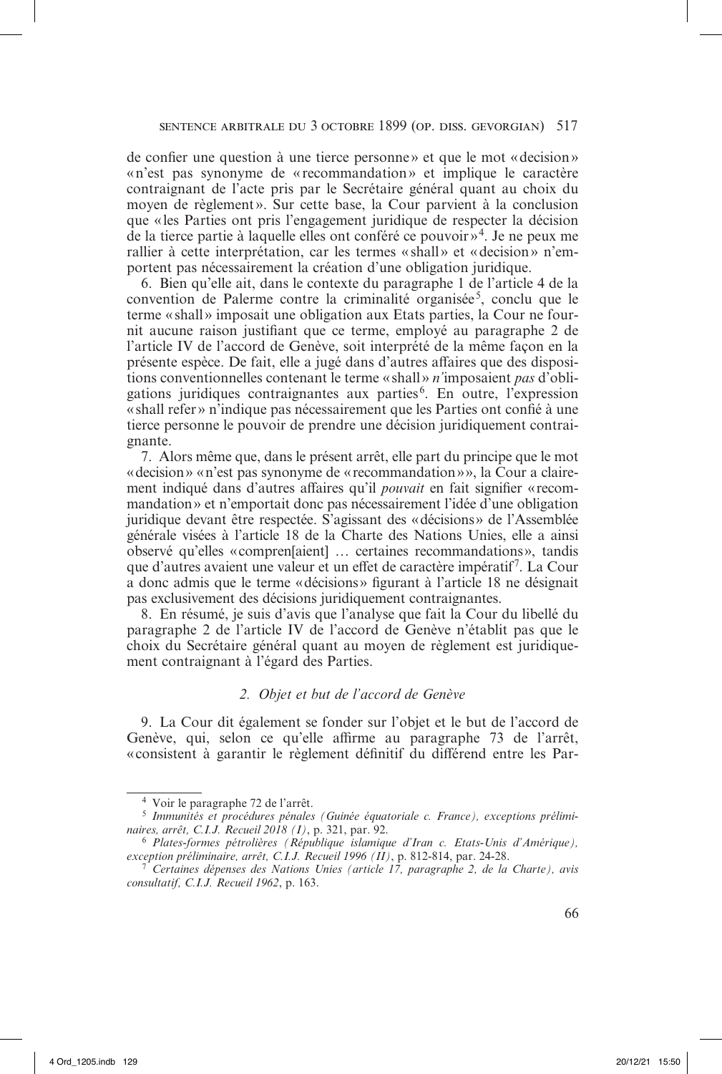de confier une question à une tierce personne » et que le mot «decision» «n'est pas synonyme de «recommandation» et implique le caractère contraignant de l'acte pris par le Secrétaire général quant au choix du moyen de règlement». Sur cette base, la Cour parvient à la conclusion que «les Parties ont pris l'engagement juridique de respecter la décision de la tierce partie à laquelle elles ont conféré ce pouvoir  $\frac{1}{2}$ . Je ne peux me rallier à cette interprétation, car les termes «shall» et «decision» n'emportent pas nécessairement la création d'une obligation juridique.

6. Bien qu'elle ait, dans le contexte du paragraphe 1 de l'article 4 de la convention de Palerme contre la criminalité organisée<sup>5</sup>, conclu que le terme «shall» imposait une obligation aux Etats parties, la Cour ne fournit aucune raison justifiant que ce terme, employé au paragraphe 2 de l'article IV de l'accord de Genève, soit interprété de la même façon en la présente espèce. De fait, elle a jugé dans d'autres affaires que des dispositions conventionnelles contenant le terme «shall » *n'*imposaient *pas* d'obligations juridiques contraignantes aux parties<sup>6</sup>. En outre, l'expression «shall refer» n'indique pas nécessairement que les Parties ont confié à une tierce personne le pouvoir de prendre une décision juridiquement contraignante.

7. Alors même que, dans le présent arrêt, elle part du principe que le mot «decision» «n'est pas synonyme de «recommandation»», la Cour a clairement indiqué dans d'autres affaires qu'il *pouvait* en fait signifier «recommandation» et n'emportait donc pas nécessairement l'idée d'une obligation juridique devant être respectée. S'agissant des «décisions» de l'Assemblée générale visées à l'article 18 de la Charte des Nations Unies, elle a ainsi observé qu'elles «compren[aient] … certaines recommandations», tandis que d'autres avaient une valeur et un effet de caractère impératif7. La Cour a donc admis que le terme «décisions» figurant à l'article 18 ne désignait pas exclusivement des décisions juridiquement contraignantes.

8. En résumé, je suis d'avis que l'analyse que fait la Cour du libellé du paragraphe 2 de l'article IV de l'accord de Genève n'établit pas que le choix du Secrétaire général quant au moyen de règlement est juridiquement contraignant à l'égard des Parties.

### *2. Objet et but de l'accord de Genève*

9. La Cour dit également se fonder sur l'objet et le but de l'accord de Genève, qui, selon ce qu'elle affirme au paragraphe 73 de l'arrêt, « consistent à garantir le règlement définitif du différend entre les Par-

<sup>4</sup> Voir le paragraphe 72 de l'arrêt.

<sup>5</sup> *Immunités et procédures pénales (Guinée équatoriale c. France), exceptions préliminaires, arrêt, C.I.J. Recueil 2018 (I)*, p. 321, par. 92.

<sup>6</sup> *Plates-formes pétrolières (République islamique d'Iran c. Etats-Unis d'Amérique), exception préliminaire, arrêt, C.I.J. Recueil 1996 (II)*, p. 812-814, par. 24-28.

<sup>7</sup> *Certaines dépenses des Nations Unies (article 17, paragraphe 2, de la Charte), avis consultatif, C.I.J. Recueil 1962*, p. 163.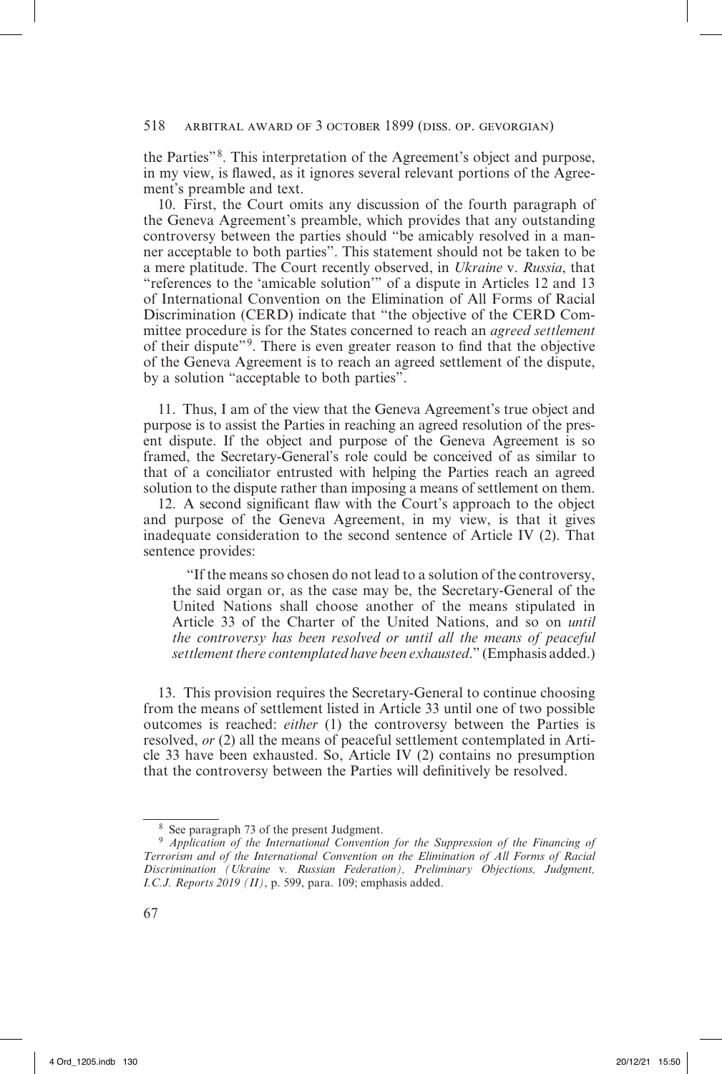the Parties"8. This interpretation of the Agreement's object and purpose, in my view, is flawed, as it ignores several relevant portions of the Agreement's preamble and text.

10. First, the Court omits any discussion of the fourth paragraph of the Geneva Agreement's preamble, which provides that any outstanding controversy between the parties should "be amicably resolved in a manner acceptable to both parties". This statement should not be taken to be a mere platitude. The Court recently observed, in *Ukraine* v. *Russia*, that "references to the 'amicable solution'" of a dispute in Articles 12 and 13 of International Convention on the Elimination of All Forms of Racial Discrimination (CERD) indicate that "the objective of the CERD Committee procedure is for the States concerned to reach an *agreed settlement* of their dispute"9. There is even greater reason to find that the objective of the Geneva Agreement is to reach an agreed settlement of the dispute, by a solution "acceptable to both parties".

11. Thus, I am of the view that the Geneva Agreement's true object and purpose is to assist the Parties in reaching an agreed resolution of the present dispute. If the object and purpose of the Geneva Agreement is so framed, the Secretary-General's role could be conceived of as similar to that of a conciliator entrusted with helping the Parties reach an agreed solution to the dispute rather than imposing a means of settlement on them.

12. A second significant flaw with the Court's approach to the object and purpose of the Geneva Agreement, in my view, is that it gives inadequate consideration to the second sentence of Article IV (2). That sentence provides:

"If the means so chosen do not lead to a solution of the controversy, the said organ or, as the case may be, the Secretary-General of the United Nations shall choose another of the means stipulated in Article 33 of the Charter of the United Nations, and so on *until the controversy has been resolved or until all the means of peaceful settlement there contemplated have been exhausted.*" (Emphasis added.)

13. This provision requires the Secretary-General to continue choosing from the means of settlement listed in Article 33 until one of two possible outcomes is reached: *either* (1) the controversy between the Parties is resolved, *or* (2) all the means of peaceful settlement contemplated in Article 33 have been exhausted. So, Article IV (2) contains no presumption that the controversy between the Parties will definitively be resolved.

<sup>8</sup> See paragraph 73 of the present Judgment.

<sup>9</sup> *Application of the International Convention for the Suppression of the Financing of Terrorism and of the International Convention on the Elimination of All Forms of Racial Discrimination (Ukraine* v*. Russian Federation), Preliminary Objections, Judgment, I.C.J. Reports 2019 (II)*, p. 599, para. 109; emphasis added.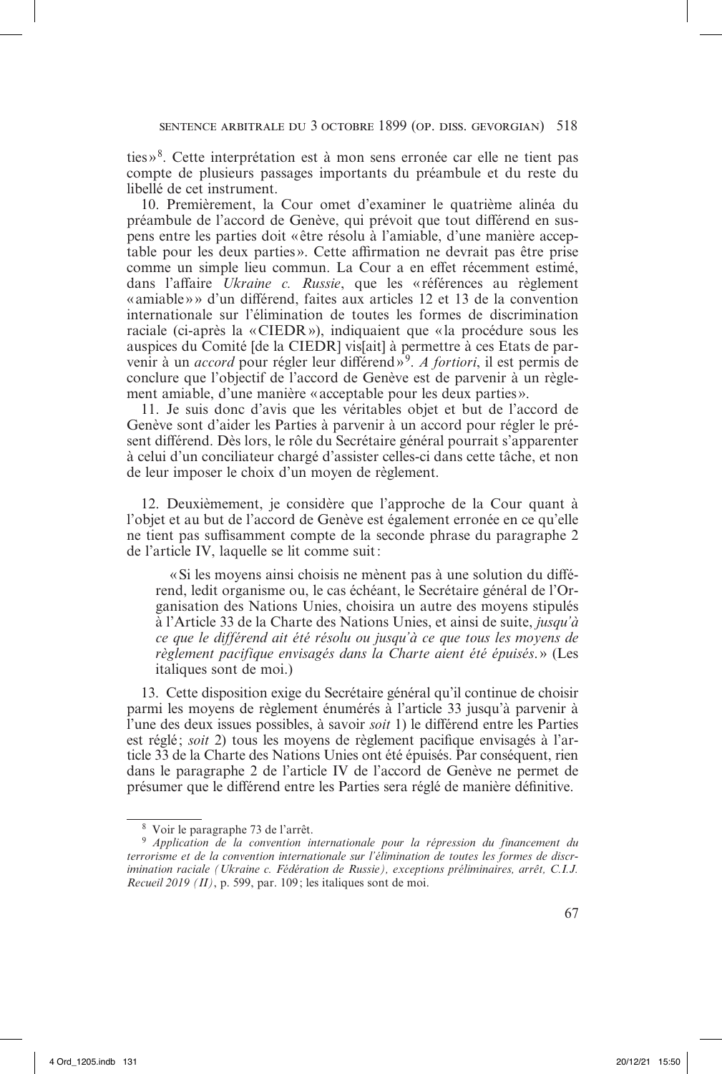ties »8. Cette interprétation est à mon sens erronée car elle ne tient pas compte de plusieurs passages importants du préambule et du reste du libellé de cet instrument.

10. Premièrement, la Cour omet d'examiner le quatrième alinéa du préambule de l'accord de Genève, qui prévoit que tout différend en suspens entre les parties doit « être résolu à l'amiable, d'une manière acceptable pour les deux parties ». Cette affirmation ne devrait pas être prise comme un simple lieu commun. La Cour a en effet récemment estimé, dans l'affaire *Ukraine c. Russie*, que les «références au règlement «amiable»» d'un différend, faites aux articles 12 et 13 de la convention internationale sur l'élimination de toutes les formes de discrimination raciale (ci-après la «CIEDR»), indiquaient que «la procédure sous les auspices du Comité [de la CIEDR] vis[ait] à permettre à ces Etats de parvenir à un *accord* pour régler leur différend»9. *A fortiori*, il est permis de conclure que l'objectif de l'accord de Genève est de parvenir à un règlement amiable, d'une manière « acceptable pour les deux parties».

11. Je suis donc d'avis que les véritables objet et but de l'accord de Genève sont d'aider les Parties à parvenir à un accord pour régler le présent différend. Dès lors, le rôle du Secrétaire général pourrait s'apparenter à celui d'un conciliateur chargé d'assister celles-ci dans cette tâche, et non de leur imposer le choix d'un moyen de règlement.

12. Deuxièmement, je considère que l'approche de la Cour quant à l'objet et au but de l'accord de Genève est également erronée en ce qu'elle ne tient pas suffisamment compte de la seconde phrase du paragraphe 2 de l'article IV, laquelle se lit comme suit:

«Si les moyens ainsi choisis ne mènent pas à une solution du différend, ledit organisme ou, le cas échéant, le Secrétaire général de l'Organisation des Nations Unies, choisira un autre des moyens stipulés à l'Article 33 de la Charte des Nations Unies, et ainsi de suite, *jusqu'à ce que le différend ait été résolu ou jusqu'à ce que tous les moyens de règlement pacifique envisagés dans la Charte aient été épuisés*.» (Les italiques sont de moi.)

13. Cette disposition exige du Secrétaire général qu'il continue de choisir parmi les moyens de règlement énumérés à l'article 33 jusqu'à parvenir à l'une des deux issues possibles, à savoir *soit* 1) le différend entre les Parties est réglé; *soit* 2) tous les moyens de règlement pacifique envisagés à l'article 33 de la Charte des Nations Unies ont été épuisés. Par conséquent, rien dans le paragraphe 2 de l'article IV de l'accord de Genève ne permet de présumer que le différend entre les Parties sera réglé de manière définitive.

<sup>8</sup> Voir le paragraphe 73 de l'arrêt.

<sup>9</sup> *Application de la convention internationale pour la répression du financement du terrorisme et de la convention internationale sur l'élimination de toutes les formes de discrimination raciale (Ukraine c. Fédération de Russie), exceptions préliminaires, arrêt, C.I.J. Recueil 2019 (II)*, p. 599, par. 109; les italiques sont de moi.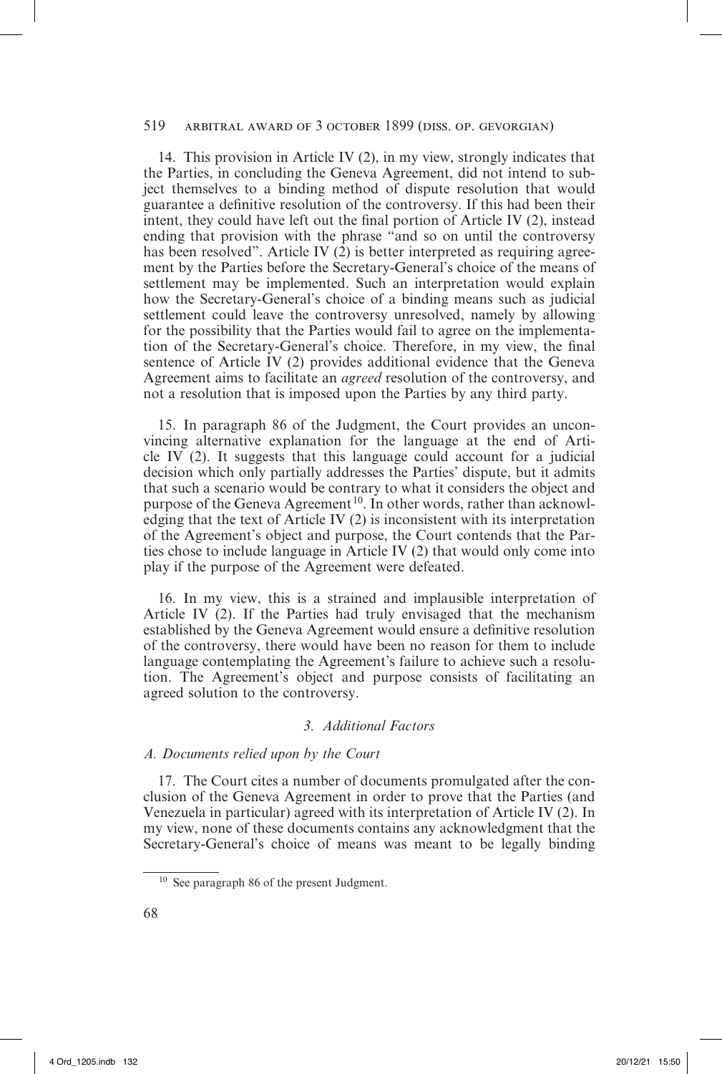14. This provision in Article IV (2), in my view, strongly indicates that the Parties, in concluding the Geneva Agreement, did not intend to subject themselves to a binding method of dispute resolution that would guarantee a definitive resolution of the controversy. If this had been their intent, they could have left out the final portion of Article IV (2), instead ending that provision with the phrase "and so on until the controversy has been resolved". Article IV (2) is better interpreted as requiring agreement by the Parties before the Secretary-General's choice of the means of settlement may be implemented. Such an interpretation would explain how the Secretary-General's choice of a binding means such as judicial settlement could leave the controversy unresolved, namely by allowing for the possibility that the Parties would fail to agree on the implementation of the Secretary-General's choice. Therefore, in my view, the final sentence of Article IV (2) provides additional evidence that the Geneva Agreement aims to facilitate an *agreed* resolution of the controversy, and not a resolution that is imposed upon the Parties by any third party.

15. In paragraph 86 of the Judgment, the Court provides an unconvincing alternative explanation for the language at the end of Article IV (2). It suggests that this language could account for a judicial decision which only partially addresses the Parties' dispute, but it admits that such a scenario would be contrary to what it considers the object and purpose of the Geneva Agreement<sup>10</sup>. In other words, rather than acknowledging that the text of Article IV (2) is inconsistent with its interpretation of the Agreement's object and purpose, the Court contends that the Parties chose to include language in Article IV (2) that would only come into play if the purpose of the Agreement were defeated.

16. In my view, this is a strained and implausible interpretation of Article IV (2). If the Parties had truly envisaged that the mechanism established by the Geneva Agreement would ensure a definitive resolution of the controversy, there would have been no reason for them to include language contemplating the Agreement's failure to achieve such a resolution. The Agreement's object and purpose consists of facilitating an agreed solution to the controversy.

# *3. Additional Factors*

# *A. Documents relied upon by the Court*

17. The Court cites a number of documents promulgated after the conclusion of the Geneva Agreement in order to prove that the Parties (and Venezuela in particular) agreed with its interpretation of Article IV (2). In my view, none of these documents contains any acknowledgment that the Secretary-General's choice of means was meant to be legally binding

<sup>10</sup> See paragraph 86 of the present Judgment.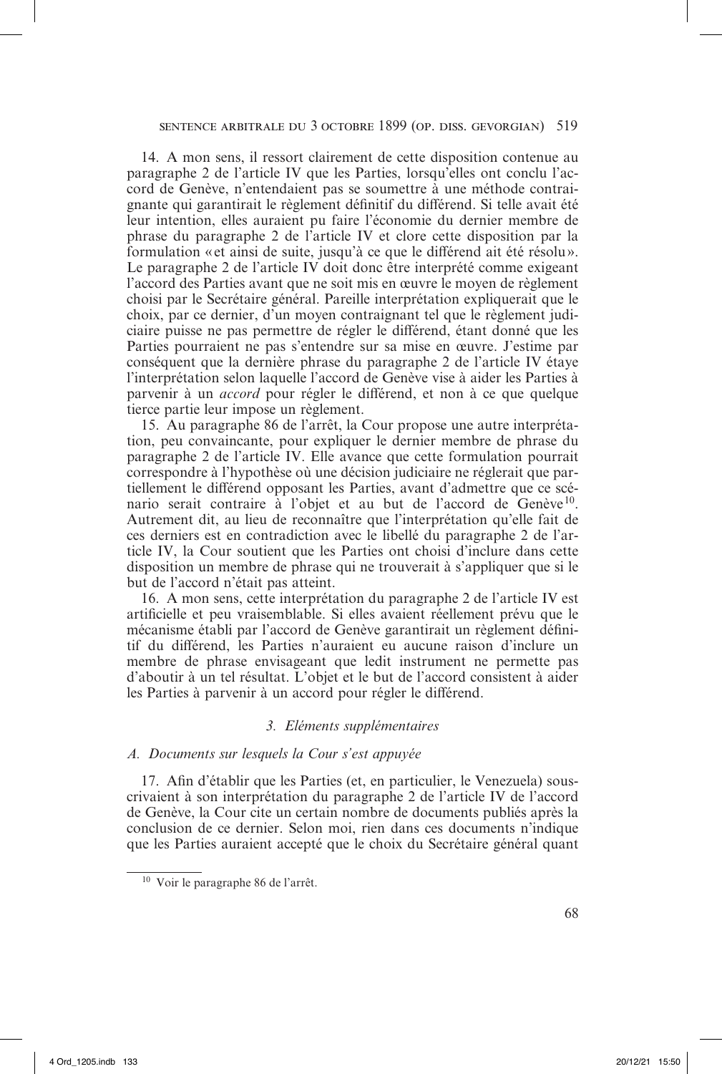14. A mon sens, il ressort clairement de cette disposition contenue au paragraphe 2 de l'article IV que les Parties, lorsqu'elles ont conclu l'accord de Genève, n'entendaient pas se soumettre à une méthode contraignante qui garantirait le règlement définitif du différend. Si telle avait été leur intention, elles auraient pu faire l'économie du dernier membre de phrase du paragraphe 2 de l'article IV et clore cette disposition par la formulation «et ainsi de suite, jusqu'à ce que le différend ait été résolu». Le paragraphe 2 de l'article IV doit donc être interprété comme exigeant l'accord des Parties avant que ne soit mis en œuvre le moyen de règlement choisi par le Secrétaire général. Pareille interprétation expliquerait que le choix, par ce dernier, d'un moyen contraignant tel que le règlement judiciaire puisse ne pas permettre de régler le différend, étant donné que les Parties pourraient ne pas s'entendre sur sa mise en œuvre. J'estime par conséquent que la dernière phrase du paragraphe 2 de l'article IV étaye l'interprétation selon laquelle l'accord de Genève vise à aider les Parties à parvenir à un *accord* pour régler le différend, et non à ce que quelque tierce partie leur impose un règlement.

15. Au paragraphe 86 de l'arrêt, la Cour propose une autre interprétation, peu convaincante, pour expliquer le dernier membre de phrase du paragraphe 2 de l'article IV. Elle avance que cette formulation pourrait correspondre à l'hypothèse où une décision judiciaire ne réglerait que partiellement le différend opposant les Parties, avant d'admettre que ce scénario serait contraire à l'objet et au but de l'accord de Genève<sup>10</sup>. Autrement dit, au lieu de reconnaître que l'interprétation qu'elle fait de ces derniers est en contradiction avec le libellé du paragraphe 2 de l'article IV, la Cour soutient que les Parties ont choisi d'inclure dans cette disposition un membre de phrase qui ne trouverait à s'appliquer que si le but de l'accord n'était pas atteint.

16. A mon sens, cette interprétation du paragraphe 2 de l'article IV est artificielle et peu vraisemblable. Si elles avaient réellement prévu que le mécanisme établi par l'accord de Genève garantirait un règlement définitif du différend, les Parties n'auraient eu aucune raison d'inclure un membre de phrase envisageant que ledit instrument ne permette pas d'aboutir à un tel résultat. L'objet et le but de l'accord consistent à aider les Parties à parvenir à un accord pour régler le différend.

# *3. Eléments supplémentaires*

#### *A. Documents sur lesquels la Cour s'est appuyée*

17. Afin d'établir que les Parties (et, en particulier, le Venezuela) souscrivaient à son interprétation du paragraphe 2 de l'article IV de l'accord de Genève, la Cour cite un certain nombre de documents publiés après la conclusion de ce dernier. Selon moi, rien dans ces documents n'indique que les Parties auraient accepté que le choix du Secrétaire général quant

<sup>10</sup> Voir le paragraphe 86 de l'arrêt.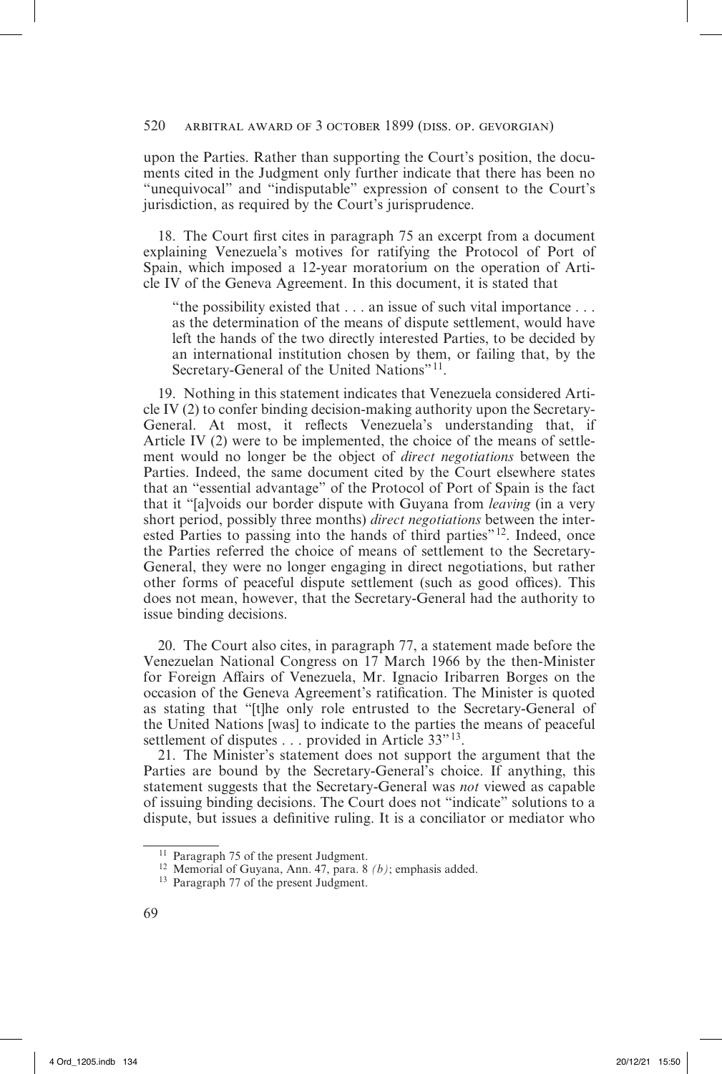upon the Parties. Rather than supporting the Court's position, the documents cited in the Judgment only further indicate that there has been no "unequivocal" and "indisputable" expression of consent to the Court's jurisdiction, as required by the Court's jurisprudence.

18. The Court first cites in paragraph 75 an excerpt from a document explaining Venezuela's motives for ratifying the Protocol of Port of Spain, which imposed a 12-year moratorium on the operation of Article IV of the Geneva Agreement. In this document, it is stated that

"the possibility existed that . . . an issue of such vital importance . . . as the determination of the means of dispute settlement, would have left the hands of the two directly interested Parties, to be decided by an international institution chosen by them, or failing that, by the Secretary-General of the United Nations"<sup>11</sup>.

19. Nothing in this statement indicates that Venezuela considered Article IV (2) to confer binding decision-making authority upon the Secretary-General. At most, it reflects Venezuela's understanding that, if Article IV (2) were to be implemented, the choice of the means of settlement would no longer be the object of *direct negotiations* between the Parties. Indeed, the same document cited by the Court elsewhere states that an "essential advantage" of the Protocol of Port of Spain is the fact that it "[a]voids our border dispute with Guyana from *leaving* (in a very short period, possibly three months) *direct negotiations* between the interested Parties to passing into the hands of third parties"<sup>12</sup>. Indeed, once the Parties referred the choice of means of settlement to the Secretary-General, they were no longer engaging in direct negotiations, but rather other forms of peaceful dispute settlement (such as good offices). This does not mean, however, that the Secretary-General had the authority to issue binding decisions.

20. The Court also cites, in paragraph 77, a statement made before the Venezuelan National Congress on 17 March 1966 by the then-Minister for Foreign Affairs of Venezuela, Mr. Ignacio Iribarren Borges on the occasion of the Geneva Agreement's ratification. The Minister is quoted as stating that "[t]he only role entrusted to the Secretary-General of the United Nations [was] to indicate to the parties the means of peaceful settlement of disputes . . . provided in Article 33"<sup>13</sup>.

21. The Minister's statement does not support the argument that the Parties are bound by the Secretary-General's choice. If anything, this statement suggests that the Secretary-General was *not* viewed as capable of issuing binding decisions. The Court does not "indicate" solutions to a dispute, but issues a definitive ruling. It is a conciliator or mediator who

<sup>11</sup> Paragraph 75 of the present Judgment.

<sup>12</sup> Memorial of Guyana, Ann. 47, para. 8 *(b)*; emphasis added.

<sup>13</sup> Paragraph 77 of the present Judgment.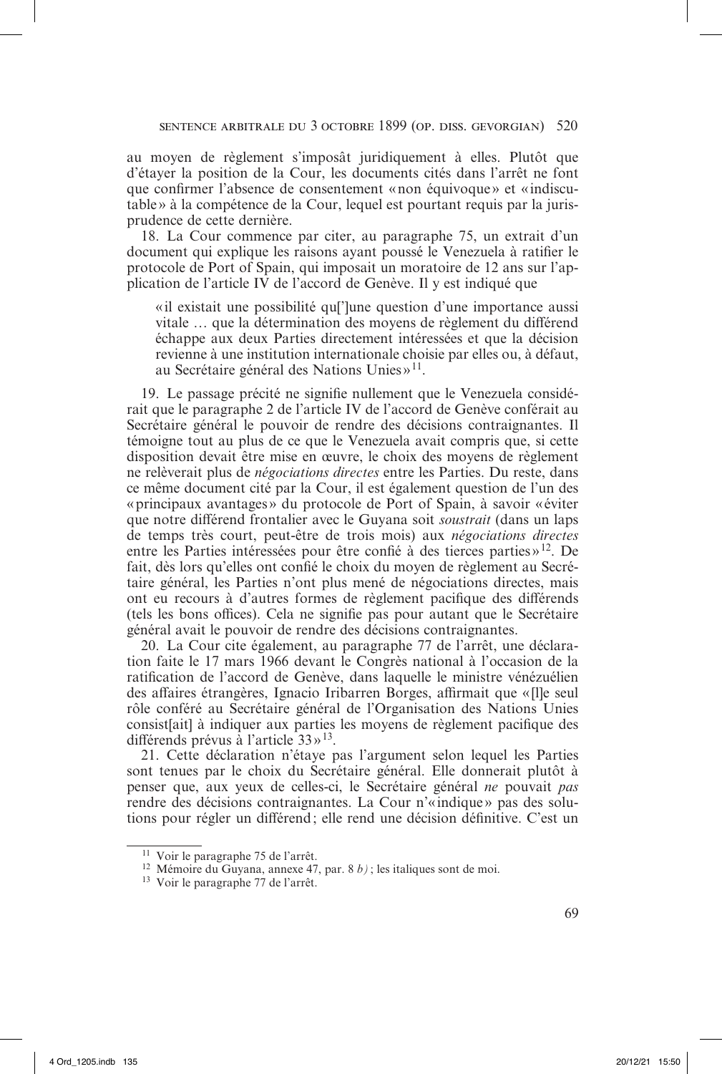au moyen de règlement s'imposât juridiquement à elles. Plutôt que d'étayer la position de la Cour, les documents cités dans l'arrêt ne font que confirmer l'absence de consentement «non équivoque» et «indiscutable» à la compétence de la Cour, lequel est pourtant requis par la jurisprudence de cette dernière.

18. La Cour commence par citer, au paragraphe 75, un extrait d'un document qui explique les raisons ayant poussé le Venezuela à ratifier le protocole de Port of Spain, qui imposait un moratoire de 12 ans sur l'application de l'article IV de l'accord de Genève. Il y est indiqué que

«il existait une possibilité que l'une question d'une importance aussi vitale … que la détermination des moyens de règlement du différend échappe aux deux Parties directement intéressées et que la décision revienne à une institution internationale choisie par elles ou, à défaut, au Secrétaire général des Nations Unies  $v^{11}$ .

19. Le passage précité ne signifie nullement que le Venezuela considérait que le paragraphe 2 de l'article IV de l'accord de Genève conférait au Secrétaire général le pouvoir de rendre des décisions contraignantes. Il témoigne tout au plus de ce que le Venezuela avait compris que, si cette disposition devait être mise en œuvre, le choix des moyens de règlement ne relèverait plus de *négociations directes* entre les Parties. Du reste, dans ce même document cité par la Cour, il est également question de l'un des «principaux avantages» du protocole de Port of Spain, à savoir «éviter que notre différend frontalier avec le Guyana soit *soustrait* (dans un laps de temps très court, peut-être de trois mois) aux *négociations directes* entre les Parties intéressées pour être confié à des tierces parties »12. De fait, dès lors qu'elles ont confié le choix du moyen de règlement au Secrétaire général, les Parties n'ont plus mené de négociations directes, mais ont eu recours à d'autres formes de règlement pacifique des différends (tels les bons offices). Cela ne signifie pas pour autant que le Secrétaire général avait le pouvoir de rendre des décisions contraignantes.

20. La Cour cite également, au paragraphe 77 de l'arrêt, une déclaration faite le 17 mars 1966 devant le Congrès national à l'occasion de la ratification de l'accord de Genève, dans laquelle le ministre vénézuélien des affaires étrangères, Ignacio Iribarren Borges, affirmait que «[l]e seul rôle conféré au Secrétaire général de l'Organisation des Nations Unies consist[ait] à indiquer aux parties les moyens de règlement pacifique des différends prévus à l'article 33»13.

21. Cette déclaration n'étaye pas l'argument selon lequel les Parties sont tenues par le choix du Secrétaire général. Elle donnerait plutôt à penser que, aux yeux de celles-ci, le Secrétaire général *ne* pouvait *pas* rendre des décisions contraignantes. La Cour n'«indique» pas des solutions pour régler un différend; elle rend une décision définitive. C'est un

<sup>11</sup> Voir le paragraphe 75 de l'arrêt.

<sup>12</sup> Mémoire du Guyana, annexe 47, par. 8 *b)* ; les italiques sont de moi.

<sup>13</sup> Voir le paragraphe 77 de l'arrêt.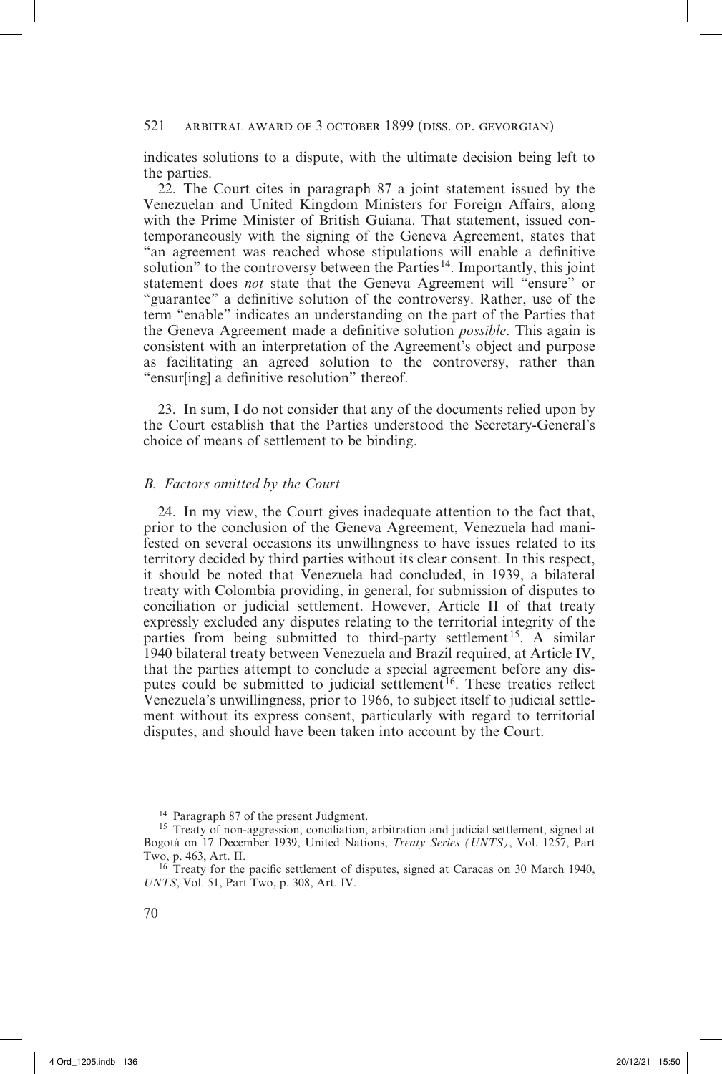indicates solutions to a dispute, with the ultimate decision being left to the parties.

22. The Court cites in paragraph 87 a joint statement issued by the Venezuelan and United Kingdom Ministers for Foreign Affairs, along with the Prime Minister of British Guiana. That statement, issued contemporaneously with the signing of the Geneva Agreement, states that "an agreement was reached whose stipulations will enable a definitive solution" to the controversy between the Parties<sup>14</sup>. Importantly, this joint statement does *not* state that the Geneva Agreement will "ensure" or "guarantee" a definitive solution of the controversy. Rather, use of the term "enable" indicates an understanding on the part of the Parties that the Geneva Agreement made a definitive solution *possible*. This again is consistent with an interpretation of the Agreement's object and purpose as facilitating an agreed solution to the controversy, rather than "ensur[ing] a definitive resolution" thereof.

23. In sum, I do not consider that any of the documents relied upon by the Court establish that the Parties understood the Secretary-General's choice of means of settlement to be binding.

#### *B. Factors omitted by the Court*

24. In my view, the Court gives inadequate attention to the fact that, prior to the conclusion of the Geneva Agreement, Venezuela had manifested on several occasions its unwillingness to have issues related to its territory decided by third parties without its clear consent. In this respect, it should be noted that Venezuela had concluded, in 1939, a bilateral treaty with Colombia providing, in general, for submission of disputes to conciliation or judicial settlement. However, Article II of that treaty expressly excluded any disputes relating to the territorial integrity of the parties from being submitted to third-party settlement<sup>15</sup>. A similar 1940 bilateral treaty between Venezuela and Brazil required, at Article IV, that the parties attempt to conclude a special agreement before any disputes could be submitted to judicial settlement<sup>16</sup>. These treaties reflect Venezuela's unwillingness, prior to 1966, to subject itself to judicial settlement without its express consent, particularly with regard to territorial disputes, and should have been taken into account by the Court.

<sup>14</sup> Paragraph 87 of the present Judgment.

<sup>&</sup>lt;sup>15</sup> Treaty of non-aggression, conciliation, arbitration and judicial settlement, signed at Bogotá on 17 December 1939, United Nations, *Treaty Series (UNTS)*, Vol. 1257, Part Two, p. 463, Art. II.

<sup>&</sup>lt;sup>16</sup> Treaty for the pacific settlement of disputes, signed at Caracas on 30 March 1940, *UNTS*, Vol. 51, Part Two, p. 308, Art. IV.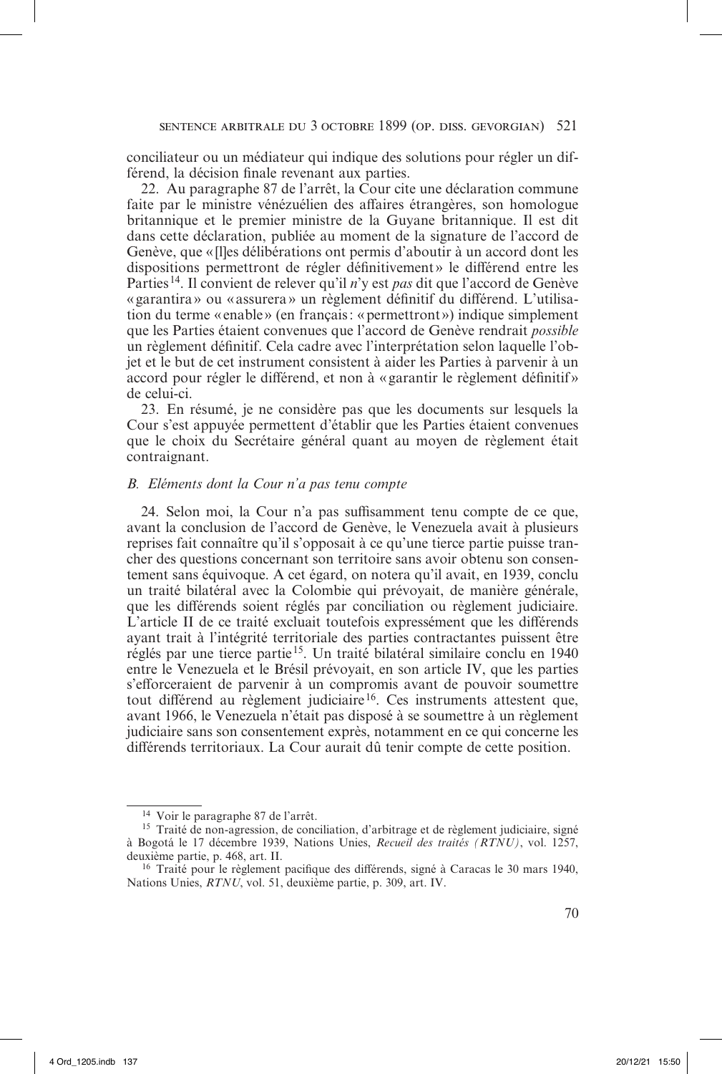conciliateur ou un médiateur qui indique des solutions pour régler un différend, la décision finale revenant aux parties.

22. Au paragraphe 87 de l'arrêt, la Cour cite une déclaration commune faite par le ministre vénézuélien des affaires étrangères, son homologue britannique et le premier ministre de la Guyane britannique. Il est dit dans cette déclaration, publiée au moment de la signature de l'accord de Genève, que «[l]es délibérations ont permis d'aboutir à un accord dont les dispositions permettront de régler définitivement» le différend entre les Parties<sup>14</sup>. Il convient de relever qu'il *n*'y est *pas* dit que l'accord de Genève « garantira» ou « assurera » un règlement définitif du différend. L'utilisation du terme «enable» (en français: «permettront») indique simplement que les Parties étaient convenues que l'accord de Genève rendrait *possible* un règlement définitif. Cela cadre avec l'interprétation selon laquelle l'objet et le but de cet instrument consistent à aider les Parties à parvenir à un accord pour régler le différend, et non à « garantir le règlement définitif » de celui-ci.

23. En résumé, je ne considère pas que les documents sur lesquels la Cour s'est appuyée permettent d'établir que les Parties étaient convenues que le choix du Secrétaire général quant au moyen de règlement était contraignant.

#### *B. Eléments dont la Cour n'a pas tenu compte*

24. Selon moi, la Cour n'a pas suffisamment tenu compte de ce que, avant la conclusion de l'accord de Genève, le Venezuela avait à plusieurs reprises fait connaître qu'il s'opposait à ce qu'une tierce partie puisse trancher des questions concernant son territoire sans avoir obtenu son consentement sans équivoque. A cet égard, on notera qu'il avait, en 1939, conclu un traité bilatéral avec la Colombie qui prévoyait, de manière générale, que les différends soient réglés par conciliation ou règlement judiciaire. L'article II de ce traité excluait toutefois expressément que les différends ayant trait à l'intégrité territoriale des parties contractantes puissent être réglés par une tierce partie15. Un traité bilatéral similaire conclu en 1940 entre le Venezuela et le Brésil prévoyait, en son article IV, que les parties s'efforceraient de parvenir à un compromis avant de pouvoir soumettre tout différend au règlement judiciaire<sup>16</sup>. Ces instruments attestent que, avant 1966, le Venezuela n'était pas disposé à se soumettre à un règlement judiciaire sans son consentement exprès, notamment en ce qui concerne les différends territoriaux. La Cour aurait dû tenir compte de cette position.

<sup>14</sup> Voir le paragraphe 87 de l'arrêt.

<sup>&</sup>lt;sup>15</sup> Traité de non-agression, de conciliation, d'arbitrage et de règlement judiciaire, signé à Bogotá le 17 décembre 1939, Nations Unies, *Recueil des traités (RTNU)*, vol. 1257, deuxième partie, p. 468, art. II.

<sup>16</sup> Traité pour le règlement pacifique des différends, signé à Caracas le 30 mars 1940, Nations Unies, *RTNU*, vol. 51, deuxième partie, p. 309, art. IV.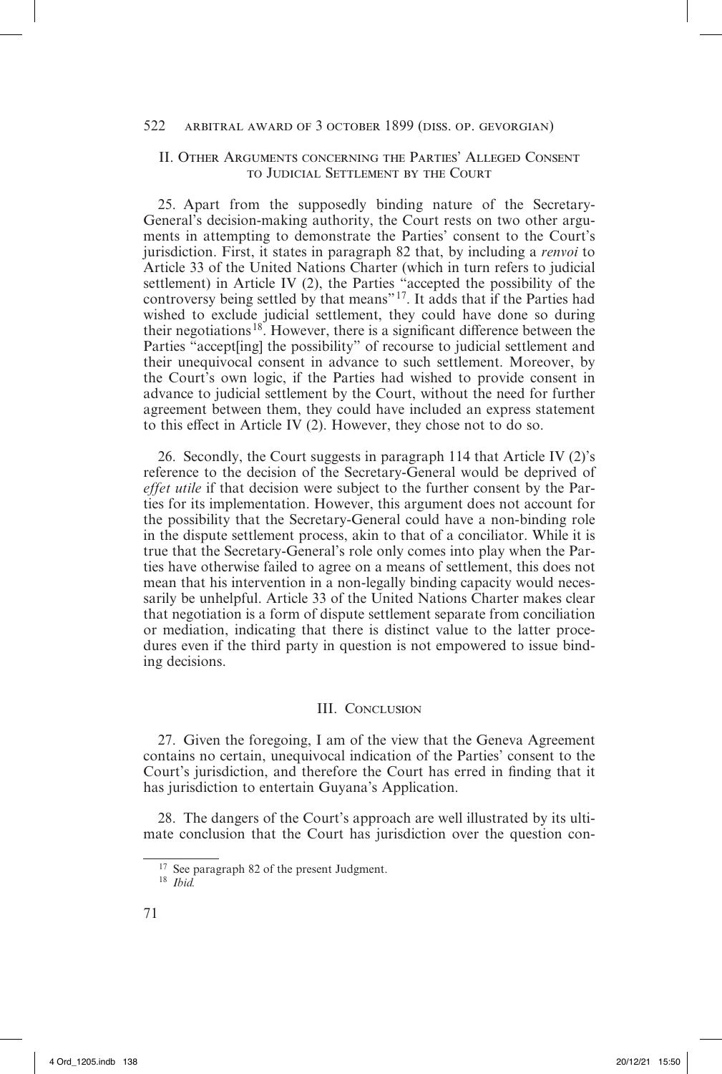# II. Other Arguments concerning the Parties' Alleged Consent to Judicial Settlement by the Court

25. Apart from the supposedly binding nature of the Secretary-General's decision-making authority, the Court rests on two other arguments in attempting to demonstrate the Parties' consent to the Court's jurisdiction. First, it states in paragraph 82 that, by including a *renvoi* to Article 33 of the United Nations Charter (which in turn refers to judicial settlement) in Article IV (2), the Parties "accepted the possibility of the controversy being settled by that means"17. It adds that if the Parties had wished to exclude judicial settlement, they could have done so during their negotiations<sup>18</sup>. However, there is a significant difference between the Parties "accept[ing] the possibility" of recourse to judicial settlement and their unequivocal consent in advance to such settlement. Moreover, by the Court's own logic, if the Parties had wished to provide consent in advance to judicial settlement by the Court, without the need for further agreement between them, they could have included an express statement to this effect in Article IV (2). However, they chose not to do so.

26. Secondly, the Court suggests in paragraph 114 that Article IV (2)'s reference to the decision of the Secretary-General would be deprived of *effet utile* if that decision were subject to the further consent by the Parties for its implementation. However, this argument does not account for the possibility that the Secretary-General could have a non-binding role in the dispute settlement process, akin to that of a conciliator. While it is true that the Secretary-General's role only comes into play when the Parties have otherwise failed to agree on a means of settlement, this does not mean that his intervention in a non-legally binding capacity would necessarily be unhelpful. Article 33 of the United Nations Charter makes clear that negotiation is a form of dispute settlement separate from conciliation or mediation, indicating that there is distinct value to the latter procedures even if the third party in question is not empowered to issue binding decisions.

### III. Conclusion

27. Given the foregoing, I am of the view that the Geneva Agreement contains no certain, unequivocal indication of the Parties' consent to the Court's jurisdiction, and therefore the Court has erred in finding that it has jurisdiction to entertain Guyana's Application.

28. The dangers of the Court's approach are well illustrated by its ultimate conclusion that the Court has jurisdiction over the question con-

<sup>&</sup>lt;sup>17</sup> See paragraph 82 of the present Judgment.

<sup>18</sup> *Ibid.*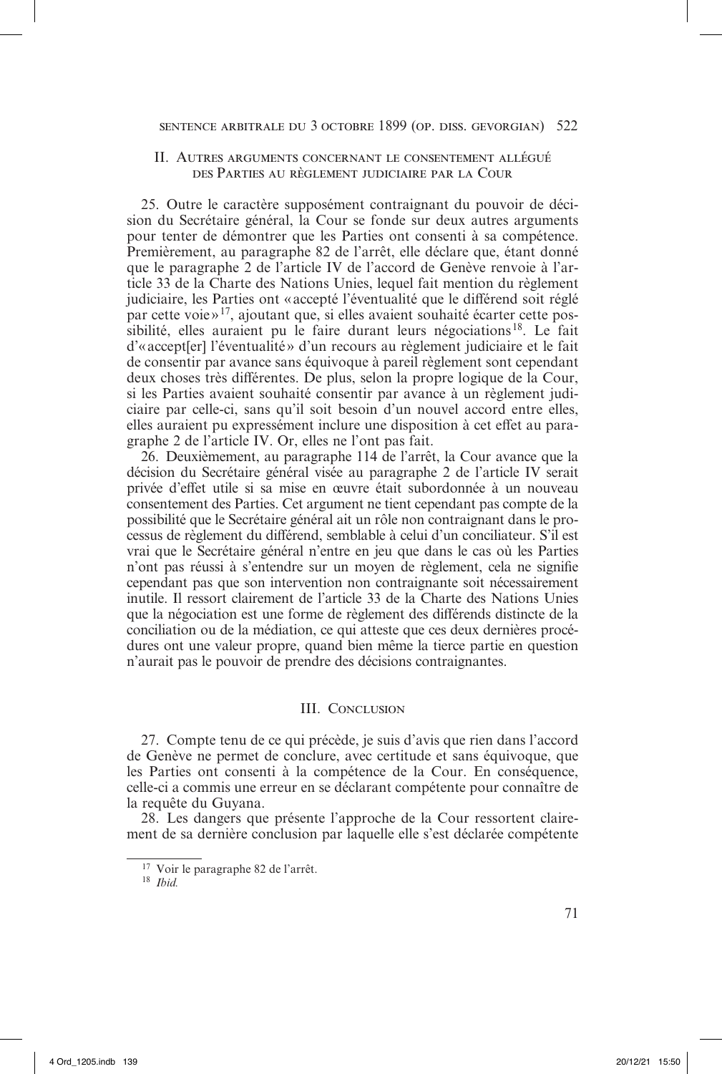# II. Autres arguments concernant le consentement allégué des Parties au règlement judiciaire par la Cour

25. Outre le caractère supposément contraignant du pouvoir de décision du Secrétaire général, la Cour se fonde sur deux autres arguments pour tenter de démontrer que les Parties ont consenti à sa compétence. Premièrement, au paragraphe 82 de l'arrêt, elle déclare que, étant donné que le paragraphe 2 de l'article IV de l'accord de Genève renvoie à l'article 33 de la Charte des Nations Unies, lequel fait mention du règlement judiciaire, les Parties ont « accepté l'éventualité que le différend soit réglé par cette voie »17, ajoutant que, si elles avaient souhaité écarter cette pos $s$ ibilité, elles auraient pu le faire durant leurs négociations<sup>18</sup>. Le fait d'«accept[er] l'éventualité» d'un recours au règlement judiciaire et le fait de consentir par avance sans équivoque à pareil règlement sont cependant deux choses très différentes. De plus, selon la propre logique de la Cour, si les Parties avaient souhaité consentir par avance à un règlement judiciaire par celle-ci, sans qu'il soit besoin d'un nouvel accord entre elles, elles auraient pu expressément inclure une disposition à cet effet au paragraphe 2 de l'article IV. Or, elles ne l'ont pas fait.

26. Deuxièmement, au paragraphe 114 de l'arrêt, la Cour avance que la décision du Secrétaire général visée au paragraphe 2 de l'article IV serait privée d'effet utile si sa mise en œuvre était subordonnée à un nouveau consentement des Parties. Cet argument ne tient cependant pas compte de la possibilité que le Secrétaire général ait un rôle non contraignant dans le processus de règlement du différend, semblable à celui d'un conciliateur. S'il est vrai que le Secrétaire général n'entre en jeu que dans le cas où les Parties n'ont pas réussi à s'entendre sur un moyen de règlement, cela ne signifie cependant pas que son intervention non contraignante soit nécessairement inutile. Il ressort clairement de l'article 33 de la Charte des Nations Unies que la négociation est une forme de règlement des différends distincte de la conciliation ou de la médiation, ce qui atteste que ces deux dernières procédures ont une valeur propre, quand bien même la tierce partie en question n'aurait pas le pouvoir de prendre des décisions contraignantes.

### III. Conclusion

27. Compte tenu de ce qui précède, je suis d'avis que rien dans l'accord de Genève ne permet de conclure, avec certitude et sans équivoque, que les Parties ont consenti à la compétence de la Cour. En conséquence, celle-ci a commis une erreur en se déclarant compétente pour connaître de la requête du Guyana.

28. Les dangers que présente l'approche de la Cour ressortent clairement de sa dernière conclusion par laquelle elle s'est déclarée compétente

<sup>17</sup> Voir le paragraphe 82 de l'arrêt.

<sup>18</sup> *Ibid.*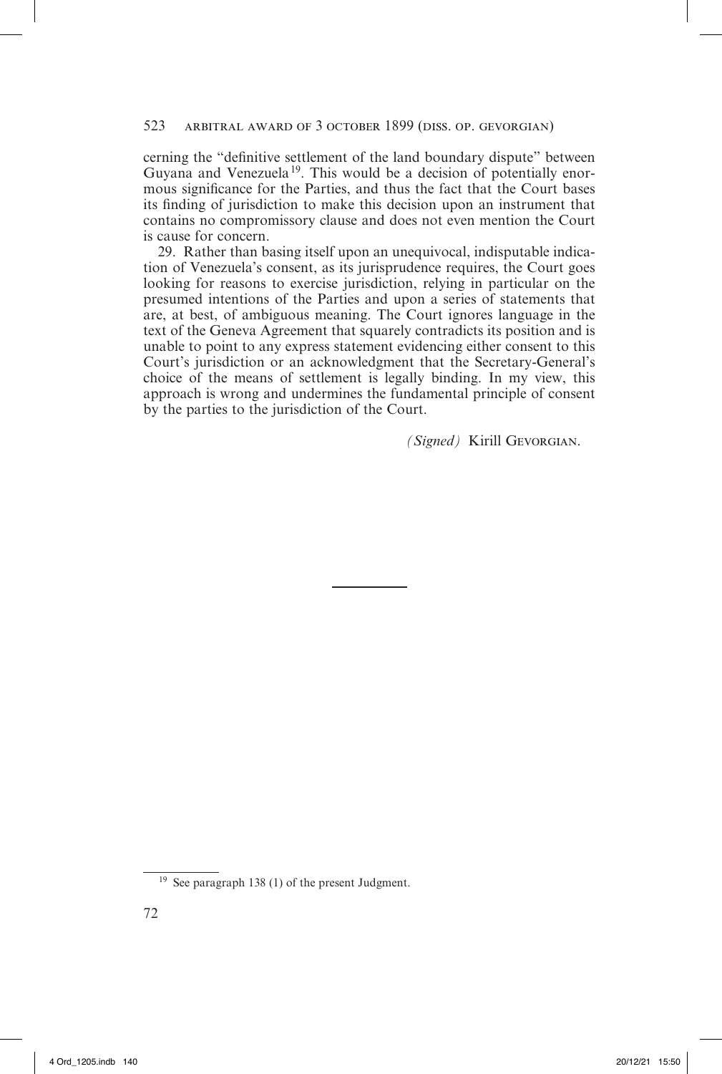cerning the "definitive settlement of the land boundary dispute" between Guyana and Venezuela<sup>19</sup>. This would be a decision of potentially enormous significance for the Parties, and thus the fact that the Court bases its finding of jurisdiction to make this decision upon an instrument that contains no compromissory clause and does not even mention the Court is cause for concern.

29. Rather than basing itself upon an unequivocal, indisputable indication of Venezuela's consent, as its jurisprudence requires, the Court goes looking for reasons to exercise jurisdiction, relying in particular on the presumed intentions of the Parties and upon a series of statements that are, at best, of ambiguous meaning. The Court ignores language in the text of the Geneva Agreement that squarely contradicts its position and is unable to point to any express statement evidencing either consent to this Court's jurisdiction or an acknowledgment that the Secretary-General's choice of the means of settlement is legally binding. In my view, this approach is wrong and undermines the fundamental principle of consent by the parties to the jurisdiction of the Court.

*(Signed)* Kirill Gevorgian.

<sup>19</sup> See paragraph 138 (1) of the present Judgment.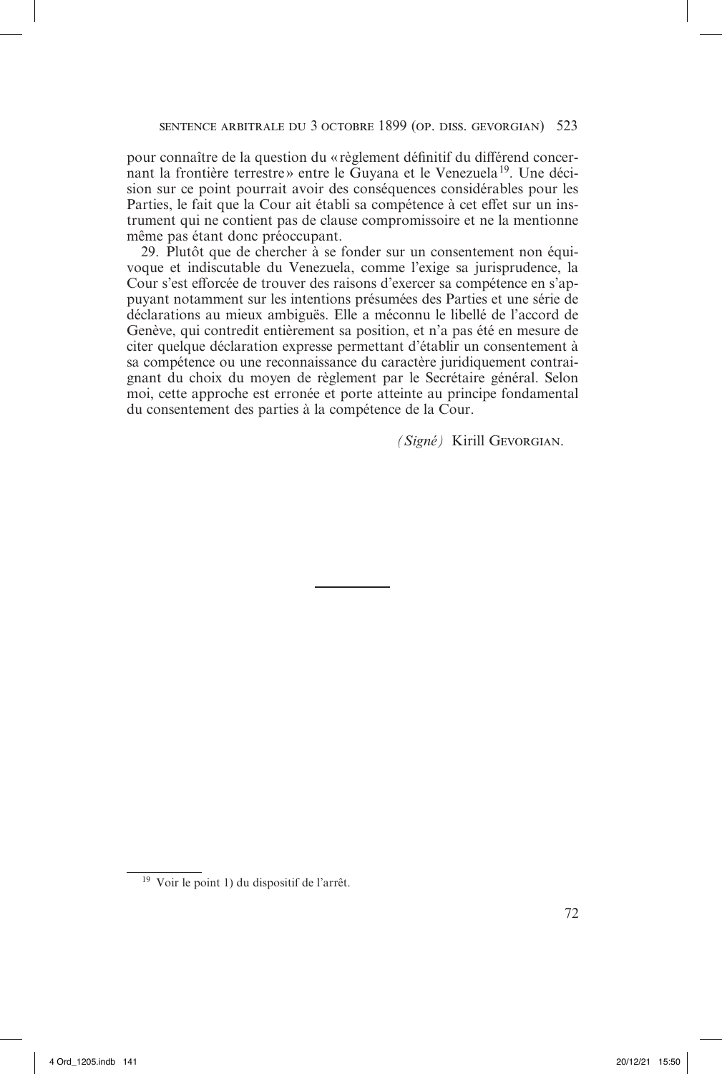pour connaître de la question du «règlement définitif du différend concernant la frontière terrestre» entre le Guvana et le Venezuela<sup>19</sup>. Une décision sur ce point pourrait avoir des conséquences considérables pour les Parties, le fait que la Cour ait établi sa compétence à cet effet sur un instrument qui ne contient pas de clause compromissoire et ne la mentionne même pas étant donc préoccupant.

29. Plutôt que de chercher à se fonder sur un consentement non équivoque et indiscutable du Venezuela, comme l'exige sa jurisprudence, la Cour s'est efforcée de trouver des raisons d'exercer sa compétence en s'appuyant notamment sur les intentions présumées des Parties et une série de déclarations au mieux ambiguës. Elle a méconnu le libellé de l'accord de Genève, qui contredit entièrement sa position, et n'a pas été en mesure de citer quelque déclaration expresse permettant d'établir un consentement à sa compétence ou une reconnaissance du caractère juridiquement contraignant du choix du moyen de règlement par le Secrétaire général. Selon moi, cette approche est erronée et porte atteinte au principe fondamental du consentement des parties à la compétence de la Cour.

*(Signé)* Kirill Gevorgian.

<sup>19</sup> Voir le point 1) du dispositif de l'arrêt.